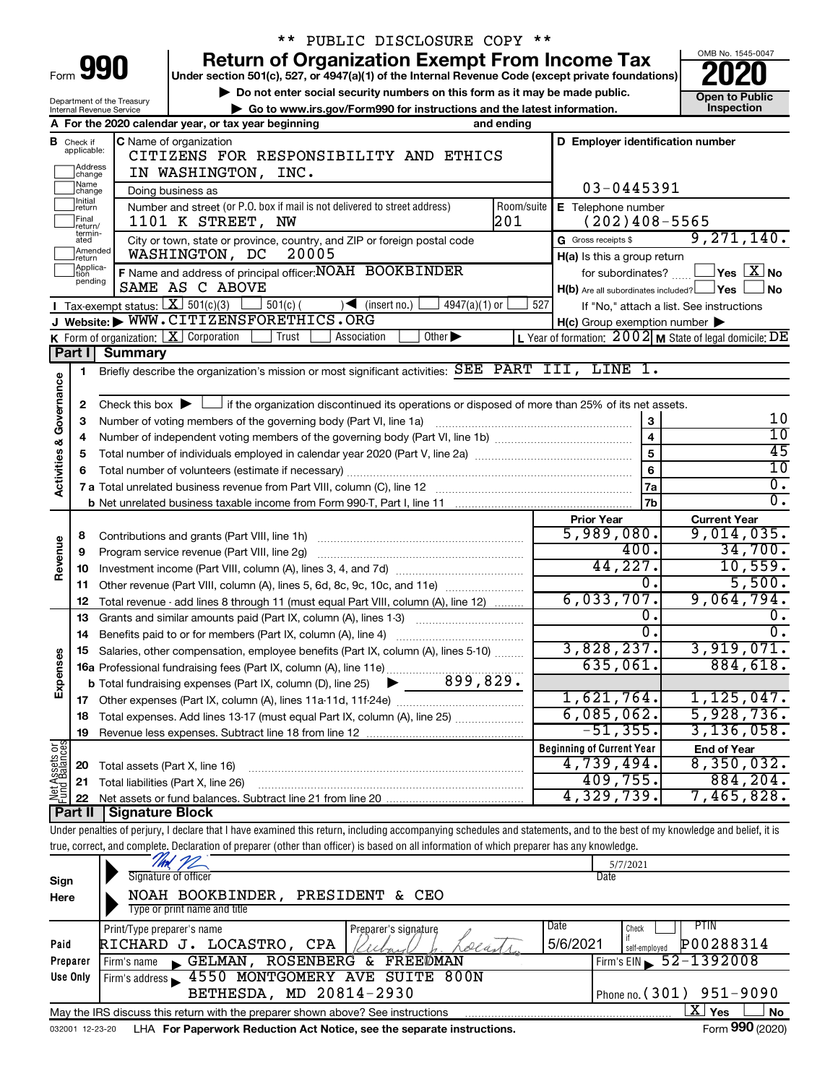|                                    |                             |                                                        | PUBLIC DISCLOSURE COPY **                                                                                                                                                                                                                                                                                                |                                                           |                              |                                           |
|------------------------------------|-----------------------------|--------------------------------------------------------|--------------------------------------------------------------------------------------------------------------------------------------------------------------------------------------------------------------------------------------------------------------------------------------------------------------------------|-----------------------------------------------------------|------------------------------|-------------------------------------------|
|                                    |                             |                                                        | <b>Return of Organization Exempt From Income Tax</b>                                                                                                                                                                                                                                                                     |                                                           |                              | OMB No. 1545-0047                         |
|                                    |                             | Form 990                                               | Under section 501(c), 527, or 4947(a)(1) of the Internal Revenue Code (except private foundations)                                                                                                                                                                                                                       |                                                           |                              |                                           |
|                                    |                             |                                                        | Do not enter social security numbers on this form as it may be made public.                                                                                                                                                                                                                                              |                                                           |                              | <b>Open to Public</b>                     |
|                                    |                             | Department of the Treasury<br>Internal Revenue Service | Go to www.irs.gov/Form990 for instructions and the latest information.                                                                                                                                                                                                                                                   |                                                           |                              | Inspection                                |
|                                    |                             |                                                        | A For the 2020 calendar year, or tax year beginning<br>and ending                                                                                                                                                                                                                                                        |                                                           |                              |                                           |
|                                    | <b>B</b> Check if           |                                                        | C Name of organization                                                                                                                                                                                                                                                                                                   | D Employer identification number                          |                              |                                           |
|                                    | applicable:                 |                                                        | CITIZENS FOR RESPONSIBILITY AND ETHICS                                                                                                                                                                                                                                                                                   |                                                           |                              |                                           |
|                                    | Address<br>change           |                                                        | IN WASHINGTON, INC.                                                                                                                                                                                                                                                                                                      |                                                           |                              |                                           |
|                                    | Name<br>change              |                                                        | Doing business as                                                                                                                                                                                                                                                                                                        | 03-0445391                                                |                              |                                           |
|                                    | Initial<br> return          |                                                        | Number and street (or P.O. box if mail is not delivered to street address)<br>Room/suite                                                                                                                                                                                                                                 | E Telephone number                                        |                              |                                           |
|                                    | Final<br>return/<br>termin- |                                                        | 201<br>1101 K STREET, NW                                                                                                                                                                                                                                                                                                 | $(202)$ 408-5565                                          |                              |                                           |
|                                    | ated                        |                                                        | City or town, state or province, country, and ZIP or foreign postal code                                                                                                                                                                                                                                                 | G Gross receipts \$                                       |                              | 9,271,140.                                |
|                                    | Amended<br>return           |                                                        | WASHINGTON, DC<br>20005                                                                                                                                                                                                                                                                                                  | H(a) Is this a group return                               |                              |                                           |
|                                    | Applica-<br>tion<br>pending |                                                        | F Name and address of principal officer: NOAH BOOKBINDER                                                                                                                                                                                                                                                                 | for subordinates? $\Box$                                  |                              | $\overline{\ }$ Yes $\overline{\rm X}$ No |
|                                    |                             |                                                        | SAME AS C ABOVE                                                                                                                                                                                                                                                                                                          | $H(b)$ Are all subordinates included?                     |                              | ⊥Yes<br>l No                              |
|                                    |                             |                                                        | <b>I</b> Tax-exempt status: $X \overline{X}$ 501(c)(3)<br>$501(c)$ (<br>$4947(a)(1)$ or<br>$\sqrt{\frac{1}{1}}$ (insert no.)                                                                                                                                                                                             | 527                                                       |                              | If "No," attach a list. See instructions  |
|                                    |                             |                                                        | J Website: WWW.CITIZENSFORETHICS.ORG                                                                                                                                                                                                                                                                                     | $H(c)$ Group exemption number $\blacktriangleright$       |                              |                                           |
|                                    |                             |                                                        | K Form of organization: $X$ Corporation<br>  Trust<br>Other $\blacktriangleright$<br>Association                                                                                                                                                                                                                         | L Year of formation: $2002$ M State of legal domicile: DE |                              |                                           |
|                                    | Part I                      | <b>Summary</b>                                         |                                                                                                                                                                                                                                                                                                                          |                                                           |                              |                                           |
|                                    | 1.                          |                                                        | Briefly describe the organization's mission or most significant activities: SEE PART III, LINE 1.                                                                                                                                                                                                                        |                                                           |                              |                                           |
|                                    |                             |                                                        |                                                                                                                                                                                                                                                                                                                          |                                                           |                              |                                           |
|                                    | 2                           |                                                        | Check this box $\blacktriangleright \Box$ if the organization discontinued its operations or disposed of more than 25% of its net assets.                                                                                                                                                                                |                                                           |                              | 10                                        |
|                                    | 3                           |                                                        | Number of voting members of the governing body (Part VI, line 1a)                                                                                                                                                                                                                                                        |                                                           | 3<br>$\overline{\mathbf{4}}$ | $\overline{10}$                           |
|                                    | 4                           |                                                        |                                                                                                                                                                                                                                                                                                                          |                                                           | $\overline{5}$               | 45                                        |
|                                    | 5                           |                                                        |                                                                                                                                                                                                                                                                                                                          |                                                           | 6                            | $\overline{10}$                           |
| <b>Activities &amp; Governance</b> | 6                           |                                                        |                                                                                                                                                                                                                                                                                                                          |                                                           | 7a                           | $\overline{0}$ .                          |
|                                    |                             |                                                        |                                                                                                                                                                                                                                                                                                                          |                                                           | 7b                           | $\overline{0}$ .                          |
|                                    |                             |                                                        |                                                                                                                                                                                                                                                                                                                          | <b>Prior Year</b>                                         |                              | <b>Current Year</b>                       |
|                                    | 8                           |                                                        | Contributions and grants (Part VIII, line 1h)                                                                                                                                                                                                                                                                            | 5,989,080.                                                |                              | 9,014,035.                                |
| Revenue                            | 9                           |                                                        | Program service revenue (Part VIII, line 2g)                                                                                                                                                                                                                                                                             | 400.                                                      |                              | 34,700.                                   |
|                                    | 10                          |                                                        |                                                                                                                                                                                                                                                                                                                          | 44,227.                                                   |                              | 10,559.                                   |
|                                    | 11                          |                                                        | Other revenue (Part VIII, column (A), lines 5, 6d, 8c, 9c, 10c, and 11e)                                                                                                                                                                                                                                                 |                                                           | 0.                           | 5,500.                                    |
|                                    | 12                          |                                                        | Total revenue - add lines 8 through 11 (must equal Part VIII, column (A), line 12)                                                                                                                                                                                                                                       | 6,033,707.                                                |                              | 9,064,794.                                |
|                                    | 13                          |                                                        | Grants and similar amounts paid (Part IX, column (A), lines 1-3)                                                                                                                                                                                                                                                         |                                                           | $\overline{0}$ .             | 0.                                        |
|                                    | 14                          |                                                        | Benefits paid to or for members (Part IX, column (A), line 4)                                                                                                                                                                                                                                                            |                                                           | $\overline{0}$ .             | $\overline{0}$ .                          |
|                                    |                             |                                                        | 15 Salaries, other compensation, employee benefits (Part IX, column (A), lines 5-10)                                                                                                                                                                                                                                     | 3,828,237.                                                |                              | 3,919,071.                                |
| Expenses                           |                             |                                                        |                                                                                                                                                                                                                                                                                                                          | 635,061.                                                  |                              | 884,618.                                  |
|                                    |                             |                                                        |                                                                                                                                                                                                                                                                                                                          |                                                           |                              |                                           |
|                                    |                             |                                                        |                                                                                                                                                                                                                                                                                                                          | 1,621,764.                                                |                              | 1, 125, 047.                              |
|                                    | 18                          |                                                        | Total expenses. Add lines 13-17 (must equal Part IX, column (A), line 25)                                                                                                                                                                                                                                                | 6,085,062.                                                |                              | 5,928,736.                                |
|                                    | 19                          |                                                        |                                                                                                                                                                                                                                                                                                                          | $-51, 355.$                                               |                              | 3,136,058.                                |
| Net Assets or<br>Fund Balances     |                             |                                                        |                                                                                                                                                                                                                                                                                                                          | <b>Beginning of Current Year</b>                          |                              | <b>End of Year</b>                        |
|                                    | 20                          |                                                        | Total assets (Part X, line 16)                                                                                                                                                                                                                                                                                           | 4,739,494.                                                |                              | 8,350,032.                                |
|                                    | 21                          |                                                        | Total liabilities (Part X, line 26)                                                                                                                                                                                                                                                                                      | 409,755.                                                  |                              | 884, 204.                                 |
|                                    | 22                          |                                                        |                                                                                                                                                                                                                                                                                                                          | 4,329,739.                                                |                              | 7,465,828.                                |
|                                    | Part II                     | <b>Signature Block</b>                                 |                                                                                                                                                                                                                                                                                                                          |                                                           |                              |                                           |
|                                    |                             |                                                        | Under penalties of perjury, I declare that I have examined this return, including accompanying schedules and statements, and to the best of my knowledge and belief, it is<br>true, correct, and complete. Declaration of preparer (other than officer) is based on all information of which preparer has any knowledge. |                                                           |                              |                                           |
|                                    |                             |                                                        |                                                                                                                                                                                                                                                                                                                          |                                                           |                              |                                           |
|                                    |                             |                                                        | Signature of officer                                                                                                                                                                                                                                                                                                     | 5/7/2021<br>Date                                          |                              |                                           |
| Sign                               |                             |                                                        | NOAH BOOKBINDER,<br>PRESIDENT & CEO                                                                                                                                                                                                                                                                                      |                                                           |                              |                                           |
| Here                               |                             |                                                        | Type or print name and title                                                                                                                                                                                                                                                                                             |                                                           |                              |                                           |
|                                    |                             | Print/Type preparer's name                             | Preparer's signature                                                                                                                                                                                                                                                                                                     | Date<br>Check                                             |                              | PTIN                                      |
| <b>Doid</b>                        |                             |                                                        | ∩סיחים גי∩חיד יד. הפג¤י∩ד<br>CDA                                                                                                                                                                                                                                                                                         | if.<br>5/6/2021                                           |                              | <b>b00288314</b>                          |

|                                                                                                              | Print/Type preparer's name                    | Preparer's signature | <b>Dalt</b> | Check<br><b>PIIN</b>                |  |  |  |
|--------------------------------------------------------------------------------------------------------------|-----------------------------------------------|----------------------|-------------|-------------------------------------|--|--|--|
| Paid                                                                                                         | LOCASTRO,<br>RICHARD J.<br><b>CPA</b>         |                      | 5/6/2021    | P00288314<br>self-emploved          |  |  |  |
| Preparer                                                                                                     | GELMAN, ROSENBERG & FREEØMAN<br>Firm's name   |                      |             | Firm's EIN $\frac{52 - 1392008}{ }$ |  |  |  |
| Use Only                                                                                                     | Firm's address 1550 MONTGOMERY AVE SUITE 800N |                      |             |                                     |  |  |  |
|                                                                                                              | BETHESDA, MD 20814-2930                       |                      |             | Phone no. $(301)$ 951-9090          |  |  |  |
| No<br><b>Yes</b><br>May the IRS discuss this return with the preparer shown above? See instructions          |                                               |                      |             |                                     |  |  |  |
| Form 990 (2020)<br>LHA For Paperwork Reduction Act Notice, see the separate instructions.<br>032001 12-23-20 |                                               |                      |             |                                     |  |  |  |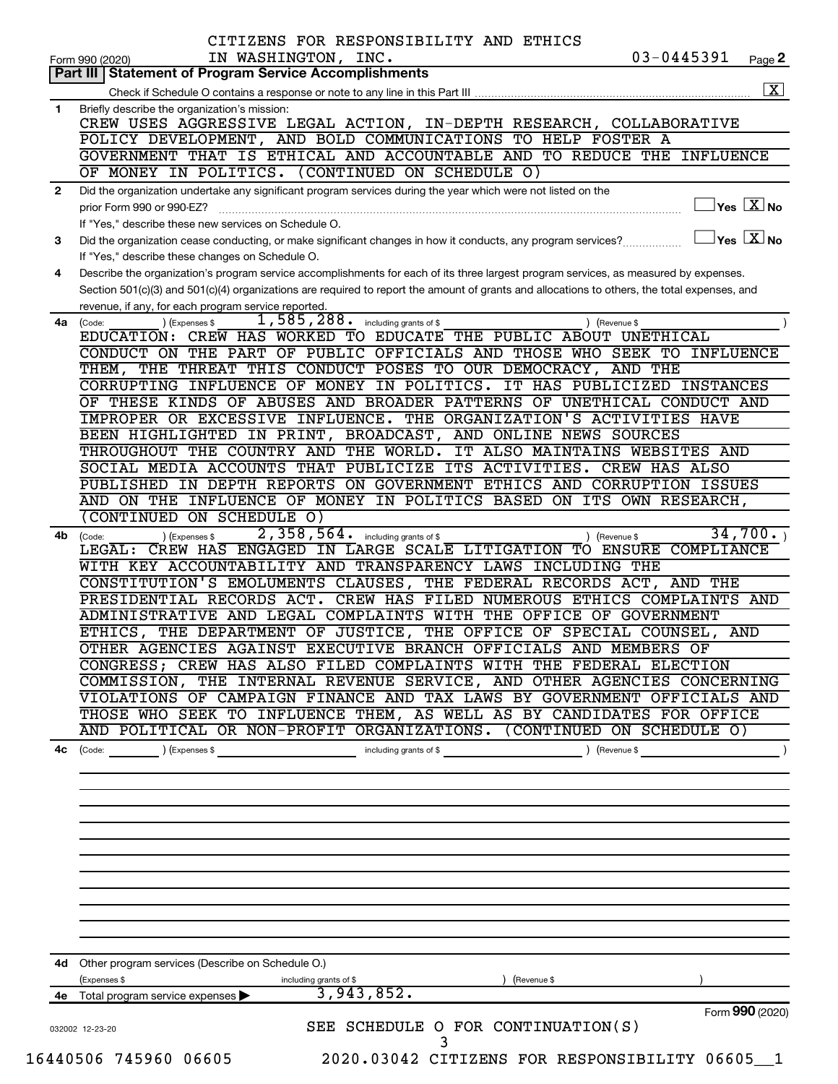|                | CITIZENS FOR RESPONSIBILITY AND ETHICS<br>IN WASHINGTON, INC.<br>Form 990 (2020)                                                             | 03-0445391      | Page 2                                           |
|----------------|----------------------------------------------------------------------------------------------------------------------------------------------|-----------------|--------------------------------------------------|
|                | <b>Part III   Statement of Program Service Accomplishments</b>                                                                               |                 |                                                  |
|                |                                                                                                                                              |                 | $\boxed{\textbf{X}}$                             |
| $\blacksquare$ | Briefly describe the organization's mission:                                                                                                 |                 |                                                  |
|                | CREW USES AGGRESSIVE LEGAL ACTION, IN-DEPTH RESEARCH, COLLABORATIVE                                                                          |                 |                                                  |
|                | POLICY DEVELOPMENT, AND BOLD COMMUNICATIONS TO HELP FOSTER A                                                                                 |                 |                                                  |
|                | GOVERNMENT THAT IS ETHICAL AND ACCOUNTABLE AND TO REDUCE THE INFLUENCE                                                                       |                 |                                                  |
|                | OF MONEY IN POLITICS. (CONTINUED ON SCHEDULE O)                                                                                              |                 |                                                  |
| $\mathbf{2}$   | Did the organization undertake any significant program services during the year which were not listed on the                                 |                 |                                                  |
|                | prior Form 990 or 990-EZ?                                                                                                                    |                 | $\overline{\ }$ Yes $\overline{\phantom{a}X}$ No |
|                | If "Yes," describe these new services on Schedule O.                                                                                         |                 |                                                  |
| 3              | Did the organization cease conducting, or make significant changes in how it conducts, any program services?                                 |                 | $\sqrt{\ }$ Yes $\sqrt{\ \text{X}}$ No           |
|                | If "Yes," describe these changes on Schedule O.                                                                                              |                 |                                                  |
| 4              | Describe the organization's program service accomplishments for each of its three largest program services, as measured by expenses.         |                 |                                                  |
|                | Section 501(c)(3) and 501(c)(4) organizations are required to report the amount of grants and allocations to others, the total expenses, and |                 |                                                  |
|                | revenue, if any, for each program service reported.                                                                                          |                 |                                                  |
| 4a             | $1,585,288$ $\cdot$ including grants of \$<br>(Code:<br>(Expenses \$<br>) (Revenue \$                                                        |                 |                                                  |
|                | EDUCATION: CREW HAS WORKED TO EDUCATE THE PUBLIC ABOUT UNETHICAL                                                                             |                 |                                                  |
|                | CONDUCT ON THE PART OF PUBLIC OFFICIALS AND THOSE WHO SEEK TO INFLUENCE                                                                      |                 |                                                  |
|                | THEM, THE THREAT THIS CONDUCT POSES TO OUR DEMOCRACY, AND THE                                                                                |                 |                                                  |
|                | CORRUPTING INFLUENCE OF MONEY IN POLITICS. IT HAS PUBLICIZED INSTANCES                                                                       |                 |                                                  |
|                | OF THESE KINDS OF ABUSES AND BROADER PATTERNS OF UNETHICAL CONDUCT AND                                                                       |                 |                                                  |
|                | IMPROPER OR EXCESSIVE INFLUENCE. THE ORGANIZATION'S ACTIVITIES HAVE                                                                          |                 |                                                  |
|                | BEEN HIGHLIGHTED IN PRINT, BROADCAST, AND ONLINE NEWS SOURCES<br>THROUGHOUT THE COUNTRY AND THE WORLD. IT ALSO MAINTAINS WEBSITES AND        |                 |                                                  |
|                | SOCIAL MEDIA ACCOUNTS THAT PUBLICIZE ITS ACTIVITIES. CREW HAS ALSO                                                                           |                 |                                                  |
|                | PUBLISHED IN DEPTH REPORTS ON GOVERNMENT ETHICS AND CORRUPTION ISSUES                                                                        |                 |                                                  |
|                | AND ON THE INFLUENCE OF MONEY IN POLITICS BASED ON ITS OWN RESEARCH,                                                                         |                 |                                                  |
|                | CONTINUED ON SCHEDULE O)                                                                                                                     |                 |                                                  |
|                | 2,358,564. including grants of \$                                                                                                            |                 | 34,700.                                          |
| 4b             | ) (Revenue \$<br>(Expenses \$<br>(Code:<br>CREW HAS ENGAGED IN LARGE SCALE LITIGATION TO ENSURE COMPLIANCE<br>LEGAL:                         |                 |                                                  |
|                | WITH KEY ACCOUNTABILITY AND TRANSPARENCY LAWS INCLUDING THE                                                                                  |                 |                                                  |
|                | CONSTITUTION'S EMOLUMENTS CLAUSES, THE FEDERAL RECORDS ACT, AND THE                                                                          |                 |                                                  |
|                | PRESIDENTIAL RECORDS ACT. CREW HAS FILED NUMEROUS ETHICS COMPLAINTS AND                                                                      |                 |                                                  |
|                | ADMINISTRATIVE AND LEGAL COMPLAINTS WITH THE OFFICE OF GOVERNMENT                                                                            |                 |                                                  |
|                | ETHICS, THE DEPARTMENT OF JUSTICE, THE OFFICE OF SPECIAL COUNSEL,                                                                            |                 | AND                                              |
|                | OTHER AGENCIES AGAINST EXECUTIVE BRANCH OFFICIALS AND MEMBERS OF                                                                             |                 |                                                  |
|                | CONGRESS; CREW HAS ALSO FILED COMPLAINTS WITH THE FEDERAL ELECTION                                                                           |                 |                                                  |
|                | COMMISSION, THE INTERNAL REVENUE SERVICE, AND OTHER AGENCIES CONCERNING                                                                      |                 |                                                  |
|                | VIOLATIONS OF CAMPAIGN FINANCE AND TAX LAWS BY GOVERNMENT OFFICIALS AND                                                                      |                 |                                                  |
|                | THOSE WHO SEEK TO INFLUENCE THEM, AS WELL AS BY CANDIDATES FOR OFFICE                                                                        |                 |                                                  |
|                | AND POLITICAL OR NON-PROFIT ORGANIZATIONS. (CONTINUED ON SCHEDULE O)                                                                         |                 |                                                  |
| 4c             | (Code: ) (Expenses \$ ) (Expenses \$ $\blacksquare$ ) (Revenue \$ ) (Revenue \$ )                                                            |                 |                                                  |
|                |                                                                                                                                              |                 |                                                  |
|                |                                                                                                                                              |                 |                                                  |
|                |                                                                                                                                              |                 |                                                  |
|                |                                                                                                                                              |                 |                                                  |
|                |                                                                                                                                              |                 |                                                  |
|                |                                                                                                                                              |                 |                                                  |
|                |                                                                                                                                              |                 |                                                  |
|                |                                                                                                                                              |                 |                                                  |
|                |                                                                                                                                              |                 |                                                  |
|                |                                                                                                                                              |                 |                                                  |
|                |                                                                                                                                              |                 |                                                  |
|                |                                                                                                                                              |                 |                                                  |
|                | 4d Other program services (Describe on Schedule O.)                                                                                          |                 |                                                  |
|                | (Expenses \$<br>) (Revenue \$<br>including grants of \$<br>3,943,852.                                                                        |                 |                                                  |
|                | 4e Total program service expenses >                                                                                                          | Form 990 (2020) |                                                  |
|                | SEE SCHEDULE O FOR CONTINUATION(S)<br>032002 12-23-20                                                                                        |                 |                                                  |
|                |                                                                                                                                              |                 |                                                  |
|                | 16440506 745960 06605<br>2020.03042 CITIZENS FOR RESPONSIBILITY 06605_1                                                                      |                 |                                                  |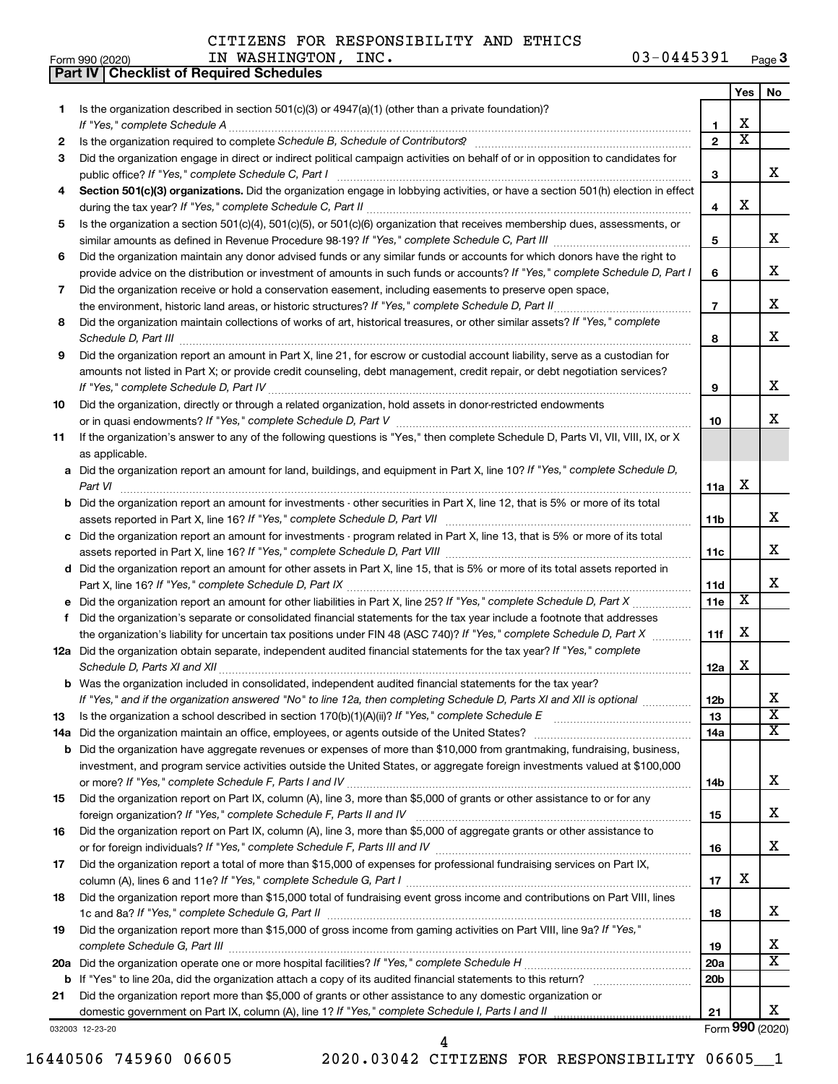**Part IV Checklist of Required Schedules**

#### Form 990 (2020) Page IN WASHINGTON, INC. 03-0445391 03-0445391 Page 3

| Is the organization described in section 501(c)(3) or 4947(a)(1) (other than a private foundation)?<br>1<br>х<br>1<br>$\overline{\text{x}}$<br>$\overline{2}$<br>2<br>Did the organization engage in direct or indirect political campaign activities on behalf of or in opposition to candidates for<br>3<br>3<br>Section 501(c)(3) organizations. Did the organization engage in lobbying activities, or have a section 501(h) election in effect<br>4<br>X<br>4<br>Is the organization a section 501(c)(4), 501(c)(5), or 501(c)(6) organization that receives membership dues, assessments, or<br>5<br>5<br>Did the organization maintain any donor advised funds or any similar funds or accounts for which donors have the right to<br>6<br>provide advice on the distribution or investment of amounts in such funds or accounts? If "Yes," complete Schedule D, Part I<br>6<br>Did the organization receive or hold a conservation easement, including easements to preserve open space,<br>7<br>$\overline{7}$<br>Did the organization maintain collections of works of art, historical treasures, or other similar assets? If "Yes," complete<br>8<br>Schedule D, Part III <b>Marting Communities</b> Contract and Technical Communities Contract and Technical Communities<br>8<br>Did the organization report an amount in Part X, line 21, for escrow or custodial account liability, serve as a custodian for<br>9<br>amounts not listed in Part X; or provide credit counseling, debt management, credit repair, or debt negotiation services?<br>9<br>Did the organization, directly or through a related organization, hold assets in donor-restricted endowments<br>10<br>10<br>If the organization's answer to any of the following questions is "Yes," then complete Schedule D, Parts VI, VII, VIII, IX, or X<br>11<br>as applicable.<br>a Did the organization report an amount for land, buildings, and equipment in Part X, line 10? If "Yes," complete Schedule D,<br>X<br>11a<br>Part VI<br><b>b</b> Did the organization report an amount for investments - other securities in Part X, line 12, that is 5% or more of its total<br>11 <sub>b</sub><br>c Did the organization report an amount for investments - program related in Part X, line 13, that is 5% or more of its total<br>x<br>11c<br>d Did the organization report an amount for other assets in Part X, line 15, that is 5% or more of its total assets reported in<br>11d<br>$\overline{\texttt{x}}$<br>11e<br>f Did the organization's separate or consolidated financial statements for the tax year include a footnote that addresses<br>X<br>the organization's liability for uncertain tax positions under FIN 48 (ASC 740)? If "Yes," complete Schedule D, Part X<br>11f<br>12a Did the organization obtain separate, independent audited financial statements for the tax year? If "Yes," complete<br>X<br>12a<br><b>b</b> Was the organization included in consolidated, independent audited financial statements for the tax year?<br>If "Yes," and if the organization answered "No" to line 12a, then completing Schedule D, Parts XI and XII is optional<br>12b<br>Is the organization a school described in section 170(b)(1)(A)(ii)? If "Yes," complete Schedule E manual content content of the organization a school described in section 170(b)(1)(A)(ii)? If "Yes," complete Schedule E<br>13<br>13<br>14a<br>14a<br>Did the organization have aggregate revenues or expenses of more than \$10,000 from grantmaking, fundraising, business,<br>b<br>investment, and program service activities outside the United States, or aggregate foreign investments valued at \$100,000<br>14b<br>Did the organization report on Part IX, column (A), line 3, more than \$5,000 of grants or other assistance to or for any<br>15<br>15<br>Did the organization report on Part IX, column (A), line 3, more than \$5,000 of aggregate grants or other assistance to<br>16<br>16<br>Did the organization report a total of more than \$15,000 of expenses for professional fundraising services on Part IX,<br>17<br>х<br>17<br>Did the organization report more than \$15,000 total of fundraising event gross income and contributions on Part VIII, lines<br>18<br>18<br>Did the organization report more than \$15,000 of gross income from gaming activities on Part VIII, line 9a? If "Yes,"<br>19<br>19<br>20a<br>20a<br>20b<br>b<br>Did the organization report more than \$5,000 of grants or other assistance to any domestic organization or<br>21 |  |  | Yes | No                      |
|--------------------------------------------------------------------------------------------------------------------------------------------------------------------------------------------------------------------------------------------------------------------------------------------------------------------------------------------------------------------------------------------------------------------------------------------------------------------------------------------------------------------------------------------------------------------------------------------------------------------------------------------------------------------------------------------------------------------------------------------------------------------------------------------------------------------------------------------------------------------------------------------------------------------------------------------------------------------------------------------------------------------------------------------------------------------------------------------------------------------------------------------------------------------------------------------------------------------------------------------------------------------------------------------------------------------------------------------------------------------------------------------------------------------------------------------------------------------------------------------------------------------------------------------------------------------------------------------------------------------------------------------------------------------------------------------------------------------------------------------------------------------------------------------------------------------------------------------------------------------------------------------------------------------------------------------------------------------------------------------------------------------------------------------------------------------------------------------------------------------------------------------------------------------------------------------------------------------------------------------------------------------------------------------------------------------------------------------------------------------------------------------------------------------------------------------------------------------------------------------------------------------------------------------------------------------------------------------------------------------------------------------------------------------------------------------------------------------------------------------------------------------------------------------------------------------------------------------------------------------------------------------------------------------------------------------------------------------------------------------------------------------------------------------------------------------------------------------------------------------------------------------------------------------------------------------------------------------------------------------------------------------------------------------------------------------------------------------------------------------------------------------------------------------------------------------------------------------------------------------------------------------------------------------------------------------------------------------------------------------------------------------------------------------------------------------------------------------------------------------------------------------------------------------------------------------------------------------------------------------------------------------------------------------------------------------------------------------------------------------------------------------------------------------------------------------------------------------------------------------------------------------------------------------------------------------------------------------------------------------------------------------------------------------------------------------------------------------------------------------------------------------------------------------------------------------------------------------------------------------------------------------------------------------------------------------|--|--|-----|-------------------------|
|                                                                                                                                                                                                                                                                                                                                                                                                                                                                                                                                                                                                                                                                                                                                                                                                                                                                                                                                                                                                                                                                                                                                                                                                                                                                                                                                                                                                                                                                                                                                                                                                                                                                                                                                                                                                                                                                                                                                                                                                                                                                                                                                                                                                                                                                                                                                                                                                                                                                                                                                                                                                                                                                                                                                                                                                                                                                                                                                                                                                                                                                                                                                                                                                                                                                                                                                                                                                                                                                                                                                                                                                                                                                                                                                                                                                                                                                                                                                                                                                                                                                                                                                                                                                                                                                                                                                                                                                                                                                                                                                                                    |  |  |     |                         |
|                                                                                                                                                                                                                                                                                                                                                                                                                                                                                                                                                                                                                                                                                                                                                                                                                                                                                                                                                                                                                                                                                                                                                                                                                                                                                                                                                                                                                                                                                                                                                                                                                                                                                                                                                                                                                                                                                                                                                                                                                                                                                                                                                                                                                                                                                                                                                                                                                                                                                                                                                                                                                                                                                                                                                                                                                                                                                                                                                                                                                                                                                                                                                                                                                                                                                                                                                                                                                                                                                                                                                                                                                                                                                                                                                                                                                                                                                                                                                                                                                                                                                                                                                                                                                                                                                                                                                                                                                                                                                                                                                                    |  |  |     |                         |
|                                                                                                                                                                                                                                                                                                                                                                                                                                                                                                                                                                                                                                                                                                                                                                                                                                                                                                                                                                                                                                                                                                                                                                                                                                                                                                                                                                                                                                                                                                                                                                                                                                                                                                                                                                                                                                                                                                                                                                                                                                                                                                                                                                                                                                                                                                                                                                                                                                                                                                                                                                                                                                                                                                                                                                                                                                                                                                                                                                                                                                                                                                                                                                                                                                                                                                                                                                                                                                                                                                                                                                                                                                                                                                                                                                                                                                                                                                                                                                                                                                                                                                                                                                                                                                                                                                                                                                                                                                                                                                                                                                    |  |  |     |                         |
|                                                                                                                                                                                                                                                                                                                                                                                                                                                                                                                                                                                                                                                                                                                                                                                                                                                                                                                                                                                                                                                                                                                                                                                                                                                                                                                                                                                                                                                                                                                                                                                                                                                                                                                                                                                                                                                                                                                                                                                                                                                                                                                                                                                                                                                                                                                                                                                                                                                                                                                                                                                                                                                                                                                                                                                                                                                                                                                                                                                                                                                                                                                                                                                                                                                                                                                                                                                                                                                                                                                                                                                                                                                                                                                                                                                                                                                                                                                                                                                                                                                                                                                                                                                                                                                                                                                                                                                                                                                                                                                                                                    |  |  |     |                         |
|                                                                                                                                                                                                                                                                                                                                                                                                                                                                                                                                                                                                                                                                                                                                                                                                                                                                                                                                                                                                                                                                                                                                                                                                                                                                                                                                                                                                                                                                                                                                                                                                                                                                                                                                                                                                                                                                                                                                                                                                                                                                                                                                                                                                                                                                                                                                                                                                                                                                                                                                                                                                                                                                                                                                                                                                                                                                                                                                                                                                                                                                                                                                                                                                                                                                                                                                                                                                                                                                                                                                                                                                                                                                                                                                                                                                                                                                                                                                                                                                                                                                                                                                                                                                                                                                                                                                                                                                                                                                                                                                                                    |  |  |     | x                       |
|                                                                                                                                                                                                                                                                                                                                                                                                                                                                                                                                                                                                                                                                                                                                                                                                                                                                                                                                                                                                                                                                                                                                                                                                                                                                                                                                                                                                                                                                                                                                                                                                                                                                                                                                                                                                                                                                                                                                                                                                                                                                                                                                                                                                                                                                                                                                                                                                                                                                                                                                                                                                                                                                                                                                                                                                                                                                                                                                                                                                                                                                                                                                                                                                                                                                                                                                                                                                                                                                                                                                                                                                                                                                                                                                                                                                                                                                                                                                                                                                                                                                                                                                                                                                                                                                                                                                                                                                                                                                                                                                                                    |  |  |     |                         |
|                                                                                                                                                                                                                                                                                                                                                                                                                                                                                                                                                                                                                                                                                                                                                                                                                                                                                                                                                                                                                                                                                                                                                                                                                                                                                                                                                                                                                                                                                                                                                                                                                                                                                                                                                                                                                                                                                                                                                                                                                                                                                                                                                                                                                                                                                                                                                                                                                                                                                                                                                                                                                                                                                                                                                                                                                                                                                                                                                                                                                                                                                                                                                                                                                                                                                                                                                                                                                                                                                                                                                                                                                                                                                                                                                                                                                                                                                                                                                                                                                                                                                                                                                                                                                                                                                                                                                                                                                                                                                                                                                                    |  |  |     |                         |
|                                                                                                                                                                                                                                                                                                                                                                                                                                                                                                                                                                                                                                                                                                                                                                                                                                                                                                                                                                                                                                                                                                                                                                                                                                                                                                                                                                                                                                                                                                                                                                                                                                                                                                                                                                                                                                                                                                                                                                                                                                                                                                                                                                                                                                                                                                                                                                                                                                                                                                                                                                                                                                                                                                                                                                                                                                                                                                                                                                                                                                                                                                                                                                                                                                                                                                                                                                                                                                                                                                                                                                                                                                                                                                                                                                                                                                                                                                                                                                                                                                                                                                                                                                                                                                                                                                                                                                                                                                                                                                                                                                    |  |  |     |                         |
|                                                                                                                                                                                                                                                                                                                                                                                                                                                                                                                                                                                                                                                                                                                                                                                                                                                                                                                                                                                                                                                                                                                                                                                                                                                                                                                                                                                                                                                                                                                                                                                                                                                                                                                                                                                                                                                                                                                                                                                                                                                                                                                                                                                                                                                                                                                                                                                                                                                                                                                                                                                                                                                                                                                                                                                                                                                                                                                                                                                                                                                                                                                                                                                                                                                                                                                                                                                                                                                                                                                                                                                                                                                                                                                                                                                                                                                                                                                                                                                                                                                                                                                                                                                                                                                                                                                                                                                                                                                                                                                                                                    |  |  |     | x                       |
|                                                                                                                                                                                                                                                                                                                                                                                                                                                                                                                                                                                                                                                                                                                                                                                                                                                                                                                                                                                                                                                                                                                                                                                                                                                                                                                                                                                                                                                                                                                                                                                                                                                                                                                                                                                                                                                                                                                                                                                                                                                                                                                                                                                                                                                                                                                                                                                                                                                                                                                                                                                                                                                                                                                                                                                                                                                                                                                                                                                                                                                                                                                                                                                                                                                                                                                                                                                                                                                                                                                                                                                                                                                                                                                                                                                                                                                                                                                                                                                                                                                                                                                                                                                                                                                                                                                                                                                                                                                                                                                                                                    |  |  |     |                         |
|                                                                                                                                                                                                                                                                                                                                                                                                                                                                                                                                                                                                                                                                                                                                                                                                                                                                                                                                                                                                                                                                                                                                                                                                                                                                                                                                                                                                                                                                                                                                                                                                                                                                                                                                                                                                                                                                                                                                                                                                                                                                                                                                                                                                                                                                                                                                                                                                                                                                                                                                                                                                                                                                                                                                                                                                                                                                                                                                                                                                                                                                                                                                                                                                                                                                                                                                                                                                                                                                                                                                                                                                                                                                                                                                                                                                                                                                                                                                                                                                                                                                                                                                                                                                                                                                                                                                                                                                                                                                                                                                                                    |  |  |     | x                       |
|                                                                                                                                                                                                                                                                                                                                                                                                                                                                                                                                                                                                                                                                                                                                                                                                                                                                                                                                                                                                                                                                                                                                                                                                                                                                                                                                                                                                                                                                                                                                                                                                                                                                                                                                                                                                                                                                                                                                                                                                                                                                                                                                                                                                                                                                                                                                                                                                                                                                                                                                                                                                                                                                                                                                                                                                                                                                                                                                                                                                                                                                                                                                                                                                                                                                                                                                                                                                                                                                                                                                                                                                                                                                                                                                                                                                                                                                                                                                                                                                                                                                                                                                                                                                                                                                                                                                                                                                                                                                                                                                                                    |  |  |     |                         |
|                                                                                                                                                                                                                                                                                                                                                                                                                                                                                                                                                                                                                                                                                                                                                                                                                                                                                                                                                                                                                                                                                                                                                                                                                                                                                                                                                                                                                                                                                                                                                                                                                                                                                                                                                                                                                                                                                                                                                                                                                                                                                                                                                                                                                                                                                                                                                                                                                                                                                                                                                                                                                                                                                                                                                                                                                                                                                                                                                                                                                                                                                                                                                                                                                                                                                                                                                                                                                                                                                                                                                                                                                                                                                                                                                                                                                                                                                                                                                                                                                                                                                                                                                                                                                                                                                                                                                                                                                                                                                                                                                                    |  |  |     | x                       |
|                                                                                                                                                                                                                                                                                                                                                                                                                                                                                                                                                                                                                                                                                                                                                                                                                                                                                                                                                                                                                                                                                                                                                                                                                                                                                                                                                                                                                                                                                                                                                                                                                                                                                                                                                                                                                                                                                                                                                                                                                                                                                                                                                                                                                                                                                                                                                                                                                                                                                                                                                                                                                                                                                                                                                                                                                                                                                                                                                                                                                                                                                                                                                                                                                                                                                                                                                                                                                                                                                                                                                                                                                                                                                                                                                                                                                                                                                                                                                                                                                                                                                                                                                                                                                                                                                                                                                                                                                                                                                                                                                                    |  |  |     |                         |
|                                                                                                                                                                                                                                                                                                                                                                                                                                                                                                                                                                                                                                                                                                                                                                                                                                                                                                                                                                                                                                                                                                                                                                                                                                                                                                                                                                                                                                                                                                                                                                                                                                                                                                                                                                                                                                                                                                                                                                                                                                                                                                                                                                                                                                                                                                                                                                                                                                                                                                                                                                                                                                                                                                                                                                                                                                                                                                                                                                                                                                                                                                                                                                                                                                                                                                                                                                                                                                                                                                                                                                                                                                                                                                                                                                                                                                                                                                                                                                                                                                                                                                                                                                                                                                                                                                                                                                                                                                                                                                                                                                    |  |  |     | x                       |
|                                                                                                                                                                                                                                                                                                                                                                                                                                                                                                                                                                                                                                                                                                                                                                                                                                                                                                                                                                                                                                                                                                                                                                                                                                                                                                                                                                                                                                                                                                                                                                                                                                                                                                                                                                                                                                                                                                                                                                                                                                                                                                                                                                                                                                                                                                                                                                                                                                                                                                                                                                                                                                                                                                                                                                                                                                                                                                                                                                                                                                                                                                                                                                                                                                                                                                                                                                                                                                                                                                                                                                                                                                                                                                                                                                                                                                                                                                                                                                                                                                                                                                                                                                                                                                                                                                                                                                                                                                                                                                                                                                    |  |  |     |                         |
|                                                                                                                                                                                                                                                                                                                                                                                                                                                                                                                                                                                                                                                                                                                                                                                                                                                                                                                                                                                                                                                                                                                                                                                                                                                                                                                                                                                                                                                                                                                                                                                                                                                                                                                                                                                                                                                                                                                                                                                                                                                                                                                                                                                                                                                                                                                                                                                                                                                                                                                                                                                                                                                                                                                                                                                                                                                                                                                                                                                                                                                                                                                                                                                                                                                                                                                                                                                                                                                                                                                                                                                                                                                                                                                                                                                                                                                                                                                                                                                                                                                                                                                                                                                                                                                                                                                                                                                                                                                                                                                                                                    |  |  |     |                         |
|                                                                                                                                                                                                                                                                                                                                                                                                                                                                                                                                                                                                                                                                                                                                                                                                                                                                                                                                                                                                                                                                                                                                                                                                                                                                                                                                                                                                                                                                                                                                                                                                                                                                                                                                                                                                                                                                                                                                                                                                                                                                                                                                                                                                                                                                                                                                                                                                                                                                                                                                                                                                                                                                                                                                                                                                                                                                                                                                                                                                                                                                                                                                                                                                                                                                                                                                                                                                                                                                                                                                                                                                                                                                                                                                                                                                                                                                                                                                                                                                                                                                                                                                                                                                                                                                                                                                                                                                                                                                                                                                                                    |  |  |     | x                       |
|                                                                                                                                                                                                                                                                                                                                                                                                                                                                                                                                                                                                                                                                                                                                                                                                                                                                                                                                                                                                                                                                                                                                                                                                                                                                                                                                                                                                                                                                                                                                                                                                                                                                                                                                                                                                                                                                                                                                                                                                                                                                                                                                                                                                                                                                                                                                                                                                                                                                                                                                                                                                                                                                                                                                                                                                                                                                                                                                                                                                                                                                                                                                                                                                                                                                                                                                                                                                                                                                                                                                                                                                                                                                                                                                                                                                                                                                                                                                                                                                                                                                                                                                                                                                                                                                                                                                                                                                                                                                                                                                                                    |  |  |     |                         |
|                                                                                                                                                                                                                                                                                                                                                                                                                                                                                                                                                                                                                                                                                                                                                                                                                                                                                                                                                                                                                                                                                                                                                                                                                                                                                                                                                                                                                                                                                                                                                                                                                                                                                                                                                                                                                                                                                                                                                                                                                                                                                                                                                                                                                                                                                                                                                                                                                                                                                                                                                                                                                                                                                                                                                                                                                                                                                                                                                                                                                                                                                                                                                                                                                                                                                                                                                                                                                                                                                                                                                                                                                                                                                                                                                                                                                                                                                                                                                                                                                                                                                                                                                                                                                                                                                                                                                                                                                                                                                                                                                                    |  |  |     | x                       |
|                                                                                                                                                                                                                                                                                                                                                                                                                                                                                                                                                                                                                                                                                                                                                                                                                                                                                                                                                                                                                                                                                                                                                                                                                                                                                                                                                                                                                                                                                                                                                                                                                                                                                                                                                                                                                                                                                                                                                                                                                                                                                                                                                                                                                                                                                                                                                                                                                                                                                                                                                                                                                                                                                                                                                                                                                                                                                                                                                                                                                                                                                                                                                                                                                                                                                                                                                                                                                                                                                                                                                                                                                                                                                                                                                                                                                                                                                                                                                                                                                                                                                                                                                                                                                                                                                                                                                                                                                                                                                                                                                                    |  |  |     |                         |
|                                                                                                                                                                                                                                                                                                                                                                                                                                                                                                                                                                                                                                                                                                                                                                                                                                                                                                                                                                                                                                                                                                                                                                                                                                                                                                                                                                                                                                                                                                                                                                                                                                                                                                                                                                                                                                                                                                                                                                                                                                                                                                                                                                                                                                                                                                                                                                                                                                                                                                                                                                                                                                                                                                                                                                                                                                                                                                                                                                                                                                                                                                                                                                                                                                                                                                                                                                                                                                                                                                                                                                                                                                                                                                                                                                                                                                                                                                                                                                                                                                                                                                                                                                                                                                                                                                                                                                                                                                                                                                                                                                    |  |  |     |                         |
|                                                                                                                                                                                                                                                                                                                                                                                                                                                                                                                                                                                                                                                                                                                                                                                                                                                                                                                                                                                                                                                                                                                                                                                                                                                                                                                                                                                                                                                                                                                                                                                                                                                                                                                                                                                                                                                                                                                                                                                                                                                                                                                                                                                                                                                                                                                                                                                                                                                                                                                                                                                                                                                                                                                                                                                                                                                                                                                                                                                                                                                                                                                                                                                                                                                                                                                                                                                                                                                                                                                                                                                                                                                                                                                                                                                                                                                                                                                                                                                                                                                                                                                                                                                                                                                                                                                                                                                                                                                                                                                                                                    |  |  |     |                         |
|                                                                                                                                                                                                                                                                                                                                                                                                                                                                                                                                                                                                                                                                                                                                                                                                                                                                                                                                                                                                                                                                                                                                                                                                                                                                                                                                                                                                                                                                                                                                                                                                                                                                                                                                                                                                                                                                                                                                                                                                                                                                                                                                                                                                                                                                                                                                                                                                                                                                                                                                                                                                                                                                                                                                                                                                                                                                                                                                                                                                                                                                                                                                                                                                                                                                                                                                                                                                                                                                                                                                                                                                                                                                                                                                                                                                                                                                                                                                                                                                                                                                                                                                                                                                                                                                                                                                                                                                                                                                                                                                                                    |  |  |     |                         |
|                                                                                                                                                                                                                                                                                                                                                                                                                                                                                                                                                                                                                                                                                                                                                                                                                                                                                                                                                                                                                                                                                                                                                                                                                                                                                                                                                                                                                                                                                                                                                                                                                                                                                                                                                                                                                                                                                                                                                                                                                                                                                                                                                                                                                                                                                                                                                                                                                                                                                                                                                                                                                                                                                                                                                                                                                                                                                                                                                                                                                                                                                                                                                                                                                                                                                                                                                                                                                                                                                                                                                                                                                                                                                                                                                                                                                                                                                                                                                                                                                                                                                                                                                                                                                                                                                                                                                                                                                                                                                                                                                                    |  |  |     |                         |
|                                                                                                                                                                                                                                                                                                                                                                                                                                                                                                                                                                                                                                                                                                                                                                                                                                                                                                                                                                                                                                                                                                                                                                                                                                                                                                                                                                                                                                                                                                                                                                                                                                                                                                                                                                                                                                                                                                                                                                                                                                                                                                                                                                                                                                                                                                                                                                                                                                                                                                                                                                                                                                                                                                                                                                                                                                                                                                                                                                                                                                                                                                                                                                                                                                                                                                                                                                                                                                                                                                                                                                                                                                                                                                                                                                                                                                                                                                                                                                                                                                                                                                                                                                                                                                                                                                                                                                                                                                                                                                                                                                    |  |  |     | x                       |
|                                                                                                                                                                                                                                                                                                                                                                                                                                                                                                                                                                                                                                                                                                                                                                                                                                                                                                                                                                                                                                                                                                                                                                                                                                                                                                                                                                                                                                                                                                                                                                                                                                                                                                                                                                                                                                                                                                                                                                                                                                                                                                                                                                                                                                                                                                                                                                                                                                                                                                                                                                                                                                                                                                                                                                                                                                                                                                                                                                                                                                                                                                                                                                                                                                                                                                                                                                                                                                                                                                                                                                                                                                                                                                                                                                                                                                                                                                                                                                                                                                                                                                                                                                                                                                                                                                                                                                                                                                                                                                                                                                    |  |  |     |                         |
|                                                                                                                                                                                                                                                                                                                                                                                                                                                                                                                                                                                                                                                                                                                                                                                                                                                                                                                                                                                                                                                                                                                                                                                                                                                                                                                                                                                                                                                                                                                                                                                                                                                                                                                                                                                                                                                                                                                                                                                                                                                                                                                                                                                                                                                                                                                                                                                                                                                                                                                                                                                                                                                                                                                                                                                                                                                                                                                                                                                                                                                                                                                                                                                                                                                                                                                                                                                                                                                                                                                                                                                                                                                                                                                                                                                                                                                                                                                                                                                                                                                                                                                                                                                                                                                                                                                                                                                                                                                                                                                                                                    |  |  |     |                         |
|                                                                                                                                                                                                                                                                                                                                                                                                                                                                                                                                                                                                                                                                                                                                                                                                                                                                                                                                                                                                                                                                                                                                                                                                                                                                                                                                                                                                                                                                                                                                                                                                                                                                                                                                                                                                                                                                                                                                                                                                                                                                                                                                                                                                                                                                                                                                                                                                                                                                                                                                                                                                                                                                                                                                                                                                                                                                                                                                                                                                                                                                                                                                                                                                                                                                                                                                                                                                                                                                                                                                                                                                                                                                                                                                                                                                                                                                                                                                                                                                                                                                                                                                                                                                                                                                                                                                                                                                                                                                                                                                                                    |  |  |     | x                       |
|                                                                                                                                                                                                                                                                                                                                                                                                                                                                                                                                                                                                                                                                                                                                                                                                                                                                                                                                                                                                                                                                                                                                                                                                                                                                                                                                                                                                                                                                                                                                                                                                                                                                                                                                                                                                                                                                                                                                                                                                                                                                                                                                                                                                                                                                                                                                                                                                                                                                                                                                                                                                                                                                                                                                                                                                                                                                                                                                                                                                                                                                                                                                                                                                                                                                                                                                                                                                                                                                                                                                                                                                                                                                                                                                                                                                                                                                                                                                                                                                                                                                                                                                                                                                                                                                                                                                                                                                                                                                                                                                                                    |  |  |     |                         |
|                                                                                                                                                                                                                                                                                                                                                                                                                                                                                                                                                                                                                                                                                                                                                                                                                                                                                                                                                                                                                                                                                                                                                                                                                                                                                                                                                                                                                                                                                                                                                                                                                                                                                                                                                                                                                                                                                                                                                                                                                                                                                                                                                                                                                                                                                                                                                                                                                                                                                                                                                                                                                                                                                                                                                                                                                                                                                                                                                                                                                                                                                                                                                                                                                                                                                                                                                                                                                                                                                                                                                                                                                                                                                                                                                                                                                                                                                                                                                                                                                                                                                                                                                                                                                                                                                                                                                                                                                                                                                                                                                                    |  |  |     |                         |
|                                                                                                                                                                                                                                                                                                                                                                                                                                                                                                                                                                                                                                                                                                                                                                                                                                                                                                                                                                                                                                                                                                                                                                                                                                                                                                                                                                                                                                                                                                                                                                                                                                                                                                                                                                                                                                                                                                                                                                                                                                                                                                                                                                                                                                                                                                                                                                                                                                                                                                                                                                                                                                                                                                                                                                                                                                                                                                                                                                                                                                                                                                                                                                                                                                                                                                                                                                                                                                                                                                                                                                                                                                                                                                                                                                                                                                                                                                                                                                                                                                                                                                                                                                                                                                                                                                                                                                                                                                                                                                                                                                    |  |  |     |                         |
|                                                                                                                                                                                                                                                                                                                                                                                                                                                                                                                                                                                                                                                                                                                                                                                                                                                                                                                                                                                                                                                                                                                                                                                                                                                                                                                                                                                                                                                                                                                                                                                                                                                                                                                                                                                                                                                                                                                                                                                                                                                                                                                                                                                                                                                                                                                                                                                                                                                                                                                                                                                                                                                                                                                                                                                                                                                                                                                                                                                                                                                                                                                                                                                                                                                                                                                                                                                                                                                                                                                                                                                                                                                                                                                                                                                                                                                                                                                                                                                                                                                                                                                                                                                                                                                                                                                                                                                                                                                                                                                                                                    |  |  |     |                         |
|                                                                                                                                                                                                                                                                                                                                                                                                                                                                                                                                                                                                                                                                                                                                                                                                                                                                                                                                                                                                                                                                                                                                                                                                                                                                                                                                                                                                                                                                                                                                                                                                                                                                                                                                                                                                                                                                                                                                                                                                                                                                                                                                                                                                                                                                                                                                                                                                                                                                                                                                                                                                                                                                                                                                                                                                                                                                                                                                                                                                                                                                                                                                                                                                                                                                                                                                                                                                                                                                                                                                                                                                                                                                                                                                                                                                                                                                                                                                                                                                                                                                                                                                                                                                                                                                                                                                                                                                                                                                                                                                                                    |  |  |     |                         |
|                                                                                                                                                                                                                                                                                                                                                                                                                                                                                                                                                                                                                                                                                                                                                                                                                                                                                                                                                                                                                                                                                                                                                                                                                                                                                                                                                                                                                                                                                                                                                                                                                                                                                                                                                                                                                                                                                                                                                                                                                                                                                                                                                                                                                                                                                                                                                                                                                                                                                                                                                                                                                                                                                                                                                                                                                                                                                                                                                                                                                                                                                                                                                                                                                                                                                                                                                                                                                                                                                                                                                                                                                                                                                                                                                                                                                                                                                                                                                                                                                                                                                                                                                                                                                                                                                                                                                                                                                                                                                                                                                                    |  |  |     |                         |
|                                                                                                                                                                                                                                                                                                                                                                                                                                                                                                                                                                                                                                                                                                                                                                                                                                                                                                                                                                                                                                                                                                                                                                                                                                                                                                                                                                                                                                                                                                                                                                                                                                                                                                                                                                                                                                                                                                                                                                                                                                                                                                                                                                                                                                                                                                                                                                                                                                                                                                                                                                                                                                                                                                                                                                                                                                                                                                                                                                                                                                                                                                                                                                                                                                                                                                                                                                                                                                                                                                                                                                                                                                                                                                                                                                                                                                                                                                                                                                                                                                                                                                                                                                                                                                                                                                                                                                                                                                                                                                                                                                    |  |  |     | x                       |
|                                                                                                                                                                                                                                                                                                                                                                                                                                                                                                                                                                                                                                                                                                                                                                                                                                                                                                                                                                                                                                                                                                                                                                                                                                                                                                                                                                                                                                                                                                                                                                                                                                                                                                                                                                                                                                                                                                                                                                                                                                                                                                                                                                                                                                                                                                                                                                                                                                                                                                                                                                                                                                                                                                                                                                                                                                                                                                                                                                                                                                                                                                                                                                                                                                                                                                                                                                                                                                                                                                                                                                                                                                                                                                                                                                                                                                                                                                                                                                                                                                                                                                                                                                                                                                                                                                                                                                                                                                                                                                                                                                    |  |  |     | $\overline{\text{x}}$   |
|                                                                                                                                                                                                                                                                                                                                                                                                                                                                                                                                                                                                                                                                                                                                                                                                                                                                                                                                                                                                                                                                                                                                                                                                                                                                                                                                                                                                                                                                                                                                                                                                                                                                                                                                                                                                                                                                                                                                                                                                                                                                                                                                                                                                                                                                                                                                                                                                                                                                                                                                                                                                                                                                                                                                                                                                                                                                                                                                                                                                                                                                                                                                                                                                                                                                                                                                                                                                                                                                                                                                                                                                                                                                                                                                                                                                                                                                                                                                                                                                                                                                                                                                                                                                                                                                                                                                                                                                                                                                                                                                                                    |  |  |     | $\overline{\text{X}}$   |
|                                                                                                                                                                                                                                                                                                                                                                                                                                                                                                                                                                                                                                                                                                                                                                                                                                                                                                                                                                                                                                                                                                                                                                                                                                                                                                                                                                                                                                                                                                                                                                                                                                                                                                                                                                                                                                                                                                                                                                                                                                                                                                                                                                                                                                                                                                                                                                                                                                                                                                                                                                                                                                                                                                                                                                                                                                                                                                                                                                                                                                                                                                                                                                                                                                                                                                                                                                                                                                                                                                                                                                                                                                                                                                                                                                                                                                                                                                                                                                                                                                                                                                                                                                                                                                                                                                                                                                                                                                                                                                                                                                    |  |  |     |                         |
|                                                                                                                                                                                                                                                                                                                                                                                                                                                                                                                                                                                                                                                                                                                                                                                                                                                                                                                                                                                                                                                                                                                                                                                                                                                                                                                                                                                                                                                                                                                                                                                                                                                                                                                                                                                                                                                                                                                                                                                                                                                                                                                                                                                                                                                                                                                                                                                                                                                                                                                                                                                                                                                                                                                                                                                                                                                                                                                                                                                                                                                                                                                                                                                                                                                                                                                                                                                                                                                                                                                                                                                                                                                                                                                                                                                                                                                                                                                                                                                                                                                                                                                                                                                                                                                                                                                                                                                                                                                                                                                                                                    |  |  |     |                         |
|                                                                                                                                                                                                                                                                                                                                                                                                                                                                                                                                                                                                                                                                                                                                                                                                                                                                                                                                                                                                                                                                                                                                                                                                                                                                                                                                                                                                                                                                                                                                                                                                                                                                                                                                                                                                                                                                                                                                                                                                                                                                                                                                                                                                                                                                                                                                                                                                                                                                                                                                                                                                                                                                                                                                                                                                                                                                                                                                                                                                                                                                                                                                                                                                                                                                                                                                                                                                                                                                                                                                                                                                                                                                                                                                                                                                                                                                                                                                                                                                                                                                                                                                                                                                                                                                                                                                                                                                                                                                                                                                                                    |  |  |     | x                       |
|                                                                                                                                                                                                                                                                                                                                                                                                                                                                                                                                                                                                                                                                                                                                                                                                                                                                                                                                                                                                                                                                                                                                                                                                                                                                                                                                                                                                                                                                                                                                                                                                                                                                                                                                                                                                                                                                                                                                                                                                                                                                                                                                                                                                                                                                                                                                                                                                                                                                                                                                                                                                                                                                                                                                                                                                                                                                                                                                                                                                                                                                                                                                                                                                                                                                                                                                                                                                                                                                                                                                                                                                                                                                                                                                                                                                                                                                                                                                                                                                                                                                                                                                                                                                                                                                                                                                                                                                                                                                                                                                                                    |  |  |     |                         |
|                                                                                                                                                                                                                                                                                                                                                                                                                                                                                                                                                                                                                                                                                                                                                                                                                                                                                                                                                                                                                                                                                                                                                                                                                                                                                                                                                                                                                                                                                                                                                                                                                                                                                                                                                                                                                                                                                                                                                                                                                                                                                                                                                                                                                                                                                                                                                                                                                                                                                                                                                                                                                                                                                                                                                                                                                                                                                                                                                                                                                                                                                                                                                                                                                                                                                                                                                                                                                                                                                                                                                                                                                                                                                                                                                                                                                                                                                                                                                                                                                                                                                                                                                                                                                                                                                                                                                                                                                                                                                                                                                                    |  |  |     | х                       |
|                                                                                                                                                                                                                                                                                                                                                                                                                                                                                                                                                                                                                                                                                                                                                                                                                                                                                                                                                                                                                                                                                                                                                                                                                                                                                                                                                                                                                                                                                                                                                                                                                                                                                                                                                                                                                                                                                                                                                                                                                                                                                                                                                                                                                                                                                                                                                                                                                                                                                                                                                                                                                                                                                                                                                                                                                                                                                                                                                                                                                                                                                                                                                                                                                                                                                                                                                                                                                                                                                                                                                                                                                                                                                                                                                                                                                                                                                                                                                                                                                                                                                                                                                                                                                                                                                                                                                                                                                                                                                                                                                                    |  |  |     |                         |
|                                                                                                                                                                                                                                                                                                                                                                                                                                                                                                                                                                                                                                                                                                                                                                                                                                                                                                                                                                                                                                                                                                                                                                                                                                                                                                                                                                                                                                                                                                                                                                                                                                                                                                                                                                                                                                                                                                                                                                                                                                                                                                                                                                                                                                                                                                                                                                                                                                                                                                                                                                                                                                                                                                                                                                                                                                                                                                                                                                                                                                                                                                                                                                                                                                                                                                                                                                                                                                                                                                                                                                                                                                                                                                                                                                                                                                                                                                                                                                                                                                                                                                                                                                                                                                                                                                                                                                                                                                                                                                                                                                    |  |  |     | X                       |
|                                                                                                                                                                                                                                                                                                                                                                                                                                                                                                                                                                                                                                                                                                                                                                                                                                                                                                                                                                                                                                                                                                                                                                                                                                                                                                                                                                                                                                                                                                                                                                                                                                                                                                                                                                                                                                                                                                                                                                                                                                                                                                                                                                                                                                                                                                                                                                                                                                                                                                                                                                                                                                                                                                                                                                                                                                                                                                                                                                                                                                                                                                                                                                                                                                                                                                                                                                                                                                                                                                                                                                                                                                                                                                                                                                                                                                                                                                                                                                                                                                                                                                                                                                                                                                                                                                                                                                                                                                                                                                                                                                    |  |  |     |                         |
|                                                                                                                                                                                                                                                                                                                                                                                                                                                                                                                                                                                                                                                                                                                                                                                                                                                                                                                                                                                                                                                                                                                                                                                                                                                                                                                                                                                                                                                                                                                                                                                                                                                                                                                                                                                                                                                                                                                                                                                                                                                                                                                                                                                                                                                                                                                                                                                                                                                                                                                                                                                                                                                                                                                                                                                                                                                                                                                                                                                                                                                                                                                                                                                                                                                                                                                                                                                                                                                                                                                                                                                                                                                                                                                                                                                                                                                                                                                                                                                                                                                                                                                                                                                                                                                                                                                                                                                                                                                                                                                                                                    |  |  |     |                         |
|                                                                                                                                                                                                                                                                                                                                                                                                                                                                                                                                                                                                                                                                                                                                                                                                                                                                                                                                                                                                                                                                                                                                                                                                                                                                                                                                                                                                                                                                                                                                                                                                                                                                                                                                                                                                                                                                                                                                                                                                                                                                                                                                                                                                                                                                                                                                                                                                                                                                                                                                                                                                                                                                                                                                                                                                                                                                                                                                                                                                                                                                                                                                                                                                                                                                                                                                                                                                                                                                                                                                                                                                                                                                                                                                                                                                                                                                                                                                                                                                                                                                                                                                                                                                                                                                                                                                                                                                                                                                                                                                                                    |  |  |     |                         |
|                                                                                                                                                                                                                                                                                                                                                                                                                                                                                                                                                                                                                                                                                                                                                                                                                                                                                                                                                                                                                                                                                                                                                                                                                                                                                                                                                                                                                                                                                                                                                                                                                                                                                                                                                                                                                                                                                                                                                                                                                                                                                                                                                                                                                                                                                                                                                                                                                                                                                                                                                                                                                                                                                                                                                                                                                                                                                                                                                                                                                                                                                                                                                                                                                                                                                                                                                                                                                                                                                                                                                                                                                                                                                                                                                                                                                                                                                                                                                                                                                                                                                                                                                                                                                                                                                                                                                                                                                                                                                                                                                                    |  |  |     | х                       |
|                                                                                                                                                                                                                                                                                                                                                                                                                                                                                                                                                                                                                                                                                                                                                                                                                                                                                                                                                                                                                                                                                                                                                                                                                                                                                                                                                                                                                                                                                                                                                                                                                                                                                                                                                                                                                                                                                                                                                                                                                                                                                                                                                                                                                                                                                                                                                                                                                                                                                                                                                                                                                                                                                                                                                                                                                                                                                                                                                                                                                                                                                                                                                                                                                                                                                                                                                                                                                                                                                                                                                                                                                                                                                                                                                                                                                                                                                                                                                                                                                                                                                                                                                                                                                                                                                                                                                                                                                                                                                                                                                                    |  |  |     |                         |
|                                                                                                                                                                                                                                                                                                                                                                                                                                                                                                                                                                                                                                                                                                                                                                                                                                                                                                                                                                                                                                                                                                                                                                                                                                                                                                                                                                                                                                                                                                                                                                                                                                                                                                                                                                                                                                                                                                                                                                                                                                                                                                                                                                                                                                                                                                                                                                                                                                                                                                                                                                                                                                                                                                                                                                                                                                                                                                                                                                                                                                                                                                                                                                                                                                                                                                                                                                                                                                                                                                                                                                                                                                                                                                                                                                                                                                                                                                                                                                                                                                                                                                                                                                                                                                                                                                                                                                                                                                                                                                                                                                    |  |  |     | x                       |
|                                                                                                                                                                                                                                                                                                                                                                                                                                                                                                                                                                                                                                                                                                                                                                                                                                                                                                                                                                                                                                                                                                                                                                                                                                                                                                                                                                                                                                                                                                                                                                                                                                                                                                                                                                                                                                                                                                                                                                                                                                                                                                                                                                                                                                                                                                                                                                                                                                                                                                                                                                                                                                                                                                                                                                                                                                                                                                                                                                                                                                                                                                                                                                                                                                                                                                                                                                                                                                                                                                                                                                                                                                                                                                                                                                                                                                                                                                                                                                                                                                                                                                                                                                                                                                                                                                                                                                                                                                                                                                                                                                    |  |  |     | $\overline{\mathtt{x}}$ |
|                                                                                                                                                                                                                                                                                                                                                                                                                                                                                                                                                                                                                                                                                                                                                                                                                                                                                                                                                                                                                                                                                                                                                                                                                                                                                                                                                                                                                                                                                                                                                                                                                                                                                                                                                                                                                                                                                                                                                                                                                                                                                                                                                                                                                                                                                                                                                                                                                                                                                                                                                                                                                                                                                                                                                                                                                                                                                                                                                                                                                                                                                                                                                                                                                                                                                                                                                                                                                                                                                                                                                                                                                                                                                                                                                                                                                                                                                                                                                                                                                                                                                                                                                                                                                                                                                                                                                                                                                                                                                                                                                                    |  |  |     |                         |
|                                                                                                                                                                                                                                                                                                                                                                                                                                                                                                                                                                                                                                                                                                                                                                                                                                                                                                                                                                                                                                                                                                                                                                                                                                                                                                                                                                                                                                                                                                                                                                                                                                                                                                                                                                                                                                                                                                                                                                                                                                                                                                                                                                                                                                                                                                                                                                                                                                                                                                                                                                                                                                                                                                                                                                                                                                                                                                                                                                                                                                                                                                                                                                                                                                                                                                                                                                                                                                                                                                                                                                                                                                                                                                                                                                                                                                                                                                                                                                                                                                                                                                                                                                                                                                                                                                                                                                                                                                                                                                                                                                    |  |  |     |                         |
| 21                                                                                                                                                                                                                                                                                                                                                                                                                                                                                                                                                                                                                                                                                                                                                                                                                                                                                                                                                                                                                                                                                                                                                                                                                                                                                                                                                                                                                                                                                                                                                                                                                                                                                                                                                                                                                                                                                                                                                                                                                                                                                                                                                                                                                                                                                                                                                                                                                                                                                                                                                                                                                                                                                                                                                                                                                                                                                                                                                                                                                                                                                                                                                                                                                                                                                                                                                                                                                                                                                                                                                                                                                                                                                                                                                                                                                                                                                                                                                                                                                                                                                                                                                                                                                                                                                                                                                                                                                                                                                                                                                                 |  |  |     |                         |
| Form 990 (2020)<br>032003 12-23-20                                                                                                                                                                                                                                                                                                                                                                                                                                                                                                                                                                                                                                                                                                                                                                                                                                                                                                                                                                                                                                                                                                                                                                                                                                                                                                                                                                                                                                                                                                                                                                                                                                                                                                                                                                                                                                                                                                                                                                                                                                                                                                                                                                                                                                                                                                                                                                                                                                                                                                                                                                                                                                                                                                                                                                                                                                                                                                                                                                                                                                                                                                                                                                                                                                                                                                                                                                                                                                                                                                                                                                                                                                                                                                                                                                                                                                                                                                                                                                                                                                                                                                                                                                                                                                                                                                                                                                                                                                                                                                                                 |  |  |     | x                       |
|                                                                                                                                                                                                                                                                                                                                                                                                                                                                                                                                                                                                                                                                                                                                                                                                                                                                                                                                                                                                                                                                                                                                                                                                                                                                                                                                                                                                                                                                                                                                                                                                                                                                                                                                                                                                                                                                                                                                                                                                                                                                                                                                                                                                                                                                                                                                                                                                                                                                                                                                                                                                                                                                                                                                                                                                                                                                                                                                                                                                                                                                                                                                                                                                                                                                                                                                                                                                                                                                                                                                                                                                                                                                                                                                                                                                                                                                                                                                                                                                                                                                                                                                                                                                                                                                                                                                                                                                                                                                                                                                                                    |  |  |     |                         |

16440506 745960 06605 2020.03042 CITIZENS FOR RESPONSIBILITY 06605\_\_1

4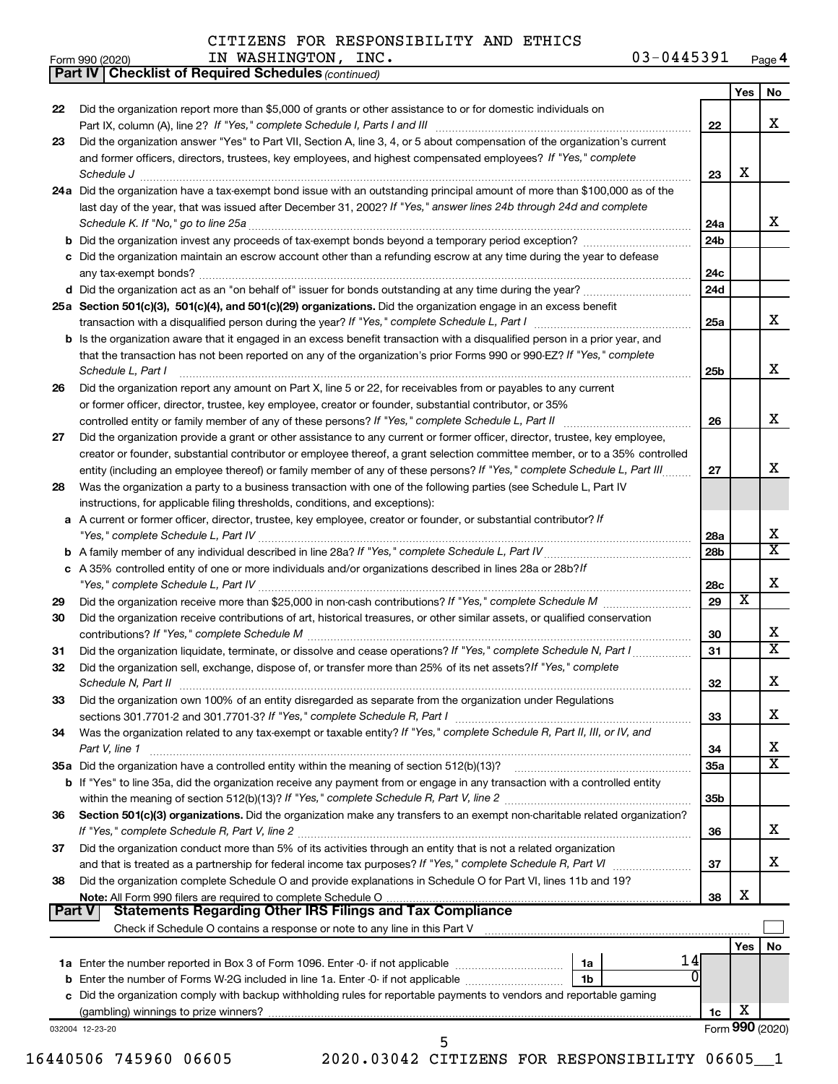*(continued)* **Part IV Checklist of Required Schedules**

| Form 990 (2020) | <b>WASHINGTON</b><br>ΙN<br>INC. | 03-0445391 | Page 4 |
|-----------------|---------------------------------|------------|--------|
|-----------------|---------------------------------|------------|--------|

|               |                                                                                                                                                                                                                                                                                                                                                                                                                                                                                                            |                 | Yes | No              |
|---------------|------------------------------------------------------------------------------------------------------------------------------------------------------------------------------------------------------------------------------------------------------------------------------------------------------------------------------------------------------------------------------------------------------------------------------------------------------------------------------------------------------------|-----------------|-----|-----------------|
| 22            | Did the organization report more than \$5,000 of grants or other assistance to or for domestic individuals on                                                                                                                                                                                                                                                                                                                                                                                              | 22              |     | х               |
| 23            | Did the organization answer "Yes" to Part VII, Section A, line 3, 4, or 5 about compensation of the organization's current                                                                                                                                                                                                                                                                                                                                                                                 |                 |     |                 |
|               | and former officers, directors, trustees, key employees, and highest compensated employees? If "Yes," complete<br>$\textit{Schedule J} \textit{ \textbf{} \textbf{} \textbf{} \textbf{} \textbf{} \textbf{} \textbf{} \textbf{} \textbf{} \textbf{} \textbf{} \textbf{} \textbf{} \textbf{} \textbf{} \textbf{} \textbf{} \textbf{} \textbf{} \textbf{} \textbf{} \textbf{} \textbf{} \textbf{} \textbf{} \textbf{} \textbf{} \textbf{} \textbf{} \textbf{} \textbf{} \textbf{} \textbf{} \textbf{} \text$ | 23              | х   |                 |
|               | 24a Did the organization have a tax-exempt bond issue with an outstanding principal amount of more than \$100,000 as of the                                                                                                                                                                                                                                                                                                                                                                                |                 |     |                 |
|               | last day of the year, that was issued after December 31, 2002? If "Yes," answer lines 24b through 24d and complete                                                                                                                                                                                                                                                                                                                                                                                         |                 |     |                 |
|               | Schedule K. If "No," go to line 25a                                                                                                                                                                                                                                                                                                                                                                                                                                                                        | 24a             |     | x               |
|               |                                                                                                                                                                                                                                                                                                                                                                                                                                                                                                            | 24 <sub>b</sub> |     |                 |
|               | c Did the organization maintain an escrow account other than a refunding escrow at any time during the year to defease                                                                                                                                                                                                                                                                                                                                                                                     |                 |     |                 |
|               |                                                                                                                                                                                                                                                                                                                                                                                                                                                                                                            | 24c             |     |                 |
|               |                                                                                                                                                                                                                                                                                                                                                                                                                                                                                                            | 24d             |     |                 |
|               | 25a Section 501(c)(3), 501(c)(4), and 501(c)(29) organizations. Did the organization engage in an excess benefit                                                                                                                                                                                                                                                                                                                                                                                           |                 |     |                 |
|               |                                                                                                                                                                                                                                                                                                                                                                                                                                                                                                            | 25a             |     | x               |
|               | b Is the organization aware that it engaged in an excess benefit transaction with a disqualified person in a prior year, and<br>that the transaction has not been reported on any of the organization's prior Forms 990 or 990-EZ? If "Yes," complete<br>Schedule L, Part I                                                                                                                                                                                                                                | 25b             |     | x               |
| 26            | Did the organization report any amount on Part X, line 5 or 22, for receivables from or payables to any current                                                                                                                                                                                                                                                                                                                                                                                            |                 |     |                 |
|               | or former officer, director, trustee, key employee, creator or founder, substantial contributor, or 35%                                                                                                                                                                                                                                                                                                                                                                                                    |                 |     |                 |
|               |                                                                                                                                                                                                                                                                                                                                                                                                                                                                                                            | 26              |     | х               |
| 27            | Did the organization provide a grant or other assistance to any current or former officer, director, trustee, key employee,                                                                                                                                                                                                                                                                                                                                                                                |                 |     |                 |
|               | creator or founder, substantial contributor or employee thereof, a grant selection committee member, or to a 35% controlled                                                                                                                                                                                                                                                                                                                                                                                |                 |     |                 |
|               | entity (including an employee thereof) or family member of any of these persons? If "Yes," complete Schedule L, Part III                                                                                                                                                                                                                                                                                                                                                                                   | 27              |     | х               |
| 28            | Was the organization a party to a business transaction with one of the following parties (see Schedule L, Part IV                                                                                                                                                                                                                                                                                                                                                                                          |                 |     |                 |
|               | instructions, for applicable filing thresholds, conditions, and exceptions):                                                                                                                                                                                                                                                                                                                                                                                                                               |                 |     |                 |
|               | a A current or former officer, director, trustee, key employee, creator or founder, or substantial contributor? If                                                                                                                                                                                                                                                                                                                                                                                         | 28a             |     | х               |
|               |                                                                                                                                                                                                                                                                                                                                                                                                                                                                                                            | 28 <sub>b</sub> |     | X               |
|               | c A 35% controlled entity of one or more individuals and/or organizations described in lines 28a or 28b?If                                                                                                                                                                                                                                                                                                                                                                                                 |                 |     |                 |
|               |                                                                                                                                                                                                                                                                                                                                                                                                                                                                                                            | 28c             | x   | х               |
| 29            |                                                                                                                                                                                                                                                                                                                                                                                                                                                                                                            | 29              |     |                 |
| 30            | Did the organization receive contributions of art, historical treasures, or other similar assets, or qualified conservation                                                                                                                                                                                                                                                                                                                                                                                | 30              |     | х               |
| 31            | Did the organization liquidate, terminate, or dissolve and cease operations? If "Yes," complete Schedule N, Part I                                                                                                                                                                                                                                                                                                                                                                                         | 31              |     | x               |
| 32            | Did the organization sell, exchange, dispose of, or transfer more than 25% of its net assets? If "Yes," complete<br>Schedule N, Part II                                                                                                                                                                                                                                                                                                                                                                    | 32              |     | х               |
| 33            | Did the organization own 100% of an entity disregarded as separate from the organization under Regulations                                                                                                                                                                                                                                                                                                                                                                                                 |                 |     |                 |
|               |                                                                                                                                                                                                                                                                                                                                                                                                                                                                                                            | 33              |     | х               |
| 34            | Was the organization related to any tax-exempt or taxable entity? If "Yes," complete Schedule R, Part II, III, or IV, and                                                                                                                                                                                                                                                                                                                                                                                  |                 |     | х               |
|               | Part V, line 1                                                                                                                                                                                                                                                                                                                                                                                                                                                                                             | 34<br>35a       |     | х               |
|               | <b>b</b> If "Yes" to line 35a, did the organization receive any payment from or engage in any transaction with a controlled entity                                                                                                                                                                                                                                                                                                                                                                         |                 |     |                 |
|               |                                                                                                                                                                                                                                                                                                                                                                                                                                                                                                            | 35 <sub>b</sub> |     |                 |
| 36            | Section 501(c)(3) organizations. Did the organization make any transfers to an exempt non-charitable related organization?                                                                                                                                                                                                                                                                                                                                                                                 |                 |     |                 |
|               |                                                                                                                                                                                                                                                                                                                                                                                                                                                                                                            | 36              |     | х               |
| 37            | Did the organization conduct more than 5% of its activities through an entity that is not a related organization                                                                                                                                                                                                                                                                                                                                                                                           |                 |     |                 |
|               |                                                                                                                                                                                                                                                                                                                                                                                                                                                                                                            | 37              |     | х               |
| 38            | Did the organization complete Schedule O and provide explanations in Schedule O for Part VI, lines 11b and 19?                                                                                                                                                                                                                                                                                                                                                                                             |                 |     |                 |
|               |                                                                                                                                                                                                                                                                                                                                                                                                                                                                                                            | 38              | х   |                 |
| <b>Part V</b> | <b>Statements Regarding Other IRS Filings and Tax Compliance</b>                                                                                                                                                                                                                                                                                                                                                                                                                                           |                 |     |                 |
|               |                                                                                                                                                                                                                                                                                                                                                                                                                                                                                                            |                 |     |                 |
|               | 14                                                                                                                                                                                                                                                                                                                                                                                                                                                                                                         |                 | Yes | No              |
|               | 1a Enter the number reported in Box 3 of Form 1096. Enter -0- if not applicable <i>manumeraness</i><br>1a<br>1b                                                                                                                                                                                                                                                                                                                                                                                            |                 |     |                 |
|               | c Did the organization comply with backup withholding rules for reportable payments to vendors and reportable gaming                                                                                                                                                                                                                                                                                                                                                                                       |                 |     |                 |
|               |                                                                                                                                                                                                                                                                                                                                                                                                                                                                                                            | 1c              | х   |                 |
|               | 032004 12-23-20                                                                                                                                                                                                                                                                                                                                                                                                                                                                                            |                 |     | Form 990 (2020) |
|               | 5<br>2000 02042 CITIZENIC ROD DRODONCIDIIIMY ACC<br>AANENE TAENEN NEENE                                                                                                                                                                                                                                                                                                                                                                                                                                    |                 |     |                 |

16440506 745960 06605 2020.03042 CITIZENS FOR RESPONSIBILITY 06605\_\_1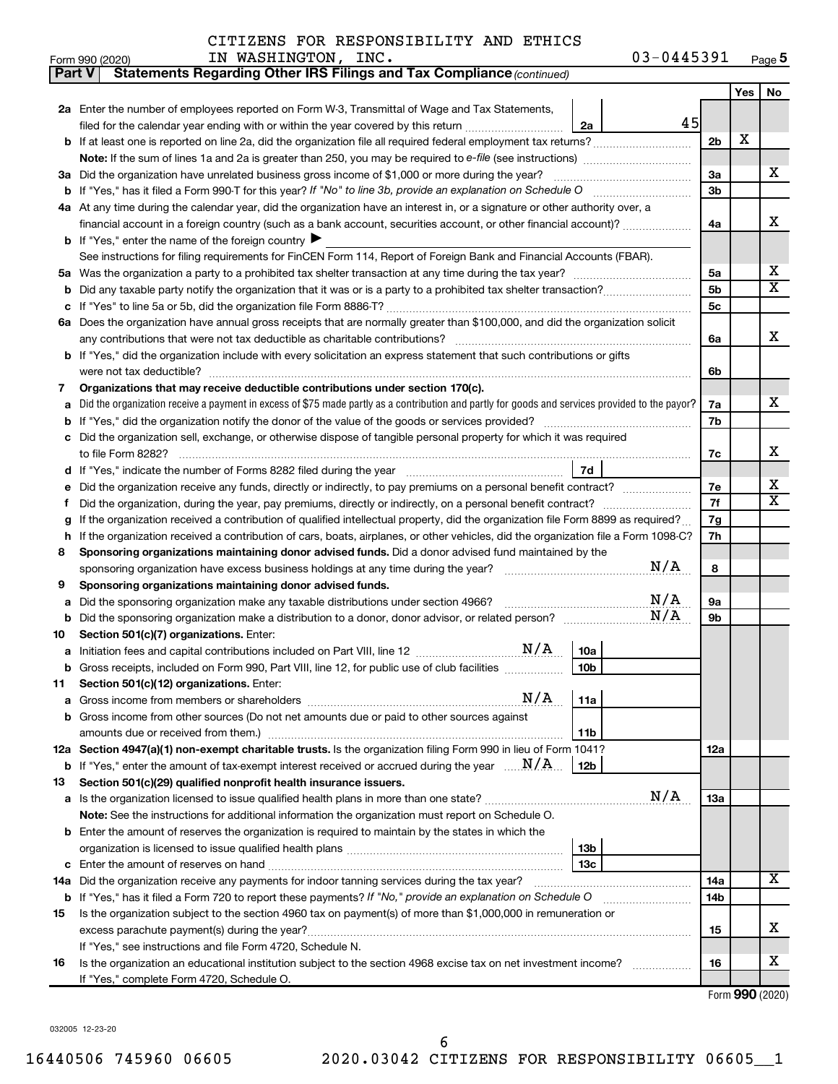$\frac{1}{1}$  Form 990 (2020) The MASHINGTON , INC . The extended of the U3-U445391 Page **5** IN WASHINGTON, INC. 2008 2014 12:391

| Yes<br>2a Enter the number of employees reported on Form W-3, Transmittal of Wage and Tax Statements,<br>45<br>filed for the calendar year ending with or within the year covered by this return<br>2a<br>X<br>2 <sub>b</sub><br><b>b</b> If at least one is reported on line 2a, did the organization file all required federal employment tax returns?<br>Note: If the sum of lines 1a and 2a is greater than 250, you may be required to e-file (see instructions) <i>managereroum</i><br>3a<br>Did the organization have unrelated business gross income of \$1,000 or more during the year?<br>За<br>3b<br>b<br>At any time during the calendar year, did the organization have an interest in, or a signature or other authority over, a<br>4a<br>financial account in a foreign country (such as a bank account, securities account, or other financial account)?<br>4a<br><b>b</b> If "Yes," enter the name of the foreign country<br>See instructions for filing requirements for FinCEN Form 114, Report of Foreign Bank and Financial Accounts (FBAR).<br>х<br>5a<br>5a<br>5b<br>b<br>5c<br>с<br>Does the organization have annual gross receipts that are normally greater than \$100,000, and did the organization solicit<br>6а<br>x<br>6a<br><b>b</b> If "Yes," did the organization include with every solicitation an express statement that such contributions or gifts<br>6b<br>Organizations that may receive deductible contributions under section 170(c).<br>7<br>Did the organization receive a payment in excess of \$75 made partly as a contribution and partly for goods and services provided to the payor?<br>7a<br>а<br>7b<br>b<br>Did the organization sell, exchange, or otherwise dispose of tangible personal property for which it was required<br>7c<br>7d<br>7е<br>е<br>7f<br>If the organization received a contribution of qualified intellectual property, did the organization file Form 8899 as required?<br>7g<br>g<br>If the organization received a contribution of cars, boats, airplanes, or other vehicles, did the organization file a Form 1098-C?<br>7h<br>h<br>Sponsoring organizations maintaining donor advised funds. Did a donor advised fund maintained by the<br>8<br>N/A<br>8<br>sponsoring organization have excess business holdings at any time during the year? [[[[[[[[[[[[[[[[[[[[[[[[[[<br>Sponsoring organizations maintaining donor advised funds.<br>9<br>N/A<br>9а<br>Did the sponsoring organization make any taxable distributions under section 4966?<br>а<br>N/A<br>9b<br>b<br>Section 501(c)(7) organizations. Enter:<br>10<br>10a<br>а<br>10 <sub>b</sub><br>b Gross receipts, included on Form 990, Part VIII, line 12, for public use of club facilities<br>Section 501(c)(12) organizations. Enter:<br>11<br>N/A<br>11a<br>а<br>Gross income from other sources (Do not net amounts due or paid to other sources against<br>b<br>11b<br>12a Section 4947(a)(1) non-exempt charitable trusts. Is the organization filing Form 990 in lieu of Form 1041?<br><b>12a</b><br><b>b</b> If "Yes," enter the amount of tax-exempt interest received or accrued during the year $\ldots \mathbf{N}/\mathbf{A}$ .<br>12b<br>Section 501(c)(29) qualified nonprofit health insurance issuers.<br>13<br>N/A<br>13a<br>Is the organization licensed to issue qualified health plans in more than one state?<br>а<br>Note: See the instructions for additional information the organization must report on Schedule O.<br><b>b</b> Enter the amount of reserves the organization is required to maintain by the states in which the<br>13 <sub>b</sub><br>13с<br>с<br>Did the organization receive any payments for indoor tanning services during the tax year?<br>14a<br>14a<br><b>b</b> If "Yes," has it filed a Form 720 to report these payments? If "No," provide an explanation on Schedule O<br>14b<br>Is the organization subject to the section 4960 tax on payment(s) of more than \$1,000,000 in remuneration or<br>15<br>excess parachute payment(s) during the year?<br>15<br>If "Yes," see instructions and file Form 4720, Schedule N.<br>Is the organization an educational institution subject to the section 4968 excise tax on net investment income?<br>16<br>16<br>If "Yes," complete Form 4720, Schedule O.<br>$Form$ 000 (2000) | <b>Part V</b> | Statements Regarding Other IRS Filings and Tax Compliance (continued) |  |  |        |  |  |  |
|---------------------------------------------------------------------------------------------------------------------------------------------------------------------------------------------------------------------------------------------------------------------------------------------------------------------------------------------------------------------------------------------------------------------------------------------------------------------------------------------------------------------------------------------------------------------------------------------------------------------------------------------------------------------------------------------------------------------------------------------------------------------------------------------------------------------------------------------------------------------------------------------------------------------------------------------------------------------------------------------------------------------------------------------------------------------------------------------------------------------------------------------------------------------------------------------------------------------------------------------------------------------------------------------------------------------------------------------------------------------------------------------------------------------------------------------------------------------------------------------------------------------------------------------------------------------------------------------------------------------------------------------------------------------------------------------------------------------------------------------------------------------------------------------------------------------------------------------------------------------------------------------------------------------------------------------------------------------------------------------------------------------------------------------------------------------------------------------------------------------------------------------------------------------------------------------------------------------------------------------------------------------------------------------------------------------------------------------------------------------------------------------------------------------------------------------------------------------------------------------------------------------------------------------------------------------------------------------------------------------------------------------------------------------------------------------------------------------------------------------------------------------------------------------------------------------------------------------------------------------------------------------------------------------------------------------------------------------------------------------------------------------------------------------------------------------------------------------------------------------------------------------------------------------------------------------------------------------------------------------------------------------------------------------------------------------------------------------------------------------------------------------------------------------------------------------------------------------------------------------------------------------------------------------------------------------------------------------------------------------------------------------------------------------------------------------------------------------------------------------------------------------------------------------------------------------------------------------------------------------------------------------------------------------------------------------------------------------------------------------------------------------------------------------------------------------------------------------------------------------------------------------------------------------------------------------------------------------------------------------------------------------------------------------------------------------------|---------------|-----------------------------------------------------------------------|--|--|--------|--|--|--|
|                                                                                                                                                                                                                                                                                                                                                                                                                                                                                                                                                                                                                                                                                                                                                                                                                                                                                                                                                                                                                                                                                                                                                                                                                                                                                                                                                                                                                                                                                                                                                                                                                                                                                                                                                                                                                                                                                                                                                                                                                                                                                                                                                                                                                                                                                                                                                                                                                                                                                                                                                                                                                                                                                                                                                                                                                                                                                                                                                                                                                                                                                                                                                                                                                                                                                                                                                                                                                                                                                                                                                                                                                                                                                                                                                                                                                                                                                                                                                                                                                                                                                                                                                                                                                                                                                                                           |               |                                                                       |  |  | No     |  |  |  |
|                                                                                                                                                                                                                                                                                                                                                                                                                                                                                                                                                                                                                                                                                                                                                                                                                                                                                                                                                                                                                                                                                                                                                                                                                                                                                                                                                                                                                                                                                                                                                                                                                                                                                                                                                                                                                                                                                                                                                                                                                                                                                                                                                                                                                                                                                                                                                                                                                                                                                                                                                                                                                                                                                                                                                                                                                                                                                                                                                                                                                                                                                                                                                                                                                                                                                                                                                                                                                                                                                                                                                                                                                                                                                                                                                                                                                                                                                                                                                                                                                                                                                                                                                                                                                                                                                                                           |               |                                                                       |  |  |        |  |  |  |
|                                                                                                                                                                                                                                                                                                                                                                                                                                                                                                                                                                                                                                                                                                                                                                                                                                                                                                                                                                                                                                                                                                                                                                                                                                                                                                                                                                                                                                                                                                                                                                                                                                                                                                                                                                                                                                                                                                                                                                                                                                                                                                                                                                                                                                                                                                                                                                                                                                                                                                                                                                                                                                                                                                                                                                                                                                                                                                                                                                                                                                                                                                                                                                                                                                                                                                                                                                                                                                                                                                                                                                                                                                                                                                                                                                                                                                                                                                                                                                                                                                                                                                                                                                                                                                                                                                                           |               |                                                                       |  |  |        |  |  |  |
|                                                                                                                                                                                                                                                                                                                                                                                                                                                                                                                                                                                                                                                                                                                                                                                                                                                                                                                                                                                                                                                                                                                                                                                                                                                                                                                                                                                                                                                                                                                                                                                                                                                                                                                                                                                                                                                                                                                                                                                                                                                                                                                                                                                                                                                                                                                                                                                                                                                                                                                                                                                                                                                                                                                                                                                                                                                                                                                                                                                                                                                                                                                                                                                                                                                                                                                                                                                                                                                                                                                                                                                                                                                                                                                                                                                                                                                                                                                                                                                                                                                                                                                                                                                                                                                                                                                           |               |                                                                       |  |  |        |  |  |  |
|                                                                                                                                                                                                                                                                                                                                                                                                                                                                                                                                                                                                                                                                                                                                                                                                                                                                                                                                                                                                                                                                                                                                                                                                                                                                                                                                                                                                                                                                                                                                                                                                                                                                                                                                                                                                                                                                                                                                                                                                                                                                                                                                                                                                                                                                                                                                                                                                                                                                                                                                                                                                                                                                                                                                                                                                                                                                                                                                                                                                                                                                                                                                                                                                                                                                                                                                                                                                                                                                                                                                                                                                                                                                                                                                                                                                                                                                                                                                                                                                                                                                                                                                                                                                                                                                                                                           |               |                                                                       |  |  |        |  |  |  |
|                                                                                                                                                                                                                                                                                                                                                                                                                                                                                                                                                                                                                                                                                                                                                                                                                                                                                                                                                                                                                                                                                                                                                                                                                                                                                                                                                                                                                                                                                                                                                                                                                                                                                                                                                                                                                                                                                                                                                                                                                                                                                                                                                                                                                                                                                                                                                                                                                                                                                                                                                                                                                                                                                                                                                                                                                                                                                                                                                                                                                                                                                                                                                                                                                                                                                                                                                                                                                                                                                                                                                                                                                                                                                                                                                                                                                                                                                                                                                                                                                                                                                                                                                                                                                                                                                                                           |               |                                                                       |  |  | x      |  |  |  |
|                                                                                                                                                                                                                                                                                                                                                                                                                                                                                                                                                                                                                                                                                                                                                                                                                                                                                                                                                                                                                                                                                                                                                                                                                                                                                                                                                                                                                                                                                                                                                                                                                                                                                                                                                                                                                                                                                                                                                                                                                                                                                                                                                                                                                                                                                                                                                                                                                                                                                                                                                                                                                                                                                                                                                                                                                                                                                                                                                                                                                                                                                                                                                                                                                                                                                                                                                                                                                                                                                                                                                                                                                                                                                                                                                                                                                                                                                                                                                                                                                                                                                                                                                                                                                                                                                                                           |               |                                                                       |  |  |        |  |  |  |
|                                                                                                                                                                                                                                                                                                                                                                                                                                                                                                                                                                                                                                                                                                                                                                                                                                                                                                                                                                                                                                                                                                                                                                                                                                                                                                                                                                                                                                                                                                                                                                                                                                                                                                                                                                                                                                                                                                                                                                                                                                                                                                                                                                                                                                                                                                                                                                                                                                                                                                                                                                                                                                                                                                                                                                                                                                                                                                                                                                                                                                                                                                                                                                                                                                                                                                                                                                                                                                                                                                                                                                                                                                                                                                                                                                                                                                                                                                                                                                                                                                                                                                                                                                                                                                                                                                                           |               |                                                                       |  |  |        |  |  |  |
|                                                                                                                                                                                                                                                                                                                                                                                                                                                                                                                                                                                                                                                                                                                                                                                                                                                                                                                                                                                                                                                                                                                                                                                                                                                                                                                                                                                                                                                                                                                                                                                                                                                                                                                                                                                                                                                                                                                                                                                                                                                                                                                                                                                                                                                                                                                                                                                                                                                                                                                                                                                                                                                                                                                                                                                                                                                                                                                                                                                                                                                                                                                                                                                                                                                                                                                                                                                                                                                                                                                                                                                                                                                                                                                                                                                                                                                                                                                                                                                                                                                                                                                                                                                                                                                                                                                           |               |                                                                       |  |  | x      |  |  |  |
|                                                                                                                                                                                                                                                                                                                                                                                                                                                                                                                                                                                                                                                                                                                                                                                                                                                                                                                                                                                                                                                                                                                                                                                                                                                                                                                                                                                                                                                                                                                                                                                                                                                                                                                                                                                                                                                                                                                                                                                                                                                                                                                                                                                                                                                                                                                                                                                                                                                                                                                                                                                                                                                                                                                                                                                                                                                                                                                                                                                                                                                                                                                                                                                                                                                                                                                                                                                                                                                                                                                                                                                                                                                                                                                                                                                                                                                                                                                                                                                                                                                                                                                                                                                                                                                                                                                           |               |                                                                       |  |  |        |  |  |  |
|                                                                                                                                                                                                                                                                                                                                                                                                                                                                                                                                                                                                                                                                                                                                                                                                                                                                                                                                                                                                                                                                                                                                                                                                                                                                                                                                                                                                                                                                                                                                                                                                                                                                                                                                                                                                                                                                                                                                                                                                                                                                                                                                                                                                                                                                                                                                                                                                                                                                                                                                                                                                                                                                                                                                                                                                                                                                                                                                                                                                                                                                                                                                                                                                                                                                                                                                                                                                                                                                                                                                                                                                                                                                                                                                                                                                                                                                                                                                                                                                                                                                                                                                                                                                                                                                                                                           |               |                                                                       |  |  |        |  |  |  |
|                                                                                                                                                                                                                                                                                                                                                                                                                                                                                                                                                                                                                                                                                                                                                                                                                                                                                                                                                                                                                                                                                                                                                                                                                                                                                                                                                                                                                                                                                                                                                                                                                                                                                                                                                                                                                                                                                                                                                                                                                                                                                                                                                                                                                                                                                                                                                                                                                                                                                                                                                                                                                                                                                                                                                                                                                                                                                                                                                                                                                                                                                                                                                                                                                                                                                                                                                                                                                                                                                                                                                                                                                                                                                                                                                                                                                                                                                                                                                                                                                                                                                                                                                                                                                                                                                                                           |               |                                                                       |  |  |        |  |  |  |
|                                                                                                                                                                                                                                                                                                                                                                                                                                                                                                                                                                                                                                                                                                                                                                                                                                                                                                                                                                                                                                                                                                                                                                                                                                                                                                                                                                                                                                                                                                                                                                                                                                                                                                                                                                                                                                                                                                                                                                                                                                                                                                                                                                                                                                                                                                                                                                                                                                                                                                                                                                                                                                                                                                                                                                                                                                                                                                                                                                                                                                                                                                                                                                                                                                                                                                                                                                                                                                                                                                                                                                                                                                                                                                                                                                                                                                                                                                                                                                                                                                                                                                                                                                                                                                                                                                                           |               |                                                                       |  |  | X      |  |  |  |
|                                                                                                                                                                                                                                                                                                                                                                                                                                                                                                                                                                                                                                                                                                                                                                                                                                                                                                                                                                                                                                                                                                                                                                                                                                                                                                                                                                                                                                                                                                                                                                                                                                                                                                                                                                                                                                                                                                                                                                                                                                                                                                                                                                                                                                                                                                                                                                                                                                                                                                                                                                                                                                                                                                                                                                                                                                                                                                                                                                                                                                                                                                                                                                                                                                                                                                                                                                                                                                                                                                                                                                                                                                                                                                                                                                                                                                                                                                                                                                                                                                                                                                                                                                                                                                                                                                                           |               |                                                                       |  |  |        |  |  |  |
|                                                                                                                                                                                                                                                                                                                                                                                                                                                                                                                                                                                                                                                                                                                                                                                                                                                                                                                                                                                                                                                                                                                                                                                                                                                                                                                                                                                                                                                                                                                                                                                                                                                                                                                                                                                                                                                                                                                                                                                                                                                                                                                                                                                                                                                                                                                                                                                                                                                                                                                                                                                                                                                                                                                                                                                                                                                                                                                                                                                                                                                                                                                                                                                                                                                                                                                                                                                                                                                                                                                                                                                                                                                                                                                                                                                                                                                                                                                                                                                                                                                                                                                                                                                                                                                                                                                           |               |                                                                       |  |  |        |  |  |  |
|                                                                                                                                                                                                                                                                                                                                                                                                                                                                                                                                                                                                                                                                                                                                                                                                                                                                                                                                                                                                                                                                                                                                                                                                                                                                                                                                                                                                                                                                                                                                                                                                                                                                                                                                                                                                                                                                                                                                                                                                                                                                                                                                                                                                                                                                                                                                                                                                                                                                                                                                                                                                                                                                                                                                                                                                                                                                                                                                                                                                                                                                                                                                                                                                                                                                                                                                                                                                                                                                                                                                                                                                                                                                                                                                                                                                                                                                                                                                                                                                                                                                                                                                                                                                                                                                                                                           |               |                                                                       |  |  |        |  |  |  |
|                                                                                                                                                                                                                                                                                                                                                                                                                                                                                                                                                                                                                                                                                                                                                                                                                                                                                                                                                                                                                                                                                                                                                                                                                                                                                                                                                                                                                                                                                                                                                                                                                                                                                                                                                                                                                                                                                                                                                                                                                                                                                                                                                                                                                                                                                                                                                                                                                                                                                                                                                                                                                                                                                                                                                                                                                                                                                                                                                                                                                                                                                                                                                                                                                                                                                                                                                                                                                                                                                                                                                                                                                                                                                                                                                                                                                                                                                                                                                                                                                                                                                                                                                                                                                                                                                                                           |               |                                                                       |  |  |        |  |  |  |
|                                                                                                                                                                                                                                                                                                                                                                                                                                                                                                                                                                                                                                                                                                                                                                                                                                                                                                                                                                                                                                                                                                                                                                                                                                                                                                                                                                                                                                                                                                                                                                                                                                                                                                                                                                                                                                                                                                                                                                                                                                                                                                                                                                                                                                                                                                                                                                                                                                                                                                                                                                                                                                                                                                                                                                                                                                                                                                                                                                                                                                                                                                                                                                                                                                                                                                                                                                                                                                                                                                                                                                                                                                                                                                                                                                                                                                                                                                                                                                                                                                                                                                                                                                                                                                                                                                                           |               |                                                                       |  |  |        |  |  |  |
|                                                                                                                                                                                                                                                                                                                                                                                                                                                                                                                                                                                                                                                                                                                                                                                                                                                                                                                                                                                                                                                                                                                                                                                                                                                                                                                                                                                                                                                                                                                                                                                                                                                                                                                                                                                                                                                                                                                                                                                                                                                                                                                                                                                                                                                                                                                                                                                                                                                                                                                                                                                                                                                                                                                                                                                                                                                                                                                                                                                                                                                                                                                                                                                                                                                                                                                                                                                                                                                                                                                                                                                                                                                                                                                                                                                                                                                                                                                                                                                                                                                                                                                                                                                                                                                                                                                           |               |                                                                       |  |  |        |  |  |  |
|                                                                                                                                                                                                                                                                                                                                                                                                                                                                                                                                                                                                                                                                                                                                                                                                                                                                                                                                                                                                                                                                                                                                                                                                                                                                                                                                                                                                                                                                                                                                                                                                                                                                                                                                                                                                                                                                                                                                                                                                                                                                                                                                                                                                                                                                                                                                                                                                                                                                                                                                                                                                                                                                                                                                                                                                                                                                                                                                                                                                                                                                                                                                                                                                                                                                                                                                                                                                                                                                                                                                                                                                                                                                                                                                                                                                                                                                                                                                                                                                                                                                                                                                                                                                                                                                                                                           |               |                                                                       |  |  | x.     |  |  |  |
|                                                                                                                                                                                                                                                                                                                                                                                                                                                                                                                                                                                                                                                                                                                                                                                                                                                                                                                                                                                                                                                                                                                                                                                                                                                                                                                                                                                                                                                                                                                                                                                                                                                                                                                                                                                                                                                                                                                                                                                                                                                                                                                                                                                                                                                                                                                                                                                                                                                                                                                                                                                                                                                                                                                                                                                                                                                                                                                                                                                                                                                                                                                                                                                                                                                                                                                                                                                                                                                                                                                                                                                                                                                                                                                                                                                                                                                                                                                                                                                                                                                                                                                                                                                                                                                                                                                           |               |                                                                       |  |  |        |  |  |  |
|                                                                                                                                                                                                                                                                                                                                                                                                                                                                                                                                                                                                                                                                                                                                                                                                                                                                                                                                                                                                                                                                                                                                                                                                                                                                                                                                                                                                                                                                                                                                                                                                                                                                                                                                                                                                                                                                                                                                                                                                                                                                                                                                                                                                                                                                                                                                                                                                                                                                                                                                                                                                                                                                                                                                                                                                                                                                                                                                                                                                                                                                                                                                                                                                                                                                                                                                                                                                                                                                                                                                                                                                                                                                                                                                                                                                                                                                                                                                                                                                                                                                                                                                                                                                                                                                                                                           |               |                                                                       |  |  |        |  |  |  |
|                                                                                                                                                                                                                                                                                                                                                                                                                                                                                                                                                                                                                                                                                                                                                                                                                                                                                                                                                                                                                                                                                                                                                                                                                                                                                                                                                                                                                                                                                                                                                                                                                                                                                                                                                                                                                                                                                                                                                                                                                                                                                                                                                                                                                                                                                                                                                                                                                                                                                                                                                                                                                                                                                                                                                                                                                                                                                                                                                                                                                                                                                                                                                                                                                                                                                                                                                                                                                                                                                                                                                                                                                                                                                                                                                                                                                                                                                                                                                                                                                                                                                                                                                                                                                                                                                                                           |               |                                                                       |  |  | x      |  |  |  |
|                                                                                                                                                                                                                                                                                                                                                                                                                                                                                                                                                                                                                                                                                                                                                                                                                                                                                                                                                                                                                                                                                                                                                                                                                                                                                                                                                                                                                                                                                                                                                                                                                                                                                                                                                                                                                                                                                                                                                                                                                                                                                                                                                                                                                                                                                                                                                                                                                                                                                                                                                                                                                                                                                                                                                                                                                                                                                                                                                                                                                                                                                                                                                                                                                                                                                                                                                                                                                                                                                                                                                                                                                                                                                                                                                                                                                                                                                                                                                                                                                                                                                                                                                                                                                                                                                                                           |               |                                                                       |  |  |        |  |  |  |
|                                                                                                                                                                                                                                                                                                                                                                                                                                                                                                                                                                                                                                                                                                                                                                                                                                                                                                                                                                                                                                                                                                                                                                                                                                                                                                                                                                                                                                                                                                                                                                                                                                                                                                                                                                                                                                                                                                                                                                                                                                                                                                                                                                                                                                                                                                                                                                                                                                                                                                                                                                                                                                                                                                                                                                                                                                                                                                                                                                                                                                                                                                                                                                                                                                                                                                                                                                                                                                                                                                                                                                                                                                                                                                                                                                                                                                                                                                                                                                                                                                                                                                                                                                                                                                                                                                                           |               |                                                                       |  |  | х<br>X |  |  |  |
|                                                                                                                                                                                                                                                                                                                                                                                                                                                                                                                                                                                                                                                                                                                                                                                                                                                                                                                                                                                                                                                                                                                                                                                                                                                                                                                                                                                                                                                                                                                                                                                                                                                                                                                                                                                                                                                                                                                                                                                                                                                                                                                                                                                                                                                                                                                                                                                                                                                                                                                                                                                                                                                                                                                                                                                                                                                                                                                                                                                                                                                                                                                                                                                                                                                                                                                                                                                                                                                                                                                                                                                                                                                                                                                                                                                                                                                                                                                                                                                                                                                                                                                                                                                                                                                                                                                           |               |                                                                       |  |  |        |  |  |  |
|                                                                                                                                                                                                                                                                                                                                                                                                                                                                                                                                                                                                                                                                                                                                                                                                                                                                                                                                                                                                                                                                                                                                                                                                                                                                                                                                                                                                                                                                                                                                                                                                                                                                                                                                                                                                                                                                                                                                                                                                                                                                                                                                                                                                                                                                                                                                                                                                                                                                                                                                                                                                                                                                                                                                                                                                                                                                                                                                                                                                                                                                                                                                                                                                                                                                                                                                                                                                                                                                                                                                                                                                                                                                                                                                                                                                                                                                                                                                                                                                                                                                                                                                                                                                                                                                                                                           |               |                                                                       |  |  |        |  |  |  |
|                                                                                                                                                                                                                                                                                                                                                                                                                                                                                                                                                                                                                                                                                                                                                                                                                                                                                                                                                                                                                                                                                                                                                                                                                                                                                                                                                                                                                                                                                                                                                                                                                                                                                                                                                                                                                                                                                                                                                                                                                                                                                                                                                                                                                                                                                                                                                                                                                                                                                                                                                                                                                                                                                                                                                                                                                                                                                                                                                                                                                                                                                                                                                                                                                                                                                                                                                                                                                                                                                                                                                                                                                                                                                                                                                                                                                                                                                                                                                                                                                                                                                                                                                                                                                                                                                                                           |               |                                                                       |  |  |        |  |  |  |
|                                                                                                                                                                                                                                                                                                                                                                                                                                                                                                                                                                                                                                                                                                                                                                                                                                                                                                                                                                                                                                                                                                                                                                                                                                                                                                                                                                                                                                                                                                                                                                                                                                                                                                                                                                                                                                                                                                                                                                                                                                                                                                                                                                                                                                                                                                                                                                                                                                                                                                                                                                                                                                                                                                                                                                                                                                                                                                                                                                                                                                                                                                                                                                                                                                                                                                                                                                                                                                                                                                                                                                                                                                                                                                                                                                                                                                                                                                                                                                                                                                                                                                                                                                                                                                                                                                                           |               |                                                                       |  |  |        |  |  |  |
|                                                                                                                                                                                                                                                                                                                                                                                                                                                                                                                                                                                                                                                                                                                                                                                                                                                                                                                                                                                                                                                                                                                                                                                                                                                                                                                                                                                                                                                                                                                                                                                                                                                                                                                                                                                                                                                                                                                                                                                                                                                                                                                                                                                                                                                                                                                                                                                                                                                                                                                                                                                                                                                                                                                                                                                                                                                                                                                                                                                                                                                                                                                                                                                                                                                                                                                                                                                                                                                                                                                                                                                                                                                                                                                                                                                                                                                                                                                                                                                                                                                                                                                                                                                                                                                                                                                           |               |                                                                       |  |  |        |  |  |  |
|                                                                                                                                                                                                                                                                                                                                                                                                                                                                                                                                                                                                                                                                                                                                                                                                                                                                                                                                                                                                                                                                                                                                                                                                                                                                                                                                                                                                                                                                                                                                                                                                                                                                                                                                                                                                                                                                                                                                                                                                                                                                                                                                                                                                                                                                                                                                                                                                                                                                                                                                                                                                                                                                                                                                                                                                                                                                                                                                                                                                                                                                                                                                                                                                                                                                                                                                                                                                                                                                                                                                                                                                                                                                                                                                                                                                                                                                                                                                                                                                                                                                                                                                                                                                                                                                                                                           |               |                                                                       |  |  |        |  |  |  |
|                                                                                                                                                                                                                                                                                                                                                                                                                                                                                                                                                                                                                                                                                                                                                                                                                                                                                                                                                                                                                                                                                                                                                                                                                                                                                                                                                                                                                                                                                                                                                                                                                                                                                                                                                                                                                                                                                                                                                                                                                                                                                                                                                                                                                                                                                                                                                                                                                                                                                                                                                                                                                                                                                                                                                                                                                                                                                                                                                                                                                                                                                                                                                                                                                                                                                                                                                                                                                                                                                                                                                                                                                                                                                                                                                                                                                                                                                                                                                                                                                                                                                                                                                                                                                                                                                                                           |               |                                                                       |  |  |        |  |  |  |
|                                                                                                                                                                                                                                                                                                                                                                                                                                                                                                                                                                                                                                                                                                                                                                                                                                                                                                                                                                                                                                                                                                                                                                                                                                                                                                                                                                                                                                                                                                                                                                                                                                                                                                                                                                                                                                                                                                                                                                                                                                                                                                                                                                                                                                                                                                                                                                                                                                                                                                                                                                                                                                                                                                                                                                                                                                                                                                                                                                                                                                                                                                                                                                                                                                                                                                                                                                                                                                                                                                                                                                                                                                                                                                                                                                                                                                                                                                                                                                                                                                                                                                                                                                                                                                                                                                                           |               |                                                                       |  |  |        |  |  |  |
|                                                                                                                                                                                                                                                                                                                                                                                                                                                                                                                                                                                                                                                                                                                                                                                                                                                                                                                                                                                                                                                                                                                                                                                                                                                                                                                                                                                                                                                                                                                                                                                                                                                                                                                                                                                                                                                                                                                                                                                                                                                                                                                                                                                                                                                                                                                                                                                                                                                                                                                                                                                                                                                                                                                                                                                                                                                                                                                                                                                                                                                                                                                                                                                                                                                                                                                                                                                                                                                                                                                                                                                                                                                                                                                                                                                                                                                                                                                                                                                                                                                                                                                                                                                                                                                                                                                           |               |                                                                       |  |  |        |  |  |  |
|                                                                                                                                                                                                                                                                                                                                                                                                                                                                                                                                                                                                                                                                                                                                                                                                                                                                                                                                                                                                                                                                                                                                                                                                                                                                                                                                                                                                                                                                                                                                                                                                                                                                                                                                                                                                                                                                                                                                                                                                                                                                                                                                                                                                                                                                                                                                                                                                                                                                                                                                                                                                                                                                                                                                                                                                                                                                                                                                                                                                                                                                                                                                                                                                                                                                                                                                                                                                                                                                                                                                                                                                                                                                                                                                                                                                                                                                                                                                                                                                                                                                                                                                                                                                                                                                                                                           |               |                                                                       |  |  |        |  |  |  |
|                                                                                                                                                                                                                                                                                                                                                                                                                                                                                                                                                                                                                                                                                                                                                                                                                                                                                                                                                                                                                                                                                                                                                                                                                                                                                                                                                                                                                                                                                                                                                                                                                                                                                                                                                                                                                                                                                                                                                                                                                                                                                                                                                                                                                                                                                                                                                                                                                                                                                                                                                                                                                                                                                                                                                                                                                                                                                                                                                                                                                                                                                                                                                                                                                                                                                                                                                                                                                                                                                                                                                                                                                                                                                                                                                                                                                                                                                                                                                                                                                                                                                                                                                                                                                                                                                                                           |               |                                                                       |  |  |        |  |  |  |
|                                                                                                                                                                                                                                                                                                                                                                                                                                                                                                                                                                                                                                                                                                                                                                                                                                                                                                                                                                                                                                                                                                                                                                                                                                                                                                                                                                                                                                                                                                                                                                                                                                                                                                                                                                                                                                                                                                                                                                                                                                                                                                                                                                                                                                                                                                                                                                                                                                                                                                                                                                                                                                                                                                                                                                                                                                                                                                                                                                                                                                                                                                                                                                                                                                                                                                                                                                                                                                                                                                                                                                                                                                                                                                                                                                                                                                                                                                                                                                                                                                                                                                                                                                                                                                                                                                                           |               |                                                                       |  |  |        |  |  |  |
|                                                                                                                                                                                                                                                                                                                                                                                                                                                                                                                                                                                                                                                                                                                                                                                                                                                                                                                                                                                                                                                                                                                                                                                                                                                                                                                                                                                                                                                                                                                                                                                                                                                                                                                                                                                                                                                                                                                                                                                                                                                                                                                                                                                                                                                                                                                                                                                                                                                                                                                                                                                                                                                                                                                                                                                                                                                                                                                                                                                                                                                                                                                                                                                                                                                                                                                                                                                                                                                                                                                                                                                                                                                                                                                                                                                                                                                                                                                                                                                                                                                                                                                                                                                                                                                                                                                           |               |                                                                       |  |  |        |  |  |  |
|                                                                                                                                                                                                                                                                                                                                                                                                                                                                                                                                                                                                                                                                                                                                                                                                                                                                                                                                                                                                                                                                                                                                                                                                                                                                                                                                                                                                                                                                                                                                                                                                                                                                                                                                                                                                                                                                                                                                                                                                                                                                                                                                                                                                                                                                                                                                                                                                                                                                                                                                                                                                                                                                                                                                                                                                                                                                                                                                                                                                                                                                                                                                                                                                                                                                                                                                                                                                                                                                                                                                                                                                                                                                                                                                                                                                                                                                                                                                                                                                                                                                                                                                                                                                                                                                                                                           |               |                                                                       |  |  |        |  |  |  |
|                                                                                                                                                                                                                                                                                                                                                                                                                                                                                                                                                                                                                                                                                                                                                                                                                                                                                                                                                                                                                                                                                                                                                                                                                                                                                                                                                                                                                                                                                                                                                                                                                                                                                                                                                                                                                                                                                                                                                                                                                                                                                                                                                                                                                                                                                                                                                                                                                                                                                                                                                                                                                                                                                                                                                                                                                                                                                                                                                                                                                                                                                                                                                                                                                                                                                                                                                                                                                                                                                                                                                                                                                                                                                                                                                                                                                                                                                                                                                                                                                                                                                                                                                                                                                                                                                                                           |               |                                                                       |  |  |        |  |  |  |
|                                                                                                                                                                                                                                                                                                                                                                                                                                                                                                                                                                                                                                                                                                                                                                                                                                                                                                                                                                                                                                                                                                                                                                                                                                                                                                                                                                                                                                                                                                                                                                                                                                                                                                                                                                                                                                                                                                                                                                                                                                                                                                                                                                                                                                                                                                                                                                                                                                                                                                                                                                                                                                                                                                                                                                                                                                                                                                                                                                                                                                                                                                                                                                                                                                                                                                                                                                                                                                                                                                                                                                                                                                                                                                                                                                                                                                                                                                                                                                                                                                                                                                                                                                                                                                                                                                                           |               |                                                                       |  |  |        |  |  |  |
|                                                                                                                                                                                                                                                                                                                                                                                                                                                                                                                                                                                                                                                                                                                                                                                                                                                                                                                                                                                                                                                                                                                                                                                                                                                                                                                                                                                                                                                                                                                                                                                                                                                                                                                                                                                                                                                                                                                                                                                                                                                                                                                                                                                                                                                                                                                                                                                                                                                                                                                                                                                                                                                                                                                                                                                                                                                                                                                                                                                                                                                                                                                                                                                                                                                                                                                                                                                                                                                                                                                                                                                                                                                                                                                                                                                                                                                                                                                                                                                                                                                                                                                                                                                                                                                                                                                           |               |                                                                       |  |  |        |  |  |  |
|                                                                                                                                                                                                                                                                                                                                                                                                                                                                                                                                                                                                                                                                                                                                                                                                                                                                                                                                                                                                                                                                                                                                                                                                                                                                                                                                                                                                                                                                                                                                                                                                                                                                                                                                                                                                                                                                                                                                                                                                                                                                                                                                                                                                                                                                                                                                                                                                                                                                                                                                                                                                                                                                                                                                                                                                                                                                                                                                                                                                                                                                                                                                                                                                                                                                                                                                                                                                                                                                                                                                                                                                                                                                                                                                                                                                                                                                                                                                                                                                                                                                                                                                                                                                                                                                                                                           |               |                                                                       |  |  |        |  |  |  |
|                                                                                                                                                                                                                                                                                                                                                                                                                                                                                                                                                                                                                                                                                                                                                                                                                                                                                                                                                                                                                                                                                                                                                                                                                                                                                                                                                                                                                                                                                                                                                                                                                                                                                                                                                                                                                                                                                                                                                                                                                                                                                                                                                                                                                                                                                                                                                                                                                                                                                                                                                                                                                                                                                                                                                                                                                                                                                                                                                                                                                                                                                                                                                                                                                                                                                                                                                                                                                                                                                                                                                                                                                                                                                                                                                                                                                                                                                                                                                                                                                                                                                                                                                                                                                                                                                                                           |               |                                                                       |  |  |        |  |  |  |
|                                                                                                                                                                                                                                                                                                                                                                                                                                                                                                                                                                                                                                                                                                                                                                                                                                                                                                                                                                                                                                                                                                                                                                                                                                                                                                                                                                                                                                                                                                                                                                                                                                                                                                                                                                                                                                                                                                                                                                                                                                                                                                                                                                                                                                                                                                                                                                                                                                                                                                                                                                                                                                                                                                                                                                                                                                                                                                                                                                                                                                                                                                                                                                                                                                                                                                                                                                                                                                                                                                                                                                                                                                                                                                                                                                                                                                                                                                                                                                                                                                                                                                                                                                                                                                                                                                                           |               |                                                                       |  |  |        |  |  |  |
|                                                                                                                                                                                                                                                                                                                                                                                                                                                                                                                                                                                                                                                                                                                                                                                                                                                                                                                                                                                                                                                                                                                                                                                                                                                                                                                                                                                                                                                                                                                                                                                                                                                                                                                                                                                                                                                                                                                                                                                                                                                                                                                                                                                                                                                                                                                                                                                                                                                                                                                                                                                                                                                                                                                                                                                                                                                                                                                                                                                                                                                                                                                                                                                                                                                                                                                                                                                                                                                                                                                                                                                                                                                                                                                                                                                                                                                                                                                                                                                                                                                                                                                                                                                                                                                                                                                           |               |                                                                       |  |  |        |  |  |  |
|                                                                                                                                                                                                                                                                                                                                                                                                                                                                                                                                                                                                                                                                                                                                                                                                                                                                                                                                                                                                                                                                                                                                                                                                                                                                                                                                                                                                                                                                                                                                                                                                                                                                                                                                                                                                                                                                                                                                                                                                                                                                                                                                                                                                                                                                                                                                                                                                                                                                                                                                                                                                                                                                                                                                                                                                                                                                                                                                                                                                                                                                                                                                                                                                                                                                                                                                                                                                                                                                                                                                                                                                                                                                                                                                                                                                                                                                                                                                                                                                                                                                                                                                                                                                                                                                                                                           |               |                                                                       |  |  |        |  |  |  |
|                                                                                                                                                                                                                                                                                                                                                                                                                                                                                                                                                                                                                                                                                                                                                                                                                                                                                                                                                                                                                                                                                                                                                                                                                                                                                                                                                                                                                                                                                                                                                                                                                                                                                                                                                                                                                                                                                                                                                                                                                                                                                                                                                                                                                                                                                                                                                                                                                                                                                                                                                                                                                                                                                                                                                                                                                                                                                                                                                                                                                                                                                                                                                                                                                                                                                                                                                                                                                                                                                                                                                                                                                                                                                                                                                                                                                                                                                                                                                                                                                                                                                                                                                                                                                                                                                                                           |               |                                                                       |  |  | x      |  |  |  |
|                                                                                                                                                                                                                                                                                                                                                                                                                                                                                                                                                                                                                                                                                                                                                                                                                                                                                                                                                                                                                                                                                                                                                                                                                                                                                                                                                                                                                                                                                                                                                                                                                                                                                                                                                                                                                                                                                                                                                                                                                                                                                                                                                                                                                                                                                                                                                                                                                                                                                                                                                                                                                                                                                                                                                                                                                                                                                                                                                                                                                                                                                                                                                                                                                                                                                                                                                                                                                                                                                                                                                                                                                                                                                                                                                                                                                                                                                                                                                                                                                                                                                                                                                                                                                                                                                                                           |               |                                                                       |  |  |        |  |  |  |
|                                                                                                                                                                                                                                                                                                                                                                                                                                                                                                                                                                                                                                                                                                                                                                                                                                                                                                                                                                                                                                                                                                                                                                                                                                                                                                                                                                                                                                                                                                                                                                                                                                                                                                                                                                                                                                                                                                                                                                                                                                                                                                                                                                                                                                                                                                                                                                                                                                                                                                                                                                                                                                                                                                                                                                                                                                                                                                                                                                                                                                                                                                                                                                                                                                                                                                                                                                                                                                                                                                                                                                                                                                                                                                                                                                                                                                                                                                                                                                                                                                                                                                                                                                                                                                                                                                                           |               |                                                                       |  |  |        |  |  |  |
|                                                                                                                                                                                                                                                                                                                                                                                                                                                                                                                                                                                                                                                                                                                                                                                                                                                                                                                                                                                                                                                                                                                                                                                                                                                                                                                                                                                                                                                                                                                                                                                                                                                                                                                                                                                                                                                                                                                                                                                                                                                                                                                                                                                                                                                                                                                                                                                                                                                                                                                                                                                                                                                                                                                                                                                                                                                                                                                                                                                                                                                                                                                                                                                                                                                                                                                                                                                                                                                                                                                                                                                                                                                                                                                                                                                                                                                                                                                                                                                                                                                                                                                                                                                                                                                                                                                           |               |                                                                       |  |  | x      |  |  |  |
|                                                                                                                                                                                                                                                                                                                                                                                                                                                                                                                                                                                                                                                                                                                                                                                                                                                                                                                                                                                                                                                                                                                                                                                                                                                                                                                                                                                                                                                                                                                                                                                                                                                                                                                                                                                                                                                                                                                                                                                                                                                                                                                                                                                                                                                                                                                                                                                                                                                                                                                                                                                                                                                                                                                                                                                                                                                                                                                                                                                                                                                                                                                                                                                                                                                                                                                                                                                                                                                                                                                                                                                                                                                                                                                                                                                                                                                                                                                                                                                                                                                                                                                                                                                                                                                                                                                           |               |                                                                       |  |  |        |  |  |  |
|                                                                                                                                                                                                                                                                                                                                                                                                                                                                                                                                                                                                                                                                                                                                                                                                                                                                                                                                                                                                                                                                                                                                                                                                                                                                                                                                                                                                                                                                                                                                                                                                                                                                                                                                                                                                                                                                                                                                                                                                                                                                                                                                                                                                                                                                                                                                                                                                                                                                                                                                                                                                                                                                                                                                                                                                                                                                                                                                                                                                                                                                                                                                                                                                                                                                                                                                                                                                                                                                                                                                                                                                                                                                                                                                                                                                                                                                                                                                                                                                                                                                                                                                                                                                                                                                                                                           |               |                                                                       |  |  | х      |  |  |  |
|                                                                                                                                                                                                                                                                                                                                                                                                                                                                                                                                                                                                                                                                                                                                                                                                                                                                                                                                                                                                                                                                                                                                                                                                                                                                                                                                                                                                                                                                                                                                                                                                                                                                                                                                                                                                                                                                                                                                                                                                                                                                                                                                                                                                                                                                                                                                                                                                                                                                                                                                                                                                                                                                                                                                                                                                                                                                                                                                                                                                                                                                                                                                                                                                                                                                                                                                                                                                                                                                                                                                                                                                                                                                                                                                                                                                                                                                                                                                                                                                                                                                                                                                                                                                                                                                                                                           |               |                                                                       |  |  |        |  |  |  |

Form (2020) **990**

032005 12-23-20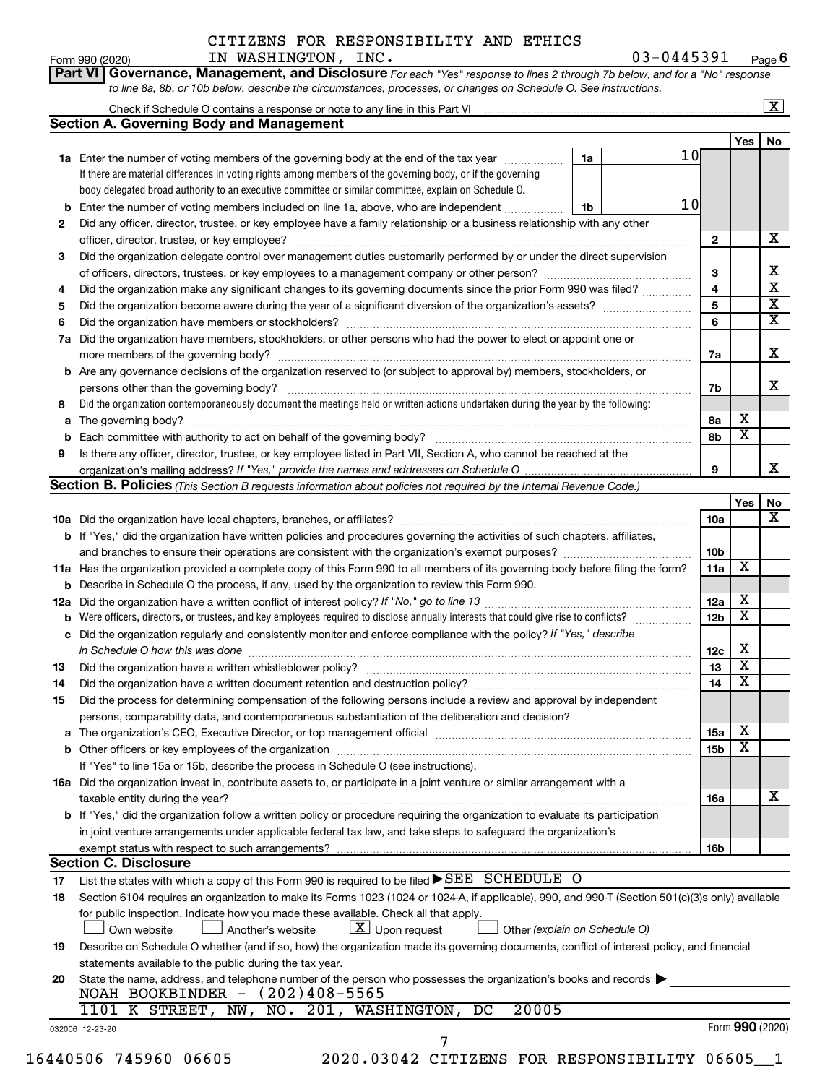#### Form 990 (2020) Page IN WASHINGTON, INC. 03-0445391 03-0445391 Page 6

|    |                                                                                                                                                                         |    |                 |                 |                         | $\boxed{\textbf{X}}$    |
|----|-------------------------------------------------------------------------------------------------------------------------------------------------------------------------|----|-----------------|-----------------|-------------------------|-------------------------|
|    | <b>Section A. Governing Body and Management</b>                                                                                                                         |    |                 |                 |                         |                         |
|    |                                                                                                                                                                         |    |                 |                 | Yes                     | No                      |
|    | 1a Enter the number of voting members of the governing body at the end of the tax year                                                                                  | 1a | 10 <sub>l</sub> |                 |                         |                         |
|    | If there are material differences in voting rights among members of the governing body, or if the governing                                                             |    |                 |                 |                         |                         |
|    | body delegated broad authority to an executive committee or similar committee, explain on Schedule O.                                                                   |    |                 |                 |                         |                         |
|    | Enter the number of voting members included on line 1a, above, who are independent                                                                                      | 1b | 10              |                 |                         |                         |
| 2  | Did any officer, director, trustee, or key employee have a family relationship or a business relationship with any other                                                |    |                 |                 |                         |                         |
|    |                                                                                                                                                                         |    |                 | $\mathbf{2}$    |                         | x                       |
| 3  | Did the organization delegate control over management duties customarily performed by or under the direct supervision                                                   |    |                 |                 |                         |                         |
|    |                                                                                                                                                                         |    |                 | 3               |                         | х                       |
| 4  | Did the organization make any significant changes to its governing documents since the prior Form 990 was filed?                                                        |    |                 | 4               |                         | $\overline{\textbf{x}}$ |
| 5  |                                                                                                                                                                         |    |                 | 5               |                         | $\overline{\textbf{X}}$ |
| 6  |                                                                                                                                                                         |    |                 | 6               |                         | $\overline{\mathtt{x}}$ |
| 7a | Did the organization have members, stockholders, or other persons who had the power to elect or appoint one or                                                          |    |                 |                 |                         |                         |
|    |                                                                                                                                                                         |    |                 | 7a              |                         | x                       |
|    | <b>b</b> Are any governance decisions of the organization reserved to (or subject to approval by) members, stockholders, or                                             |    |                 |                 |                         |                         |
|    |                                                                                                                                                                         |    |                 | 7b              |                         | x                       |
| 8  | Did the organization contemporaneously document the meetings held or written actions undertaken during the year by the following:                                       |    |                 |                 |                         |                         |
| a  |                                                                                                                                                                         |    |                 | 8а              | х                       |                         |
|    |                                                                                                                                                                         |    |                 | 8b              | $\overline{\textbf{x}}$ |                         |
| 9  | Is there any officer, director, trustee, or key employee listed in Part VII, Section A, who cannot be reached at the                                                    |    |                 |                 |                         |                         |
|    |                                                                                                                                                                         |    |                 | 9               |                         | X.                      |
|    | Section B. Policies (This Section B requests information about policies not required by the Internal Revenue Code.)                                                     |    |                 |                 |                         |                         |
|    |                                                                                                                                                                         |    |                 |                 | Yes                     | No                      |
|    |                                                                                                                                                                         |    |                 | <b>10a</b>      |                         | $\overline{\mathbf{X}}$ |
|    |                                                                                                                                                                         |    |                 |                 |                         |                         |
|    | b If "Yes," did the organization have written policies and procedures governing the activities of such chapters, affiliates,                                            |    |                 |                 |                         |                         |
|    |                                                                                                                                                                         |    |                 | 10 <sub>b</sub> | X                       |                         |
|    | 11a Has the organization provided a complete copy of this Form 990 to all members of its governing body before filing the form?                                         |    |                 | 11a             |                         |                         |
|    | <b>b</b> Describe in Schedule O the process, if any, used by the organization to review this Form 990.                                                                  |    |                 |                 | х                       |                         |
|    |                                                                                                                                                                         |    |                 | 12a             | $\overline{\textbf{x}}$ |                         |
|    | <b>b</b> Were officers, directors, or trustees, and key employees required to disclose annually interests that could give rise to conflicts?                            |    |                 | 12 <sub>b</sub> |                         |                         |
|    | c Did the organization regularly and consistently monitor and enforce compliance with the policy? If "Yes," describe                                                    |    |                 |                 |                         |                         |
|    | in Schedule O how this was done manufactured and continuum and contact the was done manufactured and contact t                                                          |    |                 | 12c             | Х                       |                         |
| 13 |                                                                                                                                                                         |    |                 | 13              | $\overline{\textbf{x}}$ |                         |
| 14 | Did the organization have a written document retention and destruction policy? [111] [12] manument contains an                                                          |    |                 | 14              | $\overline{\mathtt{x}}$ |                         |
| 15 | Did the process for determining compensation of the following persons include a review and approval by independent                                                      |    |                 |                 |                         |                         |
|    | persons, comparability data, and contemporaneous substantiation of the deliberation and decision?                                                                       |    |                 |                 |                         |                         |
| а  |                                                                                                                                                                         |    |                 | 15a             | х                       |                         |
|    |                                                                                                                                                                         |    |                 | 15b             | $\overline{\text{X}}$   |                         |
|    | If "Yes" to line 15a or 15b, describe the process in Schedule O (see instructions).                                                                                     |    |                 |                 |                         |                         |
|    | 16a Did the organization invest in, contribute assets to, or participate in a joint venture or similar arrangement with a                                               |    |                 |                 |                         |                         |
|    | taxable entity during the year?                                                                                                                                         |    |                 | 16a             |                         | х                       |
|    | b If "Yes," did the organization follow a written policy or procedure requiring the organization to evaluate its participation                                          |    |                 |                 |                         |                         |
|    | in joint venture arrangements under applicable federal tax law, and take steps to safeguard the organization's                                                          |    |                 |                 |                         |                         |
|    | exempt status with respect to such arrangements?                                                                                                                        |    |                 | 16b             |                         |                         |
|    | <b>Section C. Disclosure</b>                                                                                                                                            |    |                 |                 |                         |                         |
| 17 | List the states with which a copy of this Form 990 is required to be filed ▶SEE SCHEDULE O                                                                              |    |                 |                 |                         |                         |
| 18 | Section 6104 requires an organization to make its Forms 1023 (1024 or 1024-A, if applicable), 990, and 990-T (Section 501(c)(3)s only) available                        |    |                 |                 |                         |                         |
|    | for public inspection. Indicate how you made these available. Check all that apply.                                                                                     |    |                 |                 |                         |                         |
|    | $\lfloor x \rfloor$ Upon request<br>Another's website<br>Other (explain on Schedule O)<br>Own website                                                                   |    |                 |                 |                         |                         |
|    | Describe on Schedule O whether (and if so, how) the organization made its governing documents, conflict of interest policy, and financial                               |    |                 |                 |                         |                         |
| 19 |                                                                                                                                                                         |    |                 |                 |                         |                         |
|    | statements available to the public during the tax year.                                                                                                                 |    |                 |                 |                         |                         |
| 20 | State the name, address, and telephone number of the person who possesses the organization's books and records $\blacktriangleright$<br>NOAH BOOKBINDER - (202)408-5565 |    |                 |                 |                         |                         |
|    | 20005                                                                                                                                                                   |    |                 |                 |                         |                         |
|    | 1101 K STREET, NW, NO. 201, WASHINGTON, DC                                                                                                                              |    |                 |                 |                         |                         |
|    | 032006 12-23-20                                                                                                                                                         |    |                 |                 | Form 990 (2020)         |                         |
|    |                                                                                                                                                                         |    |                 |                 |                         |                         |
|    | 2020.03042 CITIZENS FOR RESPONSIBILITY 06605_1<br>16440506 745960 06605                                                                                                 |    |                 |                 |                         |                         |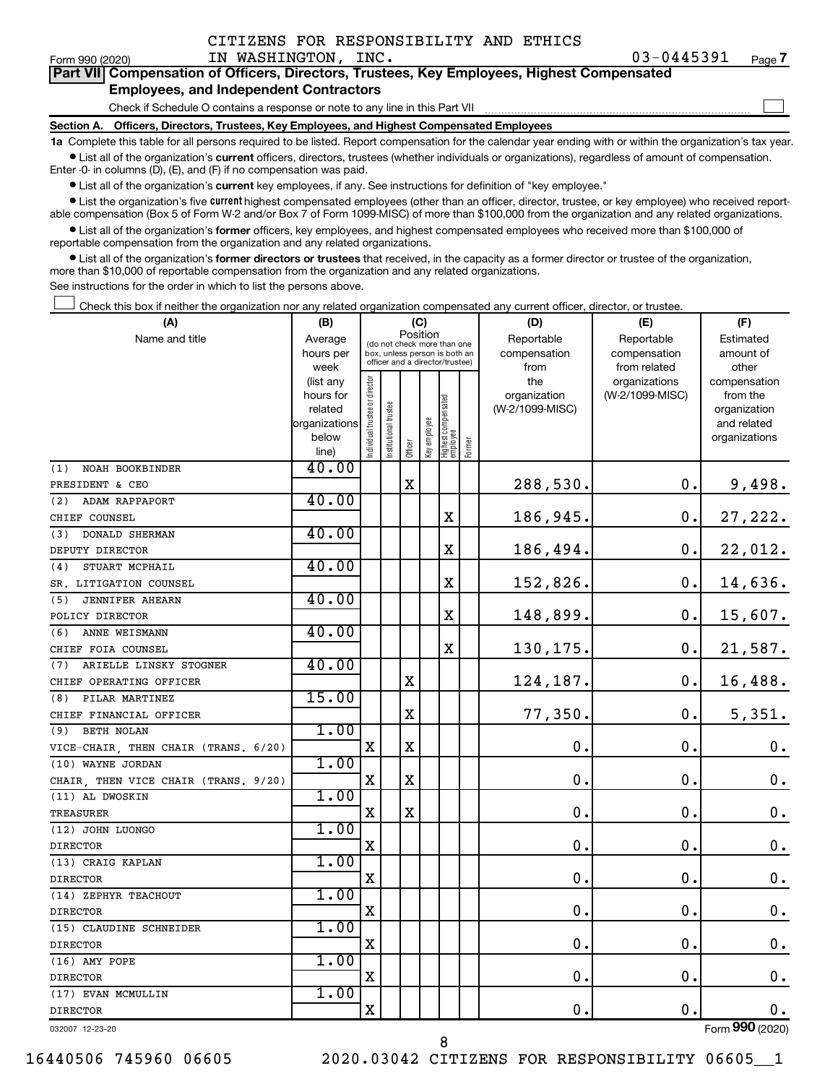| WASHINGTON<br>IΝ<br>Form 990 (2020) | INC. | $-0445391$<br>ັັ | Page |
|-------------------------------------|------|------------------|------|
|-------------------------------------|------|------------------|------|

 $\Box$ 

| Part VII Compensation of Officers, Directors, Trustees, Key Employees, Highest Compensated |  |  |
|--------------------------------------------------------------------------------------------|--|--|
| <b>Employees, and Independent Contractors</b>                                              |  |  |

Check if Schedule O contains a response or note to any line in this Part VII

**Section A. Officers, Directors, Trustees, Key Employees, and Highest Compensated Employees**

**1a**  Complete this table for all persons required to be listed. Report compensation for the calendar year ending with or within the organization's tax year.  $\bullet$  List all of the organization's current officers, directors, trustees (whether individuals or organizations), regardless of amount of compensation.

Enter -0- in columns (D), (E), and (F) if no compensation was paid.

**•** List all of the organization's current key employees, if any. See instructions for definition of "key employee."

• List the organization's five *current* highest compensated employees (other than an officer, director, trustee, or key employee) who received reportable compensation (Box 5 of Form W-2 and/or Box 7 of Form 1099-MISC) of more than \$100,000 from the organization and any related organizations.

 $\bullet$  List all of the organization's former officers, key employees, and highest compensated employees who received more than \$100,000 of reportable compensation from the organization and any related organizations.

**•** List all of the organization's former directors or trustees that received, in the capacity as a former director or trustee of the organization, more than \$10,000 of reportable compensation from the organization and any related organizations.

See instructions for the order in which to list the persons above.

Check this box if neither the organization nor any related organization compensated any current officer, director, or trustee.  $\overline{a}$ 

| (A)                                  | (B)                    |                                |                                                                                                             | (C)         |              |                                   |        | (D)                 | (E)                              | (F)                      |
|--------------------------------------|------------------------|--------------------------------|-------------------------------------------------------------------------------------------------------------|-------------|--------------|-----------------------------------|--------|---------------------|----------------------------------|--------------------------|
| Name and title                       | Average                |                                | Position<br>(do not check more than one<br>box, unless person is both an<br>officer and a director/trustee) |             |              |                                   |        | Reportable          | Reportable                       | Estimated                |
|                                      | hours per              |                                |                                                                                                             |             |              |                                   |        | compensation        | compensation                     | amount of                |
|                                      | week                   |                                |                                                                                                             |             |              |                                   |        | from                | from related                     | other                    |
|                                      | (list any<br>hours for |                                |                                                                                                             |             |              |                                   |        | the<br>organization | organizations<br>(W-2/1099-MISC) | compensation<br>from the |
|                                      | related                |                                |                                                                                                             |             |              |                                   |        | (W-2/1099-MISC)     |                                  | organization             |
|                                      | organizations          |                                | trustee                                                                                                     |             |              |                                   |        |                     |                                  | and related              |
|                                      | below                  | Individual trustee or director | Institutional t                                                                                             |             | Key employee |                                   |        |                     |                                  | organizations            |
|                                      | line)                  |                                |                                                                                                             | Officer     |              | Highest compensated<br>  employee | Former |                     |                                  |                          |
| (1)<br>NOAH BOOKBINDER               | 40.00                  |                                |                                                                                                             |             |              |                                   |        |                     |                                  |                          |
| PRESIDENT & CEO                      |                        |                                |                                                                                                             | X           |              |                                   |        | 288,530.            | $\mathbf 0$ .                    | 9,498.                   |
| ADAM RAPPAPORT<br>(2)                | 40.00                  |                                |                                                                                                             |             |              |                                   |        |                     |                                  |                          |
| CHIEF COUNSEL                        |                        |                                |                                                                                                             |             |              | $\mathbf X$                       |        | 186,945.            | 0.                               | 27,222.                  |
| <b>DONALD SHERMAN</b><br>(3)         | 40.00                  |                                |                                                                                                             |             |              |                                   |        |                     |                                  |                          |
| DEPUTY DIRECTOR                      |                        |                                |                                                                                                             |             |              | $\mathbf X$                       |        | 186,494.            | 0.                               | 22,012.                  |
| STUART MCPHAIL<br>(4)                | 40.00                  |                                |                                                                                                             |             |              |                                   |        |                     |                                  |                          |
| SR. LITIGATION COUNSEL               |                        |                                |                                                                                                             |             |              | $\mathbf X$                       |        | 152,826.            | $\mathbf 0$ .                    | 14,636.                  |
| (5)<br><b>JENNIFER AHEARN</b>        | 40.00                  |                                |                                                                                                             |             |              |                                   |        |                     |                                  |                          |
| POLICY DIRECTOR                      |                        |                                |                                                                                                             |             |              | $\mathbf X$                       |        | 148,899.            | $\mathbf 0$ .                    | 15,607.                  |
| ANNE WEISMANN<br>(6)                 | 40.00                  |                                |                                                                                                             |             |              |                                   |        |                     |                                  |                          |
| CHIEF FOIA COUNSEL                   |                        |                                |                                                                                                             |             |              | $\mathbf X$                       |        | 130,175.            | $\mathbf 0$ .                    | 21,587.                  |
| ARIELLE LINSKY STOGNER<br>(7)        | 40.00                  |                                |                                                                                                             |             |              |                                   |        |                     |                                  |                          |
| CHIEF OPERATING OFFICER              |                        |                                |                                                                                                             | X           |              |                                   |        | 124,187.            | $\mathbf 0$ .                    | 16,488.                  |
| PILAR MARTINEZ<br>(8)                | 15.00                  |                                |                                                                                                             |             |              |                                   |        |                     |                                  |                          |
| CHIEF FINANCIAL OFFICER              |                        |                                |                                                                                                             | $\mathbf X$ |              |                                   |        | 77,350.             | $\mathbf 0$ .                    | 5,351.                   |
| BETH NOLAN<br>(9)                    | 1.00                   |                                |                                                                                                             |             |              |                                   |        |                     |                                  |                          |
| VICE-CHAIR, THEN CHAIR (TRANS, 6/20) |                        | X                              |                                                                                                             | X           |              |                                   |        | $\mathbf 0$ .       | $\mathbf 0$ .                    | 0.                       |
| (10) WAYNE JORDAN                    | 1.00                   |                                |                                                                                                             |             |              |                                   |        |                     |                                  |                          |
| CHAIR, THEN VICE CHAIR (TRANS. 9/20) |                        | X                              |                                                                                                             | $\mathbf X$ |              |                                   |        | $\mathbf{0}$ .      | $\mathbf 0$ .                    | $\mathbf 0$ .            |
| (11) AL DWOSKIN                      | 1.00                   |                                |                                                                                                             |             |              |                                   |        |                     |                                  |                          |
| TREASURER                            |                        | X                              |                                                                                                             | X           |              |                                   |        | $\mathbf 0$ .       | $\mathbf 0$ .                    | $\mathbf 0$ .            |
| (12) JOHN LUONGO                     | 1.00                   |                                |                                                                                                             |             |              |                                   |        |                     |                                  |                          |
| <b>DIRECTOR</b>                      |                        | $\mathbf X$                    |                                                                                                             |             |              |                                   |        | 0.                  | $\mathbf 0$ .                    | $\mathbf 0$ .            |
| (13) CRAIG KAPLAN                    | 1.00                   |                                |                                                                                                             |             |              |                                   |        |                     |                                  |                          |
| <b>DIRECTOR</b>                      |                        | X                              |                                                                                                             |             |              |                                   |        | $\mathbf 0$ .       | $\mathbf 0$ .                    | $\mathbf 0$ .            |
| (14) ZEPHYR TEACHOUT                 | 1.00                   |                                |                                                                                                             |             |              |                                   |        |                     |                                  |                          |
| <b>DIRECTOR</b>                      |                        | $\mathbf X$                    |                                                                                                             |             |              |                                   |        | $\mathbf 0$ .       | $\mathbf 0$ .                    | $\mathbf 0$ .            |
| (15) CLAUDINE SCHNEIDER              | 1.00                   |                                |                                                                                                             |             |              |                                   |        |                     |                                  |                          |
| <b>DIRECTOR</b>                      |                        | X                              |                                                                                                             |             |              |                                   |        | $\mathbf 0$ .       | $\mathbf 0$ .                    | $\mathbf 0$ .            |
| $(16)$ AMY POPE                      | 1.00                   |                                |                                                                                                             |             |              |                                   |        |                     |                                  |                          |
| <b>DIRECTOR</b>                      |                        | $\mathbf X$                    |                                                                                                             |             |              |                                   |        | $\mathbf 0$ .       | $\mathbf 0$ .                    | $\mathbf 0$ .            |
| (17) EVAN MCMULLIN                   | 1.00                   |                                |                                                                                                             |             |              |                                   |        |                     |                                  |                          |
| <b>DIRECTOR</b>                      |                        | $\mathbf x$                    |                                                                                                             |             |              |                                   |        | $\mathbf 0$ .       | $\mathbf 0$ .                    | $\mathbf 0$ .            |
|                                      |                        |                                |                                                                                                             |             |              |                                   |        |                     |                                  | $000 \, \text{km}$       |

032007 12-23-20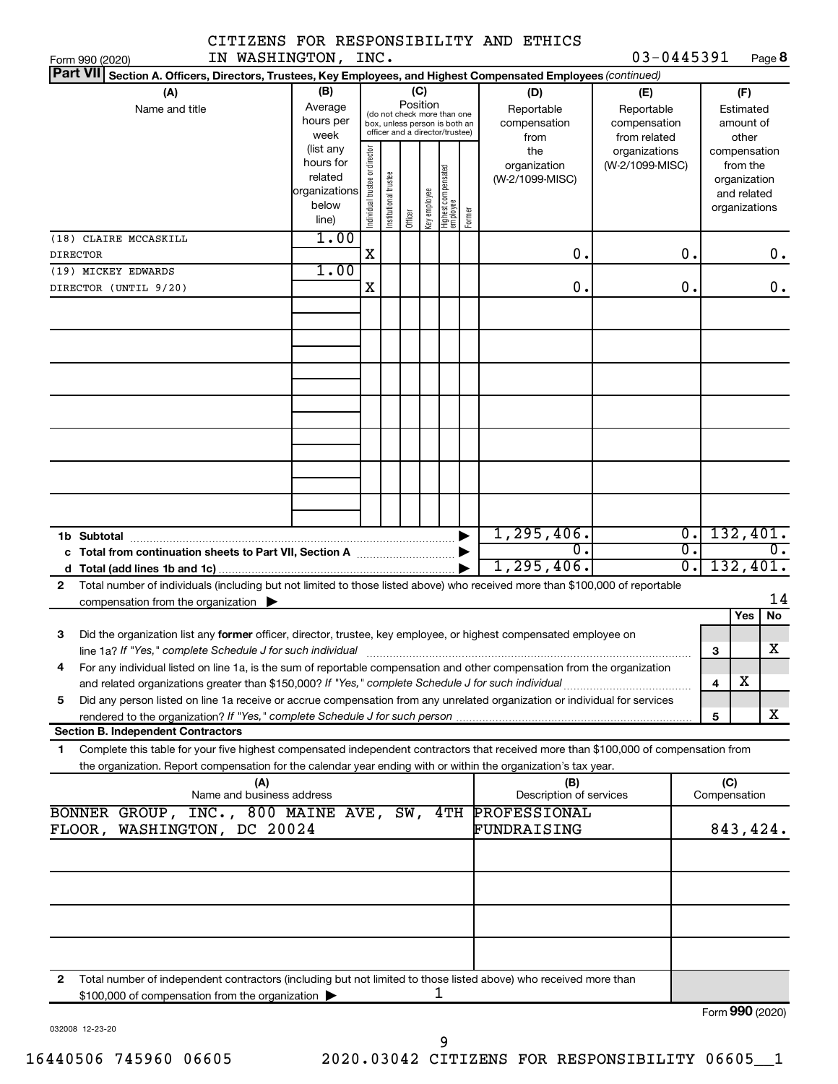| 03-0445391 | Page 8 |
|------------|--------|
|------------|--------|

| IN WASHINGTON, INC.<br>Form 990 (2020)                                                                                                                                                                                                                      |                                                                      |                                |                       |                 |              |                                                                                                 |        |                                           | 03-0445391                                        |                                                 |                     |                                                                          | Page 8                       |
|-------------------------------------------------------------------------------------------------------------------------------------------------------------------------------------------------------------------------------------------------------------|----------------------------------------------------------------------|--------------------------------|-----------------------|-----------------|--------------|-------------------------------------------------------------------------------------------------|--------|-------------------------------------------|---------------------------------------------------|-------------------------------------------------|---------------------|--------------------------------------------------------------------------|------------------------------|
| <b>Part VII</b><br>Section A. Officers, Directors, Trustees, Key Employees, and Highest Compensated Employees (continued)                                                                                                                                   |                                                                      |                                |                       |                 |              |                                                                                                 |        |                                           |                                                   |                                                 |                     |                                                                          |                              |
| (A)<br>Name and title                                                                                                                                                                                                                                       | (B)<br>Average<br>hours per<br>week                                  |                                |                       | (C)<br>Position |              | (do not check more than one<br>box, unless person is both an<br>officer and a director/trustee) |        | (D)<br>Reportable<br>compensation<br>from | (E)<br>Reportable<br>compensation<br>from related |                                                 |                     | (F)<br>Estimated<br>amount of<br>other                                   |                              |
|                                                                                                                                                                                                                                                             | (list any<br>hours for<br>related<br>organizations<br>below<br>line) | Individual trustee or director | Institutional trustee | Officer         | Key employee | Highest compensated<br>  employee                                                               | Former | the<br>organization<br>(W-2/1099-MISC)    | organizations<br>(W-2/1099-MISC)                  |                                                 |                     | compensation<br>from the<br>organization<br>and related<br>organizations |                              |
| (18) CLAIRE MCCASKILL                                                                                                                                                                                                                                       | 1.00                                                                 |                                |                       |                 |              |                                                                                                 |        |                                           |                                                   |                                                 |                     |                                                                          |                              |
| <b>DIRECTOR</b>                                                                                                                                                                                                                                             |                                                                      | x                              |                       |                 |              |                                                                                                 |        | 0.                                        |                                                   | 0.                                              |                     |                                                                          | $0$ .                        |
| (19) MICKEY EDWARDS<br>DIRECTOR (UNTIL 9/20)                                                                                                                                                                                                                | 1.00                                                                 | X                              |                       |                 |              |                                                                                                 |        | 0.                                        |                                                   | 0.                                              |                     |                                                                          | 0.                           |
|                                                                                                                                                                                                                                                             |                                                                      |                                |                       |                 |              |                                                                                                 |        |                                           |                                                   |                                                 |                     |                                                                          |                              |
|                                                                                                                                                                                                                                                             |                                                                      |                                |                       |                 |              |                                                                                                 |        |                                           |                                                   |                                                 |                     |                                                                          |                              |
|                                                                                                                                                                                                                                                             |                                                                      |                                |                       |                 |              |                                                                                                 |        |                                           |                                                   |                                                 |                     |                                                                          |                              |
|                                                                                                                                                                                                                                                             |                                                                      |                                |                       |                 |              |                                                                                                 |        |                                           |                                                   |                                                 |                     |                                                                          |                              |
|                                                                                                                                                                                                                                                             |                                                                      |                                |                       |                 |              |                                                                                                 |        |                                           |                                                   |                                                 |                     |                                                                          |                              |
|                                                                                                                                                                                                                                                             |                                                                      |                                |                       |                 |              |                                                                                                 |        |                                           |                                                   |                                                 |                     |                                                                          |                              |
| 1b Subtotal                                                                                                                                                                                                                                                 |                                                                      |                                |                       |                 |              |                                                                                                 |        | 1, 295, 406.                              |                                                   | $\overline{0}$ .                                |                     |                                                                          | 132,401.                     |
|                                                                                                                                                                                                                                                             |                                                                      |                                |                       |                 |              |                                                                                                 |        | $\overline{0}$ .<br>1, 295, 406.          |                                                   | $\overline{\mathfrak{o}}$ .<br>$\overline{0}$ . |                     |                                                                          | $\overline{0}$ .<br>132,401. |
| Total number of individuals (including but not limited to those listed above) who received more than \$100,000 of reportable<br>2<br>compensation from the organization $\blacktriangleright$                                                               |                                                                      |                                |                       |                 |              |                                                                                                 |        |                                           |                                                   |                                                 |                     |                                                                          | 14                           |
|                                                                                                                                                                                                                                                             |                                                                      |                                |                       |                 |              |                                                                                                 |        |                                           |                                                   |                                                 |                     | Yes                                                                      | No                           |
| Did the organization list any former officer, director, trustee, key employee, or highest compensated employee on<br>3<br>line 1a? If "Yes," complete Schedule J for such individual manufactured content to the content of the complete                    |                                                                      |                                |                       |                 |              |                                                                                                 |        |                                           |                                                   |                                                 | 3                   |                                                                          | х                            |
| For any individual listed on line 1a, is the sum of reportable compensation and other compensation from the organization<br>and related organizations greater than \$150,000? If "Yes," complete Schedule J for such individual                             |                                                                      |                                |                       |                 |              |                                                                                                 |        |                                           |                                                   |                                                 | 4                   | х                                                                        |                              |
| Did any person listed on line 1a receive or accrue compensation from any unrelated organization or individual for services<br>5                                                                                                                             |                                                                      |                                |                       |                 |              |                                                                                                 |        |                                           |                                                   |                                                 | 5                   |                                                                          | X                            |
| <b>Section B. Independent Contractors</b>                                                                                                                                                                                                                   |                                                                      |                                |                       |                 |              |                                                                                                 |        |                                           |                                                   |                                                 |                     |                                                                          |                              |
| Complete this table for your five highest compensated independent contractors that received more than \$100,000 of compensation from<br>1<br>the organization. Report compensation for the calendar year ending with or within the organization's tax year. |                                                                      |                                |                       |                 |              |                                                                                                 |        |                                           |                                                   |                                                 |                     |                                                                          |                              |
| (A)<br>Name and business address                                                                                                                                                                                                                            |                                                                      |                                |                       |                 |              |                                                                                                 |        | (B)<br>Description of services            |                                                   |                                                 | (C)<br>Compensation |                                                                          |                              |
| BONNER GROUP, INC., 800 MAINE AVE, SW,<br>FLOOR, WASHINGTON, DC 20024                                                                                                                                                                                       |                                                                      |                                |                       |                 |              | 4TH                                                                                             |        | PROFESSIONAL<br>FUNDRAISING               |                                                   |                                                 |                     |                                                                          | 843,424.                     |
|                                                                                                                                                                                                                                                             |                                                                      |                                |                       |                 |              |                                                                                                 |        |                                           |                                                   |                                                 |                     |                                                                          |                              |
|                                                                                                                                                                                                                                                             |                                                                      |                                |                       |                 |              |                                                                                                 |        |                                           |                                                   |                                                 |                     |                                                                          |                              |
|                                                                                                                                                                                                                                                             |                                                                      |                                |                       |                 |              |                                                                                                 |        |                                           |                                                   |                                                 |                     |                                                                          |                              |
| Total number of independent contractors (including but not limited to those listed above) who received more than<br>2                                                                                                                                       |                                                                      |                                |                       |                 |              |                                                                                                 |        |                                           |                                                   |                                                 |                     |                                                                          |                              |
| \$100,000 of compensation from the organization                                                                                                                                                                                                             |                                                                      |                                |                       |                 |              | ı                                                                                               |        |                                           |                                                   |                                                 |                     |                                                                          | $000 \times 000$             |

032008 12-23-20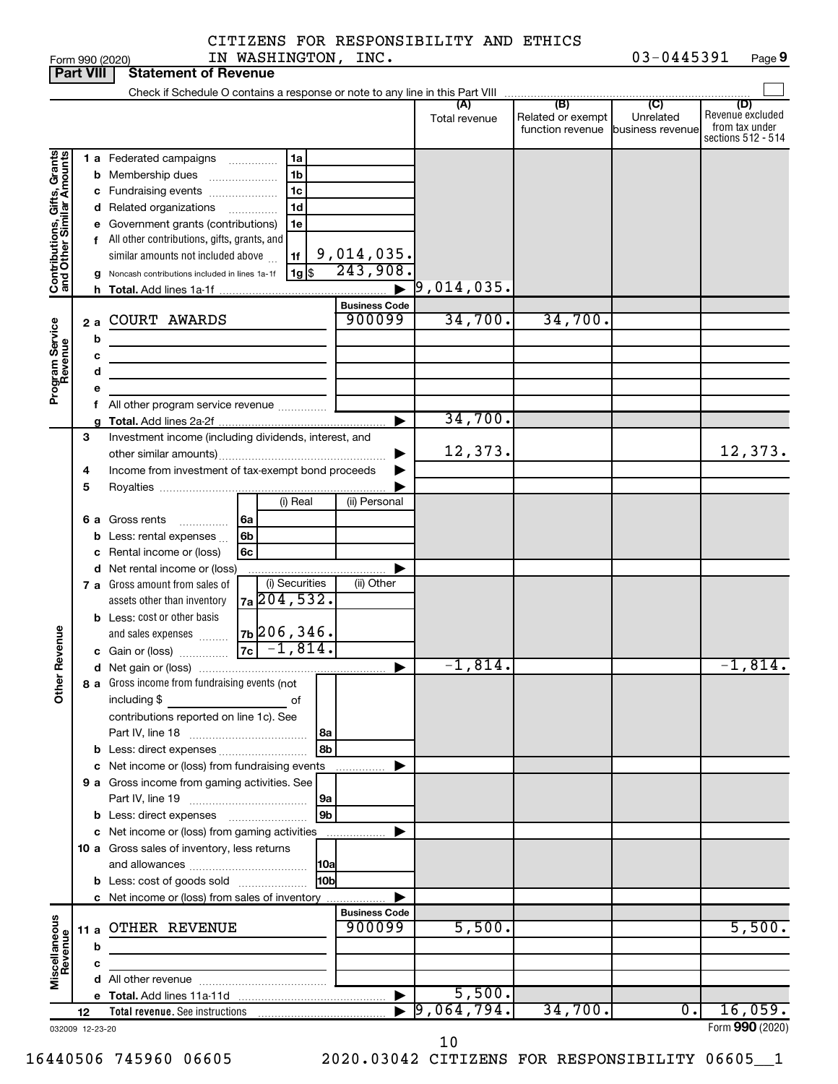Form 990 (2020)  $IN$   $NASHINGTON$ ,  $INC$ .  $03-0445391$  Page 03-0445391 Page 9

|                                                           | <b>Part VIII</b> |   | <b>Statement of Revenue</b>                                                   |                                |                     |                                       |                               |                         |
|-----------------------------------------------------------|------------------|---|-------------------------------------------------------------------------------|--------------------------------|---------------------|---------------------------------------|-------------------------------|-------------------------|
|                                                           |                  |   | Check if Schedule O contains a response or note to any line in this Part VIII |                                |                     |                                       |                               |                         |
|                                                           |                  |   |                                                                               |                                | (A)                 | (B)                                   | (C)                           | (D)<br>Revenue excluded |
|                                                           |                  |   |                                                                               |                                | Total revenue       | Related or exempt<br>function revenue | Unrelated<br>business revenue | from tax under          |
|                                                           |                  |   |                                                                               |                                |                     |                                       |                               | sections 512 - 514      |
|                                                           |                  |   | 1 a Federated campaigns<br>1a                                                 |                                |                     |                                       |                               |                         |
|                                                           |                  | b | 1 <sub>b</sub><br>Membership dues<br>$\ldots \ldots \ldots \ldots \ldots$     |                                |                     |                                       |                               |                         |
|                                                           |                  |   | 1 <sub>c</sub><br>c Fundraising events                                        |                                |                     |                                       |                               |                         |
|                                                           |                  |   | 1 <sub>d</sub><br>d Related organizations<br>.                                |                                |                     |                                       |                               |                         |
| Contributions, Gifts, Grants<br>and Other Similar Amounts |                  |   | e Government grants (contributions)<br>1e                                     |                                |                     |                                       |                               |                         |
|                                                           |                  |   | f All other contributions, gifts, grants, and                                 |                                |                     |                                       |                               |                         |
|                                                           |                  |   | similar amounts not included above<br>1f                                      |                                |                     |                                       |                               |                         |
|                                                           |                  | g | $1g$ \$<br>Noncash contributions included in lines 1a-1f                      | $\frac{9,014,035}{243,908}$    |                     |                                       |                               |                         |
|                                                           |                  |   |                                                                               |                                | $\rceil$ 9,014,035. |                                       |                               |                         |
|                                                           |                  |   |                                                                               | <b>Business Code</b>           |                     |                                       |                               |                         |
|                                                           | 2a               |   | COURT AWARDS                                                                  | 900099                         | 34,700.             | 34,700.                               |                               |                         |
|                                                           |                  | b |                                                                               |                                |                     |                                       |                               |                         |
|                                                           |                  | с |                                                                               |                                |                     |                                       |                               |                         |
|                                                           |                  | d |                                                                               |                                |                     |                                       |                               |                         |
| Program Service<br>Revenue                                |                  | е |                                                                               |                                |                     |                                       |                               |                         |
|                                                           |                  |   | f All other program service revenue                                           |                                |                     |                                       |                               |                         |
|                                                           |                  |   |                                                                               | ▶                              | 34,700.             |                                       |                               |                         |
|                                                           | 3                |   | Investment income (including dividends, interest, and                         |                                |                     |                                       |                               |                         |
|                                                           |                  |   |                                                                               |                                | 12,373.             |                                       |                               | 12,373.                 |
|                                                           | 4                |   | Income from investment of tax-exempt bond proceeds                            |                                |                     |                                       |                               |                         |
|                                                           | 5                |   |                                                                               |                                |                     |                                       |                               |                         |
|                                                           |                  |   | (i) Real                                                                      | (ii) Personal                  |                     |                                       |                               |                         |
|                                                           |                  |   | 6 a Gross rents<br>l 6a                                                       |                                |                     |                                       |                               |                         |
|                                                           |                  |   | <b>b</b> Less: rental expenses $\ldots$<br>6 <sub>b</sub>                     |                                |                     |                                       |                               |                         |
|                                                           |                  |   | 6c<br>c Rental income or (loss)                                               |                                |                     |                                       |                               |                         |
|                                                           |                  |   | d Net rental income or (loss)                                                 |                                |                     |                                       |                               |                         |
|                                                           |                  |   | (i) Securities<br>7 a Gross amount from sales of                              | (ii) Other                     |                     |                                       |                               |                         |
|                                                           |                  |   | 7a 204, 532.<br>assets other than inventory                                   |                                |                     |                                       |                               |                         |
|                                                           |                  |   | <b>b</b> Less: cost or other basis                                            |                                |                     |                                       |                               |                         |
|                                                           |                  |   | $7b$ 206, 346.<br>and sales expenses                                          |                                |                     |                                       |                               |                         |
| Revenue                                                   |                  |   |                                                                               |                                |                     |                                       |                               |                         |
|                                                           |                  |   |                                                                               | ▶                              | $-1,814.$           |                                       |                               | $-1,814.$               |
|                                                           |                  |   | 8 a Gross income from fundraising events (not                                 |                                |                     |                                       |                               |                         |
| $\check{\epsilon}$                                        |                  |   | including \$<br>οf                                                            |                                |                     |                                       |                               |                         |
|                                                           |                  |   | contributions reported on line 1c). See                                       |                                |                     |                                       |                               |                         |
|                                                           |                  |   | 8a                                                                            |                                |                     |                                       |                               |                         |
|                                                           |                  |   | 8 <sub>b</sub>                                                                |                                |                     |                                       |                               |                         |
|                                                           |                  |   | c Net income or (loss) from fundraising events                                |                                |                     |                                       |                               |                         |
|                                                           |                  |   | 9 a Gross income from gaming activities. See                                  |                                |                     |                                       |                               |                         |
|                                                           |                  |   | 9a                                                                            |                                |                     |                                       |                               |                         |
|                                                           |                  |   | 9 <sub>b</sub><br><b>b</b> Less: direct expenses <b>manually</b>              |                                |                     |                                       |                               |                         |
|                                                           |                  |   | c Net income or (loss) from gaming activities                                 |                                |                     |                                       |                               |                         |
|                                                           |                  |   | 10 a Gross sales of inventory, less returns                                   |                                |                     |                                       |                               |                         |
|                                                           |                  |   | 10a                                                                           |                                |                     |                                       |                               |                         |
|                                                           |                  |   | l10bl<br><b>b</b> Less: cost of goods sold                                    |                                |                     |                                       |                               |                         |
|                                                           |                  |   | c Net income or (loss) from sales of inventory                                |                                |                     |                                       |                               |                         |
|                                                           |                  |   | 11 a OTHER REVENUE                                                            | <b>Business Code</b><br>900099 | 5,500.              |                                       |                               | 5,500.                  |
| Miscellaneous<br>Revenue                                  |                  |   |                                                                               |                                |                     |                                       |                               |                         |
|                                                           |                  | b |                                                                               |                                |                     |                                       |                               |                         |
|                                                           |                  | с |                                                                               |                                |                     |                                       |                               |                         |
|                                                           |                  |   |                                                                               | ▶                              | 5,500.              |                                       |                               |                         |
|                                                           | 12               |   |                                                                               |                                | 9,064,794.          | 34,700.                               | Ο.                            | 16,059.                 |
| 032009 12-23-20                                           |                  |   |                                                                               |                                |                     |                                       |                               | Form 990 (2020)         |

10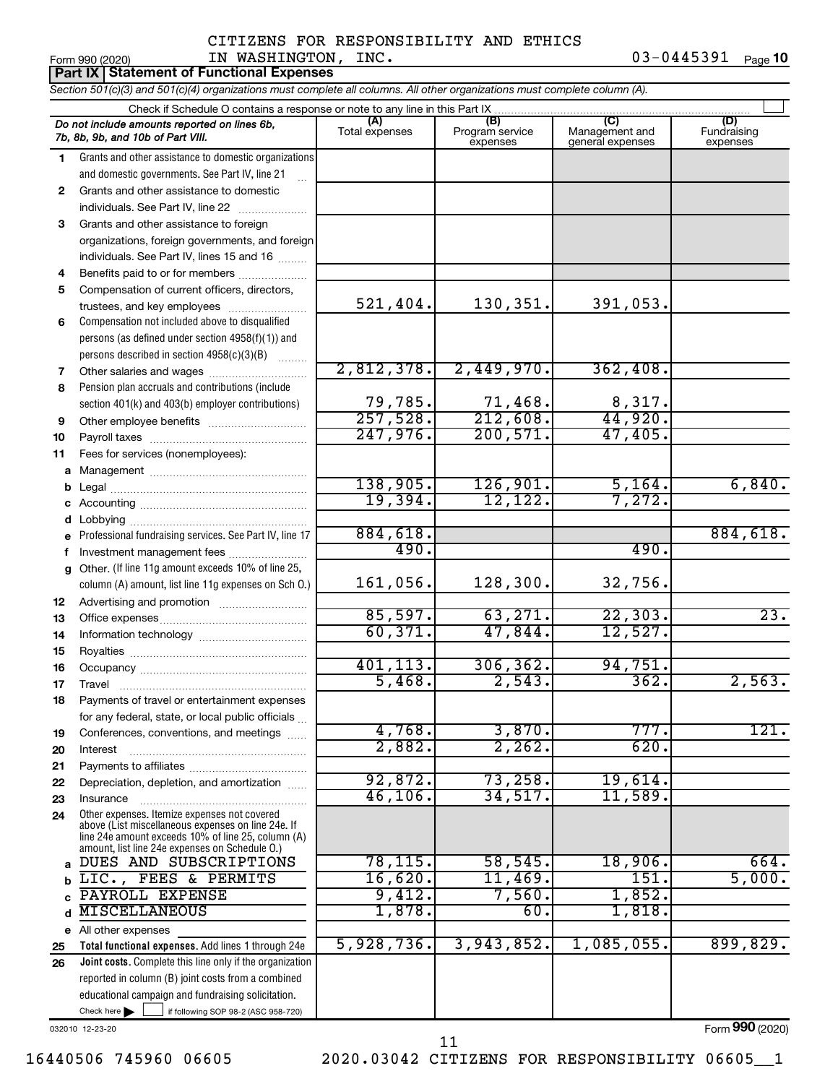# Form 990 (2020) Page IN WASHINGTON, INC. 03-0445391 CITIZENS FOR RESPONSIBILITY AND ETHICS

 $03 - 0445391$  Page 10

|        | <b>Part IX Statement of Functional Expenses</b>                                                                                                            |                       |                                    |                                           |                                |
|--------|------------------------------------------------------------------------------------------------------------------------------------------------------------|-----------------------|------------------------------------|-------------------------------------------|--------------------------------|
|        | Section 501(c)(3) and 501(c)(4) organizations must complete all columns. All other organizations must complete column (A).                                 |                       |                                    |                                           |                                |
|        | Check if Schedule O contains a response or note to any line in this Part IX                                                                                |                       |                                    |                                           |                                |
|        | Do not include amounts reported on lines 6b,<br>7b, 8b, 9b, and 10b of Part VIII.                                                                          | (A)<br>Total expenses | (B)<br>Program service<br>expenses | (C)<br>Management and<br>general expenses | (D)<br>Fundraising<br>expenses |
| 1.     | Grants and other assistance to domestic organizations                                                                                                      |                       |                                    |                                           |                                |
|        | and domestic governments. See Part IV, line 21                                                                                                             |                       |                                    |                                           |                                |
| 2      | Grants and other assistance to domestic                                                                                                                    |                       |                                    |                                           |                                |
|        | individuals. See Part IV, line 22                                                                                                                          |                       |                                    |                                           |                                |
| 3      | Grants and other assistance to foreign                                                                                                                     |                       |                                    |                                           |                                |
|        | organizations, foreign governments, and foreign                                                                                                            |                       |                                    |                                           |                                |
|        | individuals. See Part IV, lines 15 and 16                                                                                                                  |                       |                                    |                                           |                                |
| 4      | Benefits paid to or for members                                                                                                                            |                       |                                    |                                           |                                |
| 5      | Compensation of current officers, directors,                                                                                                               | 521,404.              | 130,351.                           | 391,053.                                  |                                |
|        | trustees, and key employees                                                                                                                                |                       |                                    |                                           |                                |
| 6      | Compensation not included above to disqualified                                                                                                            |                       |                                    |                                           |                                |
|        | persons (as defined under section 4958(f)(1)) and<br>persons described in section 4958(c)(3)(B)                                                            |                       |                                    |                                           |                                |
|        |                                                                                                                                                            | 2,812,378.            | 2,449,970.                         | 362,408.                                  |                                |
| 7<br>8 | Pension plan accruals and contributions (include                                                                                                           |                       |                                    |                                           |                                |
|        | section 401(k) and 403(b) employer contributions)                                                                                                          | 79,785.               | 71,468.                            | 8,317.                                    |                                |
| 9      | Other employee benefits                                                                                                                                    | 257,528.              | 212,608.                           | 44,920.                                   |                                |
| 10     |                                                                                                                                                            | 247,976.              | 200,571.                           | 47,405.                                   |                                |
| 11     | Fees for services (nonemployees):                                                                                                                          |                       |                                    |                                           |                                |
| a      |                                                                                                                                                            |                       |                                    |                                           |                                |
| b      |                                                                                                                                                            | 138,905.              | 126,901.                           | 5,164.                                    | 6,840.                         |
|        |                                                                                                                                                            | 19,394.               | 12, 122.                           | 7,272.                                    |                                |
| d      |                                                                                                                                                            |                       |                                    |                                           |                                |
| е      | Professional fundraising services. See Part IV, line 17                                                                                                    | 884,618.              |                                    |                                           | 884,618.                       |
| f.     | Investment management fees                                                                                                                                 | 490.                  |                                    | 490.                                      |                                |
| g      | Other. (If line 11g amount exceeds 10% of line 25,                                                                                                         |                       |                                    |                                           |                                |
|        | column (A) amount, list line 11g expenses on Sch O.)                                                                                                       | $161,056$ .           | 128,300.                           | 32,756.                                   |                                |
| 12     | Advertising and promotion <i>manually contained</i>                                                                                                        |                       |                                    |                                           |                                |
| 13     |                                                                                                                                                            | 85,597.               | 63, 271.                           | 22, 303.                                  | 23.                            |
| 14     |                                                                                                                                                            | 60, 371.              | 47,844.                            | 12,527.                                   |                                |
| 15     |                                                                                                                                                            |                       |                                    |                                           |                                |
| 16     |                                                                                                                                                            | 401, 113.             | 306, 362.                          | 94,751.                                   |                                |
| 17     |                                                                                                                                                            | 5,468.                | 2,543.                             | 362.                                      | 2,563.                         |
| 18     | Payments of travel or entertainment expenses                                                                                                               |                       |                                    |                                           |                                |
|        | for any federal, state, or local public officials                                                                                                          |                       |                                    |                                           |                                |
| 19     | Conferences, conventions, and meetings                                                                                                                     | 4,768.                | 3,870.                             | 777.<br>620.                              | 121.                           |
| 20     | Interest                                                                                                                                                   | 2,882.                | 2, 262.                            |                                           |                                |
| 21     |                                                                                                                                                            | 92,872.               | 73,258.                            | 19,614.                                   |                                |
| 22     | Depreciation, depletion, and amortization                                                                                                                  | 46, 106.              | 34,517.                            | 11,589.                                   |                                |
| 23     | Insurance<br>Other expenses. Itemize expenses not covered                                                                                                  |                       |                                    |                                           |                                |
| 24     | above (List miscellaneous expenses on line 24e. If<br>line 24e amount exceeds 10% of line 25, column (A)<br>amount, list line 24e expenses on Schedule O.) |                       |                                    |                                           |                                |
| a      | DUES AND SUBSCRIPTIONS                                                                                                                                     | 78,115.               | 58, 545.                           | 18,906.                                   | 664.                           |
|        | LIC., FEES & PERMITS                                                                                                                                       | 16,620.               | 11,469.                            | 151.                                      | 5,000.                         |
|        | PAYROLL EXPENSE                                                                                                                                            | 9,412.                | 7,560.                             | 1,852.                                    |                                |
| d      | <b>MISCELLANEOUS</b>                                                                                                                                       | 1,878.                | 60.                                | 1,818.                                    |                                |
|        | e All other expenses                                                                                                                                       |                       |                                    |                                           |                                |
| 25     | Total functional expenses. Add lines 1 through 24e                                                                                                         | 5,928,736.            | 3,943,852.                         | 1,085,055.                                | 899, 829.                      |
| 26     | Joint costs. Complete this line only if the organization                                                                                                   |                       |                                    |                                           |                                |
|        | reported in column (B) joint costs from a combined                                                                                                         |                       |                                    |                                           |                                |
|        | educational campaign and fundraising solicitation.<br>Check here $\blacktriangleright$<br>if following SOP 98-2 (ASC 958-720)                              |                       |                                    |                                           |                                |
|        |                                                                                                                                                            |                       |                                    |                                           |                                |

032010 12-23-20

16440506 745960 06605 2020.03042 CITIZENS FOR RESPONSIBILITY 06605\_\_1

11

Form (2020) **990**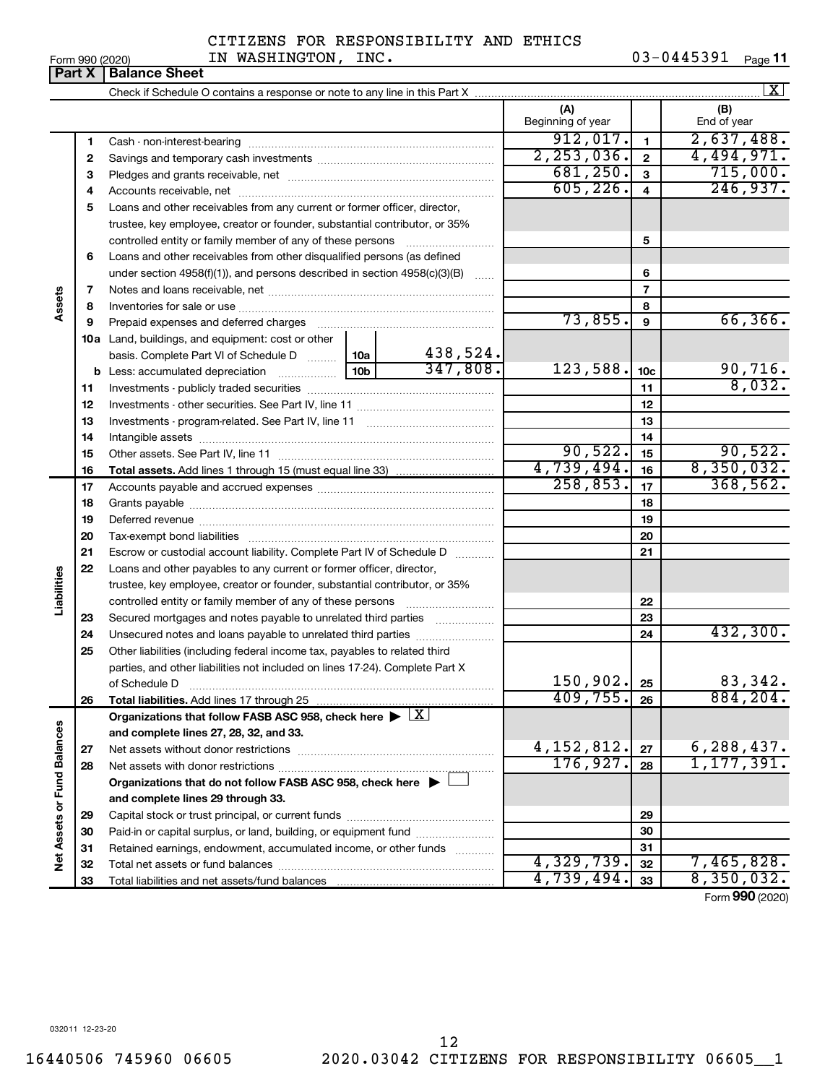**Part 890 (2020)**<br>**Part X Balance Sheet** 

# CITIZENS FOR RESPONSIBILITY AND ETHICS

Form 990 (2020) Page IN WASHINGTON, INC. 03-0445391 03-0445391 Page 11

| א ום ו                      |    | המומווטפ טוופפנ                                                                                                                                                                                                               |           |              |                          |                         |                                                 |
|-----------------------------|----|-------------------------------------------------------------------------------------------------------------------------------------------------------------------------------------------------------------------------------|-----------|--------------|--------------------------|-------------------------|-------------------------------------------------|
|                             |    |                                                                                                                                                                                                                               |           |              |                          |                         | $\overline{\mathbf{x}}$ $\overline{\mathbf{x}}$ |
|                             |    |                                                                                                                                                                                                                               |           |              | (A)<br>Beginning of year |                         | (B)<br>End of year                              |
|                             | 1  | Cash - non-interest-bearing                                                                                                                                                                                                   |           |              | 912,017.                 | $\mathbf{1}$            | 2,637,488.                                      |
|                             | 2  |                                                                                                                                                                                                                               |           |              | 2, 253, 036.             | $\overline{2}$          | 4,494,971.                                      |
|                             | 3  |                                                                                                                                                                                                                               | 681, 250. | $\mathbf{3}$ | 715,000.                 |                         |                                                 |
|                             | 4  |                                                                                                                                                                                                                               |           |              | 605, 226.                | $\overline{\mathbf{4}}$ | 246,937.                                        |
|                             | 5  | Loans and other receivables from any current or former officer, director,                                                                                                                                                     |           |              |                          |                         |                                                 |
|                             |    | trustee, key employee, creator or founder, substantial contributor, or 35%                                                                                                                                                    |           |              |                          |                         |                                                 |
|                             |    | controlled entity or family member of any of these persons                                                                                                                                                                    |           |              |                          | 5                       |                                                 |
|                             | 6  | Loans and other receivables from other disqualified persons (as defined                                                                                                                                                       |           |              |                          |                         |                                                 |
|                             |    | under section 4958(f)(1)), and persons described in section 4958(c)(3)(B)                                                                                                                                                     |           | $\sim$       |                          | 6                       |                                                 |
|                             | 7  |                                                                                                                                                                                                                               |           |              |                          | $\overline{7}$          |                                                 |
| Assets                      | 8  |                                                                                                                                                                                                                               |           |              |                          | 8                       |                                                 |
|                             | 9  | Prepaid expenses and deferred charges [11] [11] Prepaid expenses and deferred charges [11] [11] Martin Marian Marian Marian Marian Marian Marian Marian Marian Marian Marian Marian Marian Marian Marian Marian Marian Marian |           |              | 73,855.                  | 9                       | 66, 366.                                        |
|                             |    | 10a Land, buildings, and equipment: cost or other                                                                                                                                                                             |           |              |                          |                         |                                                 |
|                             |    | basis. Complete Part VI of Schedule D  10a                                                                                                                                                                                    |           | 438,524.     |                          |                         |                                                 |
|                             |    |                                                                                                                                                                                                                               |           | 347,808.     | 123,588.                 | 10 <sub>c</sub>         | 90,716.                                         |
|                             | 11 |                                                                                                                                                                                                                               |           |              |                          | 11                      | 8,032.                                          |
|                             | 12 |                                                                                                                                                                                                                               |           |              | 12                       |                         |                                                 |
|                             | 13 |                                                                                                                                                                                                                               |           | 13           |                          |                         |                                                 |
|                             | 14 |                                                                                                                                                                                                                               |           |              | 14                       |                         |                                                 |
|                             | 15 |                                                                                                                                                                                                                               | 90,522.   | 15           | 90,522.                  |                         |                                                 |
|                             | 16 |                                                                                                                                                                                                                               |           |              | 4,739,494.               | 16                      | 8,350,032.                                      |
|                             | 17 |                                                                                                                                                                                                                               |           |              | 258,853.                 | 17                      | 368, 562.                                       |
|                             | 18 |                                                                                                                                                                                                                               |           | 18           |                          |                         |                                                 |
|                             | 19 |                                                                                                                                                                                                                               |           |              |                          | 19                      |                                                 |
|                             | 20 |                                                                                                                                                                                                                               |           |              |                          | 20                      |                                                 |
|                             | 21 | Escrow or custodial account liability. Complete Part IV of Schedule D                                                                                                                                                         |           |              |                          | 21                      |                                                 |
|                             | 22 | Loans and other payables to any current or former officer, director,                                                                                                                                                          |           |              |                          |                         |                                                 |
| Liabilities                 |    | trustee, key employee, creator or founder, substantial contributor, or 35%                                                                                                                                                    |           |              |                          |                         |                                                 |
|                             |    | controlled entity or family member of any of these persons                                                                                                                                                                    |           |              |                          | 22                      |                                                 |
|                             | 23 | Secured mortgages and notes payable to unrelated third parties <i>manumum</i>                                                                                                                                                 |           |              |                          | 23                      |                                                 |
|                             | 24 |                                                                                                                                                                                                                               |           |              |                          | 24                      | 432,300.                                        |
|                             | 25 | Other liabilities (including federal income tax, payables to related third                                                                                                                                                    |           |              |                          |                         |                                                 |
|                             |    | parties, and other liabilities not included on lines 17-24). Complete Part X                                                                                                                                                  |           |              |                          |                         |                                                 |
|                             |    | of Schedule D                                                                                                                                                                                                                 |           |              | 150,902.                 | 25                      | 83,342.                                         |
|                             | 26 | Total liabilities. Add lines 17 through 25                                                                                                                                                                                    |           |              | 409,755.                 | 26                      | 884, 204.                                       |
|                             |    | Organizations that follow FASB ASC 958, check here $\blacktriangleright \lfloor \underline{X} \rfloor$                                                                                                                        |           |              |                          |                         |                                                 |
|                             |    | and complete lines 27, 28, 32, and 33.                                                                                                                                                                                        |           |              |                          |                         |                                                 |
|                             | 27 | Net assets without donor restrictions                                                                                                                                                                                         |           |              | 4, 152, 812.             | 27                      | 6,288,437.                                      |
|                             | 28 | Net assets with donor restrictions                                                                                                                                                                                            |           |              | 176,927.                 | 28                      | 1, 177, 391.                                    |
|                             |    | Organizations that do not follow FASB ASC 958, check here $\blacktriangleright$                                                                                                                                               |           |              |                          |                         |                                                 |
|                             |    | and complete lines 29 through 33.                                                                                                                                                                                             |           |              |                          |                         |                                                 |
|                             | 29 |                                                                                                                                                                                                                               |           |              |                          | 29                      |                                                 |
|                             | 30 | Paid-in or capital surplus, or land, building, or equipment fund                                                                                                                                                              |           |              |                          | 30                      |                                                 |
| Net Assets or Fund Balances | 31 | Retained earnings, endowment, accumulated income, or other funds                                                                                                                                                              |           |              |                          | 31                      |                                                 |
|                             | 32 |                                                                                                                                                                                                                               |           |              | 4,329,739.               | 32                      | 7,465,828.                                      |
|                             | 33 |                                                                                                                                                                                                                               |           |              | 4,739,494.               | 33                      | 8,350,032.                                      |
|                             |    |                                                                                                                                                                                                                               |           |              |                          |                         | Form 990 (2020)                                 |

032011 12-23-20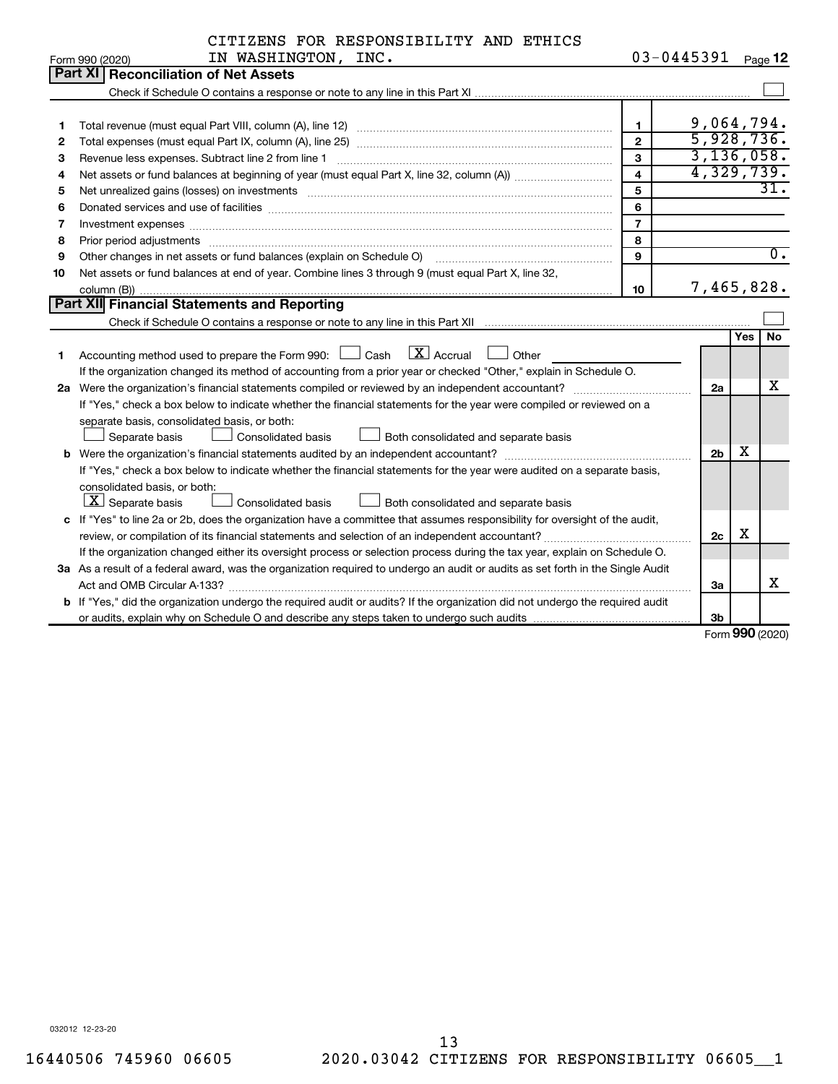|                   | CITIZENS FOR RESPONSIBILITY AND ETHICS |  |
|-------------------|----------------------------------------|--|
| TN WASHTNGTON TNO |                                        |  |

|    | Form 990 (2020)<br>IN WASHINGTON, INC.                                                                                          | U3-0445391              |                |     | Page 12          |  |
|----|---------------------------------------------------------------------------------------------------------------------------------|-------------------------|----------------|-----|------------------|--|
|    | <b>Part XI Reconciliation of Net Assets</b>                                                                                     |                         |                |     |                  |  |
|    |                                                                                                                                 |                         |                |     |                  |  |
|    |                                                                                                                                 |                         |                |     |                  |  |
| 1  |                                                                                                                                 | $\mathbf{1}$            | 9,064,794.     |     |                  |  |
| 2  |                                                                                                                                 | $\overline{2}$          | 5,928,736.     |     |                  |  |
| З  | $\overline{3}$<br>Revenue less expenses. Subtract line 2 from line 1                                                            |                         |                |     | 3, 136, 058.     |  |
| 4  |                                                                                                                                 | $\overline{\mathbf{4}}$ | 4,329,739.     |     |                  |  |
| 5  | Net unrealized gains (losses) on investments [111] www.martime.community.community.community.community.communi                  | 5                       |                |     | 31.              |  |
| 6  |                                                                                                                                 | 6                       |                |     |                  |  |
| 7  |                                                                                                                                 | $\overline{7}$          |                |     |                  |  |
| 8  | Prior period adjustments www.communication.communication.communication.com/                                                     | 8                       |                |     |                  |  |
| 9  | Other changes in net assets or fund balances (explain on Schedule O)                                                            | $\mathbf{q}$            |                |     | $\overline{0}$ . |  |
| 10 | Net assets or fund balances at end of year. Combine lines 3 through 9 (must equal Part X, line 32,                              |                         |                |     |                  |  |
|    |                                                                                                                                 | 10                      | 7,465,828.     |     |                  |  |
|    | Part XII Financial Statements and Reporting                                                                                     |                         |                |     |                  |  |
|    |                                                                                                                                 |                         |                |     |                  |  |
|    |                                                                                                                                 |                         |                | Yes | No.              |  |
| 1. | $\lfloor x \rfloor$ Accrual<br>Accounting method used to prepare the Form 990: [130] Cash<br>$\Box$ Other                       |                         |                |     |                  |  |
|    | If the organization changed its method of accounting from a prior year or checked "Other," explain in Schedule O.               |                         |                |     |                  |  |
|    |                                                                                                                                 |                         | 2a             |     | x                |  |
|    | If "Yes," check a box below to indicate whether the financial statements for the year were compiled or reviewed on a            |                         |                |     |                  |  |
|    | separate basis, consolidated basis, or both:                                                                                    |                         |                |     |                  |  |
|    | Both consolidated and separate basis<br>Separate basis<br>Consolidated basis                                                    |                         |                |     |                  |  |
|    |                                                                                                                                 |                         | 2 <sub>b</sub> | х   |                  |  |
|    | If "Yes," check a box below to indicate whether the financial statements for the year were audited on a separate basis,         |                         |                |     |                  |  |
|    | consolidated basis, or both:                                                                                                    |                         |                |     |                  |  |
|    | $ \mathbf{X} $ Separate basis<br>Consolidated basis<br>Both consolidated and separate basis                                     |                         |                |     |                  |  |
|    | c If "Yes" to line 2a or 2b, does the organization have a committee that assumes responsibility for oversight of the audit,     |                         |                |     |                  |  |
|    | review, or compilation of its financial statements and selection of an independent accountant?                                  |                         | 2c             | х   |                  |  |
|    | If the organization changed either its oversight process or selection process during the tax year, explain on Schedule O.       |                         |                |     |                  |  |
|    | 3a As a result of a federal award, was the organization required to undergo an audit or audits as set forth in the Single Audit |                         |                |     |                  |  |
|    |                                                                                                                                 |                         |                |     | x                |  |
|    | b If "Yes," did the organization undergo the required audit or audits? If the organization did not undergo the required audit   |                         |                |     |                  |  |
|    |                                                                                                                                 |                         | 3b             |     |                  |  |

Form (2020) **990**

032012 12-23-20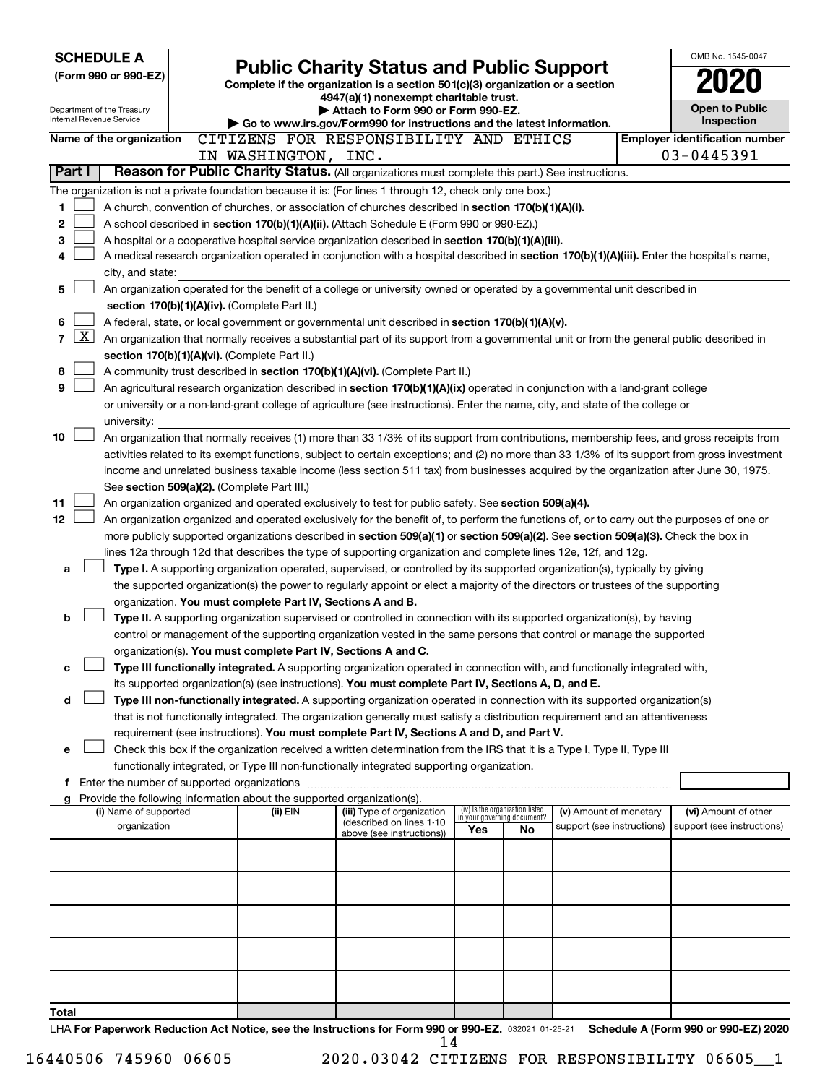| <b>SCHEDULE A</b>                                                                                                                                        |                                                                                                                                                                                                                                                                                  |                                                                        |                                                                                                                                                                                                                          |     |                                                                |                            |  | OMB No. 1545-0047                     |  |
|----------------------------------------------------------------------------------------------------------------------------------------------------------|----------------------------------------------------------------------------------------------------------------------------------------------------------------------------------------------------------------------------------------------------------------------------------|------------------------------------------------------------------------|--------------------------------------------------------------------------------------------------------------------------------------------------------------------------------------------------------------------------|-----|----------------------------------------------------------------|----------------------------|--|---------------------------------------|--|
| <b>Public Charity Status and Public Support</b><br>(Form 990 or 990-EZ)<br>Complete if the organization is a section 501(c)(3) organization or a section |                                                                                                                                                                                                                                                                                  |                                                                        |                                                                                                                                                                                                                          |     |                                                                |                            |  |                                       |  |
|                                                                                                                                                          |                                                                                                                                                                                                                                                                                  |                                                                        |                                                                                                                                                                                                                          |     |                                                                |                            |  |                                       |  |
| Department of the Treasury                                                                                                                               |                                                                                                                                                                                                                                                                                  |                                                                        | 4947(a)(1) nonexempt charitable trust.<br>Attach to Form 990 or Form 990-EZ.                                                                                                                                             |     |                                                                |                            |  | <b>Open to Public</b>                 |  |
| Internal Revenue Service                                                                                                                                 |                                                                                                                                                                                                                                                                                  |                                                                        | Go to www.irs.gov/Form990 for instructions and the latest information.                                                                                                                                                   |     |                                                                |                            |  | Inspection                            |  |
| Name of the organization                                                                                                                                 |                                                                                                                                                                                                                                                                                  |                                                                        | CITIZENS FOR RESPONSIBILITY AND ETHICS                                                                                                                                                                                   |     |                                                                |                            |  | <b>Employer identification number</b> |  |
| Part I                                                                                                                                                   |                                                                                                                                                                                                                                                                                  | IN WASHINGTON, INC.                                                    |                                                                                                                                                                                                                          |     |                                                                |                            |  | 03-0445391                            |  |
|                                                                                                                                                          |                                                                                                                                                                                                                                                                                  |                                                                        | Reason for Public Charity Status. (All organizations must complete this part.) See instructions.                                                                                                                         |     |                                                                |                            |  |                                       |  |
| The organization is not a private foundation because it is: (For lines 1 through 12, check only one box.)                                                |                                                                                                                                                                                                                                                                                  |                                                                        |                                                                                                                                                                                                                          |     |                                                                |                            |  |                                       |  |
| 1                                                                                                                                                        |                                                                                                                                                                                                                                                                                  |                                                                        | A church, convention of churches, or association of churches described in section 170(b)(1)(A)(i).                                                                                                                       |     |                                                                |                            |  |                                       |  |
| 2                                                                                                                                                        | A school described in section 170(b)(1)(A)(ii). (Attach Schedule E (Form 990 or 990-EZ).)<br>A hospital or a cooperative hospital service organization described in section 170(b)(1)(A)(iii).                                                                                   |                                                                        |                                                                                                                                                                                                                          |     |                                                                |                            |  |                                       |  |
| 3                                                                                                                                                        |                                                                                                                                                                                                                                                                                  |                                                                        |                                                                                                                                                                                                                          |     |                                                                |                            |  |                                       |  |
| 4                                                                                                                                                        | A medical research organization operated in conjunction with a hospital described in section 170(b)(1)(A)(iii). Enter the hospital's name,<br>city, and state:                                                                                                                   |                                                                        |                                                                                                                                                                                                                          |     |                                                                |                            |  |                                       |  |
| 5                                                                                                                                                        |                                                                                                                                                                                                                                                                                  |                                                                        | An organization operated for the benefit of a college or university owned or operated by a governmental unit described in                                                                                                |     |                                                                |                            |  |                                       |  |
|                                                                                                                                                          |                                                                                                                                                                                                                                                                                  | section 170(b)(1)(A)(iv). (Complete Part II.)                          |                                                                                                                                                                                                                          |     |                                                                |                            |  |                                       |  |
| 6                                                                                                                                                        |                                                                                                                                                                                                                                                                                  |                                                                        | A federal, state, or local government or governmental unit described in section 170(b)(1)(A)(v).                                                                                                                         |     |                                                                |                            |  |                                       |  |
| $\mathbf{X}$<br>$\overline{7}$                                                                                                                           |                                                                                                                                                                                                                                                                                  |                                                                        | An organization that normally receives a substantial part of its support from a governmental unit or from the general public described in                                                                                |     |                                                                |                            |  |                                       |  |
|                                                                                                                                                          |                                                                                                                                                                                                                                                                                  | section 170(b)(1)(A)(vi). (Complete Part II.)                          |                                                                                                                                                                                                                          |     |                                                                |                            |  |                                       |  |
| 8                                                                                                                                                        |                                                                                                                                                                                                                                                                                  |                                                                        | A community trust described in section 170(b)(1)(A)(vi). (Complete Part II.)                                                                                                                                             |     |                                                                |                            |  |                                       |  |
| 9                                                                                                                                                        |                                                                                                                                                                                                                                                                                  |                                                                        | An agricultural research organization described in section 170(b)(1)(A)(ix) operated in conjunction with a land-grant college                                                                                            |     |                                                                |                            |  |                                       |  |
|                                                                                                                                                          |                                                                                                                                                                                                                                                                                  |                                                                        | or university or a non-land-grant college of agriculture (see instructions). Enter the name, city, and state of the college or                                                                                           |     |                                                                |                            |  |                                       |  |
| university:                                                                                                                                              |                                                                                                                                                                                                                                                                                  |                                                                        |                                                                                                                                                                                                                          |     |                                                                |                            |  |                                       |  |
| 10                                                                                                                                                       |                                                                                                                                                                                                                                                                                  |                                                                        | An organization that normally receives (1) more than 33 1/3% of its support from contributions, membership fees, and gross receipts from                                                                                 |     |                                                                |                            |  |                                       |  |
|                                                                                                                                                          | activities related to its exempt functions, subject to certain exceptions; and (2) no more than 33 1/3% of its support from gross investment                                                                                                                                     |                                                                        |                                                                                                                                                                                                                          |     |                                                                |                            |  |                                       |  |
|                                                                                                                                                          | income and unrelated business taxable income (less section 511 tax) from businesses acquired by the organization after June 30, 1975.                                                                                                                                            |                                                                        |                                                                                                                                                                                                                          |     |                                                                |                            |  |                                       |  |
|                                                                                                                                                          | See section 509(a)(2). (Complete Part III.)                                                                                                                                                                                                                                      |                                                                        |                                                                                                                                                                                                                          |     |                                                                |                            |  |                                       |  |
| 11<br>An organization organized and operated exclusively to test for public safety. See section 509(a)(4).<br>12 <sub>2</sub>                            |                                                                                                                                                                                                                                                                                  |                                                                        |                                                                                                                                                                                                                          |     |                                                                |                            |  |                                       |  |
|                                                                                                                                                          | An organization organized and operated exclusively for the benefit of, to perform the functions of, or to carry out the purposes of one or<br>more publicly supported organizations described in section 509(a)(1) or section 509(a)(2). See section 509(a)(3). Check the box in |                                                                        |                                                                                                                                                                                                                          |     |                                                                |                            |  |                                       |  |
| lines 12a through 12d that describes the type of supporting organization and complete lines 12e, 12f, and 12g.                                           |                                                                                                                                                                                                                                                                                  |                                                                        |                                                                                                                                                                                                                          |     |                                                                |                            |  |                                       |  |
| a                                                                                                                                                        |                                                                                                                                                                                                                                                                                  |                                                                        | Type I. A supporting organization operated, supervised, or controlled by its supported organization(s), typically by giving                                                                                              |     |                                                                |                            |  |                                       |  |
|                                                                                                                                                          |                                                                                                                                                                                                                                                                                  |                                                                        | the supported organization(s) the power to regularly appoint or elect a majority of the directors or trustees of the supporting                                                                                          |     |                                                                |                            |  |                                       |  |
|                                                                                                                                                          |                                                                                                                                                                                                                                                                                  | organization. You must complete Part IV, Sections A and B.             |                                                                                                                                                                                                                          |     |                                                                |                            |  |                                       |  |
| b                                                                                                                                                        |                                                                                                                                                                                                                                                                                  |                                                                        | Type II. A supporting organization supervised or controlled in connection with its supported organization(s), by having                                                                                                  |     |                                                                |                            |  |                                       |  |
|                                                                                                                                                          |                                                                                                                                                                                                                                                                                  |                                                                        | control or management of the supporting organization vested in the same persons that control or manage the supported                                                                                                     |     |                                                                |                            |  |                                       |  |
|                                                                                                                                                          |                                                                                                                                                                                                                                                                                  | organization(s). You must complete Part IV, Sections A and C.          |                                                                                                                                                                                                                          |     |                                                                |                            |  |                                       |  |
|                                                                                                                                                          |                                                                                                                                                                                                                                                                                  |                                                                        | Type III functionally integrated. A supporting organization operated in connection with, and functionally integrated with,                                                                                               |     |                                                                |                            |  |                                       |  |
|                                                                                                                                                          |                                                                                                                                                                                                                                                                                  |                                                                        | its supported organization(s) (see instructions). You must complete Part IV, Sections A, D, and E.                                                                                                                       |     |                                                                |                            |  |                                       |  |
| d                                                                                                                                                        |                                                                                                                                                                                                                                                                                  |                                                                        | Type III non-functionally integrated. A supporting organization operated in connection with its supported organization(s)                                                                                                |     |                                                                |                            |  |                                       |  |
|                                                                                                                                                          |                                                                                                                                                                                                                                                                                  |                                                                        | that is not functionally integrated. The organization generally must satisfy a distribution requirement and an attentiveness<br>requirement (see instructions). You must complete Part IV, Sections A and D, and Part V. |     |                                                                |                            |  |                                       |  |
| е                                                                                                                                                        |                                                                                                                                                                                                                                                                                  |                                                                        | Check this box if the organization received a written determination from the IRS that it is a Type I, Type II, Type III                                                                                                  |     |                                                                |                            |  |                                       |  |
|                                                                                                                                                          |                                                                                                                                                                                                                                                                                  |                                                                        | functionally integrated, or Type III non-functionally integrated supporting organization.                                                                                                                                |     |                                                                |                            |  |                                       |  |
| f Enter the number of supported organizations                                                                                                            |                                                                                                                                                                                                                                                                                  |                                                                        |                                                                                                                                                                                                                          |     |                                                                |                            |  |                                       |  |
|                                                                                                                                                          |                                                                                                                                                                                                                                                                                  | Provide the following information about the supported organization(s). |                                                                                                                                                                                                                          |     |                                                                |                            |  |                                       |  |
| (i) Name of supported                                                                                                                                    |                                                                                                                                                                                                                                                                                  | (ii) EIN                                                               | (iii) Type of organization                                                                                                                                                                                               |     | (iv) Is the organization listed<br>in your governing document? | (v) Amount of monetary     |  | (vi) Amount of other                  |  |
| organization                                                                                                                                             |                                                                                                                                                                                                                                                                                  |                                                                        | (described on lines 1-10<br>above (see instructions))                                                                                                                                                                    | Yes | No                                                             | support (see instructions) |  | support (see instructions)            |  |
|                                                                                                                                                          |                                                                                                                                                                                                                                                                                  |                                                                        |                                                                                                                                                                                                                          |     |                                                                |                            |  |                                       |  |
|                                                                                                                                                          |                                                                                                                                                                                                                                                                                  |                                                                        |                                                                                                                                                                                                                          |     |                                                                |                            |  |                                       |  |
|                                                                                                                                                          |                                                                                                                                                                                                                                                                                  |                                                                        |                                                                                                                                                                                                                          |     |                                                                |                            |  |                                       |  |
|                                                                                                                                                          |                                                                                                                                                                                                                                                                                  |                                                                        |                                                                                                                                                                                                                          |     |                                                                |                            |  |                                       |  |
|                                                                                                                                                          |                                                                                                                                                                                                                                                                                  |                                                                        |                                                                                                                                                                                                                          |     |                                                                |                            |  |                                       |  |
|                                                                                                                                                          |                                                                                                                                                                                                                                                                                  |                                                                        |                                                                                                                                                                                                                          |     |                                                                |                            |  |                                       |  |
|                                                                                                                                                          |                                                                                                                                                                                                                                                                                  |                                                                        |                                                                                                                                                                                                                          |     |                                                                |                            |  |                                       |  |
|                                                                                                                                                          |                                                                                                                                                                                                                                                                                  |                                                                        |                                                                                                                                                                                                                          |     |                                                                |                            |  |                                       |  |
|                                                                                                                                                          |                                                                                                                                                                                                                                                                                  |                                                                        |                                                                                                                                                                                                                          |     |                                                                |                            |  |                                       |  |
| Total                                                                                                                                                    |                                                                                                                                                                                                                                                                                  |                                                                        |                                                                                                                                                                                                                          |     |                                                                |                            |  |                                       |  |
| LHA For Paperwork Reduction Act Notice, see the Instructions for Form 990 or 990-FZ, 032021 01-25-21 Schedule A (Form 990 or 990-FZ) 2020                |                                                                                                                                                                                                                                                                                  |                                                                        |                                                                                                                                                                                                                          |     |                                                                |                            |  |                                       |  |

032021 01-25-21 **For Paperwork Reduction Act Notice, see the Instructions for Form 990 or 990-EZ. Schedule A (Form 990 or 990-EZ) 2020** LHA 14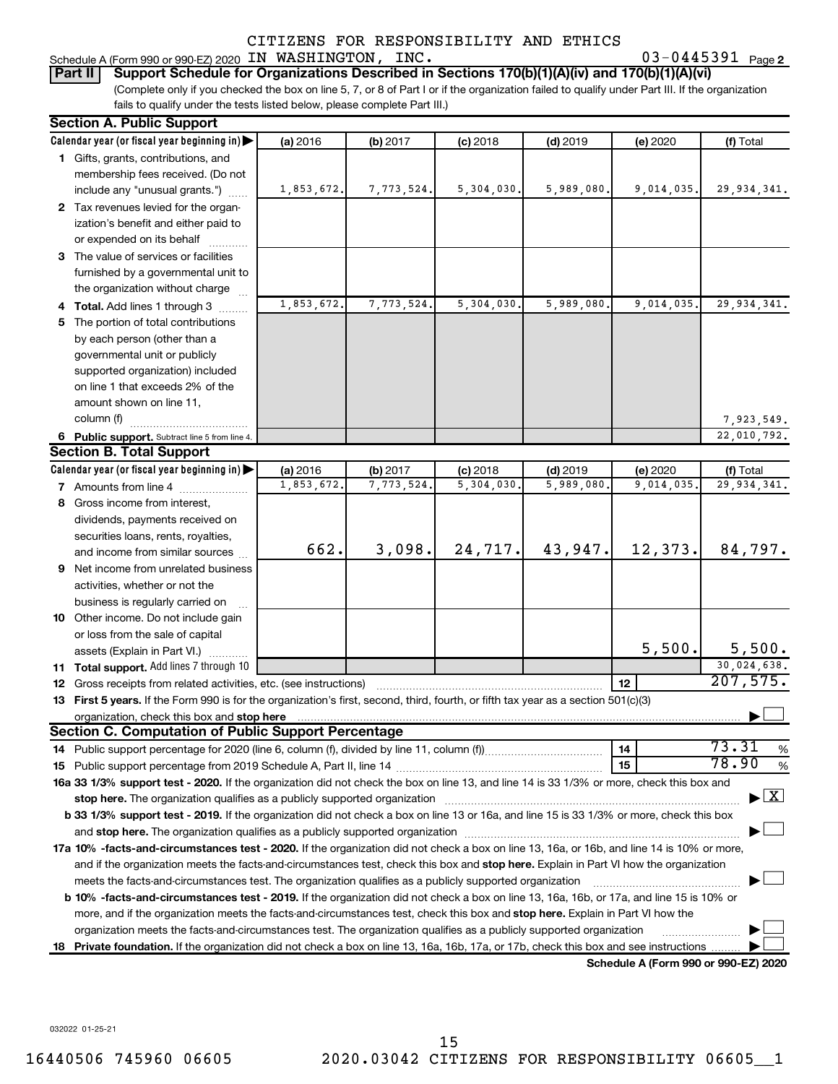#### Schedule A (Form 990 or 990-EZ) 2020  $\:$  IN WASHINGTON ,  $\:$  INC  $\bullet$   $\quad$   $\qquad$   $\qquad$   $\qquad$   $\qquad$   $\qquad$   $\qquad$   $\qquad$   $\qquad$   $\qquad$   $\qquad$   $\qquad$   $\qquad$   $\qquad$   $\qquad$   $\qquad$   $\qquad$   $\qquad$   $\qquad$   $\qquad$   $\qquad$   $\qquad$   $\qquad$   $\qquad$   $\qquad$   $\$

03-0445391 Page 2

# **Part II Support Schedule for Organizations Described in Sections 170(b)(1)(A)(iv) and 170(b)(1)(A)(vi)**

(Complete only if you checked the box on line 5, 7, or 8 of Part I or if the organization failed to qualify under Part III. If the organization fails to qualify under the tests listed below, please complete Part III.)

|    | <b>Section A. Public Support</b>                                                                                                                                                                                               |                       |                        |                         |                         |                                      |                                    |
|----|--------------------------------------------------------------------------------------------------------------------------------------------------------------------------------------------------------------------------------|-----------------------|------------------------|-------------------------|-------------------------|--------------------------------------|------------------------------------|
|    | Calendar year (or fiscal year beginning in)                                                                                                                                                                                    | (a) 2016              | (b) 2017               | $(c)$ 2018              | $(d)$ 2019              | (e) 2020                             | (f) Total                          |
|    | 1 Gifts, grants, contributions, and                                                                                                                                                                                            |                       |                        |                         |                         |                                      |                                    |
|    | membership fees received. (Do not                                                                                                                                                                                              |                       |                        |                         |                         |                                      |                                    |
|    | include any "unusual grants.")                                                                                                                                                                                                 | 1,853,672.            | 7,773,524.             | 5,304,030.              | 5,989,080.              | 9,014,035.                           | 29,934,341.                        |
|    | 2 Tax revenues levied for the organ-                                                                                                                                                                                           |                       |                        |                         |                         |                                      |                                    |
|    | ization's benefit and either paid to                                                                                                                                                                                           |                       |                        |                         |                         |                                      |                                    |
|    | or expended on its behalf                                                                                                                                                                                                      |                       |                        |                         |                         |                                      |                                    |
|    | 3 The value of services or facilities                                                                                                                                                                                          |                       |                        |                         |                         |                                      |                                    |
|    | furnished by a governmental unit to                                                                                                                                                                                            |                       |                        |                         |                         |                                      |                                    |
|    | the organization without charge                                                                                                                                                                                                |                       |                        |                         |                         |                                      |                                    |
|    | 4 Total. Add lines 1 through 3                                                                                                                                                                                                 | 1,853,672.            | 7,773,524.             | 5,304,030               | 5,989,080               | 9,014,035.                           | 29,934,341.                        |
|    | 5 The portion of total contributions                                                                                                                                                                                           |                       |                        |                         |                         |                                      |                                    |
|    | by each person (other than a                                                                                                                                                                                                   |                       |                        |                         |                         |                                      |                                    |
|    | governmental unit or publicly                                                                                                                                                                                                  |                       |                        |                         |                         |                                      |                                    |
|    | supported organization) included                                                                                                                                                                                               |                       |                        |                         |                         |                                      |                                    |
|    | on line 1 that exceeds 2% of the                                                                                                                                                                                               |                       |                        |                         |                         |                                      |                                    |
|    | amount shown on line 11,                                                                                                                                                                                                       |                       |                        |                         |                         |                                      |                                    |
|    | column (f)                                                                                                                                                                                                                     |                       |                        |                         |                         |                                      | 7,923,549.                         |
|    | 6 Public support. Subtract line 5 from line 4.<br><b>Section B. Total Support</b>                                                                                                                                              |                       |                        |                         |                         |                                      | 22,010,792.                        |
|    |                                                                                                                                                                                                                                |                       |                        |                         |                         |                                      |                                    |
|    | Calendar year (or fiscal year beginning in)                                                                                                                                                                                    | (a) 2016<br>1,853,672 | (b) 2017<br>7,773,524. | $(c)$ 2018<br>5,304,030 | $(d)$ 2019<br>5,989,080 | (e) 2020<br>9,014,035                | (f) Total<br>29, 934, 341.         |
|    | <b>7</b> Amounts from line 4                                                                                                                                                                                                   |                       |                        |                         |                         |                                      |                                    |
|    | 8 Gross income from interest,                                                                                                                                                                                                  |                       |                        |                         |                         |                                      |                                    |
|    | dividends, payments received on                                                                                                                                                                                                |                       |                        |                         |                         |                                      |                                    |
|    | securities loans, rents, royalties,<br>and income from similar sources                                                                                                                                                         | 662.                  | 3,098.                 | 24, 717.                | 43,947.                 | 12,373.                              | 84,797.                            |
|    | <b>9</b> Net income from unrelated business                                                                                                                                                                                    |                       |                        |                         |                         |                                      |                                    |
|    | activities, whether or not the                                                                                                                                                                                                 |                       |                        |                         |                         |                                      |                                    |
|    | business is regularly carried on                                                                                                                                                                                               |                       |                        |                         |                         |                                      |                                    |
|    | 10 Other income. Do not include gain                                                                                                                                                                                           |                       |                        |                         |                         |                                      |                                    |
|    | or loss from the sale of capital                                                                                                                                                                                               |                       |                        |                         |                         |                                      |                                    |
|    | assets (Explain in Part VI.)                                                                                                                                                                                                   |                       |                        |                         |                         | 5,500.                               | 5,500.                             |
|    | 11 Total support. Add lines 7 through 10                                                                                                                                                                                       |                       |                        |                         |                         |                                      | 30,024,638.                        |
|    | <b>12</b> Gross receipts from related activities, etc. (see instructions)                                                                                                                                                      |                       |                        |                         |                         | 12                                   | 207,575.                           |
|    | 13 First 5 years. If the Form 990 is for the organization's first, second, third, fourth, or fifth tax year as a section 501(c)(3)                                                                                             |                       |                        |                         |                         |                                      |                                    |
|    |                                                                                                                                                                                                                                |                       |                        |                         |                         |                                      |                                    |
|    | <b>Section C. Computation of Public Support Percentage</b>                                                                                                                                                                     |                       |                        |                         |                         |                                      |                                    |
|    |                                                                                                                                                                                                                                |                       |                        |                         |                         | 14                                   | 73.31<br>%                         |
|    |                                                                                                                                                                                                                                |                       |                        |                         |                         | 15                                   | 78.90<br>%                         |
|    | 16a 33 1/3% support test - 2020. If the organization did not check the box on line 13, and line 14 is 33 1/3% or more, check this box and                                                                                      |                       |                        |                         |                         |                                      |                                    |
|    | stop here. The organization qualifies as a publicly supported organization manufaction manufacture or the organization manufacture or the organization manufacture or the organization manufacture or the state of the state o |                       |                        |                         |                         |                                      | $\blacktriangleright$ $\mathbf{X}$ |
|    | b 33 1/3% support test - 2019. If the organization did not check a box on line 13 or 16a, and line 15 is 33 1/3% or more, check this box                                                                                       |                       |                        |                         |                         |                                      |                                    |
|    |                                                                                                                                                                                                                                |                       |                        |                         |                         |                                      |                                    |
|    | 17a 10% -facts-and-circumstances test - 2020. If the organization did not check a box on line 13, 16a, or 16b, and line 14 is 10% or more,                                                                                     |                       |                        |                         |                         |                                      |                                    |
|    | and if the organization meets the facts-and-circumstances test, check this box and stop here. Explain in Part VI how the organization                                                                                          |                       |                        |                         |                         |                                      |                                    |
|    | meets the facts-and-circumstances test. The organization qualifies as a publicly supported organization                                                                                                                        |                       |                        |                         |                         |                                      |                                    |
|    | <b>b 10%</b> -facts-and-circumstances test - 2019. If the organization did not check a box on line 13, 16a, 16b, or 17a, and line 15 is 10% or                                                                                 |                       |                        |                         |                         |                                      |                                    |
|    | more, and if the organization meets the facts-and-circumstances test, check this box and <b>stop here.</b> Explain in Part VI how the                                                                                          |                       |                        |                         |                         |                                      |                                    |
|    | organization meets the facts-and-circumstances test. The organization qualifies as a publicly supported organization                                                                                                           |                       |                        |                         |                         |                                      |                                    |
| 18 | Private foundation. If the organization did not check a box on line 13, 16a, 16b, 17a, or 17b, check this box and see instructions.                                                                                            |                       |                        |                         |                         |                                      |                                    |
|    |                                                                                                                                                                                                                                |                       |                        |                         |                         | Schedule A (Form 990 or 990-EZ) 2020 |                                    |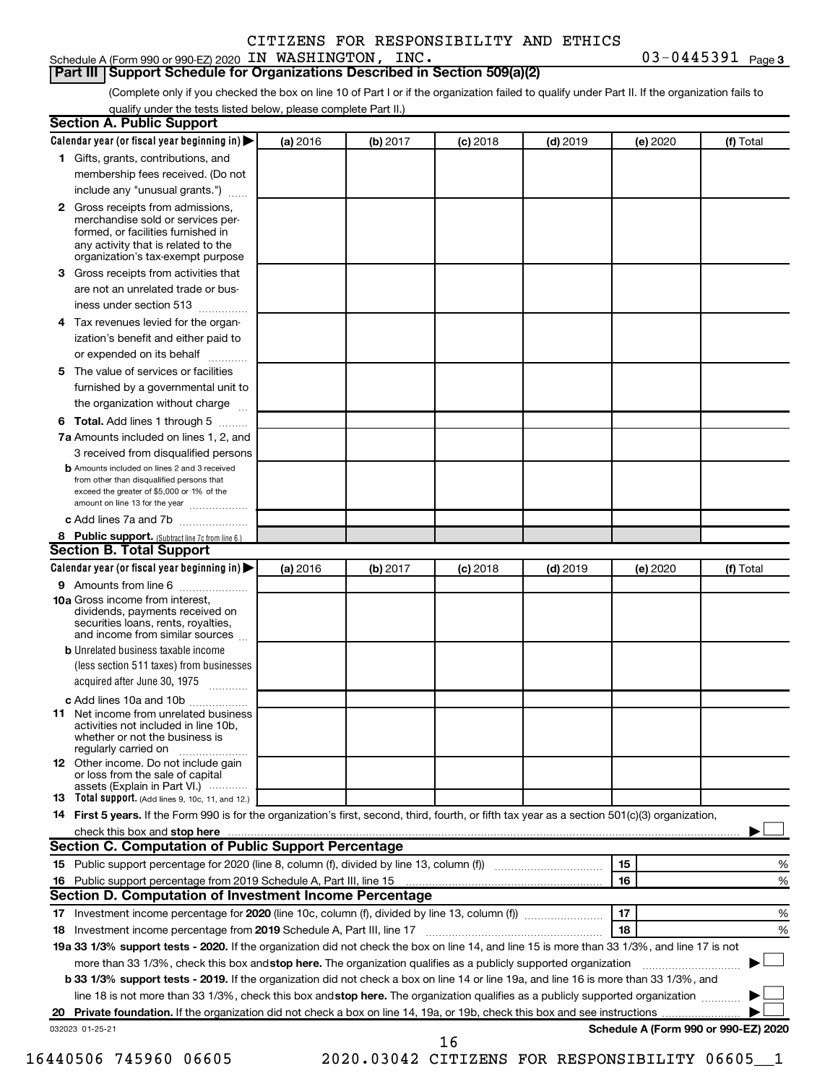#### Schedule A (Form 990 or 990-EZ) 2020  $\:$  IN WASHINGTON ,  $\:$  INC  $\bullet$   $\quad$   $\qquad$   $\qquad$   $\qquad$   $\qquad$   $\qquad$   $\qquad$   $\qquad$   $\qquad$   $\qquad$   $\qquad$   $\qquad$   $\qquad$   $\qquad$   $\qquad$   $\qquad$   $\qquad$   $\qquad$   $\qquad$   $\qquad$   $\qquad$   $\qquad$   $\qquad$   $\qquad$   $\qquad$   $\$ **Part III Support Schedule for Organizations Described in Section 509(a)(2)**

03-0445391 Page 3

(Complete only if you checked the box on line 10 of Part I or if the organization failed to qualify under Part II. If the organization fails to qualify under the tests listed below, please complete Part II.)

| <b>Section A. Public Support</b>                                                                                                                                                         |                 |                 |          |                 |          |                                      |
|------------------------------------------------------------------------------------------------------------------------------------------------------------------------------------------|-----------------|-----------------|----------|-----------------|----------|--------------------------------------|
| Calendar year (or fiscal year beginning in)                                                                                                                                              | <b>(a)</b> 2016 | <b>(b)</b> 2017 | (c) 2018 | <b>(d)</b> 2019 | (e) 2020 | (f) Total                            |
| 1 Gifts, grants, contributions, and                                                                                                                                                      |                 |                 |          |                 |          |                                      |
| membership fees received. (Do not                                                                                                                                                        |                 |                 |          |                 |          |                                      |
| include any "unusual grants.")                                                                                                                                                           |                 |                 |          |                 |          |                                      |
| 2 Gross receipts from admissions,<br>merchandise sold or services per-<br>formed, or facilities furnished in<br>any activity that is related to the<br>organization's tax-exempt purpose |                 |                 |          |                 |          |                                      |
| <b>3</b> Gross receipts from activities that                                                                                                                                             |                 |                 |          |                 |          |                                      |
| are not an unrelated trade or bus-<br>iness under section 513                                                                                                                            |                 |                 |          |                 |          |                                      |
| 4 Tax revenues levied for the organ-                                                                                                                                                     |                 |                 |          |                 |          |                                      |
| ization's benefit and either paid to<br>or expended on its behalf                                                                                                                        |                 |                 |          |                 |          |                                      |
| 5 The value of services or facilities                                                                                                                                                    |                 |                 |          |                 |          |                                      |
| furnished by a governmental unit to                                                                                                                                                      |                 |                 |          |                 |          |                                      |
| the organization without charge                                                                                                                                                          |                 |                 |          |                 |          |                                      |
| 6 Total. Add lines 1 through 5                                                                                                                                                           |                 |                 |          |                 |          |                                      |
| 7a Amounts included on lines 1, 2, and                                                                                                                                                   |                 |                 |          |                 |          |                                      |
| 3 received from disqualified persons                                                                                                                                                     |                 |                 |          |                 |          |                                      |
| <b>b</b> Amounts included on lines 2 and 3 received<br>from other than disqualified persons that<br>exceed the greater of \$5,000 or 1% of the<br>amount on line 13 for the year         |                 |                 |          |                 |          |                                      |
| c Add lines 7a and 7b                                                                                                                                                                    |                 |                 |          |                 |          |                                      |
| 8 Public support. (Subtract line 7c from line 6.)                                                                                                                                        |                 |                 |          |                 |          |                                      |
| <b>Section B. Total Support</b>                                                                                                                                                          |                 |                 |          |                 |          |                                      |
| Calendar year (or fiscal year beginning in) $\blacktriangleright$                                                                                                                        | (a) 2016        | (b) $2017$      | (c) 2018 | $(d)$ 2019      | (e) 2020 | (f) Total                            |
| 9 Amounts from line 6                                                                                                                                                                    |                 |                 |          |                 |          |                                      |
| <b>10a</b> Gross income from interest,<br>dividends, payments received on<br>securities loans, rents, royalties,<br>and income from similar sources                                      |                 |                 |          |                 |          |                                      |
| <b>b</b> Unrelated business taxable income                                                                                                                                               |                 |                 |          |                 |          |                                      |
| (less section 511 taxes) from businesses                                                                                                                                                 |                 |                 |          |                 |          |                                      |
| acquired after June 30, 1975                                                                                                                                                             |                 |                 |          |                 |          |                                      |
| c Add lines 10a and 10b                                                                                                                                                                  |                 |                 |          |                 |          |                                      |
| <b>11</b> Net income from unrelated business<br>activities not included in line 10b,<br>whether or not the business is<br>regularly carried on                                           |                 |                 |          |                 |          |                                      |
| <b>12</b> Other income. Do not include gain<br>or loss from the sale of capital<br>assets (Explain in Part VI.) $\cdots$                                                                 |                 |                 |          |                 |          |                                      |
| 13 Total support. (Add lines 9, 10c, 11, and 12.)                                                                                                                                        |                 |                 |          |                 |          |                                      |
| 14 First 5 years. If the Form 990 is for the organization's first, second, third, fourth, or fifth tax year as a section 501(c)(3) organization,                                         |                 |                 |          |                 |          |                                      |
| check this box and stop here                                                                                                                                                             |                 |                 |          |                 |          |                                      |
| <b>Section C. Computation of Public Support Percentage</b>                                                                                                                               |                 |                 |          |                 |          |                                      |
|                                                                                                                                                                                          |                 |                 |          |                 | 15       | %                                    |
|                                                                                                                                                                                          |                 |                 |          |                 | 16       | %                                    |
| Section D. Computation of Investment Income Percentage                                                                                                                                   |                 |                 |          |                 |          |                                      |
|                                                                                                                                                                                          |                 |                 |          |                 | 17       | %                                    |
|                                                                                                                                                                                          |                 |                 |          |                 | 18       | %                                    |
| 19a 33 1/3% support tests - 2020. If the organization did not check the box on line 14, and line 15 is more than 33 1/3%, and line 17 is not                                             |                 |                 |          |                 |          |                                      |
| more than 33 1/3%, check this box and stop here. The organization qualifies as a publicly supported organization                                                                         |                 |                 |          |                 |          |                                      |
| b 33 1/3% support tests - 2019. If the organization did not check a box on line 14 or line 19a, and line 16 is more than 33 1/3%, and                                                    |                 |                 |          |                 |          |                                      |
| line 18 is not more than 33 1/3%, check this box and stop here. The organization qualifies as a publicly supported organization                                                          |                 |                 |          |                 |          |                                      |
|                                                                                                                                                                                          |                 |                 |          |                 |          |                                      |
| 032023 01-25-21                                                                                                                                                                          |                 |                 | 16       |                 |          | Schedule A (Form 990 or 990-EZ) 2020 |

16440506 745960 06605 2020.03042 CITIZENS FOR RESPONSIBILITY 06605\_\_1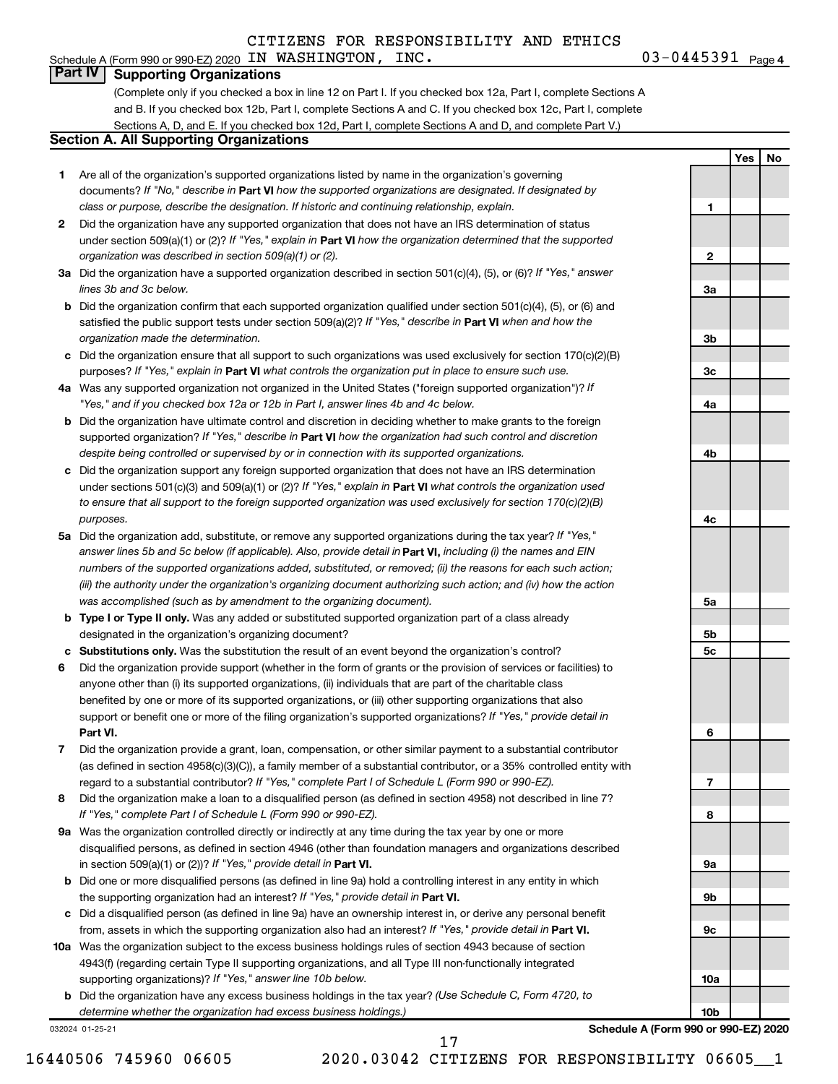Schedule A (Form 990 or 990-EZ) 2020  $\:$  IN WASHINGTON ,  $\:$  INC  $\bullet$   $\quad$   $\qquad$   $\qquad$   $\qquad$   $\qquad$   $\qquad$   $\qquad$   $\qquad$   $\qquad$   $\qquad$   $\qquad$   $\qquad$   $\qquad$   $\qquad$   $\qquad$   $\qquad$   $\qquad$   $\qquad$   $\qquad$   $\qquad$   $\qquad$   $\qquad$   $\qquad$   $\qquad$   $\qquad$   $\$ 

03-0445391 Page 4

**1**

**2**

**3a**

**3b**

**3c**

**4a**

**4b**

**4c**

**5a**

**5b 5c**

**6**

**7**

**8**

**9a**

**9b**

**9c**

**10a**

**10b**

**Yes No**

# **Part IV Supporting Organizations**

(Complete only if you checked a box in line 12 on Part I. If you checked box 12a, Part I, complete Sections A and B. If you checked box 12b, Part I, complete Sections A and C. If you checked box 12c, Part I, complete Sections A, D, and E. If you checked box 12d, Part I, complete Sections A and D, and complete Part V.)

# **Section A. All Supporting Organizations**

- **1** Are all of the organization's supported organizations listed by name in the organization's governing documents? If "No," describe in Part VI how the supported organizations are designated. If designated by *class or purpose, describe the designation. If historic and continuing relationship, explain.*
- **2** Did the organization have any supported organization that does not have an IRS determination of status under section 509(a)(1) or (2)? If "Yes," explain in Part **VI** how the organization determined that the supported *organization was described in section 509(a)(1) or (2).*
- **3a** Did the organization have a supported organization described in section 501(c)(4), (5), or (6)? If "Yes," answer *lines 3b and 3c below.*
- **b** Did the organization confirm that each supported organization qualified under section 501(c)(4), (5), or (6) and satisfied the public support tests under section 509(a)(2)? If "Yes," describe in Part VI when and how the *organization made the determination.*
- **c** Did the organization ensure that all support to such organizations was used exclusively for section 170(c)(2)(B) purposes? If "Yes," explain in Part VI what controls the organization put in place to ensure such use.
- **4 a** *If* Was any supported organization not organized in the United States ("foreign supported organization")? *"Yes," and if you checked box 12a or 12b in Part I, answer lines 4b and 4c below.*
- **b** Did the organization have ultimate control and discretion in deciding whether to make grants to the foreign supported organization? If "Yes," describe in Part VI how the organization had such control and discretion *despite being controlled or supervised by or in connection with its supported organizations.*
- **c** Did the organization support any foreign supported organization that does not have an IRS determination under sections 501(c)(3) and 509(a)(1) or (2)? If "Yes," explain in Part VI what controls the organization used *to ensure that all support to the foreign supported organization was used exclusively for section 170(c)(2)(B) purposes.*
- **5a** Did the organization add, substitute, or remove any supported organizations during the tax year? If "Yes," answer lines 5b and 5c below (if applicable). Also, provide detail in **Part VI,** including (i) the names and EIN *numbers of the supported organizations added, substituted, or removed; (ii) the reasons for each such action; (iii) the authority under the organization's organizing document authorizing such action; and (iv) how the action was accomplished (such as by amendment to the organizing document).*
- **b** Type I or Type II only. Was any added or substituted supported organization part of a class already designated in the organization's organizing document?
- **c Substitutions only.**  Was the substitution the result of an event beyond the organization's control?
- **6** Did the organization provide support (whether in the form of grants or the provision of services or facilities) to **Part VI.** support or benefit one or more of the filing organization's supported organizations? If "Yes," provide detail in anyone other than (i) its supported organizations, (ii) individuals that are part of the charitable class benefited by one or more of its supported organizations, or (iii) other supporting organizations that also
- **7** Did the organization provide a grant, loan, compensation, or other similar payment to a substantial contributor regard to a substantial contributor? If "Yes," complete Part I of Schedule L (Form 990 or 990-EZ). (as defined in section 4958(c)(3)(C)), a family member of a substantial contributor, or a 35% controlled entity with
- **8** Did the organization make a loan to a disqualified person (as defined in section 4958) not described in line 7? *If "Yes," complete Part I of Schedule L (Form 990 or 990-EZ).*
- **9 a** Was the organization controlled directly or indirectly at any time during the tax year by one or more in section 509(a)(1) or (2))? If "Yes," provide detail in **Part VI.** disqualified persons, as defined in section 4946 (other than foundation managers and organizations described
- **b** Did one or more disqualified persons (as defined in line 9a) hold a controlling interest in any entity in which the supporting organization had an interest? If "Yes," provide detail in Part VI.
- **c** Did a disqualified person (as defined in line 9a) have an ownership interest in, or derive any personal benefit from, assets in which the supporting organization also had an interest? If "Yes," provide detail in Part VI.
- **10 a** Was the organization subject to the excess business holdings rules of section 4943 because of section supporting organizations)? If "Yes," answer line 10b below. 4943(f) (regarding certain Type II supporting organizations, and all Type III non-functionally integrated
	- **b** Did the organization have any excess business holdings in the tax year? (Use Schedule C, Form 4720, to *determine whether the organization had excess business holdings.)*

032024 01-25-21

**Schedule A (Form 990 or 990-EZ) 2020**

16440506 745960 06605 2020.03042 CITIZENS FOR RESPONSIBILITY 06605\_\_1

17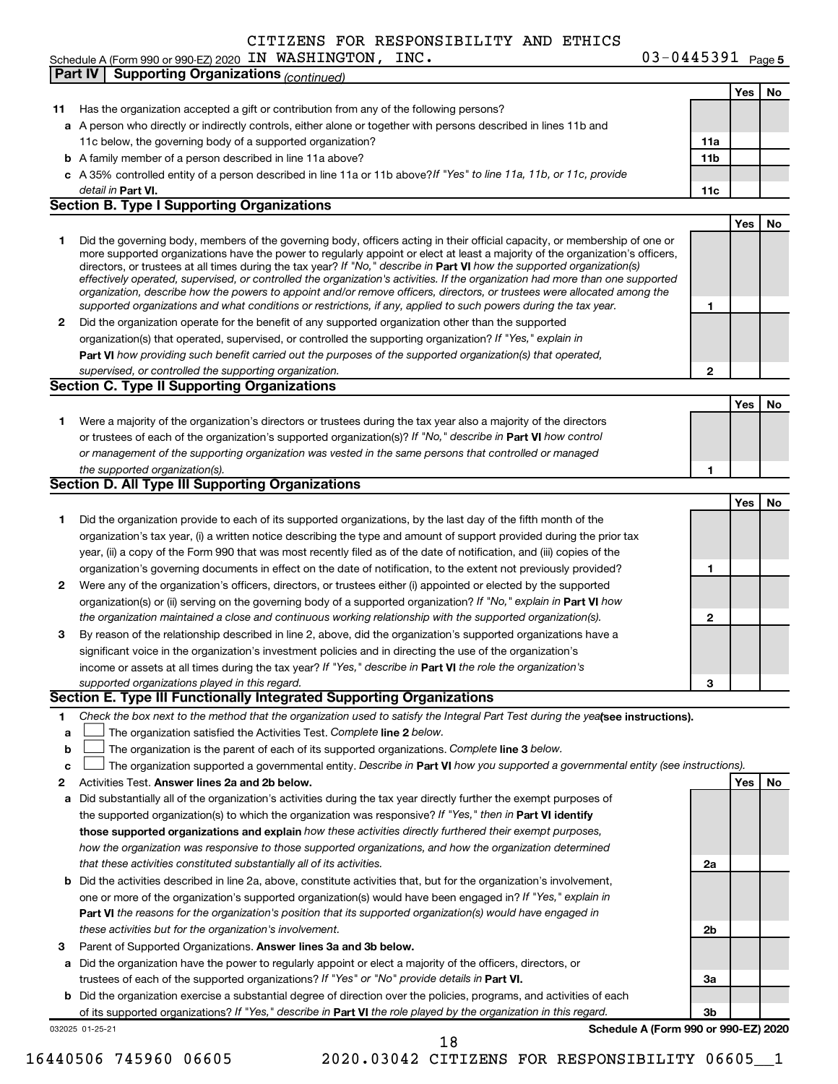**Yes No 11** Has the organization accepted a gift or contribution from any of the following persons? **a** A person who directly or indirectly controls, either alone or together with persons described in lines 11b and **b** A family member of a person described in line 11a above? **c** *If "Yes" to line 11a, 11b, or 11c, provide* A 35% controlled entity of a person described in line 11a or 11b above? **11a 11b Part VI. 11c Yes No 2** Did the organization operate for the benefit of any supported organization other than the supported directors, or trustees at all times during the tax year? If "No," describe in Part VI how the supported organization(s) **1 2 Part VI**  *how providing such benefit carried out the purposes of the supported organization(s) that operated,* **Yes No 1** Were a majority of the organization's directors or trustees during the tax year also a majority of the directors or trustees of each of the organization's supported organization(s)? If "No," describe in Part VI how control **1** *effectively operated, supervised, or controlled the organization's activities. If the organization had more than one supported organization, describe how the powers to appoint and/or remove officers, directors, or trustees were allocated among the supported organizations and what conditions or restrictions, if any, applied to such powers during the tax year.* organization(s) that operated, supervised, or controlled the supporting organization? If "Yes," explain in *supervised, or controlled the supporting organization. or management of the supporting organization was vested in the same persons that controlled or managed the supported organization(s).* Schedule A (Form 990 or 990-EZ) 2020  $\:$  IN WASHINGTON ,  $\:$  INC  $\bullet$   $\quad$   $\qquad$   $\qquad$   $\qquad$   $\qquad$   $\qquad$   $\qquad$   $\qquad$   $\qquad$   $\qquad$   $\qquad$   $\qquad$   $\qquad$   $\qquad$   $\qquad$   $\qquad$   $\qquad$   $\qquad$   $\qquad$   $\qquad$   $\qquad$   $\qquad$   $\qquad$   $\qquad$   $\qquad$   $\$ 11c below, the governing body of a supported organization? Did the governing body, members of the governing body, officers acting in their official capacity, or membership of one or more supported organizations have the power to regularly appoint or elect at least a majority of the organization's officers, **Part IV Supporting Organizations** *(continued)* **Section B. Type I Supporting Organizations Section C. Type II Supporting Organizations**

#### **Section D. All Type III Supporting Organizations**

|              |                                                                                                                        |   | Yes | No |
|--------------|------------------------------------------------------------------------------------------------------------------------|---|-----|----|
|              | Did the organization provide to each of its supported organizations, by the last day of the fifth month of the         |   |     |    |
|              | organization's tax year, (i) a written notice describing the type and amount of support provided during the prior tax  |   |     |    |
|              | year, (ii) a copy of the Form 990 that was most recently filed as of the date of notification, and (iii) copies of the |   |     |    |
|              | organization's governing documents in effect on the date of notification, to the extent not previously provided?       |   |     |    |
| $\mathbf{2}$ | Were any of the organization's officers, directors, or trustees either (i) appointed or elected by the supported       |   |     |    |
|              | organization(s) or (ii) serving on the governing body of a supported organization? If "No," explain in Part VI how     |   |     |    |
|              | the organization maintained a close and continuous working relationship with the supported organization(s).            | 2 |     |    |
| 3            | By reason of the relationship described in line 2, above, did the organization's supported organizations have a        |   |     |    |
|              | significant voice in the organization's investment policies and in directing the use of the organization's             |   |     |    |
|              | income or assets at all times during the tax year? If "Yes," describe in Part VI the role the organization's           |   |     |    |
|              | supported organizations played in this regard.                                                                         | з |     |    |

#### **Section E. Type III Functionally Integrated Supporting Organizations**

|  | Check the box next to the method that the organization used to satisfy the Integral Part Test during the yealsee instructions). |  |  |
|--|---------------------------------------------------------------------------------------------------------------------------------|--|--|
|--|---------------------------------------------------------------------------------------------------------------------------------|--|--|

- **a** The organization satisfied the Activities Test. Complete line 2 below.  $\Box$
- **b** The organization is the parent of each of its supported organizations. Complete line 3 below.  $\Box$
- **c** The organization supported a governmental entity. Describe in Part VI how you supported a governmental entity (see instructions).  $\Box$
- **2 Answer lines 2a and 2b below. Yes No** Activities Test.
- **a** Did substantially all of the organization's activities during the tax year directly further the exempt purposes of the supported organization(s) to which the organization was responsive? If "Yes," then in Part VI identify **those supported organizations and explain**  *how these activities directly furthered their exempt purposes, how the organization was responsive to those supported organizations, and how the organization determined that these activities constituted substantially all of its activities.*
- **b** Did the activities described in line 2a, above, constitute activities that, but for the organization's involvement, **Part VI**  *the reasons for the organization's position that its supported organization(s) would have engaged in* one or more of the organization's supported organization(s) would have been engaged in? If "Yes," explain in *these activities but for the organization's involvement.*
- 3 Parent of Supported Organizations. Answer lines 3a and 3b below.
- **a** Did the organization have the power to regularly appoint or elect a majority of the officers, directors, or trustees of each of the supported organizations? If "Yes" or "No" provide details in Part VI.
- **b** Did the organization exercise a substantial degree of direction over the policies, programs, and activities of each of its supported organizations? If "Yes," describe in Part VI the role played by the organization in this regard.

032025 01-25-21

**1**

detail in Part VI.

**Schedule A (Form 990 or 990-EZ) 2020**

**2a**

**2b**

**3a**

**3b**

18

16440506 745960 06605 2020.03042 CITIZENS FOR RESPONSIBILITY 06605\_\_1

| $-$ |  |
|-----|--|
|     |  |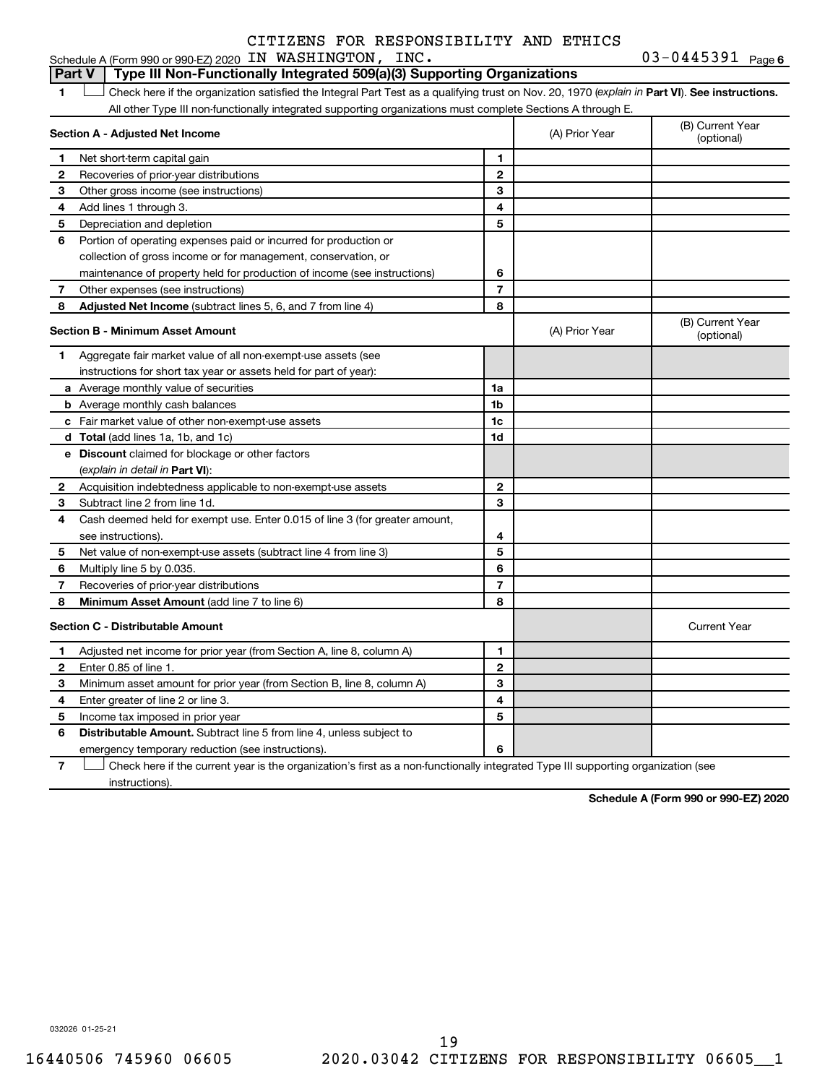#### 03-0445391 Page 6 **1 Part VI** Check here if the organization satisfied the Integral Part Test as a qualifying trust on Nov. 20, 1970 (*explain in* Part **VI**). See instructions. **Section A - Adjusted Net Income 1 2 3 4 5 6 7 8 1 2 3 4 5 6 7 Adjusted Net Income** (subtract lines 5, 6, and 7 from line 4) **8 8 Section B - Minimum Asset Amount 1 2 3 4 5 6 7 8 a** Average monthly value of securities **b** Average monthly cash balances **c** Fair market value of other non-exempt-use assets **d Total**  (add lines 1a, 1b, and 1c) **e Discount** claimed for blockage or other factors **1a 1b 1c 1d 2 3 4 5 6 7 8** (explain in detail in Part VI): **Minimum Asset Amount**  (add line 7 to line 6) **Section C - Distributable Amount 1 2 3 4 5 1 2 3 4 5** Schedule A (Form 990 or 990-EZ) 2020  $\:$  IN WASHINGTON ,  $\:$  INC  $\bullet$   $\quad$   $\qquad$   $\qquad$   $\qquad$   $\qquad$   $\qquad$   $\qquad$   $\qquad$   $\qquad$   $\qquad$   $\qquad$   $\qquad$   $\qquad$   $\qquad$   $\qquad$   $\qquad$   $\qquad$   $\qquad$   $\qquad$   $\qquad$   $\qquad$   $\qquad$   $\qquad$   $\qquad$   $\qquad$   $\$ All other Type III non-functionally integrated supporting organizations must complete Sections A through E. (B) Current Year (A) Prior Year Net short-term capital gain Recoveries of prior-year distributions Other gross income (see instructions) Add lines 1 through 3. Depreciation and depletion Portion of operating expenses paid or incurred for production or collection of gross income or for management, conservation, or maintenance of property held for production of income (see instructions) Other expenses (see instructions) (B) Current Year  $(A)$  Prior Year  $\left\{\n\begin{array}{ccc}\n\end{array}\n\right\}$  (optional) Aggregate fair market value of all non-exempt-use assets (see instructions for short tax year or assets held for part of year): Acquisition indebtedness applicable to non-exempt-use assets Subtract line 2 from line 1d. Cash deemed held for exempt use. Enter 0.015 of line 3 (for greater amount, see instructions). Net value of non-exempt-use assets (subtract line 4 from line 3) Multiply line 5 by 0.035. Recoveries of prior-year distributions Current Year Adjusted net income for prior year (from Section A, line 8, column A) Enter 0.85 of line 1. Minimum asset amount for prior year (from Section B, line 8, column A) Enter greater of line 2 or line 3. Income tax imposed in prior year **Part V Type III Non-Functionally Integrated 509(a)(3) Supporting Organizations**   $\Box$

**7 6** emergency temporary reduction (see instructions). Check here if the current year is the organization's first as a non-functionally integrated Type III supporting organization (see † instructions).

Distributable Amount. Subtract line 5 from line 4, unless subject to

**Schedule A (Form 990 or 990-EZ) 2020**

032026 01-25-21

**6**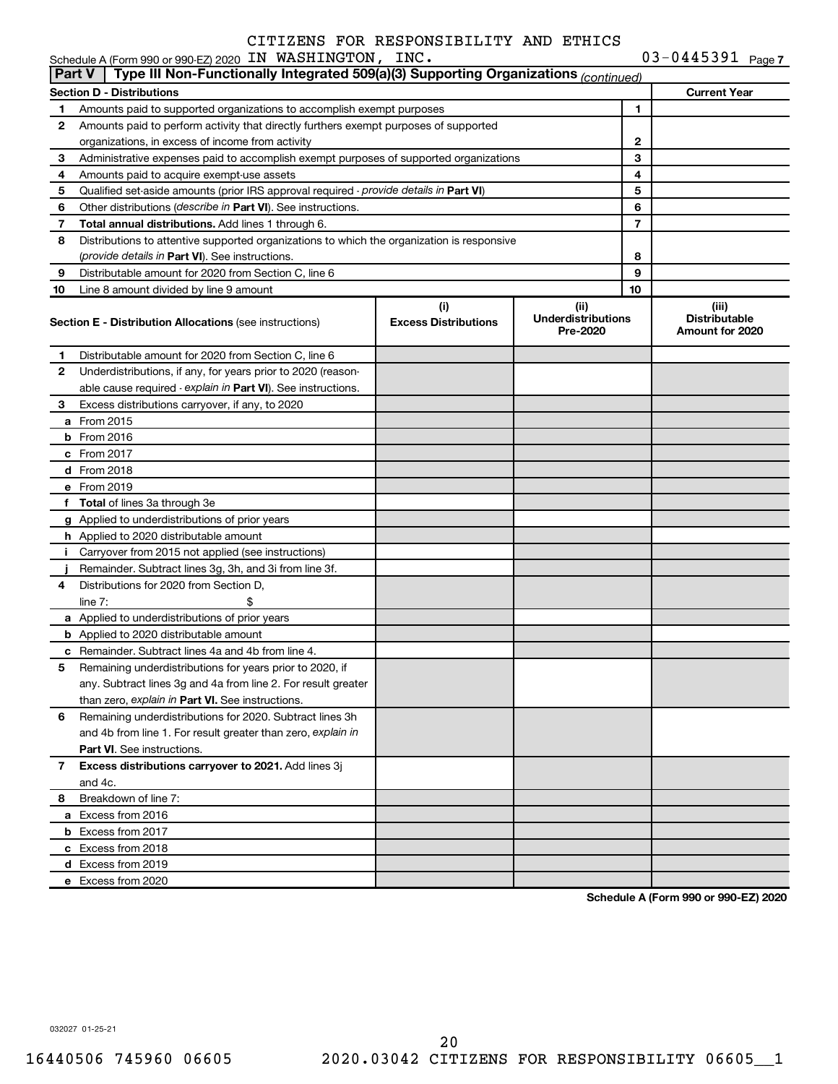|               | Schedule A (Form 990 or 990-EZ) 2020 IN WASHINGTON, INC.                                   |                                    |                                               |              | $03 - 0445391$ Page 7                            |  |
|---------------|--------------------------------------------------------------------------------------------|------------------------------------|-----------------------------------------------|--------------|--------------------------------------------------|--|
| <b>Part V</b> | Type III Non-Functionally Integrated 509(a)(3) Supporting Organizations (continued)        |                                    |                                               |              |                                                  |  |
|               | <b>Section D - Distributions</b>                                                           |                                    |                                               |              | <b>Current Year</b>                              |  |
| 1             | Amounts paid to supported organizations to accomplish exempt purposes                      |                                    |                                               | 1            |                                                  |  |
| 2             | Amounts paid to perform activity that directly furthers exempt purposes of supported       |                                    |                                               |              |                                                  |  |
|               | organizations, in excess of income from activity                                           |                                    |                                               | $\mathbf{2}$ |                                                  |  |
| 3             | Administrative expenses paid to accomplish exempt purposes of supported organizations      |                                    |                                               | 3            |                                                  |  |
| 4             | Amounts paid to acquire exempt-use assets                                                  |                                    |                                               | 4            |                                                  |  |
| 5             | Qualified set-aside amounts (prior IRS approval required - provide details in Part VI)     |                                    |                                               | 5            |                                                  |  |
| 6             | Other distributions (describe in Part VI). See instructions.                               |                                    |                                               | 6            |                                                  |  |
| 7             | Total annual distributions. Add lines 1 through 6.                                         |                                    |                                               | 7            |                                                  |  |
| 8             | Distributions to attentive supported organizations to which the organization is responsive |                                    |                                               |              |                                                  |  |
|               | (provide details in Part VI). See instructions.                                            |                                    |                                               | 8            |                                                  |  |
| 9             | Distributable amount for 2020 from Section C, line 6                                       |                                    |                                               | 9            |                                                  |  |
| 10            | Line 8 amount divided by line 9 amount                                                     |                                    |                                               | 10           |                                                  |  |
|               | <b>Section E - Distribution Allocations (see instructions)</b>                             | (i)<br><b>Excess Distributions</b> | (ii)<br><b>Underdistributions</b><br>Pre-2020 |              | (iii)<br><b>Distributable</b><br>Amount for 2020 |  |
| 1             | Distributable amount for 2020 from Section C, line 6                                       |                                    |                                               |              |                                                  |  |
| 2             | Underdistributions, if any, for years prior to 2020 (reason-                               |                                    |                                               |              |                                                  |  |
|               | able cause required - explain in Part VI). See instructions.                               |                                    |                                               |              |                                                  |  |
| 3             | Excess distributions carryover, if any, to 2020                                            |                                    |                                               |              |                                                  |  |
|               | a From 2015                                                                                |                                    |                                               |              |                                                  |  |
|               | <b>b</b> From 2016                                                                         |                                    |                                               |              |                                                  |  |
|               | c From 2017                                                                                |                                    |                                               |              |                                                  |  |
|               | <b>d</b> From 2018                                                                         |                                    |                                               |              |                                                  |  |
|               | e From 2019                                                                                |                                    |                                               |              |                                                  |  |
|               | f Total of lines 3a through 3e                                                             |                                    |                                               |              |                                                  |  |
|               | g Applied to underdistributions of prior years                                             |                                    |                                               |              |                                                  |  |
|               | h Applied to 2020 distributable amount                                                     |                                    |                                               |              |                                                  |  |
|               | i Carryover from 2015 not applied (see instructions)                                       |                                    |                                               |              |                                                  |  |
|               | Remainder. Subtract lines 3g, 3h, and 3i from line 3f.                                     |                                    |                                               |              |                                                  |  |
| 4             | Distributions for 2020 from Section D,                                                     |                                    |                                               |              |                                                  |  |
|               | line $7:$                                                                                  |                                    |                                               |              |                                                  |  |
|               | a Applied to underdistributions of prior years                                             |                                    |                                               |              |                                                  |  |
|               | <b>b</b> Applied to 2020 distributable amount                                              |                                    |                                               |              |                                                  |  |
|               | c Remainder. Subtract lines 4a and 4b from line 4.                                         |                                    |                                               |              |                                                  |  |
|               | 5 Remaining underdistributions for years prior to 2020, if                                 |                                    |                                               |              |                                                  |  |
|               | any. Subtract lines 3g and 4a from line 2. For result greater                              |                                    |                                               |              |                                                  |  |
|               | than zero, explain in Part VI. See instructions.                                           |                                    |                                               |              |                                                  |  |
| 6             | Remaining underdistributions for 2020. Subtract lines 3h                                   |                                    |                                               |              |                                                  |  |
|               | and 4b from line 1. For result greater than zero, explain in                               |                                    |                                               |              |                                                  |  |
|               | <b>Part VI.</b> See instructions.                                                          |                                    |                                               |              |                                                  |  |
| 7             | Excess distributions carryover to 2021. Add lines 3j                                       |                                    |                                               |              |                                                  |  |
|               | and 4c.                                                                                    |                                    |                                               |              |                                                  |  |
| 8             | Breakdown of line 7:                                                                       |                                    |                                               |              |                                                  |  |
|               | a Excess from 2016                                                                         |                                    |                                               |              |                                                  |  |
|               | <b>b</b> Excess from 2017                                                                  |                                    |                                               |              |                                                  |  |
|               | c Excess from 2018                                                                         |                                    |                                               |              |                                                  |  |
|               | d Excess from 2019                                                                         |                                    |                                               |              |                                                  |  |
|               | e Excess from 2020                                                                         |                                    |                                               |              |                                                  |  |
|               |                                                                                            |                                    |                                               |              |                                                  |  |

**Schedule A (Form 990 or 990-EZ) 2020**

032027 01-25-21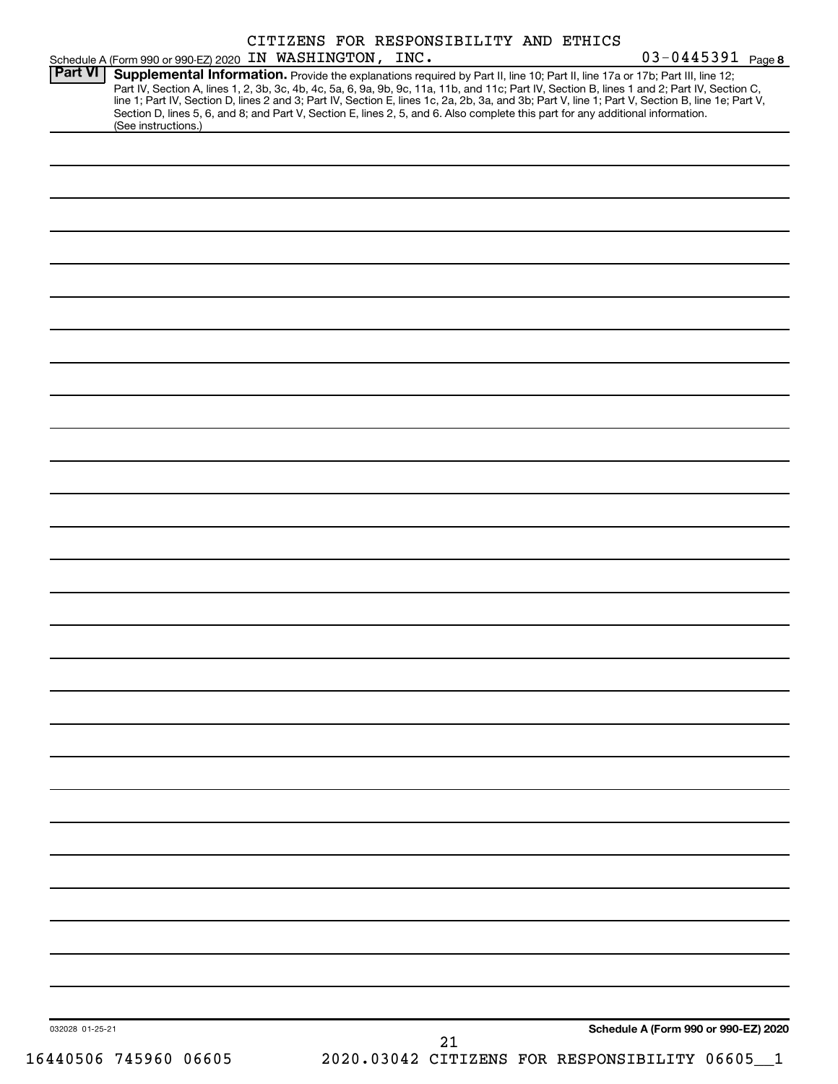|                 | Schedule A (Form 990 or 990-EZ) 2020 IN WASHINGTON, INC.                                                                                               |  |  | CITIZENS FOR RESPONSIBILITY AND ETHICS |  | 03-0445391 Page 8                                                                                                                                                                                                                                                                                                                                                                                                                 |
|-----------------|--------------------------------------------------------------------------------------------------------------------------------------------------------|--|--|----------------------------------------|--|-----------------------------------------------------------------------------------------------------------------------------------------------------------------------------------------------------------------------------------------------------------------------------------------------------------------------------------------------------------------------------------------------------------------------------------|
| <b>Part VI</b>  | Section D, lines 5, 6, and 8; and Part V, Section E, lines 2, 5, and 6. Also complete this part for any additional information.<br>(See instructions.) |  |  |                                        |  | Supplemental Information. Provide the explanations required by Part II, line 10; Part II, line 17a or 17b; Part III, line 12;<br>Part IV, Section A, lines 1, 2, 3b, 3c, 4b, 4c, 5a, 6, 9a, 9b, 9c, 11a, 11b, and 11c; Part IV, Section B, lines 1 and 2; Part IV, Section C,<br>line 1; Part IV, Section D, lines 2 and 3; Part IV, Section E, lines 1c, 2a, 2b, 3a, and 3b; Part V, line 1; Part V, Section B, line 1e; Part V, |
|                 |                                                                                                                                                        |  |  |                                        |  |                                                                                                                                                                                                                                                                                                                                                                                                                                   |
|                 |                                                                                                                                                        |  |  |                                        |  |                                                                                                                                                                                                                                                                                                                                                                                                                                   |
|                 |                                                                                                                                                        |  |  |                                        |  |                                                                                                                                                                                                                                                                                                                                                                                                                                   |
|                 |                                                                                                                                                        |  |  |                                        |  |                                                                                                                                                                                                                                                                                                                                                                                                                                   |
|                 |                                                                                                                                                        |  |  |                                        |  |                                                                                                                                                                                                                                                                                                                                                                                                                                   |
|                 |                                                                                                                                                        |  |  |                                        |  |                                                                                                                                                                                                                                                                                                                                                                                                                                   |
|                 |                                                                                                                                                        |  |  |                                        |  |                                                                                                                                                                                                                                                                                                                                                                                                                                   |
|                 |                                                                                                                                                        |  |  |                                        |  |                                                                                                                                                                                                                                                                                                                                                                                                                                   |
|                 |                                                                                                                                                        |  |  |                                        |  |                                                                                                                                                                                                                                                                                                                                                                                                                                   |
|                 |                                                                                                                                                        |  |  |                                        |  |                                                                                                                                                                                                                                                                                                                                                                                                                                   |
|                 |                                                                                                                                                        |  |  |                                        |  |                                                                                                                                                                                                                                                                                                                                                                                                                                   |
|                 |                                                                                                                                                        |  |  |                                        |  |                                                                                                                                                                                                                                                                                                                                                                                                                                   |
|                 |                                                                                                                                                        |  |  |                                        |  |                                                                                                                                                                                                                                                                                                                                                                                                                                   |
|                 |                                                                                                                                                        |  |  |                                        |  |                                                                                                                                                                                                                                                                                                                                                                                                                                   |
|                 |                                                                                                                                                        |  |  |                                        |  |                                                                                                                                                                                                                                                                                                                                                                                                                                   |
|                 |                                                                                                                                                        |  |  |                                        |  |                                                                                                                                                                                                                                                                                                                                                                                                                                   |
|                 |                                                                                                                                                        |  |  |                                        |  |                                                                                                                                                                                                                                                                                                                                                                                                                                   |
|                 |                                                                                                                                                        |  |  |                                        |  |                                                                                                                                                                                                                                                                                                                                                                                                                                   |
|                 |                                                                                                                                                        |  |  |                                        |  |                                                                                                                                                                                                                                                                                                                                                                                                                                   |
|                 |                                                                                                                                                        |  |  |                                        |  |                                                                                                                                                                                                                                                                                                                                                                                                                                   |
|                 |                                                                                                                                                        |  |  |                                        |  |                                                                                                                                                                                                                                                                                                                                                                                                                                   |
|                 |                                                                                                                                                        |  |  |                                        |  |                                                                                                                                                                                                                                                                                                                                                                                                                                   |
|                 |                                                                                                                                                        |  |  |                                        |  |                                                                                                                                                                                                                                                                                                                                                                                                                                   |
|                 |                                                                                                                                                        |  |  |                                        |  |                                                                                                                                                                                                                                                                                                                                                                                                                                   |
|                 |                                                                                                                                                        |  |  |                                        |  |                                                                                                                                                                                                                                                                                                                                                                                                                                   |
|                 |                                                                                                                                                        |  |  |                                        |  | Schedule A (Form 990 or 990-EZ) 2020                                                                                                                                                                                                                                                                                                                                                                                              |
| 032028 01-25-21 | 16440506 745960 06605                                                                                                                                  |  |  | 21                                     |  | 2020.03042 CITIZENS FOR RESPONSIBILITY 06605_1                                                                                                                                                                                                                                                                                                                                                                                    |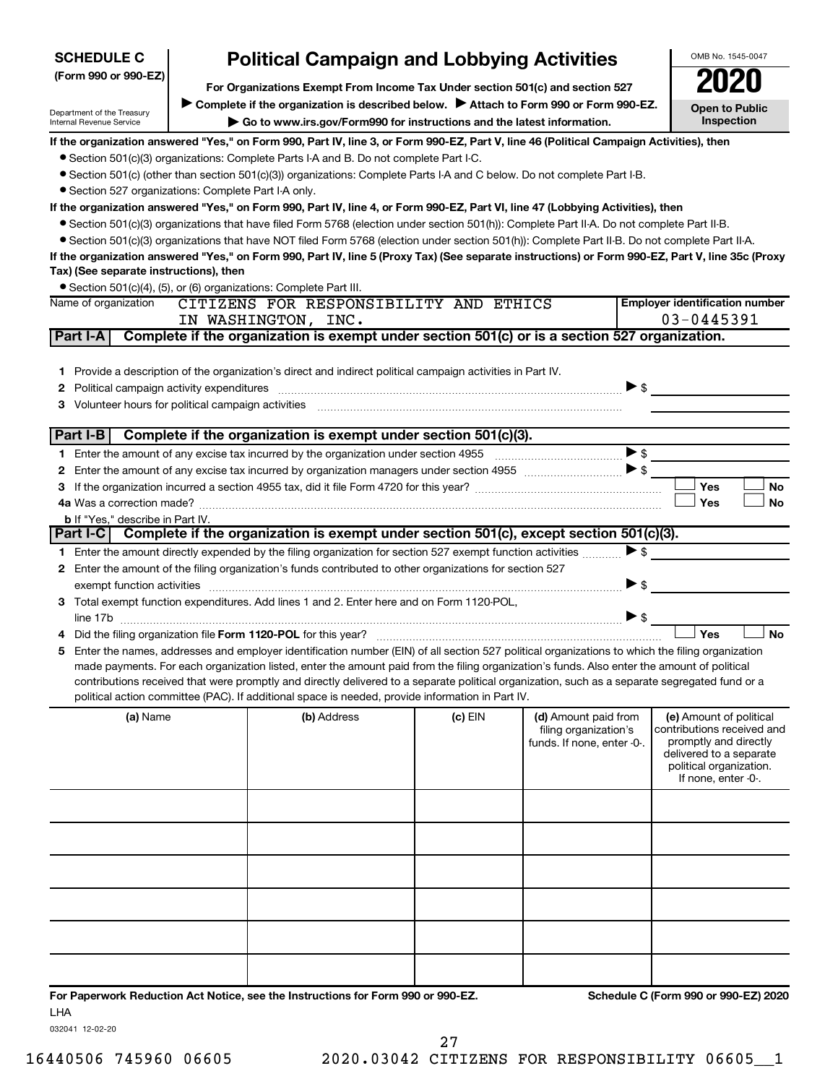| <b>SCHEDULE C</b>                                      |                                                      | <b>Political Campaign and Lobbying Activities</b>                                                                                                                                                                              |           |                                                     |                          | OMB No. 1545-0047                                   |  |  |  |  |  |
|--------------------------------------------------------|------------------------------------------------------|--------------------------------------------------------------------------------------------------------------------------------------------------------------------------------------------------------------------------------|-----------|-----------------------------------------------------|--------------------------|-----------------------------------------------------|--|--|--|--|--|
| (Form 990 or 990-EZ)                                   |                                                      | For Organizations Exempt From Income Tax Under section 501(c) and section 527                                                                                                                                                  |           |                                                     |                          |                                                     |  |  |  |  |  |
|                                                        |                                                      | Complete if the organization is described below. > Attach to Form 990 or Form 990-EZ.                                                                                                                                          |           |                                                     |                          | <b>Open to Public</b>                               |  |  |  |  |  |
| Department of the Treasury<br>Internal Revenue Service |                                                      | Go to www.irs.gov/Form990 for instructions and the latest information.                                                                                                                                                         |           |                                                     |                          | Inspection                                          |  |  |  |  |  |
|                                                        |                                                      | If the organization answered "Yes," on Form 990, Part IV, line 3, or Form 990-EZ, Part V, line 46 (Political Campaign Activities), then                                                                                        |           |                                                     |                          |                                                     |  |  |  |  |  |
|                                                        |                                                      | • Section 501(c)(3) organizations: Complete Parts I-A and B. Do not complete Part I-C.                                                                                                                                         |           |                                                     |                          |                                                     |  |  |  |  |  |
|                                                        |                                                      | • Section 501(c) (other than section 501(c)(3)) organizations: Complete Parts I-A and C below. Do not complete Part I-B.                                                                                                       |           |                                                     |                          |                                                     |  |  |  |  |  |
|                                                        | • Section 527 organizations: Complete Part I-A only. |                                                                                                                                                                                                                                |           |                                                     |                          |                                                     |  |  |  |  |  |
|                                                        |                                                      | If the organization answered "Yes," on Form 990, Part IV, line 4, or Form 990-EZ, Part VI, line 47 (Lobbying Activities), then                                                                                                 |           |                                                     |                          |                                                     |  |  |  |  |  |
|                                                        |                                                      | ● Section 501(c)(3) organizations that have filed Form 5768 (election under section 501(h)): Complete Part II-A. Do not complete Part II-B.                                                                                    |           |                                                     |                          |                                                     |  |  |  |  |  |
|                                                        |                                                      | • Section 501(c)(3) organizations that have NOT filed Form 5768 (election under section 501(h)): Complete Part II-B. Do not complete Part II-A.                                                                                |           |                                                     |                          |                                                     |  |  |  |  |  |
|                                                        |                                                      | If the organization answered "Yes," on Form 990, Part IV, line 5 (Proxy Tax) (See separate instructions) or Form 990-EZ, Part V, line 35c (Proxy                                                                               |           |                                                     |                          |                                                     |  |  |  |  |  |
| Tax) (See separate instructions), then                 |                                                      |                                                                                                                                                                                                                                |           |                                                     |                          |                                                     |  |  |  |  |  |
| Name of organization                                   |                                                      | • Section 501(c)(4), (5), or (6) organizations: Complete Part III.<br>CITIZENS FOR RESPONSIBILITY AND ETHICS                                                                                                                   |           |                                                     |                          | <b>Employer identification number</b>               |  |  |  |  |  |
|                                                        |                                                      | IN WASHINGTON, INC.                                                                                                                                                                                                            |           |                                                     |                          | 03-0445391                                          |  |  |  |  |  |
| Part I-A                                               |                                                      | Complete if the organization is exempt under section 501(c) or is a section 527 organization.                                                                                                                                  |           |                                                     |                          |                                                     |  |  |  |  |  |
|                                                        |                                                      |                                                                                                                                                                                                                                |           |                                                     |                          |                                                     |  |  |  |  |  |
|                                                        |                                                      | 1 Provide a description of the organization's direct and indirect political campaign activities in Part IV.                                                                                                                    |           |                                                     |                          |                                                     |  |  |  |  |  |
| 2                                                      |                                                      | Political campaign activity expenditures [111] production and all productions are political campaign activity expenditures [11] production and all productions and all productions are political campaign activity expenditure |           |                                                     | $\triangleright$ \$      |                                                     |  |  |  |  |  |
| 3 Volunteer hours for political campaign activities    |                                                      |                                                                                                                                                                                                                                |           |                                                     |                          |                                                     |  |  |  |  |  |
|                                                        |                                                      |                                                                                                                                                                                                                                |           |                                                     |                          |                                                     |  |  |  |  |  |
| Part I-B                                               |                                                      | Complete if the organization is exempt under section 501(c)(3).                                                                                                                                                                |           |                                                     |                          |                                                     |  |  |  |  |  |
|                                                        |                                                      |                                                                                                                                                                                                                                |           |                                                     | >                        |                                                     |  |  |  |  |  |
|                                                        |                                                      |                                                                                                                                                                                                                                |           |                                                     |                          |                                                     |  |  |  |  |  |
|                                                        |                                                      |                                                                                                                                                                                                                                |           |                                                     |                          | Yes<br>No                                           |  |  |  |  |  |
|                                                        |                                                      |                                                                                                                                                                                                                                |           |                                                     |                          | Yes<br>No                                           |  |  |  |  |  |
| <b>b</b> If "Yes," describe in Part IV.                |                                                      | Part I-C Complete if the organization is exempt under section 501(c), except section 501(c)(3).                                                                                                                                |           |                                                     |                          |                                                     |  |  |  |  |  |
|                                                        |                                                      |                                                                                                                                                                                                                                |           |                                                     | $\triangleright$ \$      |                                                     |  |  |  |  |  |
|                                                        |                                                      | 1 Enter the amount directly expended by the filing organization for section 527 exempt function activities<br>2 Enter the amount of the filing organization's funds contributed to other organizations for section 527         |           |                                                     |                          |                                                     |  |  |  |  |  |
| exempt function activities                             |                                                      |                                                                                                                                                                                                                                |           |                                                     | ► \$                     |                                                     |  |  |  |  |  |
|                                                        |                                                      | 3 Total exempt function expenditures. Add lines 1 and 2. Enter here and on Form 1120-POL,                                                                                                                                      |           |                                                     |                          |                                                     |  |  |  |  |  |
|                                                        |                                                      |                                                                                                                                                                                                                                |           |                                                     | $\blacktriangleright$ \$ |                                                     |  |  |  |  |  |
|                                                        |                                                      | Did the filing organization file Form 1120-POL for this year?                                                                                                                                                                  |           |                                                     |                          | <b>No</b><br>Yes                                    |  |  |  |  |  |
|                                                        |                                                      | 5 Enter the names, addresses and employer identification number (EIN) of all section 527 political organizations to which the filing organization                                                                              |           |                                                     |                          |                                                     |  |  |  |  |  |
|                                                        |                                                      | made payments. For each organization listed, enter the amount paid from the filing organization's funds. Also enter the amount of political                                                                                    |           |                                                     |                          |                                                     |  |  |  |  |  |
|                                                        |                                                      | contributions received that were promptly and directly delivered to a separate political organization, such as a separate segregated fund or a                                                                                 |           |                                                     |                          |                                                     |  |  |  |  |  |
|                                                        |                                                      | political action committee (PAC). If additional space is needed, provide information in Part IV.                                                                                                                               |           |                                                     |                          |                                                     |  |  |  |  |  |
| (a) Name                                               |                                                      | (b) Address                                                                                                                                                                                                                    | $(c)$ EIN | (d) Amount paid from                                |                          | (e) Amount of political                             |  |  |  |  |  |
|                                                        |                                                      |                                                                                                                                                                                                                                |           | filing organization's<br>funds. If none, enter -0-. |                          | contributions received and<br>promptly and directly |  |  |  |  |  |
|                                                        |                                                      |                                                                                                                                                                                                                                |           |                                                     |                          | delivered to a separate                             |  |  |  |  |  |
|                                                        |                                                      |                                                                                                                                                                                                                                |           |                                                     |                          | political organization.                             |  |  |  |  |  |
|                                                        |                                                      |                                                                                                                                                                                                                                |           |                                                     |                          | If none, enter -0-.                                 |  |  |  |  |  |
|                                                        |                                                      |                                                                                                                                                                                                                                |           |                                                     |                          |                                                     |  |  |  |  |  |
|                                                        |                                                      |                                                                                                                                                                                                                                |           |                                                     |                          |                                                     |  |  |  |  |  |
|                                                        |                                                      |                                                                                                                                                                                                                                |           |                                                     |                          |                                                     |  |  |  |  |  |
|                                                        |                                                      |                                                                                                                                                                                                                                |           |                                                     |                          |                                                     |  |  |  |  |  |
|                                                        |                                                      |                                                                                                                                                                                                                                |           |                                                     |                          |                                                     |  |  |  |  |  |
|                                                        |                                                      |                                                                                                                                                                                                                                |           |                                                     |                          |                                                     |  |  |  |  |  |
|                                                        |                                                      |                                                                                                                                                                                                                                |           |                                                     |                          |                                                     |  |  |  |  |  |
|                                                        |                                                      |                                                                                                                                                                                                                                |           |                                                     |                          |                                                     |  |  |  |  |  |
|                                                        |                                                      |                                                                                                                                                                                                                                |           |                                                     |                          |                                                     |  |  |  |  |  |
|                                                        |                                                      |                                                                                                                                                                                                                                |           |                                                     |                          |                                                     |  |  |  |  |  |
|                                                        |                                                      |                                                                                                                                                                                                                                |           |                                                     |                          |                                                     |  |  |  |  |  |

**For Paperwork Reduction Act Notice, see the Instructions for Form 990 or 990-EZ. Schedule C (Form 990 or 990-EZ) 2020** LHA

032041 12-02-20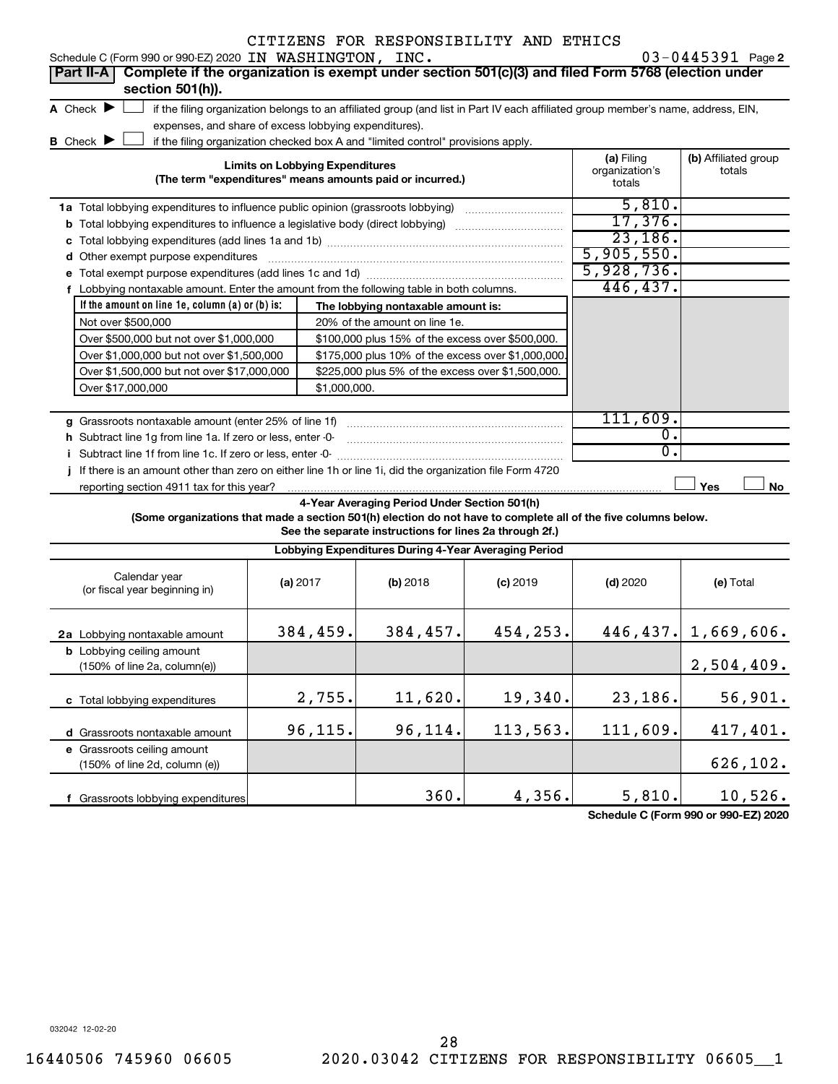| Schedule C (Form 990 or 990-EZ) 2020 IN WASHINGTON, INC.                                                                                             |                                                       | CITIZENS FOR RESPONSIBILITY AND ETHICS                                                                                            |            |                          | $03 - 0445391$ Page 2  |
|------------------------------------------------------------------------------------------------------------------------------------------------------|-------------------------------------------------------|-----------------------------------------------------------------------------------------------------------------------------------|------------|--------------------------|------------------------|
| Complete if the organization is exempt under section 501(c)(3) and filed Form 5768 (election under<br>Part II-A<br>section 501(h)).                  |                                                       |                                                                                                                                   |            |                          |                        |
| A Check $\blacktriangleright$                                                                                                                        |                                                       |                                                                                                                                   |            |                          |                        |
|                                                                                                                                                      | expenses, and share of excess lobbying expenditures). | if the filing organization belongs to an affiliated group (and list in Part IV each affiliated group member's name, address, EIN, |            |                          |                        |
| B Check $\blacktriangleright$                                                                                                                        |                                                       | if the filing organization checked box A and "limited control" provisions apply.                                                  |            |                          |                        |
|                                                                                                                                                      |                                                       |                                                                                                                                   |            | (a) Filing               | (b) Affiliated group   |
|                                                                                                                                                      | <b>Limits on Lobbying Expenditures</b>                | (The term "expenditures" means amounts paid or incurred.)                                                                         |            | organization's<br>totals | totals                 |
| 1a Total lobbying expenditures to influence public opinion (grassroots lobbying)                                                                     |                                                       |                                                                                                                                   |            | 5,810.                   |                        |
| <b>b</b> Total lobbying expenditures to influence a legislative body (direct lobbying) <i>manumumumum</i>                                            |                                                       | 17,376.                                                                                                                           |            |                          |                        |
| с                                                                                                                                                    |                                                       |                                                                                                                                   |            | 23,186.                  |                        |
| Other exempt purpose expenditures                                                                                                                    |                                                       |                                                                                                                                   |            | 5,905,550.               |                        |
|                                                                                                                                                      |                                                       |                                                                                                                                   |            | 5,928,736.               |                        |
| f Lobbying nontaxable amount. Enter the amount from the following table in both columns.                                                             |                                                       | 446,437.                                                                                                                          |            |                          |                        |
| If the amount on line 1e, column (a) or (b) is:                                                                                                      |                                                       | The lobbying nontaxable amount is:                                                                                                |            |                          |                        |
| Not over \$500,000                                                                                                                                   |                                                       | 20% of the amount on line 1e.                                                                                                     |            |                          |                        |
| Over \$500,000 but not over \$1,000,000                                                                                                              |                                                       | \$100,000 plus 15% of the excess over \$500,000.                                                                                  |            |                          |                        |
| Over \$1,000,000 but not over \$1,500,000                                                                                                            |                                                       | \$175,000 plus 10% of the excess over \$1,000,000                                                                                 |            |                          |                        |
| Over \$1,500,000 but not over \$17,000,000                                                                                                           |                                                       | \$225,000 plus 5% of the excess over \$1,500,000.                                                                                 |            |                          |                        |
| Over \$17,000,000                                                                                                                                    | \$1,000,000.                                          |                                                                                                                                   |            |                          |                        |
|                                                                                                                                                      |                                                       |                                                                                                                                   |            |                          |                        |
| g Grassroots nontaxable amount (enter 25% of line 1f)                                                                                                |                                                       | 111,609.                                                                                                                          |            |                          |                        |
| h Subtract line 1g from line 1a. If zero or less, enter -0-                                                                                          |                                                       |                                                                                                                                   |            | $\mathbf{0}$ .           |                        |
| i Subtract line 1f from line 1c. If zero or less, enter -0-                                                                                          |                                                       |                                                                                                                                   |            | 0.                       |                        |
| If there is an amount other than zero on either line 1h or line 1i, did the organization file Form 4720<br>reporting section 4911 tax for this year? |                                                       |                                                                                                                                   |            |                          | Yes<br>No              |
| (Some organizations that made a section 501(h) election do not have to complete all of the five columns below.                                       |                                                       | 4-Year Averaging Period Under Section 501(h)<br>See the separate instructions for lines 2a through 2f.)                           |            |                          |                        |
|                                                                                                                                                      |                                                       | Lobbying Expenditures During 4-Year Averaging Period                                                                              |            |                          |                        |
| Calendar year<br>(or fiscal year beginning in)                                                                                                       | (a) $2017$                                            | $(b)$ 2018                                                                                                                        | $(c)$ 2019 | $(d)$ 2020               | (e) Total              |
| <b>2a</b> Lobbying nontaxable amount                                                                                                                 | 384,459.                                              | 384, 457.                                                                                                                         | 454, 253.  |                          | $446, 437.$ 1,669,606. |
| <b>b</b> Lobbying ceiling amount<br>(150% of line 2a, column(e))                                                                                     |                                                       |                                                                                                                                   |            |                          | 2,504,409.             |
| c Total lobbying expenditures                                                                                                                        | 2,755.                                                | 11,620.                                                                                                                           | 19,340.    | 23,186.                  | 56,901.                |
| d Grassroots nontaxable amount                                                                                                                       | 96,115.                                               | 96,114.                                                                                                                           | 113,563.   | 111,609.                 | 417,401.               |
| e Grassroots ceiling amount<br>(150% of line 2d, column (e))                                                                                         |                                                       |                                                                                                                                   |            |                          | 626,102.               |
| f Grassroots lobbying expenditures                                                                                                                   |                                                       | 360.                                                                                                                              | 4,356.     | 5,810.                   | 10,526.                |

**Schedule C (Form 990 or 990-EZ) 2020**

032042 12-02-20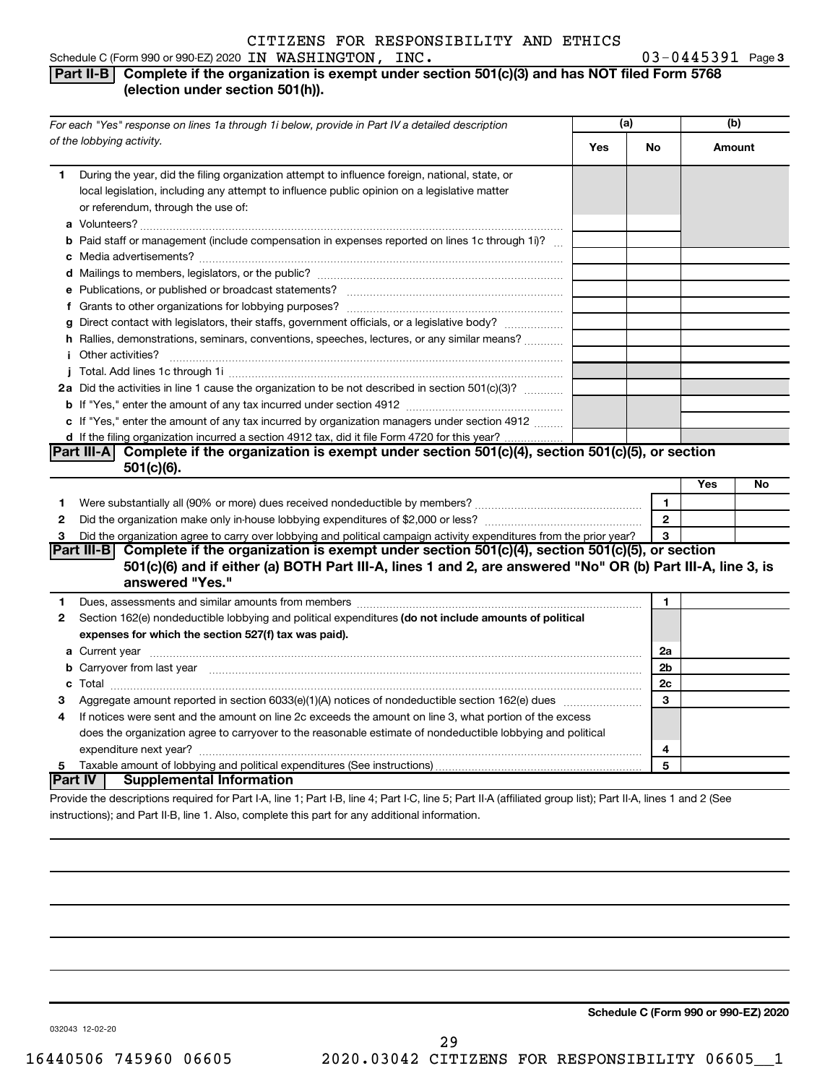#### Schedule C (Form 990 or 990-EZ) 2020 Page IN WASHINGTON, INC. 03-0445391

#### 03-0445391 Page 3

### **Part II-B Complete if the organization is exempt under section 501(c)(3) and has NOT filed Form 5768 (election under section 501(h)).**

|    | For each "Yes" response on lines 1a through 1i below, provide in Part IV a detailed description                                                                                                                                            |     | (a)            |     | (b)    |  |
|----|--------------------------------------------------------------------------------------------------------------------------------------------------------------------------------------------------------------------------------------------|-----|----------------|-----|--------|--|
|    | of the lobbying activity.                                                                                                                                                                                                                  | Yes | No             |     | Amount |  |
| 1. | During the year, did the filing organization attempt to influence foreign, national, state, or<br>local legislation, including any attempt to influence public opinion on a legislative matter<br>or referendum, through the use of:       |     |                |     |        |  |
|    | <b>b</b> Paid staff or management (include compensation in expenses reported on lines 1c through 1i)?                                                                                                                                      |     |                |     |        |  |
|    |                                                                                                                                                                                                                                            |     |                |     |        |  |
|    |                                                                                                                                                                                                                                            |     |                |     |        |  |
|    |                                                                                                                                                                                                                                            |     |                |     |        |  |
|    | g Direct contact with legislators, their staffs, government officials, or a legislative body?                                                                                                                                              |     |                |     |        |  |
|    | h Rallies, demonstrations, seminars, conventions, speeches, lectures, or any similar means?                                                                                                                                                |     |                |     |        |  |
|    | <i>i</i> Other activities?                                                                                                                                                                                                                 |     |                |     |        |  |
|    |                                                                                                                                                                                                                                            |     |                |     |        |  |
|    | 2a Did the activities in line 1 cause the organization to be not described in section 501(c)(3)?                                                                                                                                           |     |                |     |        |  |
|    |                                                                                                                                                                                                                                            |     |                |     |        |  |
|    | c If "Yes," enter the amount of any tax incurred by organization managers under section 4912                                                                                                                                               |     |                |     |        |  |
|    | d If the filing organization incurred a section 4912 tax, did it file Form 4720 for this year?                                                                                                                                             |     |                |     |        |  |
|    | Part III-A Complete if the organization is exempt under section 501(c)(4), section 501(c)(5), or section                                                                                                                                   |     |                |     |        |  |
|    | $501(c)(6)$ .                                                                                                                                                                                                                              |     |                |     |        |  |
|    |                                                                                                                                                                                                                                            |     |                | Yes | No     |  |
| 1  |                                                                                                                                                                                                                                            |     | 1              |     |        |  |
| 2  |                                                                                                                                                                                                                                            |     | $\overline{2}$ |     |        |  |
| 3  | Did the organization agree to carry over lobbying and political campaign activity expenditures from the prior year?                                                                                                                        |     | 3              |     |        |  |
|    | Part III-B Complete if the organization is exempt under section 501(c)(4), section 501(c)(5), or section<br>501(c)(6) and if either (a) BOTH Part III-A, lines 1 and 2, are answered "No" OR (b) Part III-A, line 3, is<br>answered "Yes." |     |                |     |        |  |
| 1  |                                                                                                                                                                                                                                            |     | $\mathbf{1}$   |     |        |  |
| 2  | Section 162(e) nondeductible lobbying and political expenditures (do not include amounts of political                                                                                                                                      |     |                |     |        |  |
|    | expenses for which the section 527(f) tax was paid).                                                                                                                                                                                       |     |                |     |        |  |
|    |                                                                                                                                                                                                                                            |     | 2a             |     |        |  |
|    | b Carryover from last year manufactured and continuum control of the control of the carryover from last year manufactured and control of the control of the control of the control of the control of the control of the contro             |     | 2 <sub>b</sub> |     |        |  |
|    |                                                                                                                                                                                                                                            |     | 2c             |     |        |  |
| 3  | Aggregate amount reported in section 6033(e)(1)(A) notices of nondeductible section 162(e) dues manufactured                                                                                                                               |     | 3              |     |        |  |
| 4  | If notices were sent and the amount on line 2c exceeds the amount on line 3, what portion of the excess                                                                                                                                    |     |                |     |        |  |
|    | does the organization agree to carryover to the reasonable estimate of nondeductible lobbying and political                                                                                                                                |     |                |     |        |  |
|    |                                                                                                                                                                                                                                            |     | 4              |     |        |  |
| 5. |                                                                                                                                                                                                                                            |     | 5              |     |        |  |
|    | <b>Part IV  </b><br><b>Supplemental Information</b>                                                                                                                                                                                        |     |                |     |        |  |
|    | Drovide the descriptions required for Dart LA Jine 1: Dart LR Jine 4: Dart LC Jine 5: Dart ILA (affiliated group list): Dart ILA Jines 1 and 2 (See                                                                                        |     |                |     |        |  |

criptions required for Part I-A, line 1; Part I-B, line 4; Part I-C, line 5; Part II-A (affiliated group list); Part II-A, lines 1 and 2 (See instructions); and Part II-B, line 1. Also, complete this part for any additional information.

**Schedule C (Form 990 or 990-EZ) 2020**

032043 12-02-20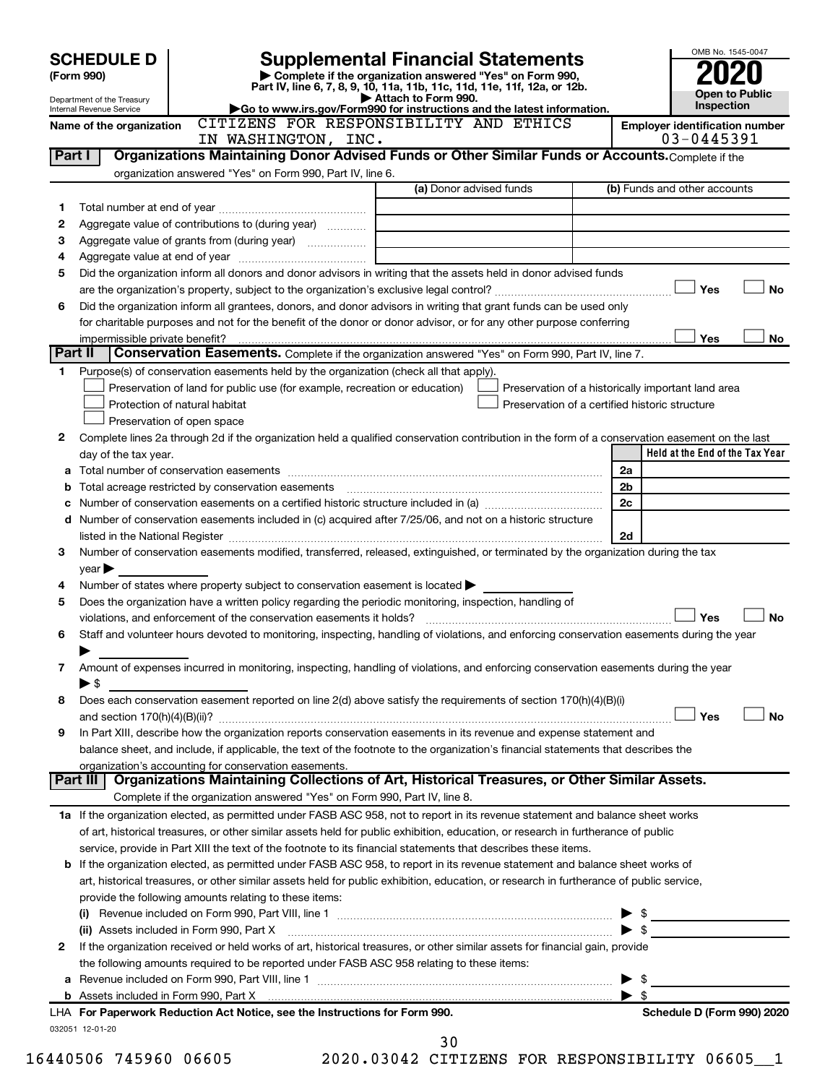| <b>Open to Public</b><br>Inspection<br><b>Employer identification number</b><br>03-0445391<br>Organizations Maintaining Donor Advised Funds or Other Similar Funds or Accounts. Complete if the<br>(b) Funds and other accounts<br>Yes<br>No<br>Yes<br>No.<br>Preservation of a historically important land area<br>Preservation of a certified historic structure |
|--------------------------------------------------------------------------------------------------------------------------------------------------------------------------------------------------------------------------------------------------------------------------------------------------------------------------------------------------------------------|
|                                                                                                                                                                                                                                                                                                                                                                    |
|                                                                                                                                                                                                                                                                                                                                                                    |
|                                                                                                                                                                                                                                                                                                                                                                    |
|                                                                                                                                                                                                                                                                                                                                                                    |
|                                                                                                                                                                                                                                                                                                                                                                    |
|                                                                                                                                                                                                                                                                                                                                                                    |
|                                                                                                                                                                                                                                                                                                                                                                    |
|                                                                                                                                                                                                                                                                                                                                                                    |
|                                                                                                                                                                                                                                                                                                                                                                    |
|                                                                                                                                                                                                                                                                                                                                                                    |
|                                                                                                                                                                                                                                                                                                                                                                    |
|                                                                                                                                                                                                                                                                                                                                                                    |
|                                                                                                                                                                                                                                                                                                                                                                    |
|                                                                                                                                                                                                                                                                                                                                                                    |
|                                                                                                                                                                                                                                                                                                                                                                    |
|                                                                                                                                                                                                                                                                                                                                                                    |
|                                                                                                                                                                                                                                                                                                                                                                    |
|                                                                                                                                                                                                                                                                                                                                                                    |
|                                                                                                                                                                                                                                                                                                                                                                    |
| Complete lines 2a through 2d if the organization held a qualified conservation contribution in the form of a conservation easement on the last<br>Held at the End of the Tax Year                                                                                                                                                                                  |
|                                                                                                                                                                                                                                                                                                                                                                    |
|                                                                                                                                                                                                                                                                                                                                                                    |
|                                                                                                                                                                                                                                                                                                                                                                    |
|                                                                                                                                                                                                                                                                                                                                                                    |
|                                                                                                                                                                                                                                                                                                                                                                    |
| Number of conservation easements modified, transferred, released, extinguished, or terminated by the organization during the tax                                                                                                                                                                                                                                   |
|                                                                                                                                                                                                                                                                                                                                                                    |
|                                                                                                                                                                                                                                                                                                                                                                    |
|                                                                                                                                                                                                                                                                                                                                                                    |
| Yes<br>No                                                                                                                                                                                                                                                                                                                                                          |
| Staff and volunteer hours devoted to monitoring, inspecting, handling of violations, and enforcing conservation easements during the year                                                                                                                                                                                                                          |
|                                                                                                                                                                                                                                                                                                                                                                    |
| Amount of expenses incurred in monitoring, inspecting, handling of violations, and enforcing conservation easements during the year                                                                                                                                                                                                                                |
|                                                                                                                                                                                                                                                                                                                                                                    |
|                                                                                                                                                                                                                                                                                                                                                                    |
| Yes<br>No                                                                                                                                                                                                                                                                                                                                                          |
|                                                                                                                                                                                                                                                                                                                                                                    |
| balance sheet, and include, if applicable, the text of the footnote to the organization's financial statements that describes the                                                                                                                                                                                                                                  |
| Organizations Maintaining Collections of Art, Historical Treasures, or Other Similar Assets.                                                                                                                                                                                                                                                                       |
|                                                                                                                                                                                                                                                                                                                                                                    |
| 1a If the organization elected, as permitted under FASB ASC 958, not to report in its revenue statement and balance sheet works                                                                                                                                                                                                                                    |
|                                                                                                                                                                                                                                                                                                                                                                    |
|                                                                                                                                                                                                                                                                                                                                                                    |
| <b>b</b> If the organization elected, as permitted under FASB ASC 958, to report in its revenue statement and balance sheet works of                                                                                                                                                                                                                               |
| art, historical treasures, or other similar assets held for public exhibition, education, or research in furtherance of public service,                                                                                                                                                                                                                            |
|                                                                                                                                                                                                                                                                                                                                                                    |
|                                                                                                                                                                                                                                                                                                                                                                    |
|                                                                                                                                                                                                                                                                                                                                                                    |
|                                                                                                                                                                                                                                                                                                                                                                    |
|                                                                                                                                                                                                                                                                                                                                                                    |
|                                                                                                                                                                                                                                                                                                                                                                    |
|                                                                                                                                                                                                                                                                                                                                                                    |
| Schedule D (Form 990) 2020                                                                                                                                                                                                                                                                                                                                         |
|                                                                                                                                                                                                                                                                                                                                                                    |
| 2020.03042 CITIZENS FOR RESPONSIBILITY 06605_1                                                                                                                                                                                                                                                                                                                     |
|                                                                                                                                                                                                                                                                                                                                                                    |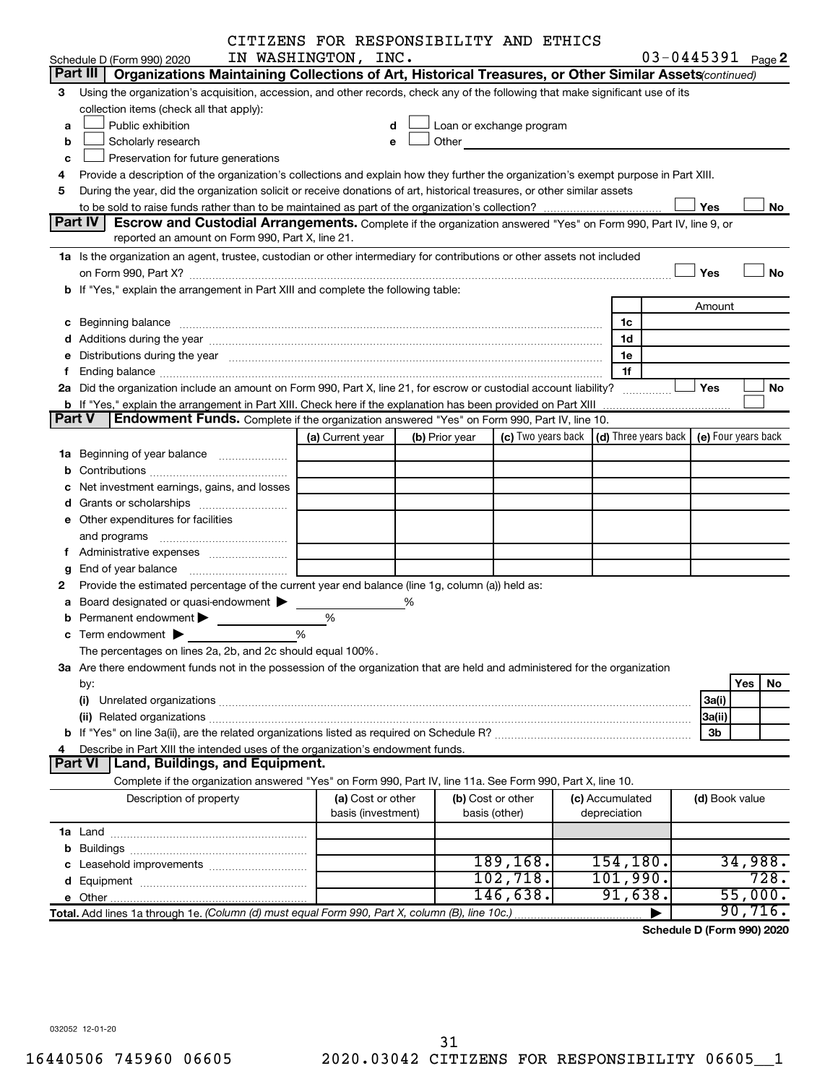| $03 - 0445391$ Page 2<br>IN WASHINGTON, INC.<br>Schedule D (Form 990) 2020<br>Part III   Organizations Maintaining Collections of Art, Historical Treasures, or Other Similar Assets (continued)<br>Using the organization's acquisition, accession, and other records, check any of the following that make significant use of its<br>3<br>collection items (check all that apply):<br>Public exhibition<br>Loan or exchange program<br>a<br>d<br>Other and the contract of the contract of the contract of the contract of the contract of the contract of the contract of the contract of the contract of the contract of the contract of the contract of the contract of the<br>Scholarly research<br>b<br>e<br>Preservation for future generations<br>с<br>Provide a description of the organization's collections and explain how they further the organization's exempt purpose in Part XIII.<br>During the year, did the organization solicit or receive donations of art, historical treasures, or other similar assets<br>5<br>Yes<br>No<br><b>Part IV</b><br><b>Escrow and Custodial Arrangements.</b> Complete if the organization answered "Yes" on Form 990, Part IV, line 9, or<br>reported an amount on Form 990, Part X, line 21.<br>1a Is the organization an agent, trustee, custodian or other intermediary for contributions or other assets not included<br>Yes<br>No<br>b If "Yes," explain the arrangement in Part XIII and complete the following table:<br>Amount<br>1c<br>1d<br>e Distributions during the year manufactured and contain an account of the year manufactured and the year manufactured and the year manufactured and the year manufactured and the year manufactured and the year manufactured<br>1е<br>1f<br>2a Did the organization include an amount on Form 990, Part X, line 21, for escrow or custodial account liability?<br>Yes<br>No<br><b>b</b> If "Yes," explain the arrangement in Part XIII. Check here if the explanation has been provided on Part XIII<br>Endowment Funds. Complete if the organization answered "Yes" on Form 990, Part IV, line 10.<br>Part V<br>(c) Two years back $\vert$ (d) Three years back $\vert$ (e) Four years back<br>(a) Current year<br>(b) Prior year<br>Net investment earnings, gains, and losses<br>e Other expenditures for facilities<br>g<br>Provide the estimated percentage of the current year end balance (line 1g, column (a)) held as:<br>a Board designated or quasi-endowment ><br>%<br>Permanent endowment ><br>%<br><b>c</b> Term endowment $\blacktriangleright$<br>%<br>The percentages on lines 2a, 2b, and 2c should equal 100%.<br>3a Are there endowment funds not in the possession of the organization that are held and administered for the organization<br>Yes<br>No<br>by:<br>3a(i)<br>(i)<br>3a(ii)<br>3b<br>Describe in Part XIII the intended uses of the organization's endowment funds.<br>Land, Buildings, and Equipment.<br><b>Part VI</b><br>Complete if the organization answered "Yes" on Form 990, Part IV, line 11a. See Form 990, Part X, line 10.<br>Description of property<br>(a) Cost or other<br>(b) Cost or other<br>(c) Accumulated<br>(d) Book value<br>basis (investment)<br>basis (other)<br>depreciation<br>189,168.<br>34,988.<br>154, 180.<br>102, 718.<br>101,990.<br>728.<br>55,000.<br>146,638.<br>91,638.<br>90,716.<br>Total. Add lines 1a through 1e. (Column (d) must equal Form 990, Part X, column (B), line 10c.)<br>Schedule D (Form 990) 2020 |  | CITIZENS FOR RESPONSIBILITY AND ETHICS |  |  |  |
|-----------------------------------------------------------------------------------------------------------------------------------------------------------------------------------------------------------------------------------------------------------------------------------------------------------------------------------------------------------------------------------------------------------------------------------------------------------------------------------------------------------------------------------------------------------------------------------------------------------------------------------------------------------------------------------------------------------------------------------------------------------------------------------------------------------------------------------------------------------------------------------------------------------------------------------------------------------------------------------------------------------------------------------------------------------------------------------------------------------------------------------------------------------------------------------------------------------------------------------------------------------------------------------------------------------------------------------------------------------------------------------------------------------------------------------------------------------------------------------------------------------------------------------------------------------------------------------------------------------------------------------------------------------------------------------------------------------------------------------------------------------------------------------------------------------------------------------------------------------------------------------------------------------------------------------------------------------------------------------------------------------------------------------------------------------------------------------------------------------------------------------------------------------------------------------------------------------------------------------------------------------------------------------------------------------------------------------------------------------------------------------------------------------------------------------------------------------------------------------------------------------------------------------------------------------------------------------------------------------------------------------------------------------------------------------------------------------------------------------------------------------------------------------------------------------------------------------------------------------------------------------------------------------------------------------------------------------------------------------------------------------------------------------------------------------------------------------------------------------------------------------------------------------------------------------------------------------------------------------------------------------------------------------------------------------------------------------------------------------------------------------------------------------------------------------------------------------------------------------------------------------|--|----------------------------------------|--|--|--|
|                                                                                                                                                                                                                                                                                                                                                                                                                                                                                                                                                                                                                                                                                                                                                                                                                                                                                                                                                                                                                                                                                                                                                                                                                                                                                                                                                                                                                                                                                                                                                                                                                                                                                                                                                                                                                                                                                                                                                                                                                                                                                                                                                                                                                                                                                                                                                                                                                                                                                                                                                                                                                                                                                                                                                                                                                                                                                                                                                                                                                                                                                                                                                                                                                                                                                                                                                                                                                                                                                                           |  |                                        |  |  |  |
|                                                                                                                                                                                                                                                                                                                                                                                                                                                                                                                                                                                                                                                                                                                                                                                                                                                                                                                                                                                                                                                                                                                                                                                                                                                                                                                                                                                                                                                                                                                                                                                                                                                                                                                                                                                                                                                                                                                                                                                                                                                                                                                                                                                                                                                                                                                                                                                                                                                                                                                                                                                                                                                                                                                                                                                                                                                                                                                                                                                                                                                                                                                                                                                                                                                                                                                                                                                                                                                                                                           |  |                                        |  |  |  |
|                                                                                                                                                                                                                                                                                                                                                                                                                                                                                                                                                                                                                                                                                                                                                                                                                                                                                                                                                                                                                                                                                                                                                                                                                                                                                                                                                                                                                                                                                                                                                                                                                                                                                                                                                                                                                                                                                                                                                                                                                                                                                                                                                                                                                                                                                                                                                                                                                                                                                                                                                                                                                                                                                                                                                                                                                                                                                                                                                                                                                                                                                                                                                                                                                                                                                                                                                                                                                                                                                                           |  |                                        |  |  |  |
|                                                                                                                                                                                                                                                                                                                                                                                                                                                                                                                                                                                                                                                                                                                                                                                                                                                                                                                                                                                                                                                                                                                                                                                                                                                                                                                                                                                                                                                                                                                                                                                                                                                                                                                                                                                                                                                                                                                                                                                                                                                                                                                                                                                                                                                                                                                                                                                                                                                                                                                                                                                                                                                                                                                                                                                                                                                                                                                                                                                                                                                                                                                                                                                                                                                                                                                                                                                                                                                                                                           |  |                                        |  |  |  |
|                                                                                                                                                                                                                                                                                                                                                                                                                                                                                                                                                                                                                                                                                                                                                                                                                                                                                                                                                                                                                                                                                                                                                                                                                                                                                                                                                                                                                                                                                                                                                                                                                                                                                                                                                                                                                                                                                                                                                                                                                                                                                                                                                                                                                                                                                                                                                                                                                                                                                                                                                                                                                                                                                                                                                                                                                                                                                                                                                                                                                                                                                                                                                                                                                                                                                                                                                                                                                                                                                                           |  |                                        |  |  |  |
|                                                                                                                                                                                                                                                                                                                                                                                                                                                                                                                                                                                                                                                                                                                                                                                                                                                                                                                                                                                                                                                                                                                                                                                                                                                                                                                                                                                                                                                                                                                                                                                                                                                                                                                                                                                                                                                                                                                                                                                                                                                                                                                                                                                                                                                                                                                                                                                                                                                                                                                                                                                                                                                                                                                                                                                                                                                                                                                                                                                                                                                                                                                                                                                                                                                                                                                                                                                                                                                                                                           |  |                                        |  |  |  |
|                                                                                                                                                                                                                                                                                                                                                                                                                                                                                                                                                                                                                                                                                                                                                                                                                                                                                                                                                                                                                                                                                                                                                                                                                                                                                                                                                                                                                                                                                                                                                                                                                                                                                                                                                                                                                                                                                                                                                                                                                                                                                                                                                                                                                                                                                                                                                                                                                                                                                                                                                                                                                                                                                                                                                                                                                                                                                                                                                                                                                                                                                                                                                                                                                                                                                                                                                                                                                                                                                                           |  |                                        |  |  |  |
|                                                                                                                                                                                                                                                                                                                                                                                                                                                                                                                                                                                                                                                                                                                                                                                                                                                                                                                                                                                                                                                                                                                                                                                                                                                                                                                                                                                                                                                                                                                                                                                                                                                                                                                                                                                                                                                                                                                                                                                                                                                                                                                                                                                                                                                                                                                                                                                                                                                                                                                                                                                                                                                                                                                                                                                                                                                                                                                                                                                                                                                                                                                                                                                                                                                                                                                                                                                                                                                                                                           |  |                                        |  |  |  |
|                                                                                                                                                                                                                                                                                                                                                                                                                                                                                                                                                                                                                                                                                                                                                                                                                                                                                                                                                                                                                                                                                                                                                                                                                                                                                                                                                                                                                                                                                                                                                                                                                                                                                                                                                                                                                                                                                                                                                                                                                                                                                                                                                                                                                                                                                                                                                                                                                                                                                                                                                                                                                                                                                                                                                                                                                                                                                                                                                                                                                                                                                                                                                                                                                                                                                                                                                                                                                                                                                                           |  |                                        |  |  |  |
|                                                                                                                                                                                                                                                                                                                                                                                                                                                                                                                                                                                                                                                                                                                                                                                                                                                                                                                                                                                                                                                                                                                                                                                                                                                                                                                                                                                                                                                                                                                                                                                                                                                                                                                                                                                                                                                                                                                                                                                                                                                                                                                                                                                                                                                                                                                                                                                                                                                                                                                                                                                                                                                                                                                                                                                                                                                                                                                                                                                                                                                                                                                                                                                                                                                                                                                                                                                                                                                                                                           |  |                                        |  |  |  |
|                                                                                                                                                                                                                                                                                                                                                                                                                                                                                                                                                                                                                                                                                                                                                                                                                                                                                                                                                                                                                                                                                                                                                                                                                                                                                                                                                                                                                                                                                                                                                                                                                                                                                                                                                                                                                                                                                                                                                                                                                                                                                                                                                                                                                                                                                                                                                                                                                                                                                                                                                                                                                                                                                                                                                                                                                                                                                                                                                                                                                                                                                                                                                                                                                                                                                                                                                                                                                                                                                                           |  |                                        |  |  |  |
|                                                                                                                                                                                                                                                                                                                                                                                                                                                                                                                                                                                                                                                                                                                                                                                                                                                                                                                                                                                                                                                                                                                                                                                                                                                                                                                                                                                                                                                                                                                                                                                                                                                                                                                                                                                                                                                                                                                                                                                                                                                                                                                                                                                                                                                                                                                                                                                                                                                                                                                                                                                                                                                                                                                                                                                                                                                                                                                                                                                                                                                                                                                                                                                                                                                                                                                                                                                                                                                                                                           |  |                                        |  |  |  |
|                                                                                                                                                                                                                                                                                                                                                                                                                                                                                                                                                                                                                                                                                                                                                                                                                                                                                                                                                                                                                                                                                                                                                                                                                                                                                                                                                                                                                                                                                                                                                                                                                                                                                                                                                                                                                                                                                                                                                                                                                                                                                                                                                                                                                                                                                                                                                                                                                                                                                                                                                                                                                                                                                                                                                                                                                                                                                                                                                                                                                                                                                                                                                                                                                                                                                                                                                                                                                                                                                                           |  |                                        |  |  |  |
|                                                                                                                                                                                                                                                                                                                                                                                                                                                                                                                                                                                                                                                                                                                                                                                                                                                                                                                                                                                                                                                                                                                                                                                                                                                                                                                                                                                                                                                                                                                                                                                                                                                                                                                                                                                                                                                                                                                                                                                                                                                                                                                                                                                                                                                                                                                                                                                                                                                                                                                                                                                                                                                                                                                                                                                                                                                                                                                                                                                                                                                                                                                                                                                                                                                                                                                                                                                                                                                                                                           |  |                                        |  |  |  |
|                                                                                                                                                                                                                                                                                                                                                                                                                                                                                                                                                                                                                                                                                                                                                                                                                                                                                                                                                                                                                                                                                                                                                                                                                                                                                                                                                                                                                                                                                                                                                                                                                                                                                                                                                                                                                                                                                                                                                                                                                                                                                                                                                                                                                                                                                                                                                                                                                                                                                                                                                                                                                                                                                                                                                                                                                                                                                                                                                                                                                                                                                                                                                                                                                                                                                                                                                                                                                                                                                                           |  |                                        |  |  |  |
|                                                                                                                                                                                                                                                                                                                                                                                                                                                                                                                                                                                                                                                                                                                                                                                                                                                                                                                                                                                                                                                                                                                                                                                                                                                                                                                                                                                                                                                                                                                                                                                                                                                                                                                                                                                                                                                                                                                                                                                                                                                                                                                                                                                                                                                                                                                                                                                                                                                                                                                                                                                                                                                                                                                                                                                                                                                                                                                                                                                                                                                                                                                                                                                                                                                                                                                                                                                                                                                                                                           |  |                                        |  |  |  |
|                                                                                                                                                                                                                                                                                                                                                                                                                                                                                                                                                                                                                                                                                                                                                                                                                                                                                                                                                                                                                                                                                                                                                                                                                                                                                                                                                                                                                                                                                                                                                                                                                                                                                                                                                                                                                                                                                                                                                                                                                                                                                                                                                                                                                                                                                                                                                                                                                                                                                                                                                                                                                                                                                                                                                                                                                                                                                                                                                                                                                                                                                                                                                                                                                                                                                                                                                                                                                                                                                                           |  |                                        |  |  |  |
|                                                                                                                                                                                                                                                                                                                                                                                                                                                                                                                                                                                                                                                                                                                                                                                                                                                                                                                                                                                                                                                                                                                                                                                                                                                                                                                                                                                                                                                                                                                                                                                                                                                                                                                                                                                                                                                                                                                                                                                                                                                                                                                                                                                                                                                                                                                                                                                                                                                                                                                                                                                                                                                                                                                                                                                                                                                                                                                                                                                                                                                                                                                                                                                                                                                                                                                                                                                                                                                                                                           |  |                                        |  |  |  |
|                                                                                                                                                                                                                                                                                                                                                                                                                                                                                                                                                                                                                                                                                                                                                                                                                                                                                                                                                                                                                                                                                                                                                                                                                                                                                                                                                                                                                                                                                                                                                                                                                                                                                                                                                                                                                                                                                                                                                                                                                                                                                                                                                                                                                                                                                                                                                                                                                                                                                                                                                                                                                                                                                                                                                                                                                                                                                                                                                                                                                                                                                                                                                                                                                                                                                                                                                                                                                                                                                                           |  |                                        |  |  |  |
|                                                                                                                                                                                                                                                                                                                                                                                                                                                                                                                                                                                                                                                                                                                                                                                                                                                                                                                                                                                                                                                                                                                                                                                                                                                                                                                                                                                                                                                                                                                                                                                                                                                                                                                                                                                                                                                                                                                                                                                                                                                                                                                                                                                                                                                                                                                                                                                                                                                                                                                                                                                                                                                                                                                                                                                                                                                                                                                                                                                                                                                                                                                                                                                                                                                                                                                                                                                                                                                                                                           |  |                                        |  |  |  |
|                                                                                                                                                                                                                                                                                                                                                                                                                                                                                                                                                                                                                                                                                                                                                                                                                                                                                                                                                                                                                                                                                                                                                                                                                                                                                                                                                                                                                                                                                                                                                                                                                                                                                                                                                                                                                                                                                                                                                                                                                                                                                                                                                                                                                                                                                                                                                                                                                                                                                                                                                                                                                                                                                                                                                                                                                                                                                                                                                                                                                                                                                                                                                                                                                                                                                                                                                                                                                                                                                                           |  |                                        |  |  |  |
|                                                                                                                                                                                                                                                                                                                                                                                                                                                                                                                                                                                                                                                                                                                                                                                                                                                                                                                                                                                                                                                                                                                                                                                                                                                                                                                                                                                                                                                                                                                                                                                                                                                                                                                                                                                                                                                                                                                                                                                                                                                                                                                                                                                                                                                                                                                                                                                                                                                                                                                                                                                                                                                                                                                                                                                                                                                                                                                                                                                                                                                                                                                                                                                                                                                                                                                                                                                                                                                                                                           |  |                                        |  |  |  |
|                                                                                                                                                                                                                                                                                                                                                                                                                                                                                                                                                                                                                                                                                                                                                                                                                                                                                                                                                                                                                                                                                                                                                                                                                                                                                                                                                                                                                                                                                                                                                                                                                                                                                                                                                                                                                                                                                                                                                                                                                                                                                                                                                                                                                                                                                                                                                                                                                                                                                                                                                                                                                                                                                                                                                                                                                                                                                                                                                                                                                                                                                                                                                                                                                                                                                                                                                                                                                                                                                                           |  |                                        |  |  |  |
|                                                                                                                                                                                                                                                                                                                                                                                                                                                                                                                                                                                                                                                                                                                                                                                                                                                                                                                                                                                                                                                                                                                                                                                                                                                                                                                                                                                                                                                                                                                                                                                                                                                                                                                                                                                                                                                                                                                                                                                                                                                                                                                                                                                                                                                                                                                                                                                                                                                                                                                                                                                                                                                                                                                                                                                                                                                                                                                                                                                                                                                                                                                                                                                                                                                                                                                                                                                                                                                                                                           |  |                                        |  |  |  |
|                                                                                                                                                                                                                                                                                                                                                                                                                                                                                                                                                                                                                                                                                                                                                                                                                                                                                                                                                                                                                                                                                                                                                                                                                                                                                                                                                                                                                                                                                                                                                                                                                                                                                                                                                                                                                                                                                                                                                                                                                                                                                                                                                                                                                                                                                                                                                                                                                                                                                                                                                                                                                                                                                                                                                                                                                                                                                                                                                                                                                                                                                                                                                                                                                                                                                                                                                                                                                                                                                                           |  |                                        |  |  |  |
|                                                                                                                                                                                                                                                                                                                                                                                                                                                                                                                                                                                                                                                                                                                                                                                                                                                                                                                                                                                                                                                                                                                                                                                                                                                                                                                                                                                                                                                                                                                                                                                                                                                                                                                                                                                                                                                                                                                                                                                                                                                                                                                                                                                                                                                                                                                                                                                                                                                                                                                                                                                                                                                                                                                                                                                                                                                                                                                                                                                                                                                                                                                                                                                                                                                                                                                                                                                                                                                                                                           |  |                                        |  |  |  |
|                                                                                                                                                                                                                                                                                                                                                                                                                                                                                                                                                                                                                                                                                                                                                                                                                                                                                                                                                                                                                                                                                                                                                                                                                                                                                                                                                                                                                                                                                                                                                                                                                                                                                                                                                                                                                                                                                                                                                                                                                                                                                                                                                                                                                                                                                                                                                                                                                                                                                                                                                                                                                                                                                                                                                                                                                                                                                                                                                                                                                                                                                                                                                                                                                                                                                                                                                                                                                                                                                                           |  |                                        |  |  |  |
|                                                                                                                                                                                                                                                                                                                                                                                                                                                                                                                                                                                                                                                                                                                                                                                                                                                                                                                                                                                                                                                                                                                                                                                                                                                                                                                                                                                                                                                                                                                                                                                                                                                                                                                                                                                                                                                                                                                                                                                                                                                                                                                                                                                                                                                                                                                                                                                                                                                                                                                                                                                                                                                                                                                                                                                                                                                                                                                                                                                                                                                                                                                                                                                                                                                                                                                                                                                                                                                                                                           |  |                                        |  |  |  |
|                                                                                                                                                                                                                                                                                                                                                                                                                                                                                                                                                                                                                                                                                                                                                                                                                                                                                                                                                                                                                                                                                                                                                                                                                                                                                                                                                                                                                                                                                                                                                                                                                                                                                                                                                                                                                                                                                                                                                                                                                                                                                                                                                                                                                                                                                                                                                                                                                                                                                                                                                                                                                                                                                                                                                                                                                                                                                                                                                                                                                                                                                                                                                                                                                                                                                                                                                                                                                                                                                                           |  |                                        |  |  |  |
|                                                                                                                                                                                                                                                                                                                                                                                                                                                                                                                                                                                                                                                                                                                                                                                                                                                                                                                                                                                                                                                                                                                                                                                                                                                                                                                                                                                                                                                                                                                                                                                                                                                                                                                                                                                                                                                                                                                                                                                                                                                                                                                                                                                                                                                                                                                                                                                                                                                                                                                                                                                                                                                                                                                                                                                                                                                                                                                                                                                                                                                                                                                                                                                                                                                                                                                                                                                                                                                                                                           |  |                                        |  |  |  |
|                                                                                                                                                                                                                                                                                                                                                                                                                                                                                                                                                                                                                                                                                                                                                                                                                                                                                                                                                                                                                                                                                                                                                                                                                                                                                                                                                                                                                                                                                                                                                                                                                                                                                                                                                                                                                                                                                                                                                                                                                                                                                                                                                                                                                                                                                                                                                                                                                                                                                                                                                                                                                                                                                                                                                                                                                                                                                                                                                                                                                                                                                                                                                                                                                                                                                                                                                                                                                                                                                                           |  |                                        |  |  |  |
|                                                                                                                                                                                                                                                                                                                                                                                                                                                                                                                                                                                                                                                                                                                                                                                                                                                                                                                                                                                                                                                                                                                                                                                                                                                                                                                                                                                                                                                                                                                                                                                                                                                                                                                                                                                                                                                                                                                                                                                                                                                                                                                                                                                                                                                                                                                                                                                                                                                                                                                                                                                                                                                                                                                                                                                                                                                                                                                                                                                                                                                                                                                                                                                                                                                                                                                                                                                                                                                                                                           |  |                                        |  |  |  |
|                                                                                                                                                                                                                                                                                                                                                                                                                                                                                                                                                                                                                                                                                                                                                                                                                                                                                                                                                                                                                                                                                                                                                                                                                                                                                                                                                                                                                                                                                                                                                                                                                                                                                                                                                                                                                                                                                                                                                                                                                                                                                                                                                                                                                                                                                                                                                                                                                                                                                                                                                                                                                                                                                                                                                                                                                                                                                                                                                                                                                                                                                                                                                                                                                                                                                                                                                                                                                                                                                                           |  |                                        |  |  |  |
|                                                                                                                                                                                                                                                                                                                                                                                                                                                                                                                                                                                                                                                                                                                                                                                                                                                                                                                                                                                                                                                                                                                                                                                                                                                                                                                                                                                                                                                                                                                                                                                                                                                                                                                                                                                                                                                                                                                                                                                                                                                                                                                                                                                                                                                                                                                                                                                                                                                                                                                                                                                                                                                                                                                                                                                                                                                                                                                                                                                                                                                                                                                                                                                                                                                                                                                                                                                                                                                                                                           |  |                                        |  |  |  |
|                                                                                                                                                                                                                                                                                                                                                                                                                                                                                                                                                                                                                                                                                                                                                                                                                                                                                                                                                                                                                                                                                                                                                                                                                                                                                                                                                                                                                                                                                                                                                                                                                                                                                                                                                                                                                                                                                                                                                                                                                                                                                                                                                                                                                                                                                                                                                                                                                                                                                                                                                                                                                                                                                                                                                                                                                                                                                                                                                                                                                                                                                                                                                                                                                                                                                                                                                                                                                                                                                                           |  |                                        |  |  |  |
|                                                                                                                                                                                                                                                                                                                                                                                                                                                                                                                                                                                                                                                                                                                                                                                                                                                                                                                                                                                                                                                                                                                                                                                                                                                                                                                                                                                                                                                                                                                                                                                                                                                                                                                                                                                                                                                                                                                                                                                                                                                                                                                                                                                                                                                                                                                                                                                                                                                                                                                                                                                                                                                                                                                                                                                                                                                                                                                                                                                                                                                                                                                                                                                                                                                                                                                                                                                                                                                                                                           |  |                                        |  |  |  |
|                                                                                                                                                                                                                                                                                                                                                                                                                                                                                                                                                                                                                                                                                                                                                                                                                                                                                                                                                                                                                                                                                                                                                                                                                                                                                                                                                                                                                                                                                                                                                                                                                                                                                                                                                                                                                                                                                                                                                                                                                                                                                                                                                                                                                                                                                                                                                                                                                                                                                                                                                                                                                                                                                                                                                                                                                                                                                                                                                                                                                                                                                                                                                                                                                                                                                                                                                                                                                                                                                                           |  |                                        |  |  |  |
|                                                                                                                                                                                                                                                                                                                                                                                                                                                                                                                                                                                                                                                                                                                                                                                                                                                                                                                                                                                                                                                                                                                                                                                                                                                                                                                                                                                                                                                                                                                                                                                                                                                                                                                                                                                                                                                                                                                                                                                                                                                                                                                                                                                                                                                                                                                                                                                                                                                                                                                                                                                                                                                                                                                                                                                                                                                                                                                                                                                                                                                                                                                                                                                                                                                                                                                                                                                                                                                                                                           |  |                                        |  |  |  |
|                                                                                                                                                                                                                                                                                                                                                                                                                                                                                                                                                                                                                                                                                                                                                                                                                                                                                                                                                                                                                                                                                                                                                                                                                                                                                                                                                                                                                                                                                                                                                                                                                                                                                                                                                                                                                                                                                                                                                                                                                                                                                                                                                                                                                                                                                                                                                                                                                                                                                                                                                                                                                                                                                                                                                                                                                                                                                                                                                                                                                                                                                                                                                                                                                                                                                                                                                                                                                                                                                                           |  |                                        |  |  |  |
|                                                                                                                                                                                                                                                                                                                                                                                                                                                                                                                                                                                                                                                                                                                                                                                                                                                                                                                                                                                                                                                                                                                                                                                                                                                                                                                                                                                                                                                                                                                                                                                                                                                                                                                                                                                                                                                                                                                                                                                                                                                                                                                                                                                                                                                                                                                                                                                                                                                                                                                                                                                                                                                                                                                                                                                                                                                                                                                                                                                                                                                                                                                                                                                                                                                                                                                                                                                                                                                                                                           |  |                                        |  |  |  |
|                                                                                                                                                                                                                                                                                                                                                                                                                                                                                                                                                                                                                                                                                                                                                                                                                                                                                                                                                                                                                                                                                                                                                                                                                                                                                                                                                                                                                                                                                                                                                                                                                                                                                                                                                                                                                                                                                                                                                                                                                                                                                                                                                                                                                                                                                                                                                                                                                                                                                                                                                                                                                                                                                                                                                                                                                                                                                                                                                                                                                                                                                                                                                                                                                                                                                                                                                                                                                                                                                                           |  |                                        |  |  |  |
|                                                                                                                                                                                                                                                                                                                                                                                                                                                                                                                                                                                                                                                                                                                                                                                                                                                                                                                                                                                                                                                                                                                                                                                                                                                                                                                                                                                                                                                                                                                                                                                                                                                                                                                                                                                                                                                                                                                                                                                                                                                                                                                                                                                                                                                                                                                                                                                                                                                                                                                                                                                                                                                                                                                                                                                                                                                                                                                                                                                                                                                                                                                                                                                                                                                                                                                                                                                                                                                                                                           |  |                                        |  |  |  |
|                                                                                                                                                                                                                                                                                                                                                                                                                                                                                                                                                                                                                                                                                                                                                                                                                                                                                                                                                                                                                                                                                                                                                                                                                                                                                                                                                                                                                                                                                                                                                                                                                                                                                                                                                                                                                                                                                                                                                                                                                                                                                                                                                                                                                                                                                                                                                                                                                                                                                                                                                                                                                                                                                                                                                                                                                                                                                                                                                                                                                                                                                                                                                                                                                                                                                                                                                                                                                                                                                                           |  |                                        |  |  |  |
|                                                                                                                                                                                                                                                                                                                                                                                                                                                                                                                                                                                                                                                                                                                                                                                                                                                                                                                                                                                                                                                                                                                                                                                                                                                                                                                                                                                                                                                                                                                                                                                                                                                                                                                                                                                                                                                                                                                                                                                                                                                                                                                                                                                                                                                                                                                                                                                                                                                                                                                                                                                                                                                                                                                                                                                                                                                                                                                                                                                                                                                                                                                                                                                                                                                                                                                                                                                                                                                                                                           |  |                                        |  |  |  |
|                                                                                                                                                                                                                                                                                                                                                                                                                                                                                                                                                                                                                                                                                                                                                                                                                                                                                                                                                                                                                                                                                                                                                                                                                                                                                                                                                                                                                                                                                                                                                                                                                                                                                                                                                                                                                                                                                                                                                                                                                                                                                                                                                                                                                                                                                                                                                                                                                                                                                                                                                                                                                                                                                                                                                                                                                                                                                                                                                                                                                                                                                                                                                                                                                                                                                                                                                                                                                                                                                                           |  |                                        |  |  |  |
|                                                                                                                                                                                                                                                                                                                                                                                                                                                                                                                                                                                                                                                                                                                                                                                                                                                                                                                                                                                                                                                                                                                                                                                                                                                                                                                                                                                                                                                                                                                                                                                                                                                                                                                                                                                                                                                                                                                                                                                                                                                                                                                                                                                                                                                                                                                                                                                                                                                                                                                                                                                                                                                                                                                                                                                                                                                                                                                                                                                                                                                                                                                                                                                                                                                                                                                                                                                                                                                                                                           |  |                                        |  |  |  |
|                                                                                                                                                                                                                                                                                                                                                                                                                                                                                                                                                                                                                                                                                                                                                                                                                                                                                                                                                                                                                                                                                                                                                                                                                                                                                                                                                                                                                                                                                                                                                                                                                                                                                                                                                                                                                                                                                                                                                                                                                                                                                                                                                                                                                                                                                                                                                                                                                                                                                                                                                                                                                                                                                                                                                                                                                                                                                                                                                                                                                                                                                                                                                                                                                                                                                                                                                                                                                                                                                                           |  |                                        |  |  |  |
|                                                                                                                                                                                                                                                                                                                                                                                                                                                                                                                                                                                                                                                                                                                                                                                                                                                                                                                                                                                                                                                                                                                                                                                                                                                                                                                                                                                                                                                                                                                                                                                                                                                                                                                                                                                                                                                                                                                                                                                                                                                                                                                                                                                                                                                                                                                                                                                                                                                                                                                                                                                                                                                                                                                                                                                                                                                                                                                                                                                                                                                                                                                                                                                                                                                                                                                                                                                                                                                                                                           |  |                                        |  |  |  |
|                                                                                                                                                                                                                                                                                                                                                                                                                                                                                                                                                                                                                                                                                                                                                                                                                                                                                                                                                                                                                                                                                                                                                                                                                                                                                                                                                                                                                                                                                                                                                                                                                                                                                                                                                                                                                                                                                                                                                                                                                                                                                                                                                                                                                                                                                                                                                                                                                                                                                                                                                                                                                                                                                                                                                                                                                                                                                                                                                                                                                                                                                                                                                                                                                                                                                                                                                                                                                                                                                                           |  |                                        |  |  |  |
|                                                                                                                                                                                                                                                                                                                                                                                                                                                                                                                                                                                                                                                                                                                                                                                                                                                                                                                                                                                                                                                                                                                                                                                                                                                                                                                                                                                                                                                                                                                                                                                                                                                                                                                                                                                                                                                                                                                                                                                                                                                                                                                                                                                                                                                                                                                                                                                                                                                                                                                                                                                                                                                                                                                                                                                                                                                                                                                                                                                                                                                                                                                                                                                                                                                                                                                                                                                                                                                                                                           |  |                                        |  |  |  |
|                                                                                                                                                                                                                                                                                                                                                                                                                                                                                                                                                                                                                                                                                                                                                                                                                                                                                                                                                                                                                                                                                                                                                                                                                                                                                                                                                                                                                                                                                                                                                                                                                                                                                                                                                                                                                                                                                                                                                                                                                                                                                                                                                                                                                                                                                                                                                                                                                                                                                                                                                                                                                                                                                                                                                                                                                                                                                                                                                                                                                                                                                                                                                                                                                                                                                                                                                                                                                                                                                                           |  |                                        |  |  |  |
|                                                                                                                                                                                                                                                                                                                                                                                                                                                                                                                                                                                                                                                                                                                                                                                                                                                                                                                                                                                                                                                                                                                                                                                                                                                                                                                                                                                                                                                                                                                                                                                                                                                                                                                                                                                                                                                                                                                                                                                                                                                                                                                                                                                                                                                                                                                                                                                                                                                                                                                                                                                                                                                                                                                                                                                                                                                                                                                                                                                                                                                                                                                                                                                                                                                                                                                                                                                                                                                                                                           |  |                                        |  |  |  |
|                                                                                                                                                                                                                                                                                                                                                                                                                                                                                                                                                                                                                                                                                                                                                                                                                                                                                                                                                                                                                                                                                                                                                                                                                                                                                                                                                                                                                                                                                                                                                                                                                                                                                                                                                                                                                                                                                                                                                                                                                                                                                                                                                                                                                                                                                                                                                                                                                                                                                                                                                                                                                                                                                                                                                                                                                                                                                                                                                                                                                                                                                                                                                                                                                                                                                                                                                                                                                                                                                                           |  |                                        |  |  |  |
|                                                                                                                                                                                                                                                                                                                                                                                                                                                                                                                                                                                                                                                                                                                                                                                                                                                                                                                                                                                                                                                                                                                                                                                                                                                                                                                                                                                                                                                                                                                                                                                                                                                                                                                                                                                                                                                                                                                                                                                                                                                                                                                                                                                                                                                                                                                                                                                                                                                                                                                                                                                                                                                                                                                                                                                                                                                                                                                                                                                                                                                                                                                                                                                                                                                                                                                                                                                                                                                                                                           |  |                                        |  |  |  |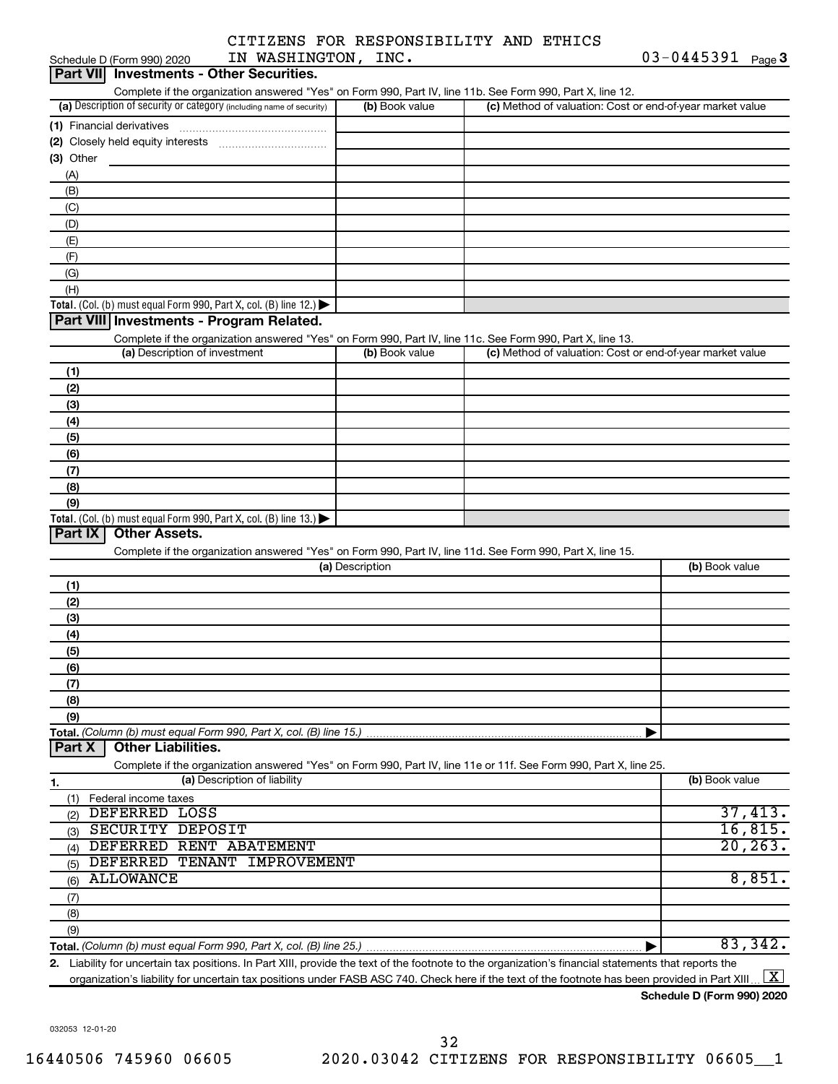| Schedule D (Form 990) 2020                                           | IN WASHINGTON, INC.          |                |                                                                                                                                                      | $03 - 0445391$ Page 3 |
|----------------------------------------------------------------------|------------------------------|----------------|------------------------------------------------------------------------------------------------------------------------------------------------------|-----------------------|
| Part VII Investments - Other Securities.                             |                              |                |                                                                                                                                                      |                       |
|                                                                      |                              |                | Complete if the organization answered "Yes" on Form 990, Part IV, line 11b. See Form 990, Part X, line 12.                                           |                       |
| (a) Description of security or category (including name of security) |                              | (b) Book value | (c) Method of valuation: Cost or end-of-year market value                                                                                            |                       |
|                                                                      |                              |                |                                                                                                                                                      |                       |
|                                                                      |                              |                |                                                                                                                                                      |                       |
| (3) Other                                                            |                              |                |                                                                                                                                                      |                       |
|                                                                      |                              |                |                                                                                                                                                      |                       |
| (A)                                                                  |                              |                |                                                                                                                                                      |                       |
| (B)                                                                  |                              |                |                                                                                                                                                      |                       |
| (C)                                                                  |                              |                |                                                                                                                                                      |                       |
| (D)                                                                  |                              |                |                                                                                                                                                      |                       |
| (E)                                                                  |                              |                |                                                                                                                                                      |                       |
| (F)                                                                  |                              |                |                                                                                                                                                      |                       |
| (G)                                                                  |                              |                |                                                                                                                                                      |                       |
| (H)                                                                  |                              |                |                                                                                                                                                      |                       |
| Total. (Col. (b) must equal Form 990, Part X, col. (B) line 12.)     |                              |                |                                                                                                                                                      |                       |
| Part VIII Investments - Program Related.                             |                              |                |                                                                                                                                                      |                       |
|                                                                      |                              |                | Complete if the organization answered "Yes" on Form 990, Part IV, line 11c. See Form 990, Part X, line 13.                                           |                       |
| (a) Description of investment                                        |                              | (b) Book value | (c) Method of valuation: Cost or end-of-year market value                                                                                            |                       |
| (1)                                                                  |                              |                |                                                                                                                                                      |                       |
|                                                                      |                              |                |                                                                                                                                                      |                       |
| (2)                                                                  |                              |                |                                                                                                                                                      |                       |
| (3)                                                                  |                              |                |                                                                                                                                                      |                       |
| (4)                                                                  |                              |                |                                                                                                                                                      |                       |
| (5)                                                                  |                              |                |                                                                                                                                                      |                       |
| (6)                                                                  |                              |                |                                                                                                                                                      |                       |
| (7)                                                                  |                              |                |                                                                                                                                                      |                       |
| (8)                                                                  |                              |                |                                                                                                                                                      |                       |
| (9)                                                                  |                              |                |                                                                                                                                                      |                       |
| Total. (Col. (b) must equal Form 990, Part X, col. (B) line 13.)     |                              |                |                                                                                                                                                      |                       |
| Part IX<br><b>Other Assets.</b>                                      |                              |                |                                                                                                                                                      |                       |
|                                                                      |                              |                | Complete if the organization answered "Yes" on Form 990, Part IV, line 11d. See Form 990, Part X, line 15.                                           |                       |
|                                                                      | (a) Description              |                |                                                                                                                                                      | (b) Book value        |
| (1)                                                                  |                              |                |                                                                                                                                                      |                       |
| (2)                                                                  |                              |                |                                                                                                                                                      |                       |
| (3)                                                                  |                              |                |                                                                                                                                                      |                       |
| (4)                                                                  |                              |                |                                                                                                                                                      |                       |
|                                                                      |                              |                |                                                                                                                                                      |                       |
| (5)                                                                  |                              |                |                                                                                                                                                      |                       |
| (6)                                                                  |                              |                |                                                                                                                                                      |                       |
| (7)                                                                  |                              |                |                                                                                                                                                      |                       |
| (8)                                                                  |                              |                |                                                                                                                                                      |                       |
| (9)                                                                  |                              |                |                                                                                                                                                      |                       |
| Total. (Column (b) must equal Form 990, Part X, col. (B) line 15.)   |                              |                |                                                                                                                                                      |                       |
| <b>Other Liabilities.</b><br>Part X                                  |                              |                |                                                                                                                                                      |                       |
|                                                                      |                              |                | Complete if the organization answered "Yes" on Form 990, Part IV, line 11e or 11f. See Form 990, Part X, line 25.                                    |                       |
| 1.                                                                   | (a) Description of liability |                |                                                                                                                                                      | (b) Book value        |
| (1) Federal income taxes                                             |                              |                |                                                                                                                                                      |                       |
| DEFERRED LOSS<br>(2)                                                 |                              |                |                                                                                                                                                      | 37,413.               |
| (3) SECURITY DEPOSIT                                                 |                              |                |                                                                                                                                                      | 16,815.               |
| (4) DEFERRED RENT ABATEMENT                                          |                              |                |                                                                                                                                                      | 20, 263.              |
| DEFERRED TENANT IMPROVEMENT<br>(5)                                   |                              |                |                                                                                                                                                      |                       |
| <b>ALLOWANCE</b>                                                     |                              |                |                                                                                                                                                      | 8,851.                |
| (6)                                                                  |                              |                |                                                                                                                                                      |                       |
| (7)                                                                  |                              |                |                                                                                                                                                      |                       |
| (8)                                                                  |                              |                |                                                                                                                                                      |                       |
| (9)                                                                  |                              |                |                                                                                                                                                      |                       |
|                                                                      |                              |                |                                                                                                                                                      | 83,342.               |
|                                                                      |                              |                | 2. Liability for uncertain tax positions. In Part XIII, provide the text of the footnote to the organization's financial statements that reports the |                       |

organization's liability for uncertain tax positions under FASB ASC 740. Check here if the text of the footnote has been provided in Part XIII…  $\boxed{\mathrm{X}}$ 

**Schedule D (Form 990) 2020**

032053 12-01-20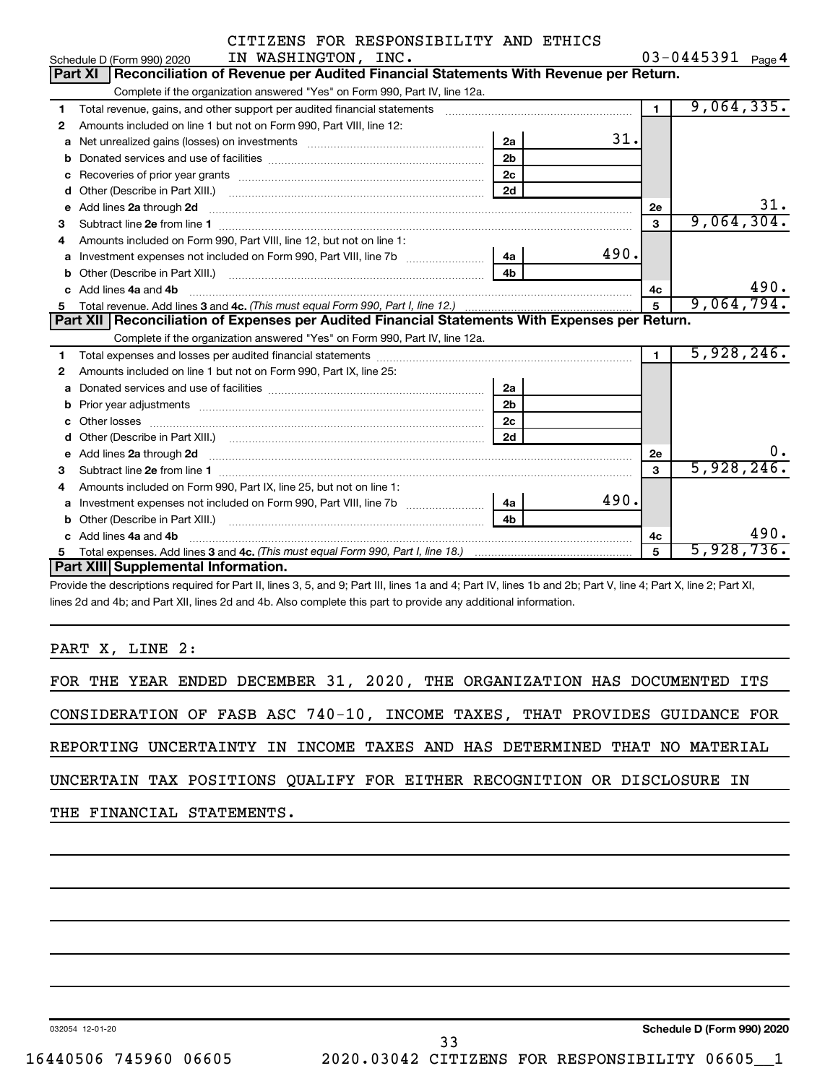| $03 - 0445391$ Page 4 |  |
|-----------------------|--|
|-----------------------|--|

|    | IN WASHINGTON, INC.<br>Schedule D (Form 990) 2020                                                                                                                                                                                    |                |      |              | 03-0445391 $_{Page 4}$ |      |
|----|--------------------------------------------------------------------------------------------------------------------------------------------------------------------------------------------------------------------------------------|----------------|------|--------------|------------------------|------|
|    | Reconciliation of Revenue per Audited Financial Statements With Revenue per Return.<br>Part XI                                                                                                                                       |                |      |              |                        |      |
|    | Complete if the organization answered "Yes" on Form 990, Part IV, line 12a.                                                                                                                                                          |                |      |              |                        |      |
| 1  | Total revenue, gains, and other support per audited financial statements [11] [11] Total revenue, gains, and other support per audited financial statements                                                                          |                |      | $\mathbf 1$  | 9,064,335.             |      |
| 2  | Amounts included on line 1 but not on Form 990, Part VIII, line 12:                                                                                                                                                                  |                |      |              |                        |      |
| a  | Net unrealized gains (losses) on investments [11] matter contracts and the unrealized gains (losses) on investments                                                                                                                  | 2a             | 31.  |              |                        |      |
|    |                                                                                                                                                                                                                                      | 2 <sub>b</sub> |      |              |                        |      |
| c  |                                                                                                                                                                                                                                      |                |      |              |                        |      |
| d  |                                                                                                                                                                                                                                      | 2d             |      |              |                        |      |
| е  | Add lines 2a through 2d <b>continuum continuum contract and all the contract of the contract of the contract of the contract of the contract of the contract of the contract of the contract of the contract of the contract of </b> |                |      | 2e           |                        | 31.  |
| 3  |                                                                                                                                                                                                                                      |                |      | 3            | 9,064,304.             |      |
|    | Amounts included on Form 990, Part VIII, line 12, but not on line 1:                                                                                                                                                                 |                |      |              |                        |      |
| a  | Investment expenses not included on Form 990, Part VIII, line 7b [100] [200] 4a [                                                                                                                                                    |                | 490. |              |                        |      |
| b  |                                                                                                                                                                                                                                      |                |      |              |                        |      |
|    | Add lines 4a and 4b                                                                                                                                                                                                                  | 4c             |      | 490.         |                        |      |
| 5  |                                                                                                                                                                                                                                      |                |      | 5            | 9,064,794.             |      |
|    | Part XII   Reconciliation of Expenses per Audited Financial Statements With Expenses per Return.                                                                                                                                     |                |      |              |                        |      |
|    | Complete if the organization answered "Yes" on Form 990, Part IV, line 12a.                                                                                                                                                          |                |      |              |                        |      |
| 1. |                                                                                                                                                                                                                                      |                |      | $\mathbf{1}$ | 5,928,246.             |      |
| 2  | Amounts included on line 1 but not on Form 990, Part IX, line 25:                                                                                                                                                                    |                |      |              |                        |      |
| a  |                                                                                                                                                                                                                                      | 2a             |      |              |                        |      |
| b  |                                                                                                                                                                                                                                      | 2 <sub>b</sub> |      |              |                        |      |
| c  |                                                                                                                                                                                                                                      | 2c             |      |              |                        |      |
| d  | Other (Describe in Part XIII.) (COLORED TO ANNO 1999) (COLORED TO A LOCAL DETAILS)                                                                                                                                                   | 2d             |      |              |                        |      |
| e  | Add lines 2a through 2d <b>manufactures</b> in the contract of the contract of the contract of the contract of the contract of the contract of the contract of the contract of the contract of the contract of the contract of the   |                |      | 2е           |                        | ο.   |
| 3  |                                                                                                                                                                                                                                      |                |      | $\mathbf{a}$ | 5,928,246.             |      |
| 4  | Amounts included on Form 990, Part IX, line 25, but not on line 1:                                                                                                                                                                   |                |      |              |                        |      |
| a  | Investment expenses not included on Form 990, Part VIII, line 7b [11, 111, 120]                                                                                                                                                      | - 4a           | 490. |              |                        |      |
|    |                                                                                                                                                                                                                                      | 4 <sub>h</sub> |      |              |                        |      |
|    | c Add lines 4a and 4b                                                                                                                                                                                                                |                |      | 4c           |                        | 490. |
|    |                                                                                                                                                                                                                                      |                |      | 5            | 5,928,736.             |      |
|    | Part XIII Supplemental Information.                                                                                                                                                                                                  |                |      |              |                        |      |

Provide the descriptions required for Part II, lines 3, 5, and 9; Part III, lines 1a and 4; Part IV, lines 1b and 2b; Part V, line 4; Part X, line 2; Part XI, lines 2d and 4b; and Part XII, lines 2d and 4b. Also complete this part to provide any additional information.

PART X, LINE 2:

|  |                           |  |  |  | FOR THE YEAR ENDED DECEMBER 31, 2020, THE ORGANIZATION HAS DOCUMENTED ITS  |  |  |  |
|--|---------------------------|--|--|--|----------------------------------------------------------------------------|--|--|--|
|  |                           |  |  |  | CONSIDERATION OF FASB ASC 740-10, INCOME TAXES, THAT PROVIDES GUIDANCE FOR |  |  |  |
|  |                           |  |  |  | REPORTING UNCERTAINTY IN INCOME TAXES AND HAS DETERMINED THAT NO MATERIAL  |  |  |  |
|  |                           |  |  |  | UNCERTAIN TAX POSITIONS QUALIFY FOR EITHER RECOGNITION OR DISCLOSURE IN    |  |  |  |
|  | THE FINANCIAL STATEMENTS. |  |  |  |                                                                            |  |  |  |

032054 12-01-20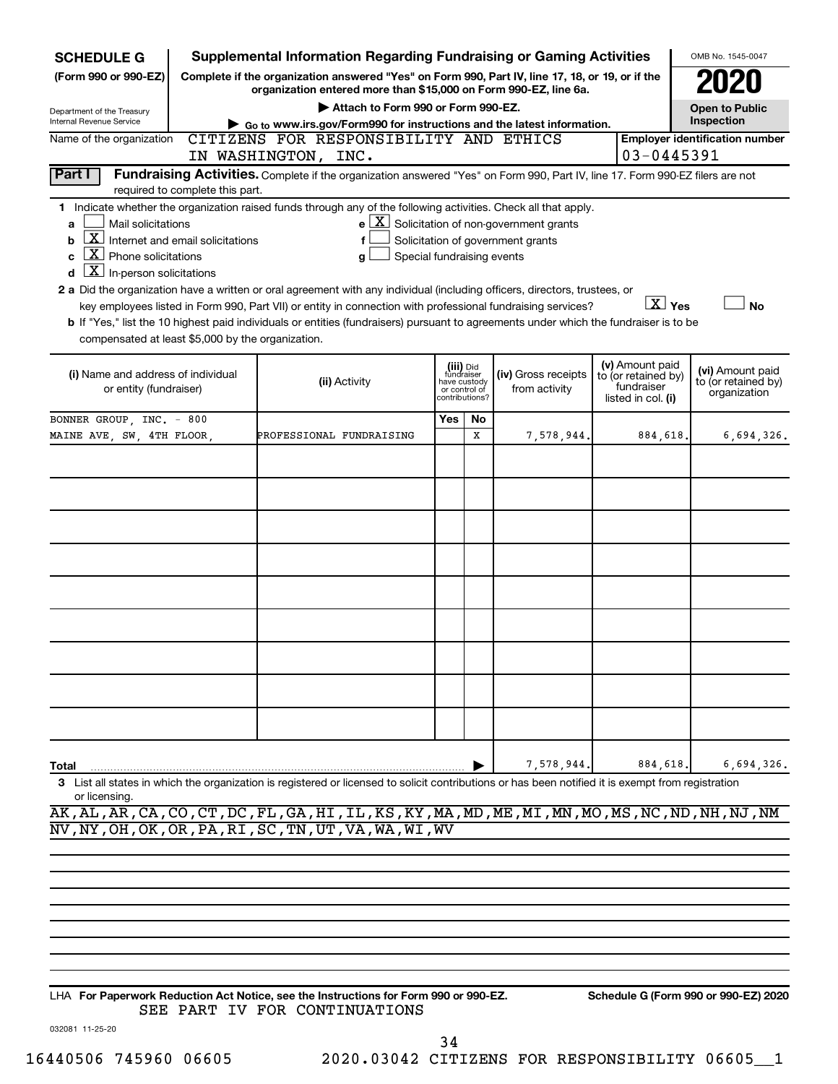| <b>SCHEDULE G</b>                                                                                                                                                                                                                                                                 |                                 | Supplemental Information Regarding Fundraising or Gaming Activities                                                                                                                                                                                                                                                                                                                                                                                                                                                                           |     |    |                                                                                                   |            | OMB No. 1545-0047                     |
|-----------------------------------------------------------------------------------------------------------------------------------------------------------------------------------------------------------------------------------------------------------------------------------|---------------------------------|-----------------------------------------------------------------------------------------------------------------------------------------------------------------------------------------------------------------------------------------------------------------------------------------------------------------------------------------------------------------------------------------------------------------------------------------------------------------------------------------------------------------------------------------------|-----|----|---------------------------------------------------------------------------------------------------|------------|---------------------------------------|
| (Form 990 or 990-EZ)                                                                                                                                                                                                                                                              |                                 | Complete if the organization answered "Yes" on Form 990, Part IV, line 17, 18, or 19, or if the<br>organization entered more than \$15,000 on Form 990-EZ, line 6a.                                                                                                                                                                                                                                                                                                                                                                           |     |    |                                                                                                   |            |                                       |
| Department of the Treasury                                                                                                                                                                                                                                                        |                                 | Attach to Form 990 or Form 990-EZ.                                                                                                                                                                                                                                                                                                                                                                                                                                                                                                            |     |    |                                                                                                   |            | <b>Open to Public</b>                 |
| Internal Revenue Service                                                                                                                                                                                                                                                          |                                 | Go to www.irs.gov/Form990 for instructions and the latest information.                                                                                                                                                                                                                                                                                                                                                                                                                                                                        |     |    |                                                                                                   |            | Inspection                            |
| Name of the organization                                                                                                                                                                                                                                                          |                                 | CITIZENS FOR RESPONSIBILITY AND ETHICS                                                                                                                                                                                                                                                                                                                                                                                                                                                                                                        |     |    |                                                                                                   |            | <b>Employer identification number</b> |
|                                                                                                                                                                                                                                                                                   |                                 | IN WASHINGTON, INC.                                                                                                                                                                                                                                                                                                                                                                                                                                                                                                                           |     |    |                                                                                                   | 03-0445391 |                                       |
| Part I                                                                                                                                                                                                                                                                            | required to complete this part. | Fundraising Activities. Complete if the organization answered "Yes" on Form 990, Part IV, line 17. Form 990-EZ filers are not                                                                                                                                                                                                                                                                                                                                                                                                                 |     |    |                                                                                                   |            |                                       |
| Mail solicitations<br>a<br>$\boxed{\textbf{X}}$ Internet and email solicitations<br>b<br>$\boxed{\text{X}}$ Phone solicitations<br>C<br>$\boxed{\textbf{X}}$ In-person solicitations<br>d<br>compensated at least \$5,000 by the organization.                                    |                                 | 1 Indicate whether the organization raised funds through any of the following activities. Check all that apply.<br>f<br>Special fundraising events<br>g<br>2 a Did the organization have a written or oral agreement with any individual (including officers, directors, trustees, or<br>key employees listed in Form 990, Part VII) or entity in connection with professional fundraising services?<br>b If "Yes," list the 10 highest paid individuals or entities (fundraisers) pursuant to agreements under which the fundraiser is to be |     |    | $e$ $\boxed{\text{X}}$ Solicitation of non-government grants<br>Solicitation of government grants | $X$ Yes    | <b>No</b>                             |
| (v) Amount paid<br>(iii) Did<br>(i) Name and address of individual<br>(iv) Gross receipts<br>fundraiser<br>to (or retained by)<br>(ii) Activity<br>have custody<br>fundraiser<br>from activity<br>or entity (fundraiser)<br>or control of<br>contributions?<br>listed in col. (i) |                                 |                                                                                                                                                                                                                                                                                                                                                                                                                                                                                                                                               |     |    | (vi) Amount paid<br>to (or retained by)<br>organization                                           |            |                                       |
| BONNER GROUP, INC. - 800                                                                                                                                                                                                                                                          |                                 |                                                                                                                                                                                                                                                                                                                                                                                                                                                                                                                                               | Yes | No |                                                                                                   |            |                                       |
| MAINE AVE, SW, 4TH FLOOR,                                                                                                                                                                                                                                                         |                                 | PROFESSIONAL FUNDRAISING                                                                                                                                                                                                                                                                                                                                                                                                                                                                                                                      |     | x  | 7,578,944.                                                                                        | 884.618.   | 6,694,326.                            |
|                                                                                                                                                                                                                                                                                   |                                 |                                                                                                                                                                                                                                                                                                                                                                                                                                                                                                                                               |     |    |                                                                                                   |            |                                       |
|                                                                                                                                                                                                                                                                                   |                                 |                                                                                                                                                                                                                                                                                                                                                                                                                                                                                                                                               |     |    |                                                                                                   |            |                                       |
|                                                                                                                                                                                                                                                                                   |                                 |                                                                                                                                                                                                                                                                                                                                                                                                                                                                                                                                               |     |    |                                                                                                   |            |                                       |
|                                                                                                                                                                                                                                                                                   |                                 |                                                                                                                                                                                                                                                                                                                                                                                                                                                                                                                                               |     |    |                                                                                                   |            |                                       |
|                                                                                                                                                                                                                                                                                   |                                 |                                                                                                                                                                                                                                                                                                                                                                                                                                                                                                                                               |     |    |                                                                                                   |            |                                       |
|                                                                                                                                                                                                                                                                                   |                                 |                                                                                                                                                                                                                                                                                                                                                                                                                                                                                                                                               |     |    |                                                                                                   |            |                                       |
|                                                                                                                                                                                                                                                                                   |                                 |                                                                                                                                                                                                                                                                                                                                                                                                                                                                                                                                               |     |    |                                                                                                   |            |                                       |
|                                                                                                                                                                                                                                                                                   |                                 |                                                                                                                                                                                                                                                                                                                                                                                                                                                                                                                                               |     |    |                                                                                                   |            |                                       |
| Total                                                                                                                                                                                                                                                                             |                                 |                                                                                                                                                                                                                                                                                                                                                                                                                                                                                                                                               |     |    | 7,578,944                                                                                         | 884,618    | 6,694,326.                            |
| or licensing.                                                                                                                                                                                                                                                                     |                                 | 3 List all states in which the organization is registered or licensed to solicit contributions or has been notified it is exempt from registration                                                                                                                                                                                                                                                                                                                                                                                            |     |    |                                                                                                   |            |                                       |

AK,AL,AR,CA,CO,CT,DC,FL,GA,HI,IL,KS,KY,MA,MD,ME,MI,MN,MO,MS,NC,ND,NH,NJ,NM NV,NY,OH,OK,OR,PA,RI,SC,TN,UT,VA,WA,WI,WV

**For Paperwork Reduction Act Notice, see the Instructions for Form 990 or 990-EZ. Schedule G (Form 990 or 990-EZ) 2020** LHA SEE PART IV FOR CONTINUATIONS

032081 11-25-20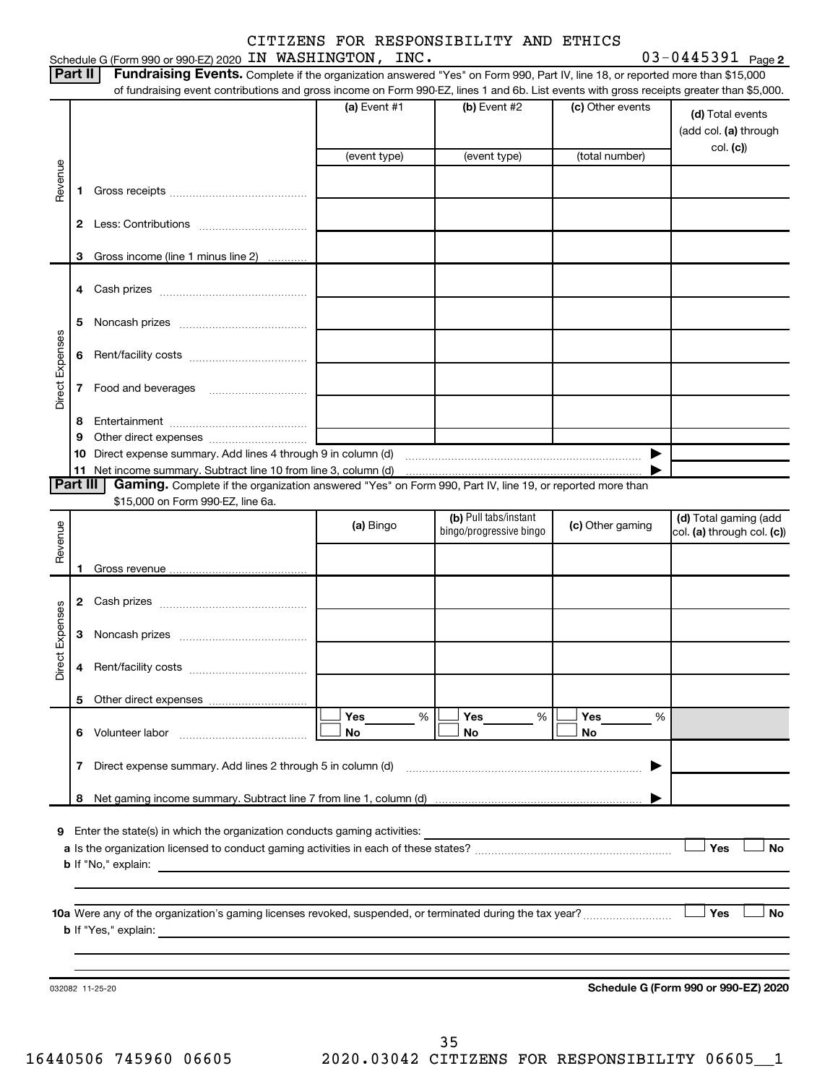|                 | CITIZENS FOR RESPONSIBILITY AND ETHICS<br>$03 - 0445391$ Page 2<br>Schedule G (Form 990 or 990-EZ) 2020 IN WASHINGTON, INC. |                                                                                                                                           |                |                                                  |                  |                                                     |  |  |
|-----------------|-----------------------------------------------------------------------------------------------------------------------------|-------------------------------------------------------------------------------------------------------------------------------------------|----------------|--------------------------------------------------|------------------|-----------------------------------------------------|--|--|
|                 | Part II                                                                                                                     | Fundraising Events. Complete if the organization answered "Yes" on Form 990, Part IV, line 18, or reported more than \$15,000             |                |                                                  |                  |                                                     |  |  |
|                 |                                                                                                                             | of fundraising event contributions and gross income on Form 990-EZ, lines 1 and 6b. List events with gross receipts greater than \$5,000. |                |                                                  |                  |                                                     |  |  |
|                 |                                                                                                                             |                                                                                                                                           | (a) Event $#1$ | $(b)$ Event #2                                   | (c) Other events | (d) Total events                                    |  |  |
|                 |                                                                                                                             |                                                                                                                                           |                |                                                  |                  | (add col. (a) through                               |  |  |
|                 |                                                                                                                             |                                                                                                                                           |                |                                                  |                  | col. (c)                                            |  |  |
|                 |                                                                                                                             |                                                                                                                                           | (event type)   | (event type)                                     | (total number)   |                                                     |  |  |
| Revenue         |                                                                                                                             |                                                                                                                                           |                |                                                  |                  |                                                     |  |  |
|                 | 1.                                                                                                                          |                                                                                                                                           |                |                                                  |                  |                                                     |  |  |
|                 |                                                                                                                             |                                                                                                                                           |                |                                                  |                  |                                                     |  |  |
|                 |                                                                                                                             |                                                                                                                                           |                |                                                  |                  |                                                     |  |  |
|                 | З                                                                                                                           | Gross income (line 1 minus line 2)                                                                                                        |                |                                                  |                  |                                                     |  |  |
|                 |                                                                                                                             |                                                                                                                                           |                |                                                  |                  |                                                     |  |  |
|                 | 4                                                                                                                           |                                                                                                                                           |                |                                                  |                  |                                                     |  |  |
|                 |                                                                                                                             |                                                                                                                                           |                |                                                  |                  |                                                     |  |  |
|                 | 5                                                                                                                           |                                                                                                                                           |                |                                                  |                  |                                                     |  |  |
|                 | 6                                                                                                                           |                                                                                                                                           |                |                                                  |                  |                                                     |  |  |
|                 |                                                                                                                             |                                                                                                                                           |                |                                                  |                  |                                                     |  |  |
| Direct Expenses | 7                                                                                                                           |                                                                                                                                           |                |                                                  |                  |                                                     |  |  |
|                 |                                                                                                                             |                                                                                                                                           |                |                                                  |                  |                                                     |  |  |
|                 | 8                                                                                                                           |                                                                                                                                           |                |                                                  |                  |                                                     |  |  |
|                 | 9<br>10                                                                                                                     |                                                                                                                                           |                |                                                  |                  |                                                     |  |  |
|                 |                                                                                                                             |                                                                                                                                           |                |                                                  |                  |                                                     |  |  |
|                 | Part III                                                                                                                    | Gaming. Complete if the organization answered "Yes" on Form 990, Part IV, line 19, or reported more than                                  |                |                                                  |                  |                                                     |  |  |
|                 |                                                                                                                             | \$15,000 on Form 990-EZ, line 6a.                                                                                                         |                |                                                  |                  |                                                     |  |  |
|                 |                                                                                                                             |                                                                                                                                           | (a) Bingo      | (b) Pull tabs/instant<br>bingo/progressive bingo | (c) Other gaming | (d) Total gaming (add<br>col. (a) through col. (c)) |  |  |
| Revenue         |                                                                                                                             |                                                                                                                                           |                |                                                  |                  |                                                     |  |  |
|                 | 1.                                                                                                                          |                                                                                                                                           |                |                                                  |                  |                                                     |  |  |
|                 |                                                                                                                             |                                                                                                                                           |                |                                                  |                  |                                                     |  |  |
|                 |                                                                                                                             |                                                                                                                                           |                |                                                  |                  |                                                     |  |  |
| Expenses        |                                                                                                                             |                                                                                                                                           |                |                                                  |                  |                                                     |  |  |
|                 | 3                                                                                                                           |                                                                                                                                           |                |                                                  |                  |                                                     |  |  |
| Direct          | 4                                                                                                                           |                                                                                                                                           |                |                                                  |                  |                                                     |  |  |
|                 |                                                                                                                             |                                                                                                                                           |                |                                                  |                  |                                                     |  |  |
|                 | 5                                                                                                                           |                                                                                                                                           |                |                                                  |                  |                                                     |  |  |
|                 |                                                                                                                             |                                                                                                                                           | Yes<br>%       | Yes<br>%                                         | Yes<br>%         |                                                     |  |  |
|                 |                                                                                                                             | 6 Volunteer labor                                                                                                                         | No             | No                                               | No               |                                                     |  |  |
|                 |                                                                                                                             |                                                                                                                                           |                |                                                  |                  |                                                     |  |  |
|                 | 7 Direct expense summary. Add lines 2 through 5 in column (d) matures and contain the summan control of the summary.        |                                                                                                                                           |                |                                                  |                  |                                                     |  |  |
|                 | 8                                                                                                                           |                                                                                                                                           |                |                                                  |                  |                                                     |  |  |
|                 |                                                                                                                             |                                                                                                                                           |                |                                                  |                  |                                                     |  |  |
|                 |                                                                                                                             | 9 Enter the state(s) in which the organization conducts gaming activities:                                                                |                |                                                  |                  |                                                     |  |  |
|                 |                                                                                                                             |                                                                                                                                           |                |                                                  |                  | Yes<br>No                                           |  |  |
|                 |                                                                                                                             |                                                                                                                                           |                |                                                  |                  |                                                     |  |  |
|                 |                                                                                                                             |                                                                                                                                           |                |                                                  |                  |                                                     |  |  |
|                 |                                                                                                                             |                                                                                                                                           |                |                                                  |                  | Yes<br>No                                           |  |  |
|                 |                                                                                                                             | <b>b</b> If "Yes," explain:<br><u> 1989 - Johann Barbara, martxa eta idazlea (h. 1989).</u>                                               |                |                                                  |                  |                                                     |  |  |
|                 |                                                                                                                             |                                                                                                                                           |                |                                                  |                  |                                                     |  |  |
|                 |                                                                                                                             |                                                                                                                                           |                |                                                  |                  |                                                     |  |  |
|                 |                                                                                                                             | 032082 11-25-20                                                                                                                           |                |                                                  |                  | Schedule G (Form 990 or 990-EZ) 2020                |  |  |
|                 |                                                                                                                             |                                                                                                                                           |                |                                                  |                  |                                                     |  |  |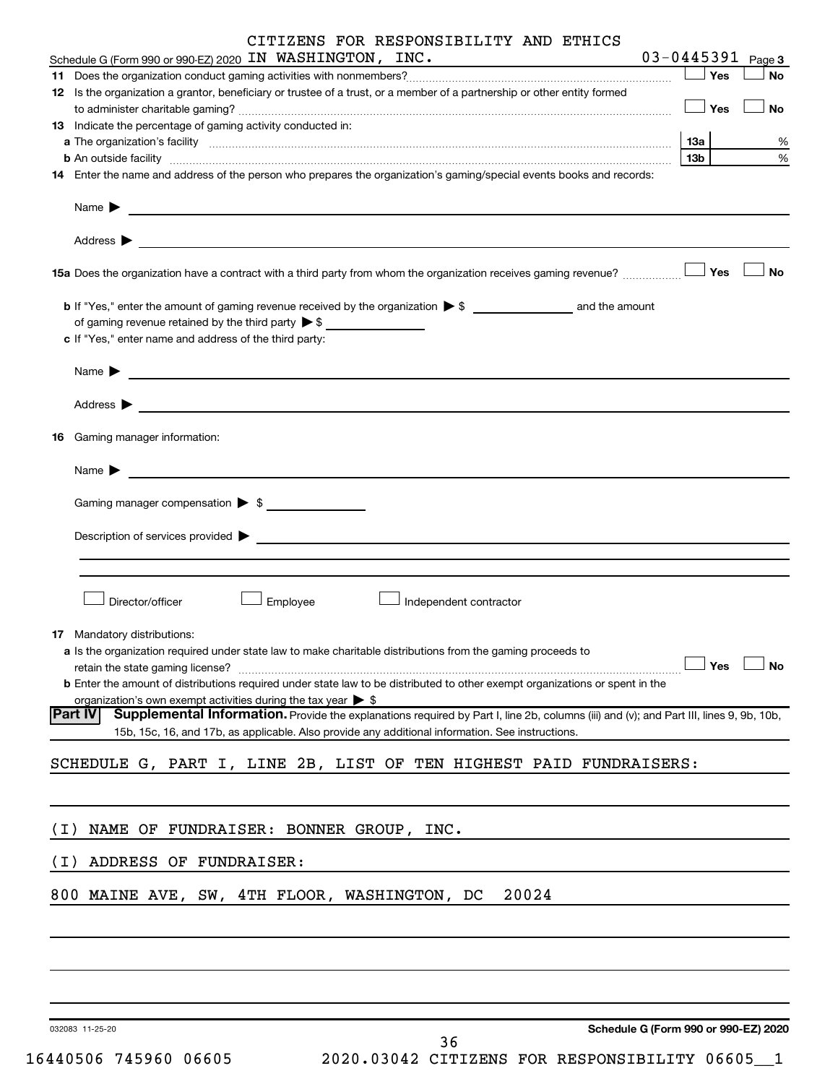| $03 - 0445391$ Page 3<br>Schedule G (Form 990 or 990-EZ) 2020 IN WASHINGTON, INC.<br>Yes<br>No<br>12 Is the organization a grantor, beneficiary or trustee of a trust, or a member of a partnership or other entity formed                                        |
|-------------------------------------------------------------------------------------------------------------------------------------------------------------------------------------------------------------------------------------------------------------------|
|                                                                                                                                                                                                                                                                   |
|                                                                                                                                                                                                                                                                   |
| $\Box$ Yes<br>No                                                                                                                                                                                                                                                  |
| 13 Indicate the percentage of gaming activity conducted in:                                                                                                                                                                                                       |
| 13а<br>%                                                                                                                                                                                                                                                          |
| 13 <sub>b</sub><br>%<br><b>b</b> An outside facility <i>www.communicallycommunicallycommunicallycommunicallycommunicallycommunicallycommunicallycommunicallycommunicallycommunicallycommunicallycommunicallycommunicallycommunicallycommunicallycommunicallyc</i> |
| 14 Enter the name and address of the person who prepares the organization's gaming/special events books and records:                                                                                                                                              |
| Name $\blacktriangleright$<br><u>some started and the started and the started and the started and the started and the started and the started and</u>                                                                                                             |
| Address $\blacktriangleright$                                                                                                                                                                                                                                     |
| <b>」Yes</b><br>No<br>15a Does the organization have a contract with a third party from whom the organization receives gaming revenue?                                                                                                                             |
|                                                                                                                                                                                                                                                                   |
| of gaming revenue retained by the third party $\triangleright$ \$                                                                                                                                                                                                 |
| c If "Yes," enter name and address of the third party:                                                                                                                                                                                                            |
| Name <b>Decision and Contract Contract Contract Contract Contract Contract Contract Contract Contract Contract Contract Contract Contract Contract Contract Contract Contract Contract Contract Contract Contract Contract Contr</b>                              |
| Address $\blacktriangleright$<br><u> 1989 - Johann Harry Harry Harry Harry Harry Harry Harry Harry Harry Harry Harry Harry Harry Harry Harry Harry</u>                                                                                                            |
| Gaming manager information:<br>16                                                                                                                                                                                                                                 |
| Name $\blacktriangleright$<br><u> 1980 - John Stein, mars and de Britain and de Britain and de Britain and de Britain and de Britain and de Br</u>                                                                                                                |
| Gaming manager compensation > \$                                                                                                                                                                                                                                  |
|                                                                                                                                                                                                                                                                   |
| Description of services provided > example and the contract of the contract of the contract of the contract of                                                                                                                                                    |
|                                                                                                                                                                                                                                                                   |
|                                                                                                                                                                                                                                                                   |
| Director/officer<br>Employee<br>Independent contractor                                                                                                                                                                                                            |
| 17 Mandatory distributions:                                                                                                                                                                                                                                       |
| a Is the organization required under state law to make charitable distributions from the gaming proceeds to                                                                                                                                                       |
| Yes<br>No<br>retain the state gaming license?                                                                                                                                                                                                                     |
| <b>b</b> Enter the amount of distributions required under state law to be distributed to other exempt organizations or spent in the                                                                                                                               |
| organization's own exempt activities during the tax year $\triangleright$ \$<br>Supplemental Information. Provide the explanations required by Part I, line 2b, columns (iii) and (v); and Part III, lines 9, 9b, 10b,<br> Part IV                                |
| 15b, 15c, 16, and 17b, as applicable. Also provide any additional information. See instructions.                                                                                                                                                                  |
| SCHEDULE G, PART I, LINE 2B, LIST OF TEN HIGHEST PAID FUNDRAISERS:                                                                                                                                                                                                |
|                                                                                                                                                                                                                                                                   |
| NAME OF FUNDRAISER: BONNER GROUP, INC.<br>( I )                                                                                                                                                                                                                   |
|                                                                                                                                                                                                                                                                   |
| ADDRESS OF FUNDRAISER:<br>( I )                                                                                                                                                                                                                                   |
| 20024<br>800 MAINE AVE, SW, 4TH FLOOR, WASHINGTON, DC                                                                                                                                                                                                             |
|                                                                                                                                                                                                                                                                   |
|                                                                                                                                                                                                                                                                   |
|                                                                                                                                                                                                                                                                   |
| Schodule C (Form 000 or 000 EZ) 2020                                                                                                                                                                                                                              |

032083 11-25-20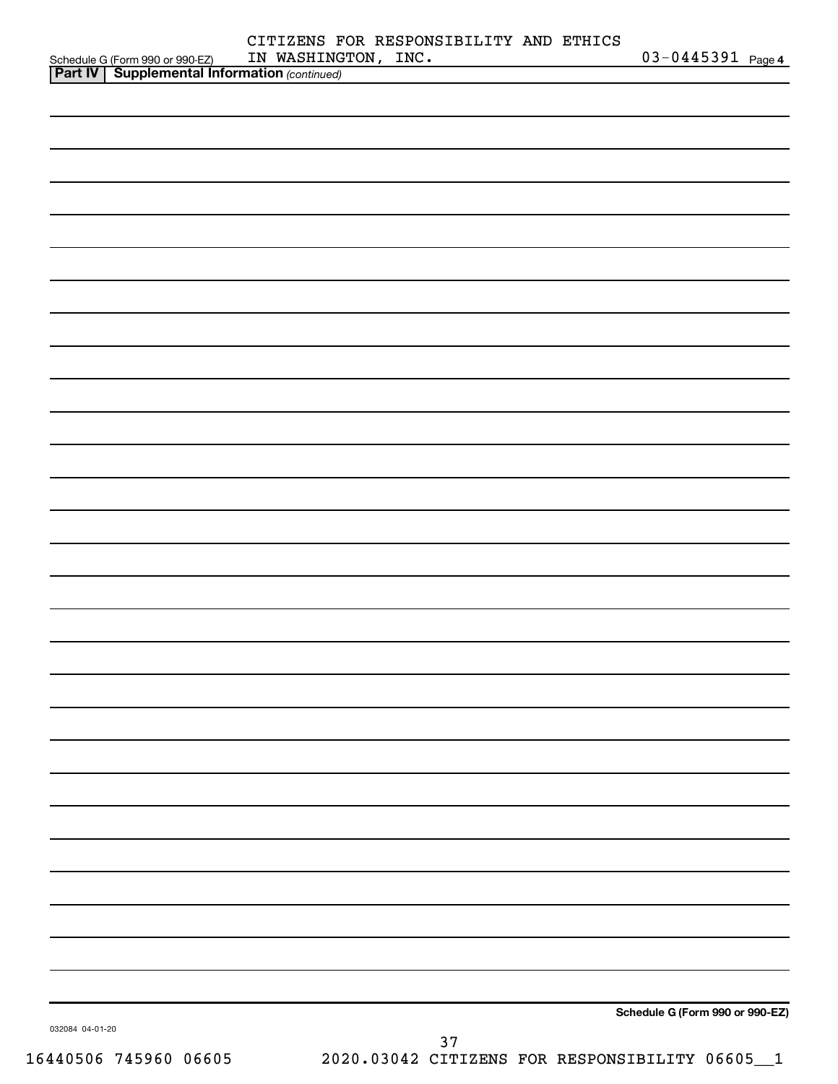|                 |                                                                                                     |                     | CITIZENS FOR RESPONSIBILITY AND ETHICS |                                 |
|-----------------|-----------------------------------------------------------------------------------------------------|---------------------|----------------------------------------|---------------------------------|
|                 | Schedule G (Form 990 or 990-EZ) IN WASHING<br><b>Part IV   Supplemental Information</b> (continued) | IN WASHINGTON, INC. |                                        | $03 - 0445391$ Page 4           |
|                 |                                                                                                     |                     |                                        |                                 |
|                 |                                                                                                     |                     |                                        |                                 |
|                 |                                                                                                     |                     |                                        |                                 |
|                 |                                                                                                     |                     |                                        |                                 |
|                 |                                                                                                     |                     |                                        |                                 |
|                 |                                                                                                     |                     |                                        |                                 |
|                 |                                                                                                     |                     |                                        |                                 |
|                 |                                                                                                     |                     |                                        |                                 |
|                 |                                                                                                     |                     |                                        |                                 |
|                 |                                                                                                     |                     |                                        |                                 |
|                 |                                                                                                     |                     |                                        |                                 |
|                 |                                                                                                     |                     |                                        |                                 |
|                 |                                                                                                     |                     |                                        |                                 |
|                 |                                                                                                     |                     |                                        |                                 |
|                 |                                                                                                     |                     |                                        |                                 |
|                 |                                                                                                     |                     |                                        |                                 |
|                 |                                                                                                     |                     |                                        |                                 |
|                 |                                                                                                     |                     |                                        |                                 |
|                 |                                                                                                     |                     |                                        |                                 |
|                 |                                                                                                     |                     |                                        |                                 |
|                 |                                                                                                     |                     |                                        |                                 |
|                 |                                                                                                     |                     |                                        |                                 |
|                 |                                                                                                     |                     |                                        |                                 |
|                 |                                                                                                     |                     |                                        |                                 |
|                 |                                                                                                     |                     |                                        |                                 |
|                 |                                                                                                     |                     |                                        |                                 |
|                 |                                                                                                     |                     |                                        |                                 |
|                 |                                                                                                     |                     |                                        |                                 |
|                 |                                                                                                     |                     |                                        |                                 |
|                 |                                                                                                     |                     |                                        |                                 |
|                 |                                                                                                     |                     |                                        |                                 |
|                 |                                                                                                     |                     |                                        |                                 |
|                 |                                                                                                     |                     |                                        |                                 |
|                 |                                                                                                     |                     |                                        |                                 |
|                 |                                                                                                     |                     |                                        |                                 |
|                 |                                                                                                     |                     |                                        |                                 |
|                 |                                                                                                     |                     |                                        |                                 |
|                 |                                                                                                     |                     |                                        |                                 |
|                 |                                                                                                     |                     |                                        |                                 |
|                 |                                                                                                     |                     |                                        |                                 |
|                 |                                                                                                     |                     |                                        |                                 |
|                 |                                                                                                     |                     |                                        |                                 |
|                 |                                                                                                     |                     |                                        |                                 |
|                 |                                                                                                     |                     |                                        |                                 |
|                 |                                                                                                     |                     |                                        |                                 |
|                 |                                                                                                     |                     |                                        |                                 |
| 032084 04-01-20 |                                                                                                     |                     |                                        | Schedule G (Form 990 or 990-EZ) |
|                 |                                                                                                     |                     | 27                                     |                                 |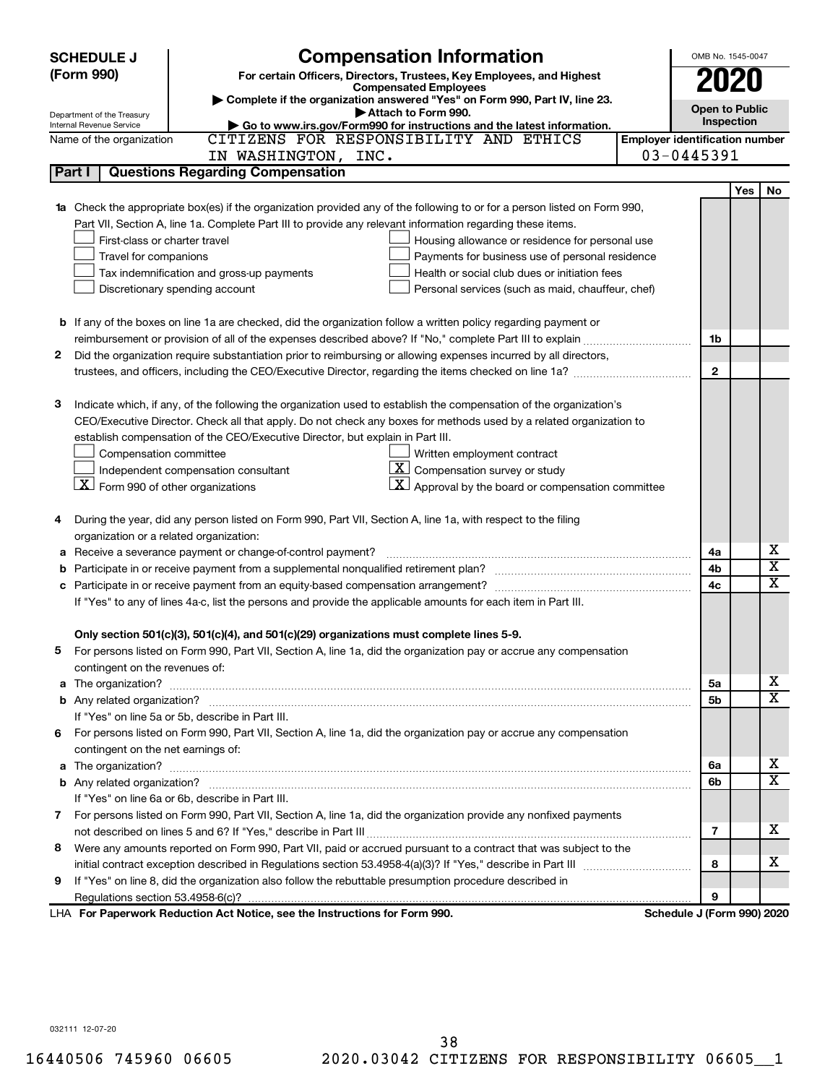|   | <b>Compensation Information</b><br><b>SCHEDULE J</b>                                                                                                                                                          |                                       | OMB No. 1545-0047 |            |                         |
|---|---------------------------------------------------------------------------------------------------------------------------------------------------------------------------------------------------------------|---------------------------------------|-------------------|------------|-------------------------|
|   | (Form 990)<br>For certain Officers, Directors, Trustees, Key Employees, and Highest                                                                                                                           |                                       | 2020              |            |                         |
|   | <b>Compensated Employees</b>                                                                                                                                                                                  |                                       |                   |            |                         |
|   | Complete if the organization answered "Yes" on Form 990, Part IV, line 23.<br>Attach to Form 990.<br>Department of the Treasury                                                                               |                                       |                   |            | <b>Open to Public</b>   |
|   | Go to www.irs.gov/Form990 for instructions and the latest information.<br>Internal Revenue Service                                                                                                            |                                       | Inspection        |            |                         |
|   | CITIZENS FOR RESPONSIBILITY AND ETHICS<br>Name of the organization                                                                                                                                            | <b>Employer identification number</b> |                   |            |                         |
|   | IN WASHINGTON, INC.                                                                                                                                                                                           | 03-0445391                            |                   |            |                         |
|   | <b>Questions Regarding Compensation</b><br>Part I                                                                                                                                                             |                                       |                   |            |                         |
|   |                                                                                                                                                                                                               |                                       |                   | <b>Yes</b> | No                      |
|   | Check the appropriate box(es) if the organization provided any of the following to or for a person listed on Form 990,                                                                                        |                                       |                   |            |                         |
|   | Part VII, Section A, line 1a. Complete Part III to provide any relevant information regarding these items.                                                                                                    |                                       |                   |            |                         |
|   | First-class or charter travel<br>Housing allowance or residence for personal use                                                                                                                              |                                       |                   |            |                         |
|   | Travel for companions<br>Payments for business use of personal residence                                                                                                                                      |                                       |                   |            |                         |
|   | Health or social club dues or initiation fees<br>Tax indemnification and gross-up payments                                                                                                                    |                                       |                   |            |                         |
|   | Discretionary spending account<br>Personal services (such as maid, chauffeur, chef)                                                                                                                           |                                       |                   |            |                         |
|   |                                                                                                                                                                                                               |                                       |                   |            |                         |
|   | <b>b</b> If any of the boxes on line 1a are checked, did the organization follow a written policy regarding payment or                                                                                        |                                       |                   |            |                         |
|   |                                                                                                                                                                                                               |                                       | 1b                |            |                         |
| 2 | Did the organization require substantiation prior to reimbursing or allowing expenses incurred by all directors,                                                                                              |                                       |                   |            |                         |
|   |                                                                                                                                                                                                               |                                       | $\mathbf{2}$      |            |                         |
|   |                                                                                                                                                                                                               |                                       |                   |            |                         |
| З | Indicate which, if any, of the following the organization used to establish the compensation of the organization's                                                                                            |                                       |                   |            |                         |
|   | CEO/Executive Director. Check all that apply. Do not check any boxes for methods used by a related organization to                                                                                            |                                       |                   |            |                         |
|   | establish compensation of the CEO/Executive Director, but explain in Part III.                                                                                                                                |                                       |                   |            |                         |
|   | Compensation committee<br>Written employment contract                                                                                                                                                         |                                       |                   |            |                         |
|   | $ \mathbf{X} $ Compensation survey or study<br>Independent compensation consultant                                                                                                                            |                                       |                   |            |                         |
|   | $\lfloor x \rfloor$ Form 990 of other organizations<br>$ \mathbf{X} $ Approval by the board or compensation committee                                                                                         |                                       |                   |            |                         |
|   |                                                                                                                                                                                                               |                                       |                   |            |                         |
|   | During the year, did any person listed on Form 990, Part VII, Section A, line 1a, with respect to the filing                                                                                                  |                                       |                   |            |                         |
|   | organization or a related organization:                                                                                                                                                                       |                                       |                   |            | х                       |
| а | Receive a severance payment or change-of-control payment?                                                                                                                                                     |                                       | 4a                |            | $\overline{\textbf{x}}$ |
| b |                                                                                                                                                                                                               |                                       | 4b                |            | $\mathbf x$             |
| c |                                                                                                                                                                                                               |                                       | 4c                |            |                         |
|   | If "Yes" to any of lines 4a-c, list the persons and provide the applicable amounts for each item in Part III.                                                                                                 |                                       |                   |            |                         |
|   |                                                                                                                                                                                                               |                                       |                   |            |                         |
| 5 | Only section 501(c)(3), 501(c)(4), and 501(c)(29) organizations must complete lines 5-9.<br>For persons listed on Form 990, Part VII, Section A, line 1a, did the organization pay or accrue any compensation |                                       |                   |            |                         |
|   | contingent on the revenues of:                                                                                                                                                                                |                                       |                   |            |                         |
| a |                                                                                                                                                                                                               |                                       | 5a                |            | х                       |
|   |                                                                                                                                                                                                               |                                       | 5b                |            | X                       |
|   | If "Yes" on line 5a or 5b, describe in Part III.                                                                                                                                                              |                                       |                   |            |                         |
|   | 6 For persons listed on Form 990, Part VII, Section A, line 1a, did the organization pay or accrue any compensation                                                                                           |                                       |                   |            |                         |
|   | contingent on the net earnings of:                                                                                                                                                                            |                                       |                   |            |                         |
| а |                                                                                                                                                                                                               |                                       | 6а                |            | х                       |
|   |                                                                                                                                                                                                               |                                       | 6b                |            | X                       |
|   | If "Yes" on line 6a or 6b, describe in Part III.                                                                                                                                                              |                                       |                   |            |                         |
|   | 7 For persons listed on Form 990, Part VII, Section A, line 1a, did the organization provide any nonfixed payments                                                                                            |                                       |                   |            |                         |
|   |                                                                                                                                                                                                               |                                       | 7                 |            | x                       |
| 8 | Were any amounts reported on Form 990, Part VII, paid or accrued pursuant to a contract that was subject to the                                                                                               |                                       |                   |            |                         |
|   |                                                                                                                                                                                                               |                                       | 8                 |            | x                       |
| 9 | If "Yes" on line 8, did the organization also follow the rebuttable presumption procedure described in                                                                                                        |                                       |                   |            |                         |
|   |                                                                                                                                                                                                               |                                       | 9                 |            |                         |
|   | LHA For Paperwork Reduction Act Notice, see the Instructions for Form 990.                                                                                                                                    | Schedule J (Form 990) 2020            |                   |            |                         |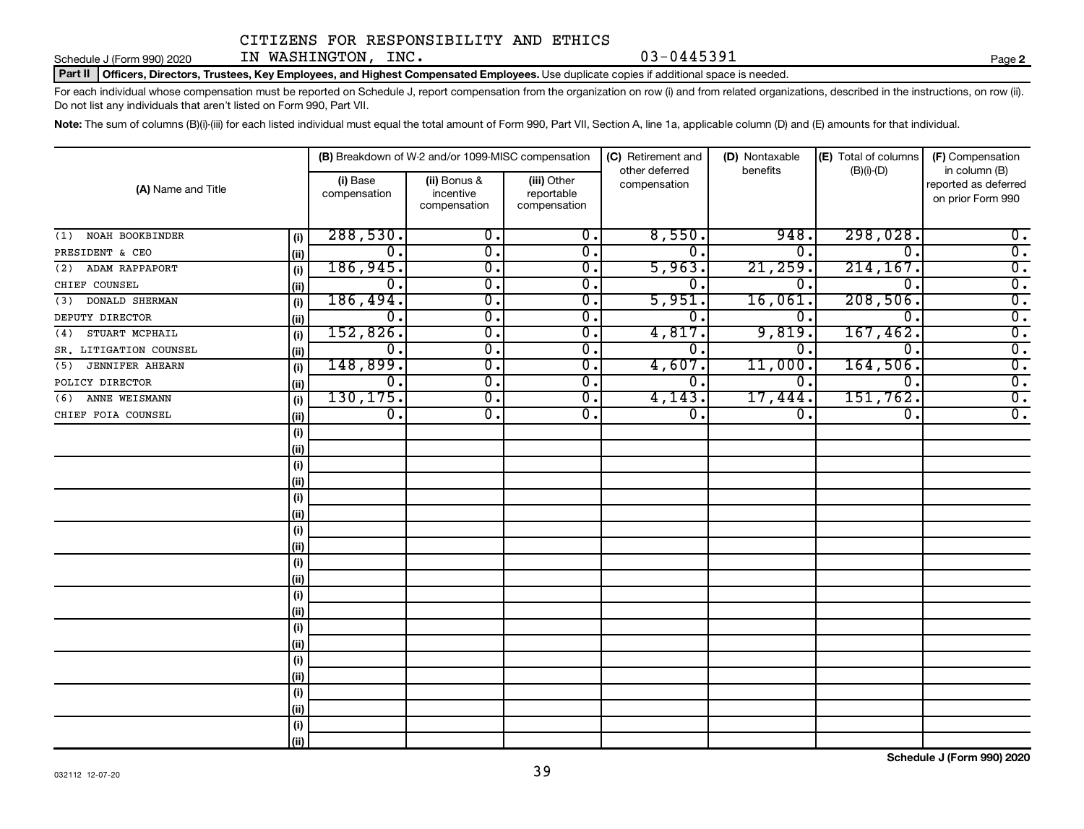#### Schedule J (Form 990) 2020  $IN$   $NASHINGTON$ ,  $INC$ .  $03-0445391$   $Page$

Part II | Officers, Directors, Trustees, Key Employees, and Highest Compensated Employees. Use duplicate copies if additional space is needed.

For each individual whose compensation must be reported on Schedule J, report compensation from the organization on row (i) and from related organizations, described in the instructions, on row (ii). Do not list any individuals that aren't listed on Form 990, Part VII.

Note: The sum of columns (B)(i)-(iii) for each listed individual must equal the total amount of Form 990, Part VII, Section A, line 1a, applicable column (D) and (E) amounts for that individual.

|                               |      | (B) Breakdown of W-2 and/or 1099-MISC compensation |                                           | (C) Retirement and<br>other deferred      | (D) Nontaxable<br>benefits | (E) Total of columns | (F) Compensation<br>in column (B) |                                           |
|-------------------------------|------|----------------------------------------------------|-------------------------------------------|-------------------------------------------|----------------------------|----------------------|-----------------------------------|-------------------------------------------|
| (A) Name and Title            |      | (i) Base<br>compensation                           | (ii) Bonus &<br>incentive<br>compensation | (iii) Other<br>reportable<br>compensation | compensation               |                      | $(B)(i)-(D)$                      | reported as deferred<br>on prior Form 990 |
| NOAH BOOKBINDER<br>(1)        | (i)  | 288,530.                                           | 0.                                        | 0.                                        | 8,550.                     | 948                  | 298,028.                          | $0$ .                                     |
| PRESIDENT & CEO               | (ii) | 0.                                                 | σ.                                        | $\overline{0}$ .                          | 0.                         | $\Omega$ .           | 0                                 | $\overline{0}$ .                          |
| ADAM RAPPAPORT<br>(2)         | (i)  | 186,945.                                           | $\overline{0}$ .                          | 0.                                        | 5,963.                     | 21,259.              | 214, 167.                         | $\overline{0}$ .                          |
| CHIEF COUNSEL                 | (ii) | 0.                                                 | $\overline{\mathfrak{o}}$ .               | 0.                                        | 0.                         | 0.                   | 0                                 | $\overline{0}$ .                          |
| DONALD SHERMAN<br>(3)         | (i)  | 186,494.                                           | $\overline{0}$ .                          | 0.                                        | 5,951.                     | 16,061               | 208,506.                          | $\overline{0}$ .                          |
| DEPUTY DIRECTOR               | (ii) | 0.                                                 | $\overline{0}$ .                          | 0.                                        | 0.                         | 0.                   | 0                                 | $\overline{0}$ .                          |
| STUART MCPHAIL<br>(4)         | (i)  | 152,826.                                           | $\overline{0}$ .                          | 0.                                        | 4,817.                     | 9,819                | 167,462.                          | $\overline{0}$ .                          |
| SR. LITIGATION COUNSEL        | (ii) | 0.                                                 | О.                                        | 0.                                        | 0.                         | $\Omega$ .           | $\Omega$ .                        | $\overline{0}$ .                          |
| <b>JENNIFER AHEARN</b><br>(5) | (i)  | 148,899.                                           | σ.                                        | 0.                                        | 4,607.                     | 11,000               | 164,506.                          | $\overline{0}$ .                          |
| POLICY DIRECTOR               | (ii) | $\overline{0}$ .                                   | σ.                                        | $\overline{0}$ .                          | О.                         | $\mathbf 0$ .        | $\overline{0}$ .                  | $\overline{0}$ .                          |
| ANNE WEISMANN<br>(6)          | (i)  | 130, 175.                                          | $\overline{\mathfrak{o}}$ .               | $\overline{0}$ .                          | 4,143.                     | 17,444.              | 151,762.                          | $\overline{0}$ .                          |
| CHIEF FOIA COUNSEL            | (ii) | $\overline{0}$ .                                   | σ.                                        | 0.                                        | 0.                         | 0.                   | 0.                                | $\overline{0}$ .                          |
|                               | (i)  |                                                    |                                           |                                           |                            |                      |                                   |                                           |
|                               | (i)  |                                                    |                                           |                                           |                            |                      |                                   |                                           |
|                               | (i)  |                                                    |                                           |                                           |                            |                      |                                   |                                           |
|                               | (i)  |                                                    |                                           |                                           |                            |                      |                                   |                                           |
|                               | (i)  |                                                    |                                           |                                           |                            |                      |                                   |                                           |
|                               | (i)  |                                                    |                                           |                                           |                            |                      |                                   |                                           |
|                               | (i)  |                                                    |                                           |                                           |                            |                      |                                   |                                           |
|                               | (i)  |                                                    |                                           |                                           |                            |                      |                                   |                                           |
|                               | (i)  |                                                    |                                           |                                           |                            |                      |                                   |                                           |
|                               | (i)  |                                                    |                                           |                                           |                            |                      |                                   |                                           |
|                               | (i)  |                                                    |                                           |                                           |                            |                      |                                   |                                           |
|                               | (i)  |                                                    |                                           |                                           |                            |                      |                                   |                                           |
|                               | (i)  |                                                    |                                           |                                           |                            |                      |                                   |                                           |
|                               | (i)  |                                                    |                                           |                                           |                            |                      |                                   |                                           |
|                               | (i)  |                                                    |                                           |                                           |                            |                      |                                   |                                           |
|                               | (i)  |                                                    |                                           |                                           |                            |                      |                                   |                                           |
|                               | (i)  |                                                    |                                           |                                           |                            |                      |                                   |                                           |
|                               | (ii) |                                                    |                                           |                                           |                            |                      |                                   |                                           |
|                               | (i)  |                                                    |                                           |                                           |                            |                      |                                   |                                           |
|                               | (ii) |                                                    |                                           |                                           |                            |                      |                                   |                                           |

**2**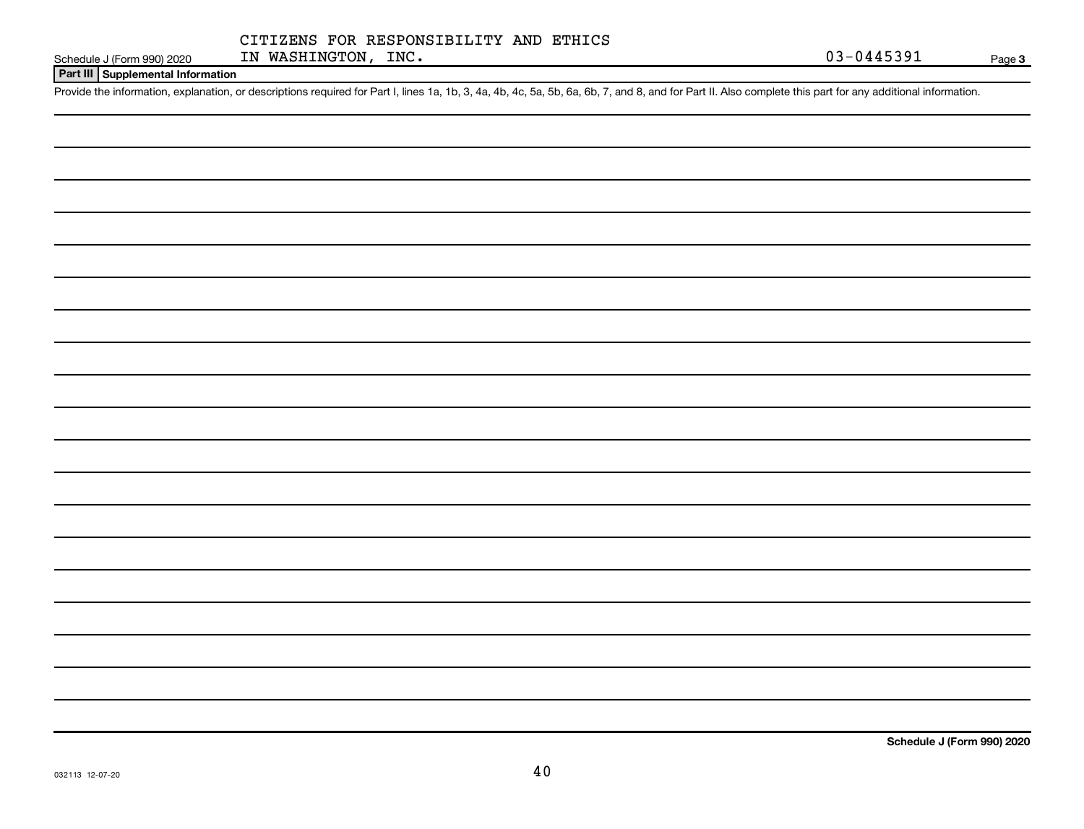## **Part III Supplemental Information**

Provide the information, explanation, or descriptions required for Part I, lines 1a, 1b, 3, 4a, 4b, 4c, 5a, 5b, 6a, 6b, 7, and 8, and for Part II. Also complete this part for any additional information.

**Schedule J (Form 990) 2020**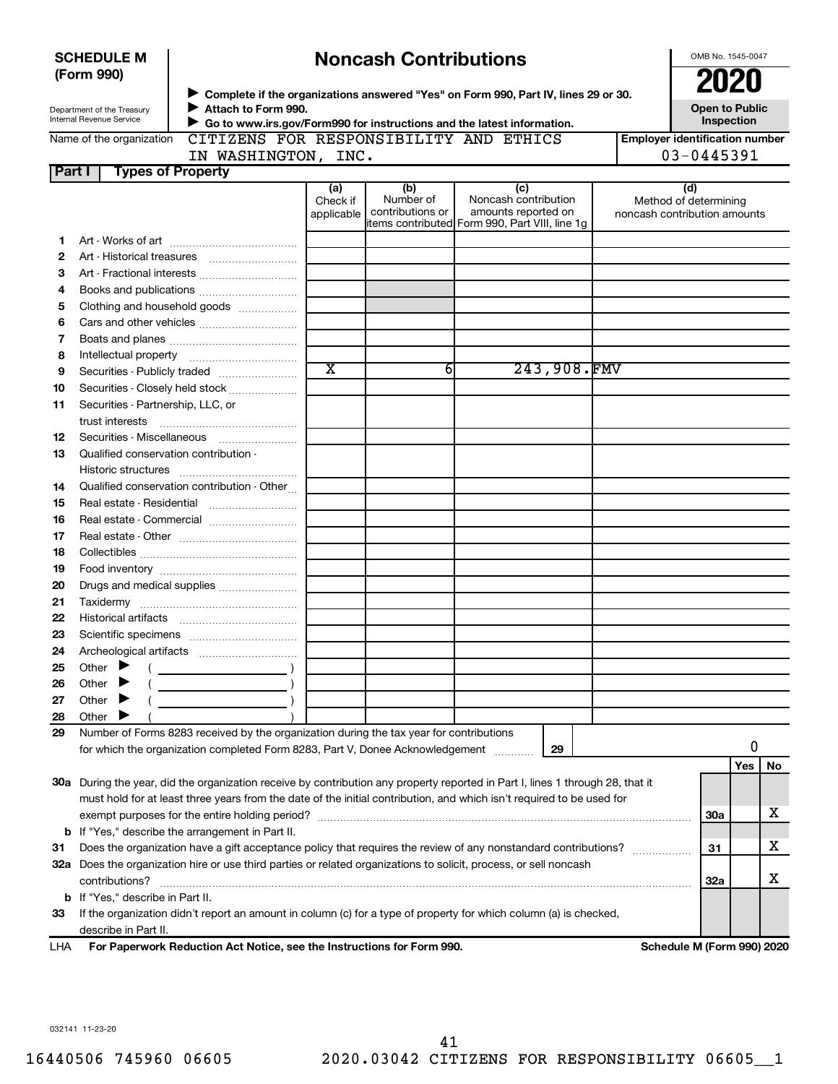| <b>SCHEDULE M</b> |  |
|-------------------|--|
| (Form 990)        |  |

# **Noncash Contributions**

OMB No. 1545-0047

| Department of the Treasury |
|----------------------------|
| Internal Revenue Service   |

◆ Complete if the organizations answered "Yes" on Form 990, Part IV, lines 29 or 30.<br>● Complete if the organizations answered "Yes" on Form 990, Part IV, lines 29 or 30. **Attach to Form 990.** J

**Open to Public Inspection**

|  | Name of the organization |
|--|--------------------------|
|  |                          |

 **Go to www.irs.gov/Form990 for instructions and the latest information.** J

CITIZENS FOR RESPONSIBILITY AND ETHICS<br>IN WASHINGTON INC

**Employer identification number** 03-0445391

|                            | TN MUDUTIMATON' T |  |
|----------------------------|-------------------|--|
| Part I   Types of Property |                   |  |
|                            |                   |  |

| IGTON, INC. |  |  |
|-------------|--|--|
|             |  |  |

|     |                                                                                                                                | (a)                   | (b)                           | (c)                                            | (d)                          |            |          |   |
|-----|--------------------------------------------------------------------------------------------------------------------------------|-----------------------|-------------------------------|------------------------------------------------|------------------------------|------------|----------|---|
|     |                                                                                                                                | Check if              | Number of<br>contributions or | Noncash contribution<br>amounts reported on    | Method of determining        |            |          |   |
|     |                                                                                                                                | applicable            |                               | items contributed Form 990, Part VIII, line 1g | noncash contribution amounts |            |          |   |
| 1.  |                                                                                                                                |                       |                               |                                                |                              |            |          |   |
| 2   |                                                                                                                                |                       |                               |                                                |                              |            |          |   |
| з   | Art - Fractional interests                                                                                                     |                       |                               |                                                |                              |            |          |   |
| 4   |                                                                                                                                |                       |                               |                                                |                              |            |          |   |
| 5   | Clothing and household goods                                                                                                   |                       |                               |                                                |                              |            |          |   |
| 6   |                                                                                                                                |                       |                               |                                                |                              |            |          |   |
| 7   |                                                                                                                                |                       |                               |                                                |                              |            |          |   |
| 8   |                                                                                                                                |                       |                               |                                                |                              |            |          |   |
| 9   | Securities - Publicly traded                                                                                                   | $\overline{\text{x}}$ | 61                            | 243,908.FMV                                    |                              |            |          |   |
| 10  | Securities - Closely held stock                                                                                                |                       |                               |                                                |                              |            |          |   |
| 11  | Securities - Partnership, LLC, or                                                                                              |                       |                               |                                                |                              |            |          |   |
|     | trust interests                                                                                                                |                       |                               |                                                |                              |            |          |   |
| 12  | Securities - Miscellaneous                                                                                                     |                       |                               |                                                |                              |            |          |   |
| 13  | Qualified conservation contribution -                                                                                          |                       |                               |                                                |                              |            |          |   |
|     |                                                                                                                                |                       |                               |                                                |                              |            |          |   |
| 14  | Qualified conservation contribution - Other                                                                                    |                       |                               |                                                |                              |            |          |   |
| 15  | Real estate - Residential                                                                                                      |                       |                               |                                                |                              |            |          |   |
| 16  |                                                                                                                                |                       |                               |                                                |                              |            |          |   |
| 17  |                                                                                                                                |                       |                               |                                                |                              |            |          |   |
| 18  |                                                                                                                                |                       |                               |                                                |                              |            |          |   |
| 19  |                                                                                                                                |                       |                               |                                                |                              |            |          |   |
| 20  |                                                                                                                                |                       |                               |                                                |                              |            |          |   |
| 21  |                                                                                                                                |                       |                               |                                                |                              |            |          |   |
| 22  |                                                                                                                                |                       |                               |                                                |                              |            |          |   |
| 23  |                                                                                                                                |                       |                               |                                                |                              |            |          |   |
| 24  |                                                                                                                                |                       |                               |                                                |                              |            |          |   |
| 25  | Other $\blacktriangleright$                                                                                                    |                       |                               |                                                |                              |            |          |   |
| 26  | Other                                                                                                                          |                       |                               |                                                |                              |            |          |   |
| 27  | Other<br>▸                                                                                                                     |                       |                               |                                                |                              |            |          |   |
| 28  | Other                                                                                                                          |                       |                               |                                                |                              |            |          |   |
| 29  | Number of Forms 8283 received by the organization during the tax year for contributions                                        |                       |                               |                                                |                              |            |          |   |
|     | for which the organization completed Form 8283, Part V, Donee Acknowledgement                                                  |                       |                               | 29                                             |                              |            | 0        |   |
|     |                                                                                                                                |                       |                               |                                                |                              |            | Yes   No |   |
|     | 30a During the year, did the organization receive by contribution any property reported in Part I, lines 1 through 28, that it |                       |                               |                                                |                              |            |          |   |
|     | must hold for at least three years from the date of the initial contribution, and which isn't required to be used for          |                       |                               |                                                |                              |            |          |   |
|     | exempt purposes for the entire holding period?                                                                                 |                       |                               |                                                |                              | <b>30a</b> |          | х |
|     | <b>b</b> If "Yes," describe the arrangement in Part II.                                                                        |                       |                               |                                                |                              |            |          |   |
| 31  | Does the organization have a gift acceptance policy that requires the review of any nonstandard contributions?                 |                       |                               |                                                |                              |            |          | x |
|     | 32a Does the organization hire or use third parties or related organizations to solicit, process, or sell noncash              |                       |                               |                                                |                              | 31         |          |   |
|     | contributions?                                                                                                                 |                       |                               |                                                |                              | 32a        |          | х |
|     | <b>b</b> If "Yes," describe in Part II.                                                                                        |                       |                               |                                                |                              |            |          |   |
| 33  | If the organization didn't report an amount in column (c) for a type of property for which column (a) is checked,              |                       |                               |                                                |                              |            |          |   |
|     | describe in Part II.                                                                                                           |                       |                               |                                                |                              |            |          |   |
| LHA | For Paperwork Reduction Act Notice, see the Instructions for Form 990.                                                         |                       |                               |                                                | Schedule M (Form 990) 2020   |            |          |   |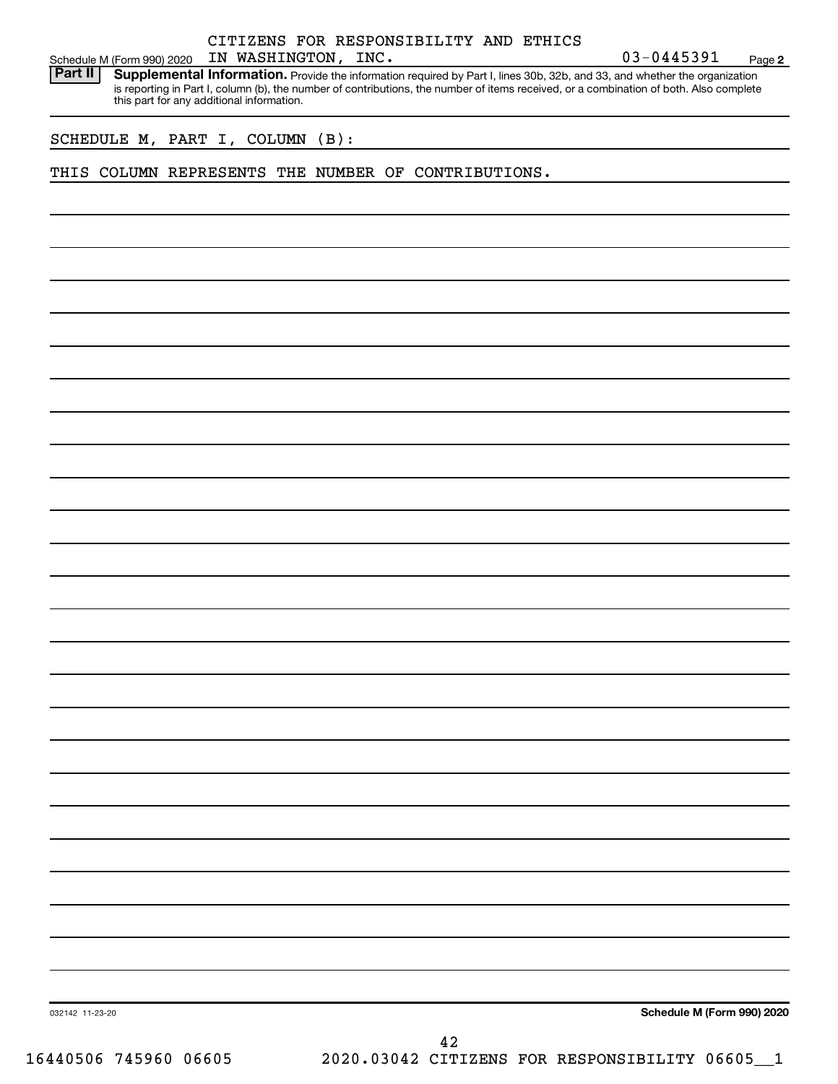### CITIZENS FOR RESPONSIBILITY AND ETHICS IN WASHINGTON,

**2**

Schedule M (Form 990) 2020 IN WASHINGTON, INC.<br>**Part II** Supplemental Information, Provide the information required by Part I. lines 30b, 32b, and 33, and whether the orga Part II | Supplemental Information. Provide the information required by Part I, lines 30b, 32b, and 33, and whether the organization is reporting in Part I, column (b), the number of contributions, the number of items received, or a combination of both. Also complete this part for any additional information.

SCHEDULE M, PART I, COLUMN (B):

THIS COLUMN REPRESENTS THE NUMBER OF CONTRIBUTIONS.

**Schedule M (Form 990) 2020**

032142 11-23-20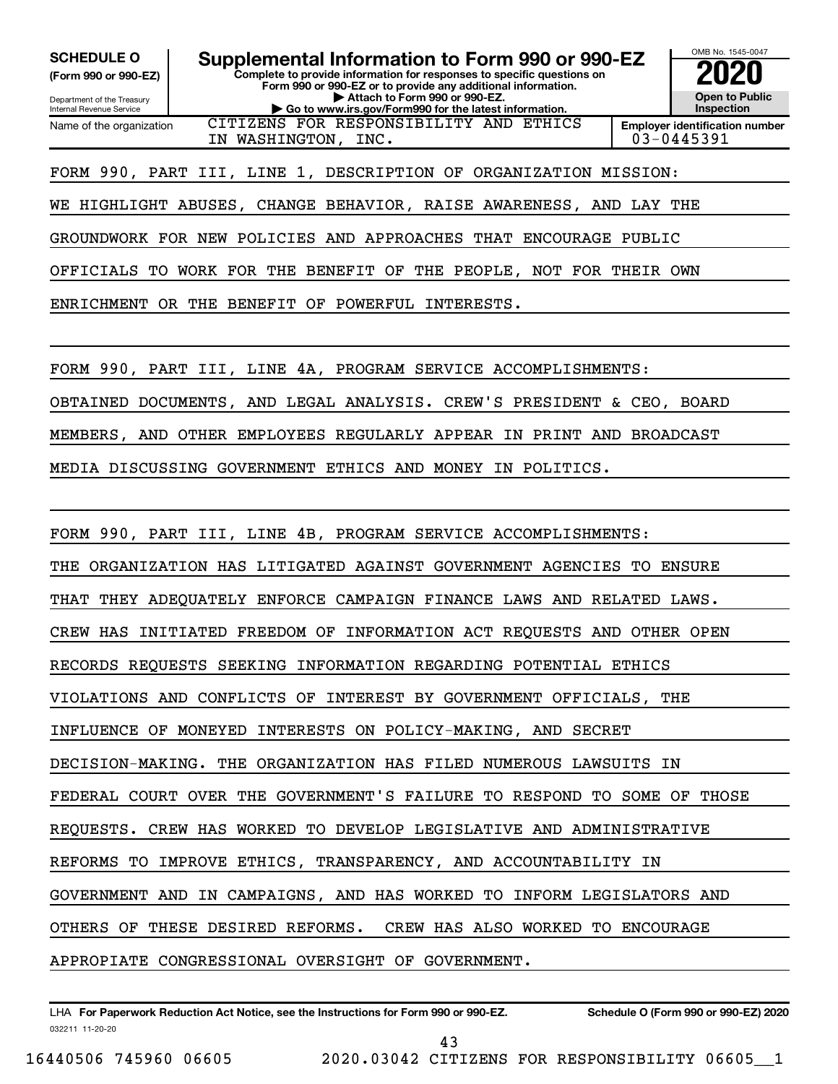**(Form 990 or 990-EZ)**

Department of the Treasury Internal Revenue Service Name of the organization

**Complete to provide information for responses to specific questions on Form 990 or 990-EZ or to provide any additional information. | Attach to Form 990 or 990-EZ. | Go to www.irs.gov/Form990 for the latest information. SCHEDULE O Supplemental Information to Form 990 or 990-EZ 2020**<br>(Form 990 or 990-EZ) Complete to provide information for responses to specific questions on CITIZENS FOR RESPONSIBILITY AND ETHICS IN WASHINGTON, INC. 03-0445391



FORM 990, PART III, LINE 1, DESCRIPTION OF ORGANIZATION MISSION:

WE HIGHLIGHT ABUSES, CHANGE BEHAVIOR, RAISE AWARENESS, AND LAY THE

GROUNDWORK FOR NEW POLICIES AND APPROACHES THAT ENCOURAGE PUBLIC

OFFICIALS TO WORK FOR THE BENEFIT OF THE PEOPLE, NOT FOR THEIR OWN

ENRICHMENT OR THE BENEFIT OF POWERFUL INTERESTS.

FORM 990, PART III, LINE 4A, PROGRAM SERVICE ACCOMPLISHMENTS:

OBTAINED DOCUMENTS, AND LEGAL ANALYSIS. CREW'S PRESIDENT & CEO, BOARD

MEMBERS, AND OTHER EMPLOYEES REGULARLY APPEAR IN PRINT AND BROADCAST

MEDIA DISCUSSING GOVERNMENT ETHICS AND MONEY IN POLITICS.

FORM 990, PART III, LINE 4B, PROGRAM SERVICE ACCOMPLISHMENTS:

THE ORGANIZATION HAS LITIGATED AGAINST GOVERNMENT AGENCIES TO ENSURE

THAT THEY ADEQUATELY ENFORCE CAMPAIGN FINANCE LAWS AND RELATED LAWS.

CREW HAS INITIATED FREEDOM OF INFORMATION ACT REQUESTS AND OTHER OPEN

RECORDS REQUESTS SEEKING INFORMATION REGARDING POTENTIAL ETHICS

VIOLATIONS AND CONFLICTS OF INTEREST BY GOVERNMENT OFFICIALS, THE

INFLUENCE OF MONEYED INTERESTS ON POLICY-MAKING, AND SECRET

DECISION-MAKING. THE ORGANIZATION HAS FILED NUMEROUS LAWSUITS IN

FEDERAL COURT OVER THE GOVERNMENT'S FAILURE TO RESPOND TO SOME OF THOSE

REQUESTS. CREW HAS WORKED TO DEVELOP LEGISLATIVE AND ADMINISTRATIVE

REFORMS TO IMPROVE ETHICS, TRANSPARENCY, AND ACCOUNTABILITY IN

GOVERNMENT AND IN CAMPAIGNS, AND HAS WORKED TO INFORM LEGISLATORS AND

OTHERS OF THESE DESIRED REFORMS. CREW HAS ALSO WORKED TO ENCOURAGE

APPROPIATE CONGRESSIONAL OVERSIGHT OF GOVERNMENT.

032211 11-20-20 **For Paperwork Reduction Act Notice, see the Instructions for Form 990 or 990-EZ. Schedule O (Form 990 or 990-EZ) 2020** LHA

43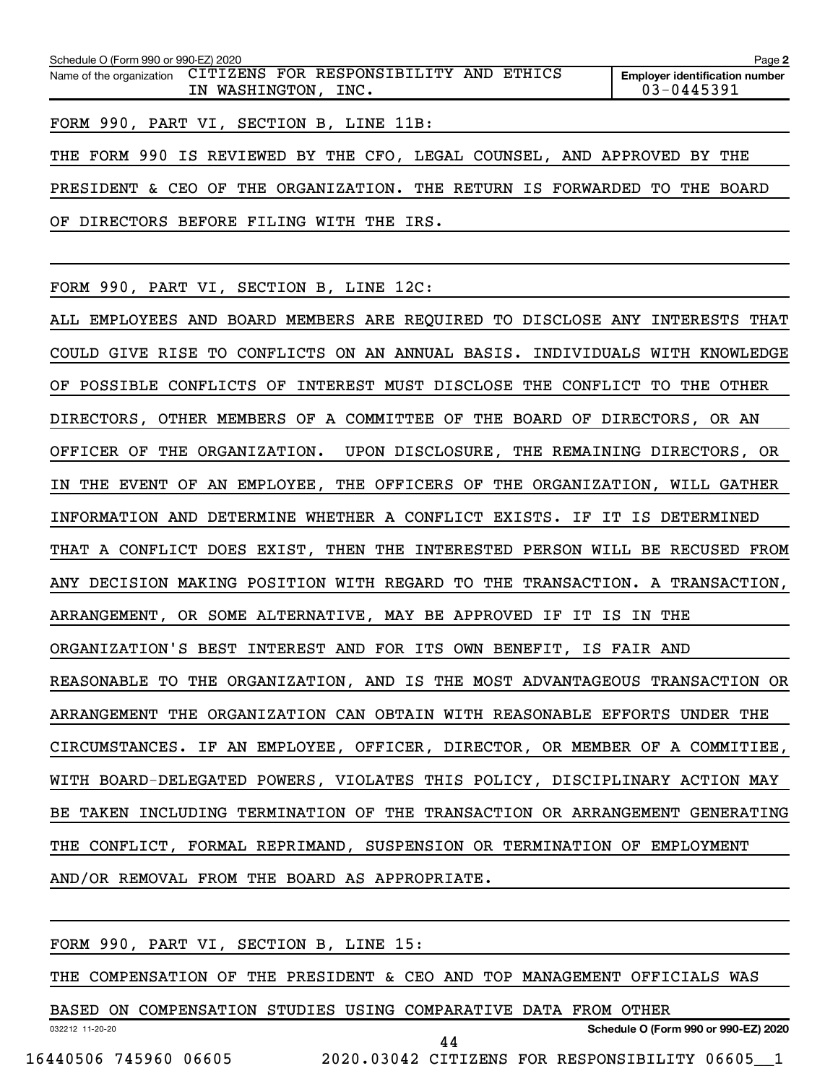| Schedule O (Form 990 or 990-EZ) 2020<br>Page 2                  |                                                                           |  |  |  |  |
|-----------------------------------------------------------------|---------------------------------------------------------------------------|--|--|--|--|
| Name of the organization CITIZENS FOR RESPONSIBILITY AND ETHICS | <b>Employer identification number</b><br>03-0445391                       |  |  |  |  |
|                                                                 | FORM 990, PART VI, SECTION B, LINE 11B:                                   |  |  |  |  |
|                                                                 | THE FORM 990 IS REVIEWED BY THE CFO, LEGAL COUNSEL, AND APPROVED BY THE   |  |  |  |  |
|                                                                 | PRESIDENT & CEO OF THE ORGANIZATION. THE RETURN IS FORWARDED TO THE BOARD |  |  |  |  |
|                                                                 | OF DIRECTORS BEFORE FILING WITH THE IRS.                                  |  |  |  |  |

FORM 990, PART VI, SECTION B, LINE 12C:

ALL EMPLOYEES AND BOARD MEMBERS ARE REQUIRED TO DISCLOSE ANY INTERESTS THAT COULD GIVE RISE TO CONFLICTS ON AN ANNUAL BASIS. INDIVIDUALS WITH KNOWLEDGE OF POSSIBLE CONFLICTS OF INTEREST MUST DISCLOSE THE CONFLICT TO THE OTHER DIRECTORS, OTHER MEMBERS OF A COMMITTEE OF THE BOARD OF DIRECTORS, OR AN OFFICER OF THE ORGANIZATION. UPON DISCLOSURE, THE REMAINING DIRECTORS, OR IN THE EVENT OF AN EMPLOYEE, THE OFFICERS OF THE ORGANIZATION, WILL GATHER INFORMATION AND DETERMINE WHETHER A CONFLICT EXISTS. IF IT IS DETERMINED THAT A CONFLICT DOES EXIST, THEN THE INTERESTED PERSON WILL BE RECUSED FROM ANY DECISION MAKING POSITION WITH REGARD TO THE TRANSACTION. A TRANSACTION, ARRANGEMENT, OR SOME ALTERNATIVE, MAY BE APPROVED IF IT IS IN THE ORGANIZATION'S BEST INTEREST AND FOR ITS OWN BENEFIT, IS FAIR AND REASONABLE TO THE ORGANIZATION, AND IS THE MOST ADVANTAGEOUS TRANSACTION OR ARRANGEMENT THE ORGANIZATION CAN OBTAIN WITH REASONABLE EFFORTS UNDER THE CIRCUMSTANCES. IF AN EMPLOYEE, OFFICER, DIRECTOR, OR MEMBER OF A COMMITIEE, WITH BOARD-DELEGATED POWERS, VIOLATES THIS POLICY, DISCIPLINARY ACTION MAY BE TAKEN INCLUDING TERMINATION OF THE TRANSACTION OR ARRANGEMENT GENERATING THE CONFLICT, FORMAL REPRIMAND, SUSPENSION OR TERMINATION OF EMPLOYMENT AND/OR REMOVAL FROM THE BOARD AS APPROPRIATE.

|                       |                 |  |  | FORM 990, PART VI, SECTION B, LINE 15: |  |    |  |                                                                 |                                                                          |  |  |
|-----------------------|-----------------|--|--|----------------------------------------|--|----|--|-----------------------------------------------------------------|--------------------------------------------------------------------------|--|--|
|                       |                 |  |  |                                        |  |    |  |                                                                 | THE COMPENSATION OF THE PRESIDENT & CEO AND TOP MANAGEMENT OFFICIALS WAS |  |  |
|                       |                 |  |  |                                        |  |    |  | BASED ON COMPENSATION STUDIES USING COMPARATIVE DATA FROM OTHER |                                                                          |  |  |
|                       | 032212 11-20-20 |  |  |                                        |  |    |  |                                                                 | Schedule O (Form 990 or 990-EZ) 2020                                     |  |  |
| 16440506 745960 06605 |                 |  |  |                                        |  | 44 |  |                                                                 | 2020.03042 CITIZENS FOR RESPONSIBILITY 06605 1                           |  |  |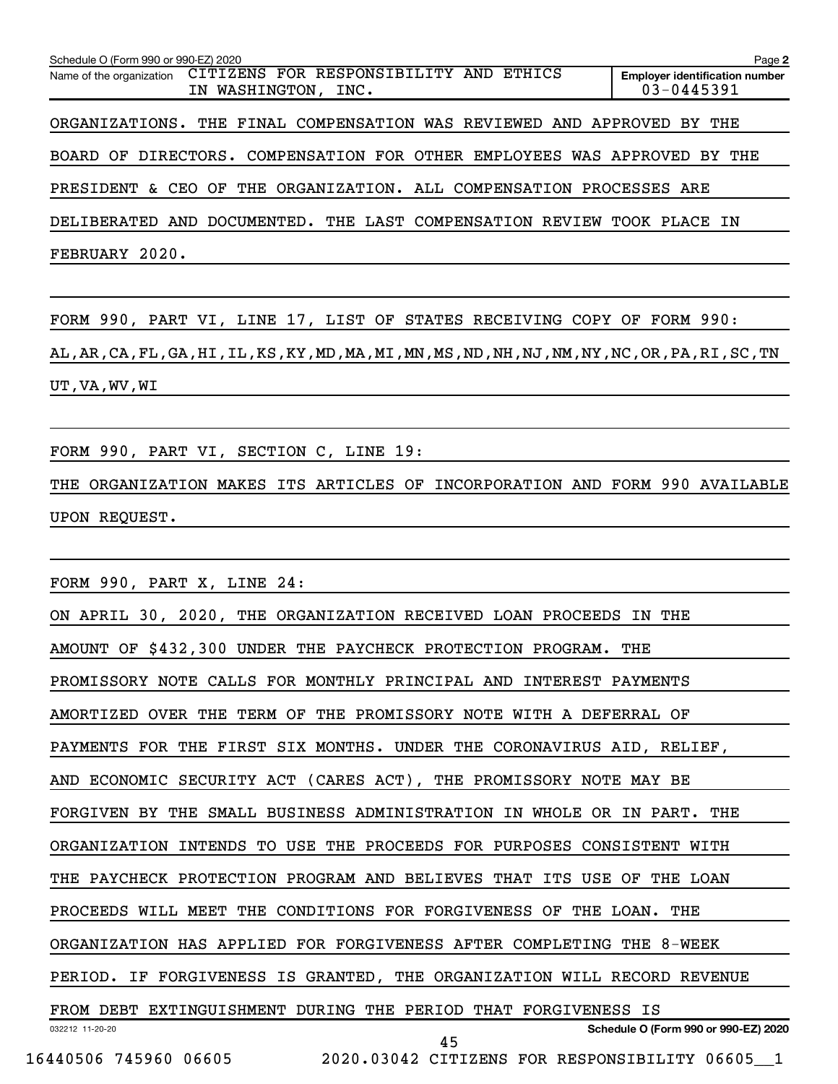**2 Employer identification number** Schedule O (Form 990 or 990-EZ) 2020 Name of the organization CITIZENS FOR RESPONSIBILITY AND ETHICS IN WASHINGTON, INC. 103-0445391 ORGANIZATIONS. THE FINAL COMPENSATION WAS REVIEWED AND APPROVED BY THE BOARD OF DIRECTORS. COMPENSATION FOR OTHER EMPLOYEES WAS APPROVED BY THE PRESIDENT & CEO OF THE ORGANIZATION. ALL COMPENSATION PROCESSES ARE DELIBERATED AND DOCUMENTED. THE LAST COMPENSATION REVIEW TOOK PLACE IN FEBRUARY 2020.

FORM 990, PART VI, LINE 17, LIST OF STATES RECEIVING COPY OF FORM 990: AL,AR,CA,FL,GA,HI,IL,KS,KY,MD,MA,MI,MN,MS,ND,NH,NJ,NM,NY,NC,OR,PA,RI,SC,TN UT,VA,WV,WI

FORM 990, PART VI, SECTION C, LINE 19:

THE ORGANIZATION MAKES ITS ARTICLES OF INCORPORATION AND FORM 990 AVAILABLE UPON REQUEST.

FORM 990, PART X, LINE 24:

032212 11-20-20 **Schedule O (Form 990 or 990-EZ) 2020** ON APRIL 30, 2020, THE ORGANIZATION RECEIVED LOAN PROCEEDS IN THE AMOUNT OF \$432,300 UNDER THE PAYCHECK PROTECTION PROGRAM. THE PROMISSORY NOTE CALLS FOR MONTHLY PRINCIPAL AND INTEREST PAYMENTS AMORTIZED OVER THE TERM OF THE PROMISSORY NOTE WITH A DEFERRAL OF PAYMENTS FOR THE FIRST SIX MONTHS. UNDER THE CORONAVIRUS AID, RELIEF, AND ECONOMIC SECURITY ACT (CARES ACT), THE PROMISSORY NOTE MAY BE FORGIVEN BY THE SMALL BUSINESS ADMINISTRATION IN WHOLE OR IN PART. THE ORGANIZATION INTENDS TO USE THE PROCEEDS FOR PURPOSES CONSISTENT WITH THE PAYCHECK PROTECTION PROGRAM AND BELIEVES THAT ITS USE OF THE LOAN PROCEEDS WILL MEET THE CONDITIONS FOR FORGIVENESS OF THE LOAN. THE ORGANIZATION HAS APPLIED FOR FORGIVENESS AFTER COMPLETING THE 8-WEEK PERIOD. IF FORGIVENESS IS GRANTED, THE ORGANIZATION WILL RECORD REVENUE FROM DEBT EXTINGUISHMENT DURING THE PERIOD THAT FORGIVENESS IS 45

16440506 745960 06605 2020.03042 CITIZENS FOR RESPONSIBILITY 06605\_\_1